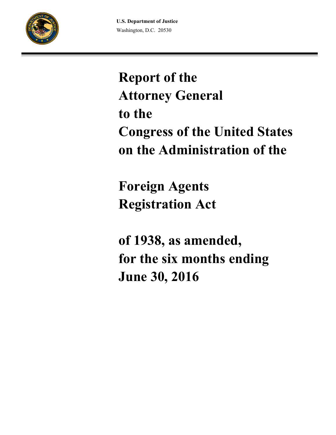

# **Report of the Attorney General to the Congress of the United States on the Administration of the**

**Foreign Agents Registration Act**

**of 1938, as amended, for the six months ending June 30, 2016**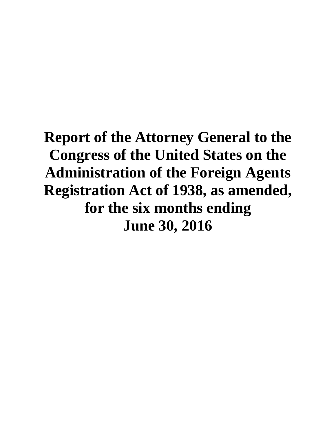# **Report of the Attorney General to the Congress of the United States on the Administration of the Foreign Agents Registration Act of 1938, as amended, for the six months ending June 30, 2016**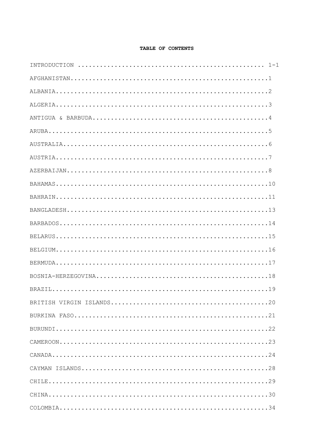## TABLE OF CONTENTS

| $\texttt{CANADA}\dots\dots\dots\dots\dots\dots\dots\dots\dots\dots\dots\dots\dots\dots\dots\dots\dots24$ |
|----------------------------------------------------------------------------------------------------------|
|                                                                                                          |
|                                                                                                          |
|                                                                                                          |
|                                                                                                          |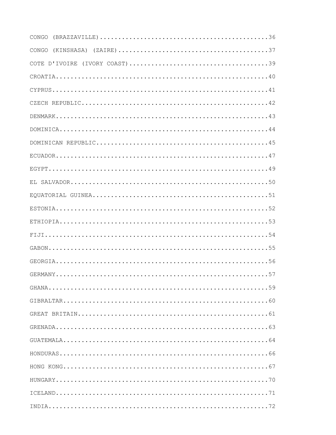| CONGO |
|-------|
| CONGO |
|       |
|       |
|       |
|       |
|       |
|       |
|       |
|       |
|       |
|       |
|       |
|       |
|       |
|       |
|       |
|       |
|       |
|       |
|       |
|       |
|       |
|       |
|       |
|       |
|       |
|       |
|       |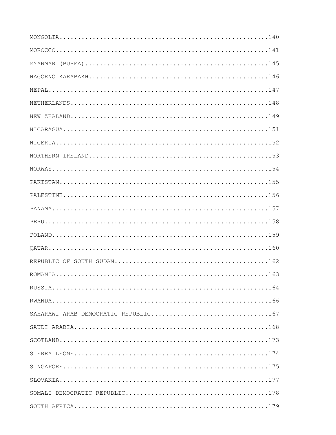| SAHARAWI ARAB DEMOCRATIC REPUBLIC167 |  |
|--------------------------------------|--|
|                                      |  |
|                                      |  |
|                                      |  |
|                                      |  |
|                                      |  |
|                                      |  |
|                                      |  |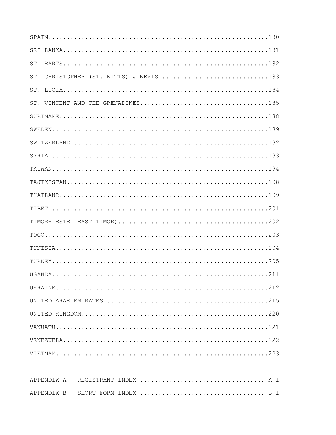| ST. CHRISTOPHER (ST. KITTS) & NEVIS183 |
|----------------------------------------|
|                                        |
|                                        |
|                                        |
|                                        |
|                                        |
|                                        |
|                                        |
|                                        |
|                                        |
|                                        |
|                                        |
|                                        |
|                                        |
|                                        |
|                                        |
|                                        |
|                                        |
|                                        |
|                                        |
|                                        |
|                                        |
|                                        |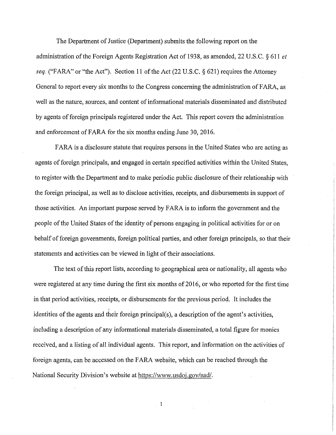The Department of Justice (Department) submits the following report on the administration of the Foreign Agents Registration Act of 1938, as amended, 22 U.S.C. *§* 611 *et seq.* ("FARA" or "the Act"). Section 11 of the Act (22 U.S.C. § 621) requires the Attorney General to report every six months to the Congress concerning the administration of FARA, as well as the nature, sources, and content of informational materials disseminated and distributed by agents of foreign principals registered under the Act. This report covers the administration and enforcement of FARA for the six months ending June 30, 2016.

FARA is a disclosure statute that requires persons in the United States who are acting as agents of foreign principals, and engaged in certain specified activities within the United States, to register with the Department and to make periodic public disclosure of their relationship with the foreign principal, as well as to disclose activities, receipts, and disbursements in support of those activities. An important purpose served by FARA is to inform the government and the people of the United States of the identity of persons engaging in political activities for or on behalf of foreign governments, foreign political parties, and other foreign principals, so that their statements and activities can be viewed in light of their associations.

The text of this report lists, according to geographical area or nationality, all agents who were registered at any time during the first six months of 2016, or who reported for the first time in that period activities, receipts, or disbursements for the previous period. It includes the identities of the agents and their foreign principal(s), a description of the agent's activities, including a description of any informational materials disseminated, a total figure for monies received, and a listing of all individual agents. This report, and information on the activities of foreign agents, can be accessed on the FARA website, which can be reached through the National Security Division's website at https://www.usdoj.gov/nsd/.

 $\overline{\phantom{0}}$  1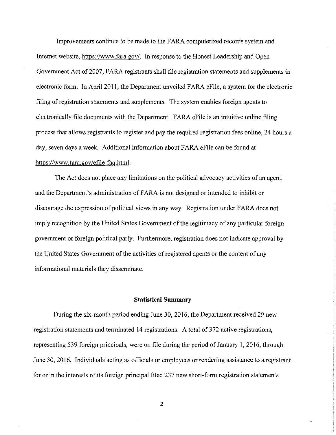Improvements continue to be made to the FARA computerized records system and Internet website, https://www.fara.gov/. In response to the Honest Leadership and Open Government Act of 2007, FARA registrants shall file registration statements and supplements in electronic form. In April 2011, the Department unveiled FARA eFile, a system for the electronic filing of registration statements and supplements. The system enables foreign agents to electronically file documents with the Department. FARA eFile is an intuitive online filing process that allows registrants to register and pay the required registration fees online, 24 hours a day, seven days a week. Additional information about FARA eFile can be found at https://www.fara.gov/efile-fag.html.

The Act does not place any limitations on the political advocacy activities of an agent, and the Department's administration of FARA is not designed or intended to inhibit or discourage the expression of political views in any way. Registration under FARA does not imply recognition by the United States Government of the legitimacy of any particular foreign government or foreign political party. Furthermore, registration does not indicate approval by the United States Government of the activities of registered agents or the content of any informational materials they disseminate.

## **Statistical Summary**

During the six-month period ending June 30, 2016, the Department received 29 new registration statements and terminated 14 registrations. A total of 372 active registrations, representing 539 foreign principals, were on file during the period of January 1, 2016, through June 30, 2016. Individuals acting as officials or employees or rendering assistance to a registrant for or in the interests of its foreign principal filed 237 new short-form registration statements

2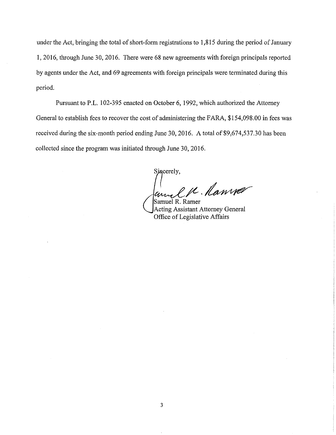under the Act, bringing the total of short-form registrations to  $1,815$  during the period of January 1, 2016, through June 30, 2016. There were 68 new agreements with foreign principals reported by agents under the Act, and 69 agreements with foreign principals were terminated during this period.

Pursuant to P.L. 102-395 enacted on October 6, 1992, which authorized the Attorney General to establish fees to recover the cost of administering the FARA, \$154,098.00 in fees was received during the six-month period ending June 30, 2016. A total of \$9,674,537.30 has been collected since the program was initiated through June 30, 2016.

Sincerely,  $e\,\mu$  . Ramver

Samuel R. Ramer Acting Assistant Attorney General Office of Legislative Affairs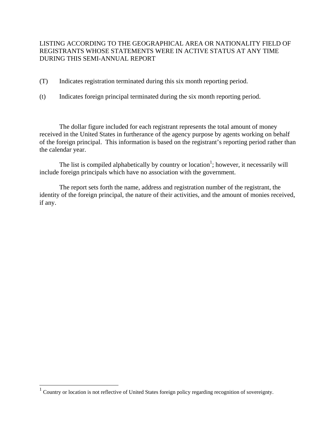# LISTING ACCORDING TO THE GEOGRAPHICAL AREA OR NATIONALITY FIELD OF REGISTRANTS WHOSE STATEMENTS WERE IN ACTIVE STATUS AT ANY TIME DURING THIS SEMI-ANNUAL REPORT

- (T) Indicates registration terminated during this six month reporting period.
- (t) Indicates foreign principal terminated during the six month reporting period.

 The dollar figure included for each registrant represents the total amount of money received in the United States in furtherance of the agency purpose by agents working on behalf of the foreign principal. This information is based on the registrant's reporting period rather than the calendar year.

The list is compiled alphabetically by country or location<sup>1</sup>; however, it necessarily will include foreign principals which have no association with the government.

 The report sets forth the name, address and registration number of the registrant, the identity of the foreign principal, the nature of their activities, and the amount of monies received, if any.

The 1 Country or location is not reflective of United States foreign policy regarding recognition of sovereignty.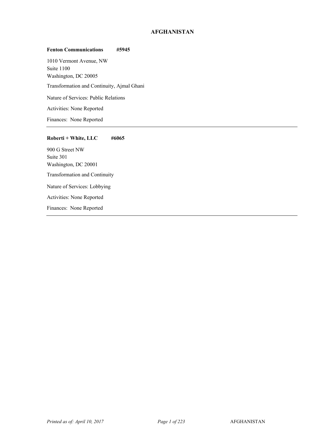## **AFGHANISTAN**

#### **Fenton Communications #5945**

1010 Vermont Avenue, NW Suite 1100 Washington, DC 20005 <sup>1</sup> Transformation and Continuity, Ajmal Ghani Nature of Services: Public Relations Activities: None Reported Finances: None Reported

#### **Roberti + White, LLC #6065**

900 G Street NW Suite 301 Washington, DC 20001 <sup>1</sup> Transformation and Continuity Nature of Services: Lobbying Activities: None Reported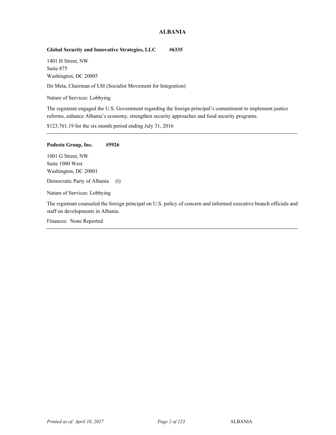## **ALBANIA**

## **Global Security and Innovative Strategies, LLC #6335**

1401 H Street, NW Suite 875 Washington, DC 20005

<sup>2</sup> Ilir Meta, Chairman of LSI (Socialist Movement for Integration)

Nature of Services: Lobbying

The registrant engaged the U.S. Government regarding the foreign principal's commitment to implement justice reforms, enhance Albania's economy, strengthen security approaches and food security programs.

\$123,761.19 for the six month period ending July 31, 2016

#### **Podesta Group, Inc. #5926**

1001 G Street, NW Suite 1000 West Washington, DC 20001

Democratic Party of Albania (t)

Nature of Services: Lobbying

The registrant counseled the foreign principal on U.S. policy of concern and informed executive branch officials and staff on developments in Albania.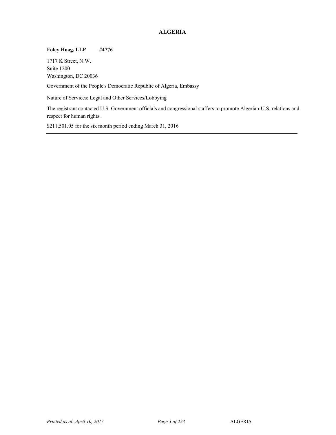# **ALGERIA**

## **Foley Hoag, LLP #4776**

1717 K Street, N.W. Suite 1200 Washington, DC 20036

Government of the People's Democratic Republic of Algeria, Embassy

Nature of Services: Legal and Other Services/Lobbying

The registrant contacted U.S. Government officials and congressional staffers to promote Algerian-U.S. relations and respect for human rights.

\$211,501.05 for the six month period ending March 31, 2016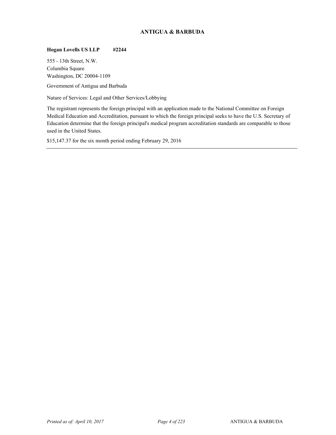## **ANTIGUA & BARBUDA**

## **Hogan Lovells US LLP #2244**

555 - 13th Street, N.W. Columbia Square Washington, DC 20004-1109

<sup>3</sup> Government of Antigua and Barbuda

Nature of Services: Legal and Other Services/Lobbying

The registrant represents the foreign principal with an application made to the National Committee on Foreign Medical Education and Accreditation, pursuant to which the foreign principal seeks to have the U.S. Secretary of Education determine that the foreign principal's medical program accreditation standards are comparable to those used in the United States.

\$15,147.37 for the six month period ending February 29, 2016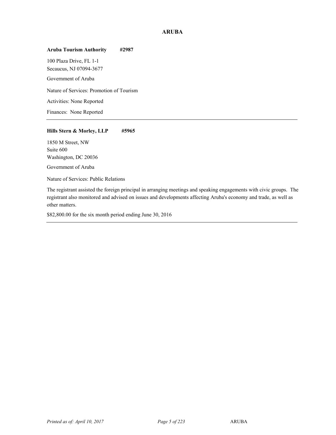## **ARUBA**

## **Aruba Tourism Authority #2987**

100 Plaza Drive, FL 1-1 Secaucus, NJ 07094-3677

Government of Aruba

Nature of Services: Promotion of Tourism

Activities: None Reported

Finances: None Reported

## **Hills Stern & Morley, LLP #5965**

1850 M Street, NW Suite 600 Washington, DC 20036

Government of Aruba

Nature of Services: Public Relations

The registrant assisted the foreign principal in arranging meetings and speaking engagements with civic groups. The registrant also monitored and advised on issues and developments affecting Aruba's economy and trade, as well as other matters.

\$82,800.00 for the six month period ending June 30, 2016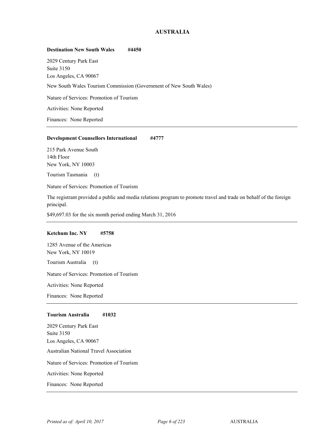## **AUSTRALIA**

#### **Destination New South Wales #4450**

2029 Century Park East Suite 3150 Los Angeles, CA 90067 <sup>5</sup> New South Wales Tourism Commission (Government of New South Wales) Nature of Services: Promotion of Tourism Activities: None Reported Finances: None Reported

#### **Development Counsellors International #4777**

215 Park Avenue South 14th Floor New York, NY 10003

<sup>5</sup> Tourism Tasmania (t)

Nature of Services: Promotion of Tourism

The registrant provided a public and media relations program to promote travel and trade on behalf of the foreign principal.

\$49,697.03 for the six month period ending March 31, 2016

#### **Ketchum Inc. NY #5758**

1285 Avenue of the Americas New York, NY 10019

<sup>5</sup> Tourism Australia (t)

Nature of Services: Promotion of Tourism

Activities: None Reported

Finances: None Reported

#### **Tourism Australia #1032**

2029 Century Park East Suite 3150 Los Angeles, CA 90067 <sup>5</sup> Australian National Travel Association Nature of Services: Promotion of Tourism Activities: None Reported Finances: None Reported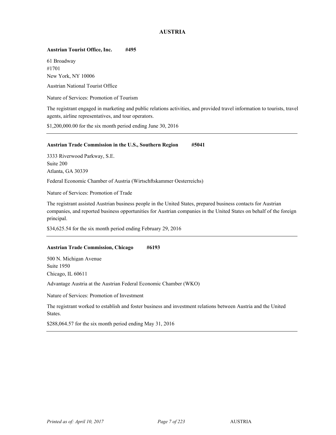## **AUSTRIA**

#### **Austrian Tourist Office, Inc. #495**

61 Broadway #1701 New York, NY 10006

<sup>5</sup> Austrian National Tourist Office

Nature of Services: Promotion of Tourism

The registrant engaged in marketing and public relations activities, and provided travel information to tourists, travel agents, airline representatives, and tour operators.

\$1,200,000.00 for the six month period ending June 30, 2016

#### **Austrian Trade Commission in the U.S., Southern Region #5041**

3333 Riverwood Parkway, S.E. Suite 200 Atlanta, GA 30339

<sup>5</sup> Federal Economic Chamber of Austria (Wirtschftskammer Oesterreichs)

Nature of Services: Promotion of Trade

The registrant assisted Austrian business people in the United States, prepared business contacts for Austrian companies, and reported business opportunities for Austrian companies in the United States on behalf of the foreign principal.

\$34,625.54 for the six month period ending February 29, 2016

## **Austrian Trade Commission, Chicago #6193**

500 N. Michigan Avenue Suite 1950 Chicago, IL 60611

<sup>5</sup> Advantage Austria at the Austrian Federal Economic Chamber (WKO)

Nature of Services: Promotion of Investment

The registrant worked to establish and foster business and investment relations between Austria and the United States.

\$288,064.57 for the six month period ending May 31, 2016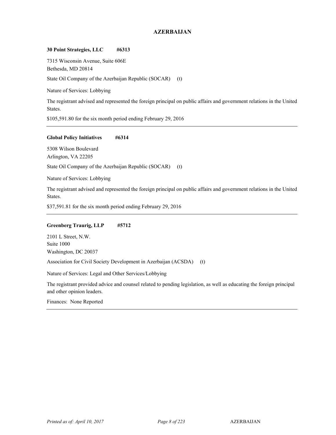## **AZERBAIJAN**

#### **30 Point Strategies, LLC #6313**

7315 Wisconsin Avenue, Suite 606E Bethesda, MD 20814 State Oil Company of the Azerbaijan Republic (SOCAR) (t)

Nature of Services: Lobbying

The registrant advised and represented the foreign principal on public affairs and government relations in the United States.

\$105,591.80 for the six month period ending February 29, 2016

#### **Global Policy Initiatives #6314**

5308 Wilson Boulevard Arlington, VA 22205

State Oil Company of the Azerbaijan Republic (SOCAR) (t)

Nature of Services: Lobbying

The registrant advised and represented the foreign principal on public affairs and government relations in the United States.

\$37,591.81 for the six month period ending February 29, 2016

## **Greenberg Traurig, LLP #5712**

2101 L Street, N.W. Suite 1000 Washington, DC 20037

<sup>6</sup> Association for Civil Society Development in Azerbaijan (ACSDA) (t)

Nature of Services: Legal and Other Services/Lobbying

The registrant provided advice and counsel related to pending legislation, as well as educating the foreign principal and other opinion leaders.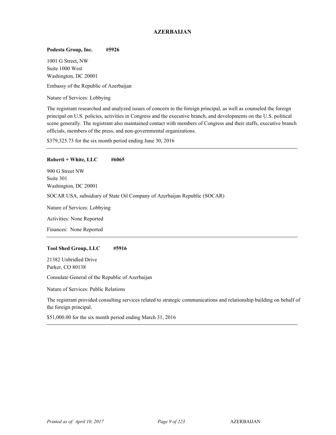## **AZERBAIJAN**

#### **Podesta Group, Inc. #5926**

1001 G Street, NW Suite 1000 West Washington, DC 20001

<sup>6</sup> Embassy of the Republic of Azerbaijan

Nature of Services: Lobbying

The registrant researched and analyzed issues of concern to the foreign principal, as well as counseled the foreign principal on U.S. policies, activities in Congress and the executive branch, and developments on the U.S. political scene generally. The registrant also maintained contact with members of Congress and their staffs, executive branch officials, members of the press, and non-governmental organizations.

\$379,325.73 for the six month period ending June 30, 2016

#### **Roberti + White, LLC #6065**

900 G Street NW Suite 301 Washington, DC 20001 <sup>6</sup> SOCAR USA, subsidiary of State Oil Company of Azerbaijan Republic (SOCAR)

Nature of Services: Lobbying

Activities: None Reported

Finances: None Reported

#### **Tool Shed Group, LLC #5916**

21382 Unbridled Drive Parker, CO 80138

Consulate General of the Republic of Azerbaijan

Nature of Services: Public Relations

The registrant provided consulting services related to strategic communications and relationship building on behalf of the foreign principal.

\$51,000.00 for the six month period ending March 31, 2016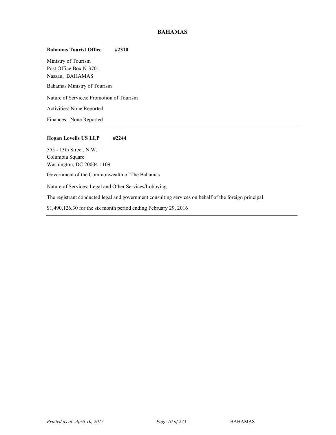## **BAHAMAS**

## **Bahamas Tourist Office #2310**

Ministry of Tourism Post Office Box N-3701 Nassau, BAHAMAS <sup>7</sup> Bahamas Ministry of Tourism Nature of Services: Promotion of Tourism Activities: None Reported Finances: None Reported

#### **Hogan Lovells US LLP #2244**

555 - 13th Street, N.W. Columbia Square Washington, DC 20004-1109

Government of the Commonwealth of The Bahamas

Nature of Services: Legal and Other Services/Lobbying

The registrant conducted legal and government consulting services on behalf of the foreign principal.

\$1,490,126.30 for the six month period ending February 29, 2016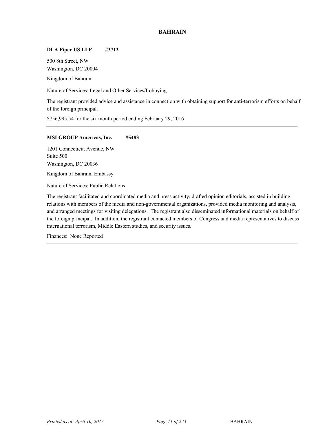## **BAHRAIN**

## **DLA Piper US LLP #3712**

500 8th Street, NW Washington, DC 20004

Kingdom of Bahrain

Nature of Services: Legal and Other Services/Lobbying

The registrant provided advice and assistance in connection with obtaining support for anti-terrorism efforts on behalf of the foreign principal.

\$756,995.54 for the six month period ending February 29, 2016

#### **MSLGROUP Americas, Inc. #5483**

1201 Connecticut Avenue, NW Suite 500 Washington, DC 20036

Kingdom of Bahrain, Embassy

Nature of Services: Public Relations

The registrant facilitated and coordinated media and press activity, drafted opinion editorials, assisted in building relations with members of the media and non-governmental organizations, provided media monitoring and analysis, and arranged meetings for visiting delegations. The registrant also disseminated informational materials on behalf of the foreign principal. In addition, the registrant contacted members of Congress and media representatives to discuss international terrorism, Middle Eastern studies, and security issues.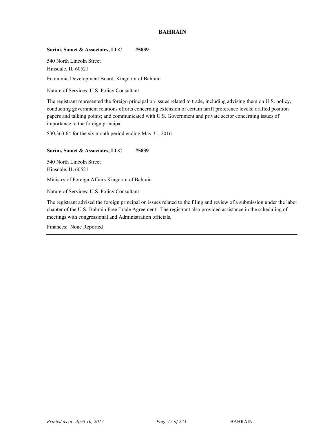## **BAHRAIN**

## **Sorini, Samet & Associates, LLC #5839**

540 North Lincoln Street Hinsdale, IL 60521

Economic Development Board, Kingdom of Bahrain

Nature of Services: U.S. Policy Consultant

The registrant represented the foreign principal on issues related to trade, including advising them on U.S. policy, conducting government relations efforts concerning extension of certain tariff preference levels; drafted position papers and talking points; and communicated with U.S. Government and private sector concerning issues of importance to the foreign principal.

\$30,363.64 for the six month period ending May 31, 2016

#### **Sorini, Samet & Associates, LLC #5839**

540 North Lincoln Street Hinsdale, IL 60521 Ministry of Foreign Affairs Kingdom of Bahrain <sup>8</sup>

Nature of Services: U.S. Policy Consultant

The registrant advised the foreign principal on issues related to the filing and review of a submission under the labor chapter of the U.S.-Bahrain Free Trade Agreement. The registrant also provided assistance in the scheduling of meetings with congressional and Administration officials.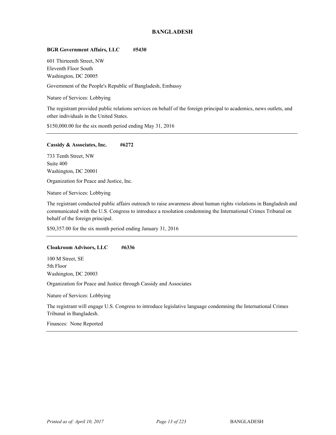## **BANGLADESH**

### **BGR Government Affairs, LLC #5430**

601 Thirteenth Street, NW Eleventh Floor South Washington, DC 20005

Government of the People's Republic of Bangladesh, Embassy

Nature of Services: Lobbying

The registrant provided public relations services on behalf of the foreign principal to academics, news outlets, and other individuals in the United States.

\$150,000.00 for the six month period ending May 31, 2016

#### **Cassidy & Associates, Inc. #6272**

733 Tenth Street, NW Suite 400 Washington, DC 20001

Organization for Peace and Justice, Inc.

Nature of Services: Lobbying

The registrant conducted public affairs outreach to raise awareness about human rights violations in Bangladesh and communicated with the U.S. Congress to introduce a resolution condemning the International Crimes Tribunal on behalf of the foreign principal.

\$50,357.00 for the six month period ending January 31, 2016

#### **Cloakroom Advisors, LLC #6336**

100 M Street, SE 5th Floor Washington, DC 20003

Organization for Peace and Justice through Cassidy and Associates

Nature of Services: Lobbying

The registrant will engage U.S. Congress to introduce legislative language condemning the International Crimes Tribunal in Bangladesh.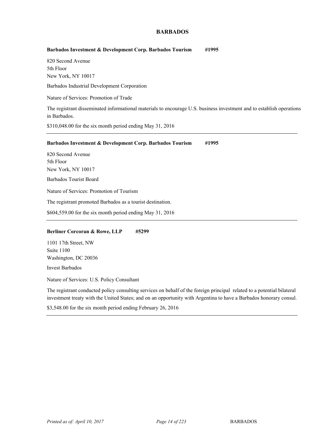## **BARBADOS**

#### **Barbados Investment & Development Corp. Barbados Tourism #1995**

820 Second Avenue 5th Floor New York, NY 10017

<sup>9</sup> Barbados Industrial Development Corporation

Nature of Services: Promotion of Trade

The registrant disseminated informational materials to encourage U.S. business investment and to establish operations in Barbados.

\$310,048.00 for the six month period ending May 31, 2016

#### **Barbados Investment & Development Corp. Barbados Tourism #1995**

820 Second Avenue 5th Floor New York, NY 10017

<sup>9</sup> Barbados Tourist Board

Nature of Services: Promotion of Tourism

The registrant promoted Barbados as a tourist destination.

\$604,559.00 for the six month period ending May 31, 2016

#### **Berliner Corcoran & Rowe, LLP #5299**

1101 17th Street, NW Suite 1100 Washington, DC 20036

Invest Barbados

Nature of Services: U.S. Policy Consultant

The registrant conducted policy consulting services on behalf of the foreign principal related to a potential bilateral investment treaty with the United States; and on an opportunity with Argentina to have a Barbados honorary consul.

\$3,548.00 for the six month period ending February 26, 2016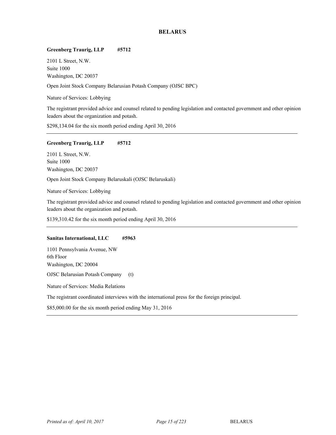## **BELARUS**

#### **Greenberg Traurig, LLP #5712**

2101 L Street, N.W. Suite 1000 Washington, DC 20037

<sup>10</sup> Open Joint Stock Company Belarusian Potash Company (OJSC BPC)

Nature of Services: Lobbying

The registrant provided advice and counsel related to pending legislation and contacted government and other opinion leaders about the organization and potash.

\$298,134.04 for the six month period ending April 30, 2016

## **Greenberg Traurig, LLP #5712**

2101 L Street, N.W. Suite 1000 Washington, DC 20037

<sup>10</sup> Open Joint Stock Company Belaruskali (OJSC Belaruskali)

Nature of Services: Lobbying

The registrant provided advice and counsel related to pending legislation and contacted government and other opinion leaders about the organization and potash.

\$139,310.42 for the six month period ending April 30, 2016

#### **Sanitas International, LLC #5963**

1101 Pennsylvania Avenue, NW 6th Floor Washington, DC 20004 OJSC Belarusian Potash Company (t)

Nature of Services: Media Relations

The registrant coordinated interviews with the international press for the foreign principal.

\$85,000.00 for the six month period ending May 31, 2016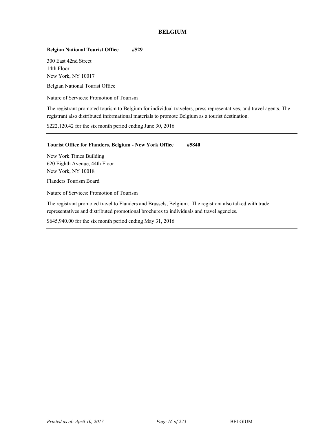## **BELGIUM**

## **Belgian National Tourist Office #529**

300 East 42nd Street 14th Floor New York, NY 10017

Belgian National Tourist Office

Nature of Services: Promotion of Tourism

The registrant promoted tourism to Belgium for individual travelers, press representatives, and travel agents. The registrant also distributed informational materials to promote Belgium as a tourist destination.

\$222,120.42 for the six month period ending June 30, 2016

#### **Tourist Office for Flanders, Belgium - New York Office #5840**

New York Times Building 620 Eighth Avenue, 44th Floor New York, NY 10018

Flanders Tourism Board

Nature of Services: Promotion of Tourism

The registrant promoted travel to Flanders and Brussels, Belgium. The registrant also talked with trade representatives and distributed promotional brochures to individuals and travel agencies.

\$645,940.00 for the six month period ending May 31, 2016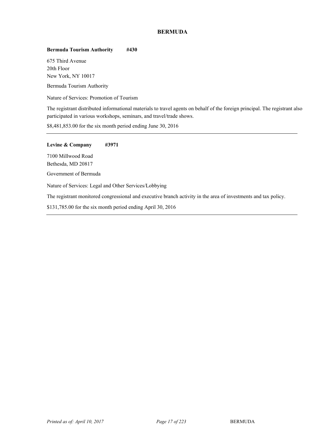## **BERMUDA**

## **Bermuda Tourism Authority #430**

675 Third Avenue 20th Floor New York, NY 10017

Bermuda Tourism Authority

Nature of Services: Promotion of Tourism

The registrant distributed informational materials to travel agents on behalf of the foreign principal. The registrant also participated in various workshops, seminars, and travel/trade shows.

\$8,481,853.00 for the six month period ending June 30, 2016

**Levine & Company #3971**  7100 Millwood Road Bethesda, MD 20817 Government of Bermuda Nature of Services: Legal and Other Services/Lobbying The registrant monitored congressional and executive branch activity in the area of investments and tax policy.

\$131,785.00 for the six month period ending April 30, 2016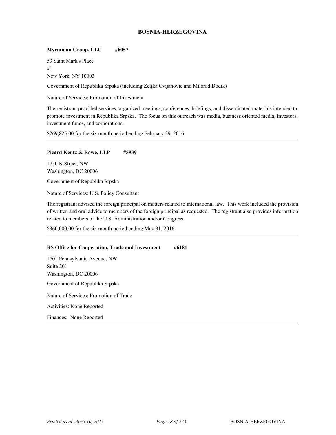## **BOSNIA-HERZEGOVINA**

### **Myrmidon Group, LLC #6057**

53 Saint Mark's Place #1 New York, NY 10003

<sup>13</sup> Government of Republika Srpska (including Zeljka Cvijanovic and Milorad Dodik)

Nature of Services: Promotion of Investment

The registrant provided services, organized meetings, conferences, briefings, and disseminated materials intended to promote investment in Republika Srpska. The focus on this outreach was media, business oriented media, investors, investment funds, and corporations.

\$269,825.00 for the six month period ending February 29, 2016

#### **Picard Kentz & Rowe, LLP #5939**

1750 K Street, NW Washington, DC 20006

Government of Republika Srpska

Nature of Services: U.S. Policy Consultant

The registrant advised the foreign principal on matters related to international law. This work included the provision of written and oral advice to members of the foreign principal as requested. The registrant also provides information related to members of the U.S. Administration and/or Congress.

\$360,000.00 for the six month period ending May 31, 2016

## **RS Office for Cooperation, Trade and Investment #6181**

1701 Pennsylvania Avenue, NW Suite 201 Washington, DC 20006 Government of Republika Srpska Nature of Services: Promotion of Trade Activities: None Reported Finances: None Reported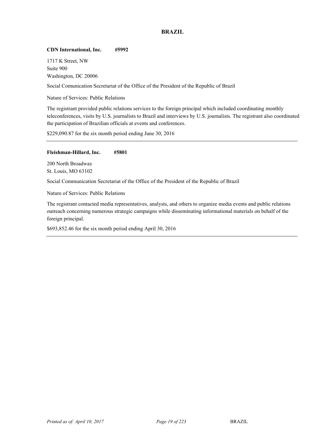## **BRAZIL**

#### **CDN International, Inc. #5992**

1717 K Street, NW Suite 900 Washington, DC 20006

Social Comunication Secretariat of the Office of the President of the Republic of Brazil

Nature of Services: Public Relations

The registrant provided public relations services to the foreign principal which included coordinating monthly teleconferences, visits by U.S. journalists to Brazil and interviews by U.S. journalists. The registrant also coordinated the participation of Brazilian officials at events and conferences.

\$229,090.87 for the six month period ending June 30, 2016

#### **Fleishman-Hillard, Inc. #5801**

200 North Broadway St. Louis, MO 63102

Social Communication Secretariat of the Office of the President of the Republic of Brazil

Nature of Services: Public Relations

The registrant contacted media representatives, analysts, and others to organize media events and public relations outreach concerning numerous strategic campaigns while disseminating informational materials on behalf of the foreign principal.

\$693,852.46 for the six month period ending April 30, 2016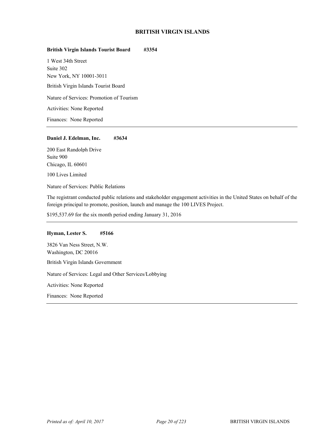## **BRITISH VIRGIN ISLANDS**

## **British Virgin Islands Tourist Board #3354**

1 West 34th Street Suite 302 New York, NY 10001-3011 <sup>15</sup> British Virgin Islands Tourist Board Nature of Services: Promotion of Tourism Activities: None Reported Finances: None Reported

#### **Daniel J. Edelman, Inc. #3634**

200 East Randolph Drive Suite 900 Chicago, IL 60601 100 Lives Limited

Nature of Services: Public Relations

The registrant conducted public relations and stakeholder engagement activities in the United States on behalf of the foreign principal to promote, position, launch and manage the 100 LIVES Project.

\$195,537.69 for the six month period ending January 31, 2016

#### **Hyman, Lester S. #5166**

3826 Van Ness Street, N.W. Washington, DC 20016 <sup>15</sup> British Virgin Islands Government Nature of Services: Legal and Other Services/Lobbying Activities: None Reported Finances: None Reported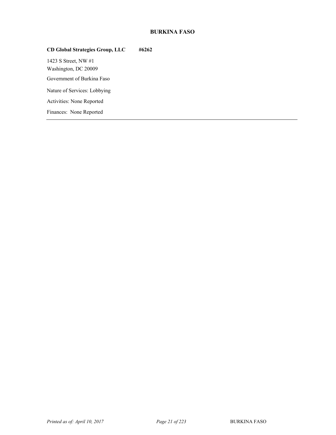# **BURKINA FASO**

# **CD Global Strategies Group, LLC #6262**

1423 S Street, NW #1 Washington, DC 20009 Government of Burkina Faso Nature of Services: Lobbying Activities: None Reported Finances: None Reported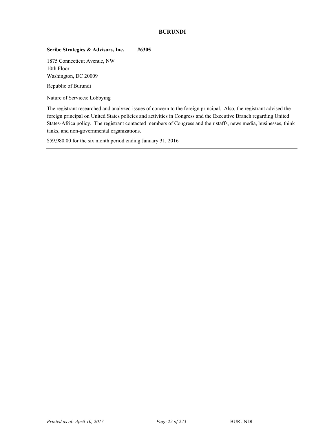## **BURUNDI**

## **Scribe Strategies & Advisors, Inc. #6305**

1875 Connecticut Avenue, NW 10th Floor Washington, DC 20009

Republic of Burundi

Nature of Services: Lobbying

The registrant researched and analyzed issues of concern to the foreign principal. Also, the registrant advised the foreign principal on United States policies and activities in Congress and the Executive Branch regarding United States-Africa policy. The registrant contacted members of Congress and their staffs, news media, businesses, think tanks, and non-governmental organizations.

\$59,980.00 for the six month period ending January 31, 2016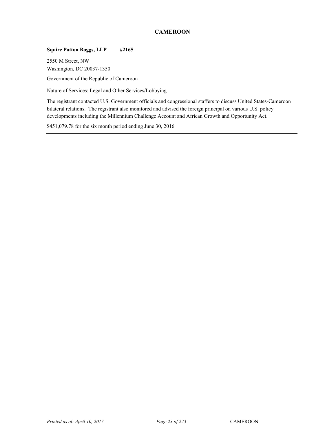## **CAMEROON**

## **Squire Patton Boggs, LLP #2165**

2550 M Street, NW Washington, DC 20037-1350

Government of the Republic of Cameroon

Nature of Services: Legal and Other Services/Lobbying

The registrant contacted U.S. Government officials and congressional staffers to discuss United States-Cameroon bilateral relations. The registrant also monitored and advised the foreign principal on various U.S. policy developments including the Millennium Challenge Account and African Growth and Opportunity Act.

\$451,079.78 for the six month period ending June 30, 2016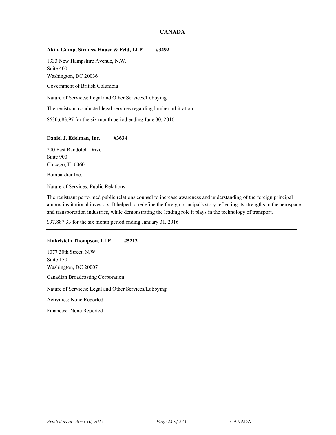## **CANADA**

#### **Akin, Gump, Strauss, Hauer & Feld, LLP #3492**

1333 New Hampshire Avenue, N.W. Suite 400 Washington, DC 20036

Government of British Columbia

Nature of Services: Legal and Other Services/Lobbying

The registrant conducted legal services regarding lumber arbitration.

\$630,683.97 for the six month period ending June 30, 2016

#### **Daniel J. Edelman, Inc. #3634**

200 East Randolph Drive Suite 900 Chicago, IL 60601 Bombardier Inc.

Nature of Services: Public Relations

The registrant performed public relations counsel to increase awareness and understanding of the foreign principal among institutional investors. It helped to redefine the foreign principal's story reflecting its strengths in the aerospace and transportation industries, while demonstrating the leading role it plays in the technology of transport.

\$97,887.33 for the six month period ending January 31, 2016

#### **Finkelstein Thompson, LLP #5213**

1077 30th Street, N.W. Suite 150 Washington, DC 20007 Canadian Broadcasting Corporation Nature of Services: Legal and Other Services/Lobbying Activities: None Reported Finances: None Reported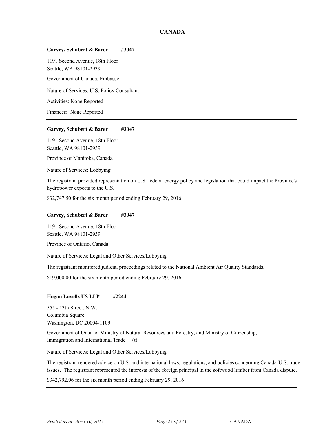## **CANADA**

#### **Garvey, Schubert & Barer #3047**

1191 Second Avenue, 18th Floor Seattle, WA 98101-2939

Government of Canada, Embassy

Nature of Services: U.S. Policy Consultant

Activities: None Reported

Finances: None Reported

#### **Garvey, Schubert & Barer #3047**

1191 Second Avenue, 18th Floor Seattle, WA 98101-2939

Province of Manitoba, Canada

Nature of Services: Lobbying

The registrant provided representation on U.S. federal energy policy and legislation that could impact the Province's hydropower exports to the U.S.

\$32,747.50 for the six month period ending February 29, 2016

#### **Garvey, Schubert & Barer #3047**

1191 Second Avenue, 18th Floor Seattle, WA 98101-2939

Province of Ontario, Canada

Nature of Services: Legal and Other Services/Lobbying

The registrant monitored judicial proceedings related to the National Ambient Air Quality Standards.

\$19,000.00 for the six month period ending February 29, 2016

#### **Hogan Lovells US LLP #2244**

555 - 13th Street, N.W. Columbia Square Washington, DC 20004-1109

<sup>18</sup> Government of Ontario, Ministry of Natural Resources and Forestry, and Ministry of Citizenship, Immigration and International Trade (t)

Nature of Services: Legal and Other Services/Lobbying

The registrant rendered advice on U.S. and international laws, regulations, and policies concerning Canada-U.S. trade issues. The registrant represented the interests of the foreign principal in the softwood lumber from Canada dispute.

\$342,792.06 for the six month period ending February 29, 2016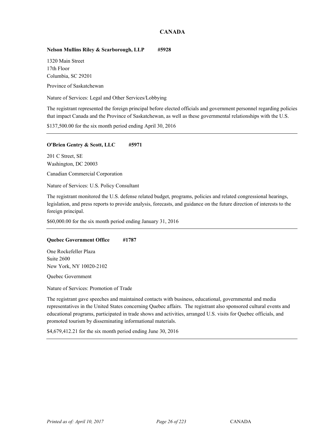# **CANADA**

## **Nelson Mullins Riley & Scarborough, LLP #5928**

1320 Main Street 17th Floor Columbia, SC 29201

Province of Saskatchewan

Nature of Services: Legal and Other Services/Lobbying

The registrant represented the foreign principal before elected officials and government personnel regarding policies that impact Canada and the Province of Saskatchewan, as well as these governmental relationships with the U.S.

\$137,500.00 for the six month period ending April 30, 2016

#### **O'Brien Gentry & Scott, LLC #5971**

201 C Street, SE Washington, DC 20003

Canadian Commercial Corporation

Nature of Services: U.S. Policy Consultant

The registrant monitored the U.S. defense related budget, programs, policies and related congressional hearings, legislation, and press reports to provide analysis, forecasts, and guidance on the future direction of interests to the foreign principal.

\$60,000.00 for the six month period ending January 31, 2016

#### **Quebec Government Office #1787**

One Rockefeller Plaza Suite 2600 New York, NY 10020-2102

Quebec Government

Nature of Services: Promotion of Trade

The registrant gave speeches and maintained contacts with business, educational, governmental and media representatives in the United States concerning Quebec affairs. The registrant also sponsored cultural events and educational programs, participated in trade shows and activities, arranged U.S. visits for Quebec officials, and promoted tourism by disseminating informational materials.

\$4,679,412.21 for the six month period ending June 30, 2016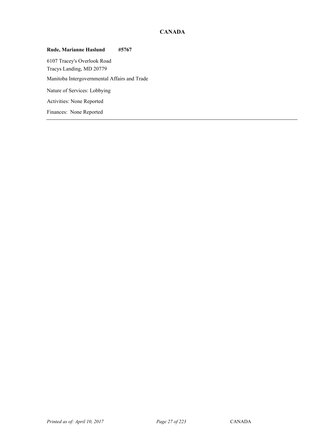# **CANADA**

# **Rude, Marianne Haslund #5767**

6107 Tracey's Overlook Road Tracys Landing, MD 20779 Manitoba Intergovernmental Affairs and Trade Nature of Services: Lobbying Activities: None Reported Finances: None Reported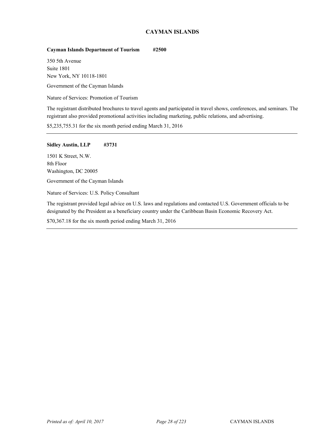# **CAYMAN ISLANDS**

## **Cayman Islands Department of Tourism #2500**

350 5th Avenue Suite 1801 New York, NY 10118-1801

Government of the Cayman Islands

Nature of Services: Promotion of Tourism

The registrant distributed brochures to travel agents and participated in travel shows, conferences, and seminars. The registrant also provided promotional activities including marketing, public relations, and advertising.

\$5,235,755.31 for the six month period ending March 31, 2016

#### **Sidley Austin, LLP #3731**

1501 K Street, N.W. 8th Floor Washington, DC 20005

Government of the Cayman Islands

Nature of Services: U.S. Policy Consultant

The registrant provided legal advice on U.S. laws and regulations and contacted U.S. Government officials to be designated by the President as a beneficiary country under the Caribbean Basin Economic Recovery Act.

\$70,367.18 for the six month period ending March 31, 2016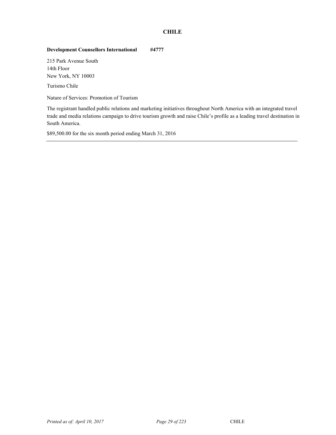# **CHILE**

# **Development Counsellors International #4777**

215 Park Avenue South 14th Floor New York, NY 10003

Turismo Chile

Nature of Services: Promotion of Tourism

The registrant handled public relations and marketing initiatives throughout North America with an integrated travel trade and media relations campaign to drive tourism growth and raise Chile's profile as a leading travel destination in South America.

\$89,500.00 for the six month period ending March 31, 2016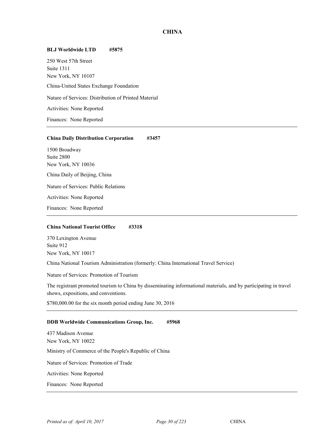#### **BLJ Worldwide LTD #5875**

250 West 57th Street Suite 1311 New York, NY 10107 <sup>20</sup> China-United States Exchange Foundation Nature of Services: Distribution of Printed Material Activities: None Reported Finances: None Reported

#### **China Daily Distribution Corporation #3457**

1500 Broadway Suite 2800 New York, NY 10036 China Daily of Beijing, China Nature of Services: Public Relations Activities: None Reported

Finances: None Reported

#### **China National Tourist Office #3318**

370 Lexington Avenue Suite 912 New York, NY 10017

<sup>20</sup> China National Tourism Administration (formerly: China International Travel Service)

Nature of Services: Promotion of Tourism

The registrant promoted tourism to China by disseminating informational materials, and by participating in travel shows, expositions, and conventions.

\$780,000.00 for the six month period ending June 30, 2016

#### **DDB Worldwide Communications Group, Inc. #5968**

437 Madison Avenue New York, NY 10022 Ministry of Commerce of the People's Republic of China Nature of Services: Promotion of Trade Activities: None Reported Finances: None Reported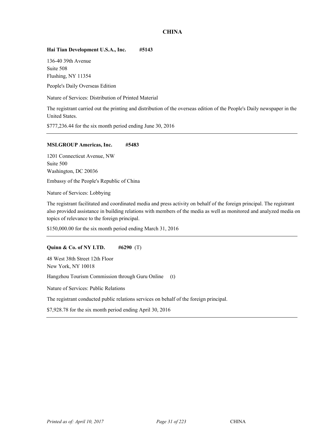## **Hai Tian Development U.S.A., Inc. #5143**

136-40 39th Avenue Suite 508 Flushing, NY 11354

People's Daily Overseas Edition

Nature of Services: Distribution of Printed Material

The registrant carried out the printing and distribution of the overseas edition of the People's Daily newspaper in the United States.

\$777,236.44 for the six month period ending June 30, 2016

#### **MSLGROUP Americas, Inc. #5483**

1201 Connecticut Avenue, NW Suite 500 Washington, DC 20036

Embassy of the People's Republic of China

Nature of Services: Lobbying

The registrant facilitated and coordinated media and press activity on behalf of the foreign principal. The registrant also provided assistance in building relations with members of the media as well as monitored and analyzed media on topics of relevance to the foreign principal.

\$150,000.00 for the six month period ending March 31, 2016

#### **Quinn & Co. of NY LTD. #6290** (T)

48 West 38th Street 12th Floor New York, NY 10018

Hangzhou Tourism Commission through Guru Online (t)

Nature of Services: Public Relations

The registrant conducted public relations services on behalf of the foreign principal.

\$7,928.78 for the six month period ending April 30, 2016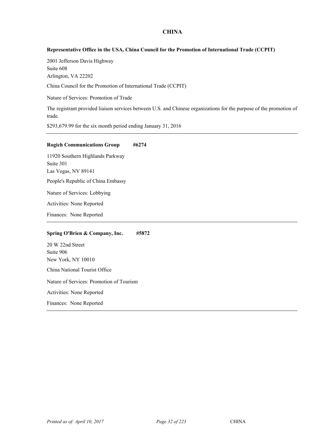#### **Representative Office in the USA, China Council for the Promotion of International Trade (CCPIT)**

2001 Jefferson Davis Highway Suite 608 Arlington, VA 22202

<sup>20</sup> China Council for the Promotion of International Trade (CCPIT)

Nature of Services: Promotion of Trade

The registrant provided liaison services between U.S. and Chinese organizations for the purpose of the promotion of trade.

\$293,679.99 for the six month period ending January 31, 2016

#### **Rogich Communications Group #6274**

11920 Southern Highlands Parkway Suite 301 Las Vegas, NV 89141 People's Republic of China Embassy Nature of Services: Lobbying Activities: None Reported

Finances: None Reported

#### **Spring O'Brien & Company, Inc. #5872**

20 W 22nd Street Suite 906 New York, NY 10010 China National Tourist Office

Nature of Services: Promotion of Tourism

Activities: None Reported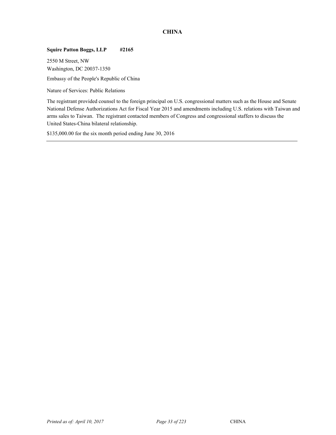## **Squire Patton Boggs, LLP #2165**

2550 M Street, NW Washington, DC 20037-1350 Embassy of the People's Republic of China

Nature of Services: Public Relations

The registrant provided counsel to the foreign principal on U.S. congressional matters such as the House and Senate National Defense Authorizations Act for Fiscal Year 2015 and amendments including U.S. relations with Taiwan and arms sales to Taiwan. The registrant contacted members of Congress and congressional staffers to discuss the United States-China bilateral relationship.

\$135,000.00 for the six month period ending June 30, 2016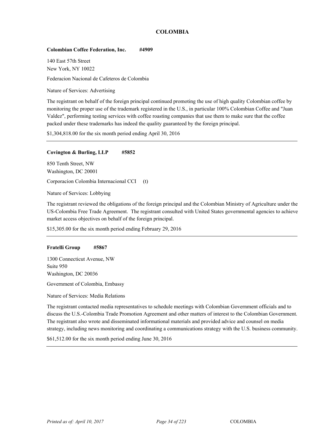# **COLOMBIA**

#### **Colombian Coffee Federation, Inc. #4909**

140 East 57th Street New York, NY 10022

<sup>21</sup> Federacion Nacional de Cafeteros de Colombia

Nature of Services: Advertising

The registrant on behalf of the foreign principal continued promoting the use of high quality Colombian coffee by monitoring the proper use of the trademark registered in the U.S., in particular 100% Colombian Coffee and "Juan Valdez", performing testing services with coffee roasting companies that use them to make sure that the coffee packed under these trademarks has indeed the quality guaranteed by the foreign principal.

\$1,304,818.00 for the six month period ending April 30, 2016

#### **Covington & Burling, LLP #5852**

850 Tenth Street, NW Washington, DC 20001

Corporacion Colombia Internacional CCI (t)

Nature of Services: Lobbying

The registrant reviewed the obligations of the foreign principal and the Colombian Ministry of Agriculture under the US-Colombia Free Trade Agreement. The registrant consulted with United States governmental agencies to achieve market access objectives on behalf of the foreign principal.

\$15,305.00 for the six month period ending February 29, 2016

#### **Fratelli Group #5867**

1300 Connecticut Avenue, NW Suite 950 Washington, DC 20036

Government of Colombia, Embassy

Nature of Services: Media Relations

The registrant contacted media representatives to schedule meetings with Colombian Government officials and to discuss the U.S.-Colombia Trade Promotion Agreement and other matters of interest to the Colombian Government. The registrant also wrote and disseminated informational materials and provided advice and counsel on media strategy, including news monitoring and coordinating a communications strategy with the U.S. business community.

\$61,512.00 for the six month period ending June 30, 2016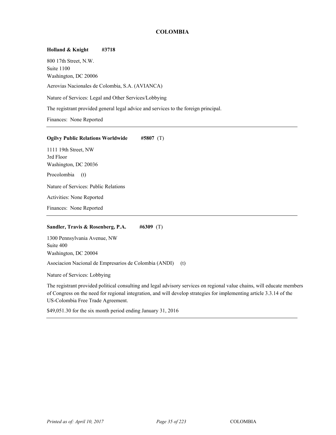# **COLOMBIA**

## **Holland & Knight #3718**

800 17th Street, N.W. Suite 1100 Washington, DC 20006

Aerovias Nacionales de Colombia, S.A. (AVIANCA)

Nature of Services: Legal and Other Services/Lobbying

The registrant provided general legal advice and services to the foreign principal.

Finances: None Reported

#### **Ogilvy Public Relations Worldwide #5807** (T)

1111 19th Street, NW 3rd Floor Washington, DC 20036 Procolombia (t) Nature of Services: Public Relations Activities: None Reported

Finances: None Reported

## **Sandler, Travis & Rosenberg, P.A. #6309** (T)

1300 Pennsylvania Avenue, NW Suite 400 Washington, DC 20004

Asociacion Nacional de Empresarios de Colombia (ANDI) (t)

Nature of Services: Lobbying

The registrant provided political consulting and legal advisory services on regional value chains, will educate members of Congress on the need for regional integration, and will develop strategies for implementing article 3.3.14 of the US-Colombia Free Trade Agreement.

\$49,051.30 for the six month period ending January 31, 2016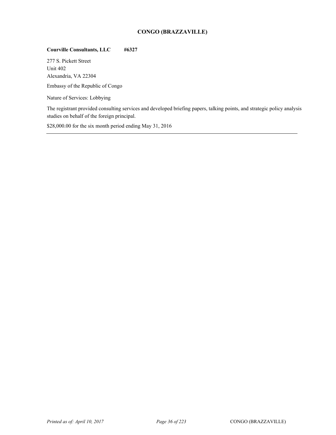# **CONGO (BRAZZAVILLE)**

# **Courville Consultants, LLC #6327**

277 S. Pickett Street Unit 402 Alexandria, VA 22304

Embassy of the Republic of Congo

Nature of Services: Lobbying

The registrant provided consulting services and developed briefing papers, talking points, and strategic policy analysis studies on behalf of the foreign principal.

\$28,000.00 for the six month period ending May 31, 2016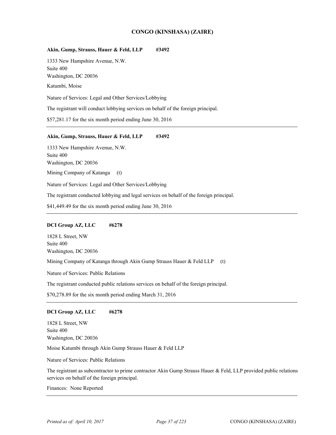## **CONGO (KINSHASA) (ZAIRE)**

#### Akin, Gump, Strauss, Hauer & Feld, LLP #3492

1333 New Hampshire Avenue, N.W. Suite 400 Washington, DC 20036

Katumbi, Moise

Nature of Services: Legal and Other Services/Lobbying

The registrant will conduct lobbying services on behalf of the foreign principal.

\$57,281.17 for the six month period ending June 30, 2016

#### Akin, Gump, Strauss, Hauer & Feld, LLP #3492

1333 New Hampshire Avenue, N.W. Suite 400 Washington, DC 20036 Mining Company of Katanga (t)

Nature of Services: Legal and Other Services/Lobbying

The registrant conducted lobbying and legal services on behalf of the foreign principal.

\$41,449.49 for the six month period ending June 30, 2016

#### **DCI Group AZ, LLC #6278**

1828 L Street, NW Suite 400 Washington, DC 20036

Mining Company of Katanga through Akin Gump Strauss Hauer & Feld LLP (t)

Nature of Services: Public Relations

The registrant conducted public relations services on behalf of the foreign principal.

\$70,278.89 for the six month period ending March 31, 2016

#### **DCI Group AZ, LLC #6278**

1828 L Street, NW Suite 400 Washington, DC 20036

Moise Katumbi through Akin Gump Strauss Hauer & Feld LLP

Nature of Services: Public Relations

The registrant as subcontractor to prime contractor Akin Gump Strauss Hauer & Feld, LLP provided public relations services on behalf of the foreign principal.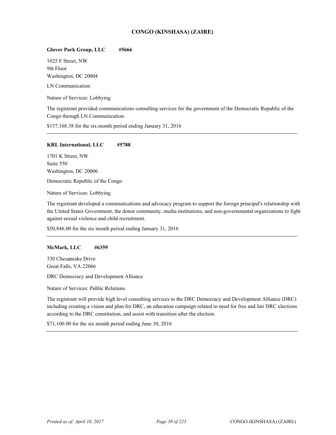# **CONGO (KINSHASA) (ZAIRE)**

#### **Glover Park Group, LLC #5666**

1025 F Street, NW 9th Floor Washington, DC 20004

LN Communication

Nature of Services: Lobbying

The registrant provided communications consulting services for the government of the Democratic Republic of the Congo through LN Communication.

\$137,168.38 for the six month period ending January 31, 2016

#### **KRL International, LLC #5788**

1701 K Street, NW Suite 550 Washington, DC 20006

Democratic Republic of the Congo

Nature of Services: Lobbying

The registrant developed a communications and advocacy program to support the foreign principal's relationship with the United States Government, the donor community, media institutions, and non-governmental organizations to fight against sexual violence and child recruitment.

\$50,846.00 for the six month period ending January 31, 2016

#### **McMark, LLC #6359**

330 Chesapeake Drive Great Falls, VA 22066

DRC Democracy and Development Alliance

Nature of Services: Public Relations

The registrant will provide high level consulting services to the DRC Democracy and Development Alliance (DRC) including creating a vision and plan for DRC, an education campaign related to need for free and fair DRC elections according to the DRC constitution, and assist with transition after the election.

\$71,100.00 for the six month period ending June 30, 2016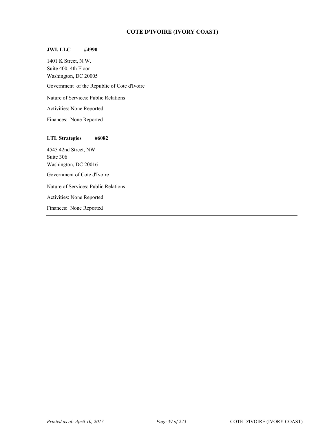# **COTE D'IVOIRE (IVORY COAST)**

## **JWI, LLC #4990**

1401 K Street, N.W. Suite 400, 4th Floor Washington, DC 20005 Government of the Republic of Cote d'Ivoire Nature of Services: Public Relations Activities: None Reported Finances: None Reported

#### **LTL Strategies #6082**

4545 42nd Street, NW Suite 306 Washington, DC 20016 Government of Cote d'Ivoire Nature of Services: Public Relations Activities: None Reported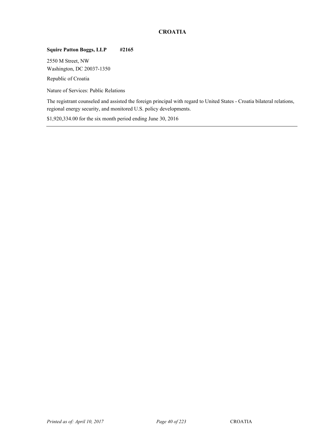# **CROATIA**

# **Squire Patton Boggs, LLP #2165**

2550 M Street, NW Washington, DC 20037-1350

Republic of Croatia

Nature of Services: Public Relations

The registrant counseled and assisted the foreign principal with regard to United States - Croatia bilateral relations, regional energy security, and monitored U.S. policy developments.

\$1,920,334.00 for the six month period ending June 30, 2016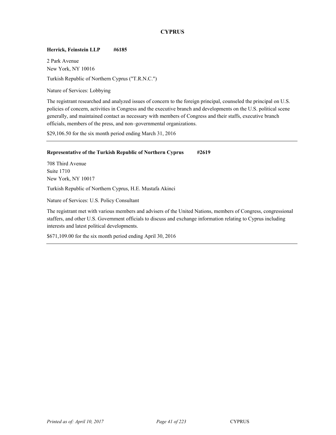# **CYPRUS**

## **Herrick, Feinstein LLP #6185**

2 Park Avenue New York, NY 10016 Turkish Republic of Northern Cyprus ("T.R.N.C.")

Nature of Services: Lobbying

The registrant researched and analyzed issues of concern to the foreign principal, counseled the principal on U.S. policies of concern, activities in Congress and the executive branch and developments on the U.S. political scene generally, and maintained contact as necessary with members of Congress and their staffs, executive branch officials, members of the press, and non–governmental organizations.

\$29,106.50 for the six month period ending March 31, 2016

#### **Representative of the Turkish Republic of Northern Cyprus #2619**

708 Third Avenue Suite 1710 New York, NY 10017 Turkish Republic of Northern Cyprus, H.E. Mustafa Akinci

Nature of Services: U.S. Policy Consultant

The registrant met with various members and advisers of the United Nations, members of Congress, congressional staffers, and other U.S. Government officials to discuss and exchange information relating to Cyprus including interests and latest political developments.

\$671,109.00 for the six month period ending April 30, 2016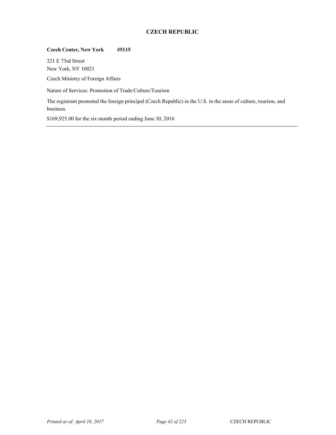# **CZECH REPUBLIC**

## **Czech Center, New York #5115**

321 E 73rd Street New York, NY 10021

Czech Ministry of Foreign Affairs

Nature of Services: Promotion of Trade/Culture/Tourism

The registrant promoted the foreign principal (Czech Republic) in the U.S. in the areas of culture, tourism, and business.

\$169,925.00 for the six month period ending June 30, 2016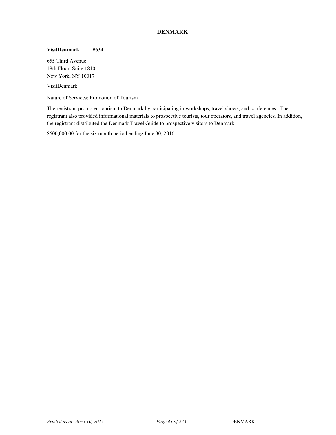# **DENMARK**

#### **VisitDenmark #634**

655 Third Avenue 18th Floor, Suite 1810 New York, NY 10017

VisitDenmark **2006** 

Nature of Services: Promotion of Tourism

The registrant promoted tourism to Denmark by participating in workshops, travel shows, and conferences. The registrant also provided informational materials to prospective tourists, tour operators, and travel agencies. In addition, the registrant distributed the Denmark Travel Guide to prospective visitors to Denmark.

\$600,000.00 for the six month period ending June 30, 2016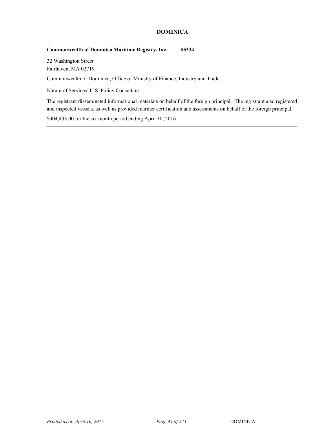# **DOMINICA**

## **Commonwealth of Dominica Maritime Registry, Inc. #5334**

32 Washington Street Fairhaven, MA 02719

<sup>26</sup> Commonwealth of Dominica, Office of Ministry of Finance, Industry and Trade

Nature of Services: U.S. Policy Consultant

The registrant disseminated informational materials on behalf of the foreign principal. The registrant also registered and inspected vessels, as well as provided mariner certification and assessments on behalf of the foreign principal.

\$404,433.00 for the six month period ending April 30, 2016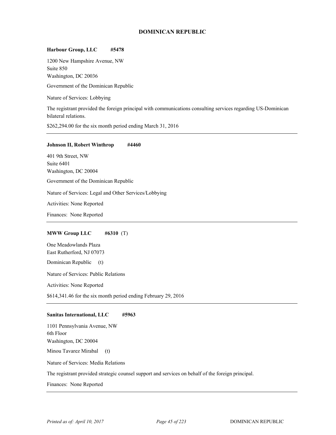# **DOMINICAN REPUBLIC**

#### **Harbour Group, LLC #5478**

1200 New Hampshire Avenue, NW Suite 850 Washington, DC 20036

Government of the Dominican Republic

Nature of Services: Lobbying

The registrant provided the foreign principal with communications consulting services regarding US-Dominican bilateral relations.

\$262,294.00 for the six month period ending March 31, 2016

#### **Johnson II, Robert Winthrop** #4460

401 9th Street, NW Suite 6401 Washington, DC 20004 Government of the Dominican Republic Nature of Services: Legal and Other Services/Lobbying Activities: None Reported Finances: None Reported

## **MWW Group LLC #6310** (T)

One Meadowlands Plaza East Rutherford, NJ 07073

Dominican Republic (t)

Nature of Services: Public Relations

Activities: None Reported

\$614,341.46 for the six month period ending February 29, 2016

#### **Sanitas International, LLC #5963**

1101 Pennsylvania Avenue, NW 6th Floor Washington, DC 20004 Minou Tavarez Mirabal (t)

Nature of Services: Media Relations

The registrant provided strategic counsel support and services on behalf of the foreign principal.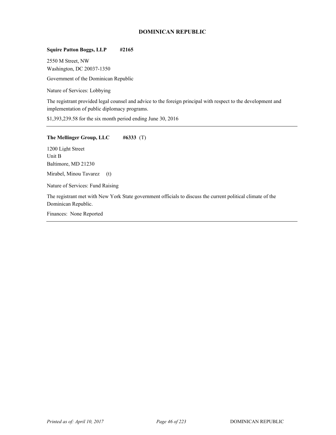# **DOMINICAN REPUBLIC**

# **Squire Patton Boggs, LLP #2165**

2550 M Street, NW Washington, DC 20037-1350 Government of the Dominican Republic

Nature of Services: Lobbying

The registrant provided legal counsel and advice to the foreign principal with respect to the development and implementation of public diplomacy programs.

\$1,393,239.58 for the six month period ending June 30, 2016

#### **The Mellinger Group, LLC #6333** (T)

1200 Light Street Unit B Baltimore, MD 21230

Mirabel, Minou Tavarez (t)

Nature of Services: Fund Raising

The registrant met with New York State government officials to discuss the current political climate of the Dominican Republic.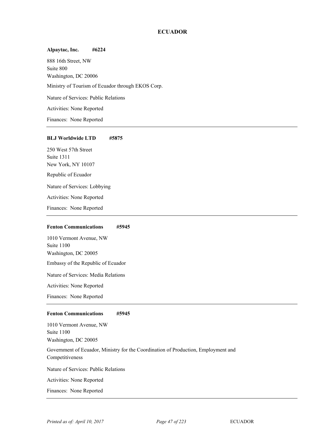## **ECUADOR**

# **Alpaytac, Inc. #6224**  888 16th Street, NW Suite 800 Washington, DC 20006 Ministry of Tourism of Ecuador through EKOS Corp. Nature of Services: Public Relations Activities: None Reported Finances: None Reported

#### **BLJ Worldwide LTD #5875**

250 West 57th Street Suite 1311 New York, NY 10107 Republic of Ecuador Nature of Services: Lobbying Activities: None Reported Finances: None Reported

#### **Fenton Communications #5945**

1010 Vermont Avenue, NW Suite 1100 Washington, DC 20005 Embassy of the Republic of Ecuador Nature of Services: Media Relations

Activities: None Reported

Finances: None Reported

## **Fenton Communications #5945**

1010 Vermont Avenue, NW Suite 1100 Washington, DC 20005

Government of Ecuador, Ministry for the Coordination of Production, Employment and Competitiveness

Nature of Services: Public Relations

Activities: None Reported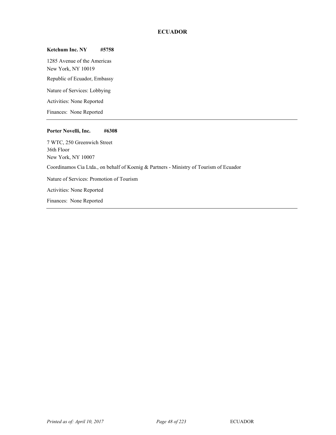# **ECUADOR**

#### **Ketchum Inc. NY #5758**

1285 Avenue of the Americas New York, NY 10019 Republic of Ecuador, Embassy Nature of Services: Lobbying Activities: None Reported Finances: None Reported

#### **Porter Novelli, Inc. #6308**

Finances: None Reported

7 WTC, 250 Greenwich Street 36th Floor New York, NY 10007 <sup>28</sup> Coordinamos Cia Ltda., on behalf of Koenig & Partners - Ministry of Tourism of Ecuador Nature of Services: Promotion of Tourism Activities: None Reported

*Printed as of: April 10, 2017 Page 48 of 223* ECUADOR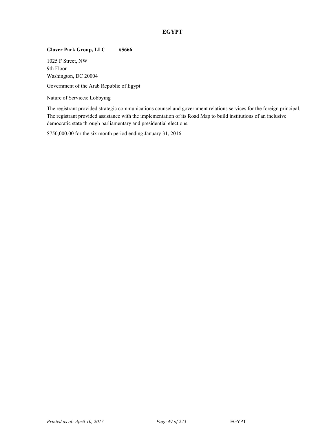# **EGYPT**

# **Glover Park Group, LLC #5666**

1025 F Street, NW 9th Floor Washington, DC 20004

Government of the Arab Republic of Egypt

Nature of Services: Lobbying

The registrant provided strategic communications counsel and government relations services for the foreign principal. The registrant provided assistance with the implementation of its Road Map to build institutions of an inclusive democratic state through parliamentary and presidential elections.

\$750,000.00 for the six month period ending January 31, 2016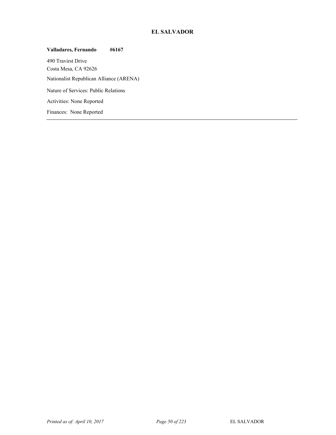# **EL SALVADOR**

**Valladares, Fernando #6167**  490 Travirst Drive Costa Mesa, CA 92626 Nationalist Republican Alliance (ARENA) Nature of Services: Public Relations Activities: None Reported Finances: None Reported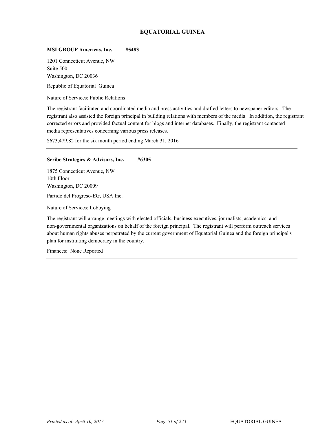# **EQUATORIAL GUINEA**

#### **MSLGROUP Americas, Inc. #5483**

1201 Connecticut Avenue, NW Suite 500 Washington, DC 20036

Republic of Equatorial Guinea

Nature of Services: Public Relations

The registrant facilitated and coordinated media and press activities and drafted letters to newspaper editors. The registrant also assisted the foreign principal in building relations with members of the media. In addition, the registrant corrected errors and provided factual content for blogs and internet databases. Finally, the registrant contacted media representatives concerning various press releases.

\$673,479.82 for the six month period ending March 31, 2016

#### **Scribe Strategies & Advisors, Inc. #6305**

1875 Connecticut Avenue, NW 10th Floor Washington, DC 20009

Partido del Progreso-EG, USA Inc.

Nature of Services: Lobbying

The registrant will arrange meetings with elected officials, business executives, journalists, academics, and non-governmental organizations on behalf of the foreign principal. The registrant will perform outreach services about human rights abuses perpetrated by the current government of Equatorial Guinea and the foreign principal's plan for instituting democracy in the country.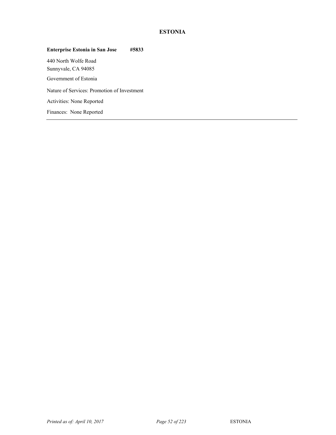# **ESTONIA**

# **Enterprise Estonia in San Jose #5833**  440 North Wolfe Road Sunnyvale, CA 94085 Government of Estonia Nature of Services: Promotion of Investment Activities: None Reported Finances: None Reported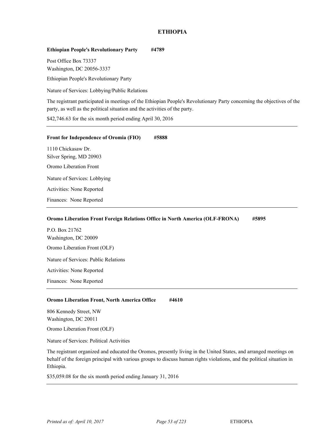# **ETHIOPIA**

## **Ethiopian People's Revolutionary Party #4789**

Post Office Box 73337 Washington, DC 20056-3337

Ethiopian People's Revolutionary Party

Nature of Services: Lobbying/Public Relations

The registrant participated in meetings of the Ethiopian People's Revolutionary Party concerning the objectives of the party, as well as the political situation and the activities of the party.

\$42,746.63 for the six month period ending April 30, 2016

| <b>Front for Independence of Oromia (FIO)</b> | #5888 |  |
|-----------------------------------------------|-------|--|
| 1110 Chickasaw Dr.                            |       |  |
| Silver Spring, MD 20903                       |       |  |
| Oromo Liberation Front                        |       |  |
| Nature of Services: Lobbying                  |       |  |
| Activities: None Reported                     |       |  |
| Finances: None Reported                       |       |  |

#### **Oromo Liberation Front Foreign Relations Office in North America (OLF-FRONA) #5895**

P.O. Box 21762 Washington, DC 20009 Oromo Liberation Front (OLF) Nature of Services: Public Relations Activities: None Reported

# **Oromo Liberation Front, North America Office #4610**

806 Kennedy Street, NW Washington, DC 20011

Finances: None Reported

Oromo Liberation Front (OLF)

Nature of Services: Political Activities

The registrant organized and educated the Oromos, presently living in the United States, and arranged meetings on behalf of the foreign principal with various groups to discuss human rights violations, and the political situation in Ethiopia.

\$35,059.08 for the six month period ending January 31, 2016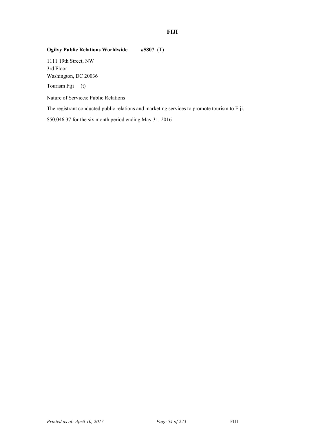# **FIJI**

# **Ogilvy Public Relations Worldwide #5807** (T)

1111 19th Street, NW 3rd Floor Washington, DC 20036

Tourism Fiji (t)

Nature of Services: Public Relations

The registrant conducted public relations and marketing services to promote tourism to Fiji.

\$50,046.37 for the six month period ending May 31, 2016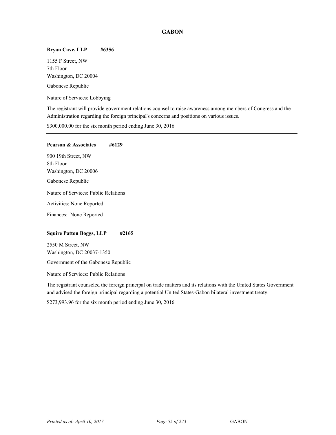# **GABON**

## **Bryan Cave, LLP #6356**

1155 F Street, NW 7th Floor Washington, DC 20004 Gabonese Republic

Nature of Services: Lobbying

The registrant will provide government relations counsel to raise awareness among members of Congress and the Administration regarding the foreign principal's concerns and positions on various issues.

\$300,000.00 for the six month period ending June 30, 2016

# **Pearson & Associates #6129**  900 19th Street, NW 8th Floor Washington, DC 20006 Gabonese Republic Nature of Services: Public Relations Activities: None Reported Finances: None Reported

#### **Squire Patton Boggs, LLP #2165**

2550 M Street, NW Washington, DC 20037-1350

Government of the Gabonese Republic

Nature of Services: Public Relations

The registrant counseled the foreign principal on trade matters and its relations with the United States Government and advised the foreign principal regarding a potential United States-Gabon bilateral investment treaty.

\$273,993.96 for the six month period ending June 30, 2016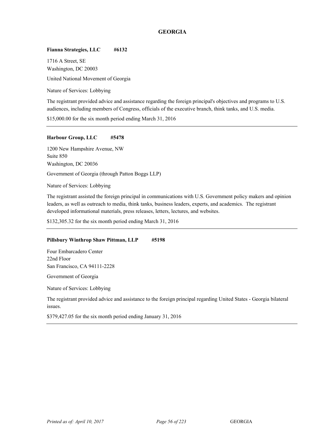# **GEORGIA**

#### **Fianna Strategies, LLC #6132**

1716 A Street, SE Washington, DC 20003 United National Movement of Georgia

Nature of Services: Lobbying

The registrant provided advice and assistance regarding the foreign principal's objectives and programs to U.S. audiences, including members of Congress, officials of the executive branch, think tanks, and U.S. media.

\$15,000.00 for the six month period ending March 31, 2016

#### **Harbour Group, LLC #5478**

1200 New Hampshire Avenue, NW Suite 850 Washington, DC 20036 Government of Georgia (through Patton Boggs LLP)

Nature of Services: Lobbying

The registrant assisted the foreign principal in communications with U.S. Government policy makers and opinion leaders, as well as outreach to media, think tanks, business leaders, experts, and academics. The registrant developed informational materials, press releases, letters, lectures, and websites.

\$132,305.32 for the six month period ending March 31, 2016

#### **Pillsbury Winthrop Shaw Pittman, LLP #5198**

Four Embarcadero Center 22nd Floor San Francisco, CA 94111-2228

Government of Georgia

Nature of Services: Lobbying

The registrant provided advice and assistance to the foreign principal regarding United States - Georgia bilateral issues.

\$379,427.05 for the six month period ending January 31, 2016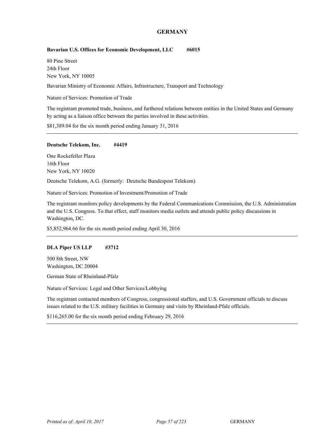## **GERMANY**

#### Bavarian U.S. Offices for Economic Development, LLC #6015

80 Pine Street 24th Floor New York, NY 10005

Bavarian Ministry of Economic Affairs, Infrastructure, Transport and Technology

Nature of Services: Promotion of Trade

The registrant promoted trade, business, and furthered relations between entities in the United States and Germany by acting as a liaison office between the parties involved in these activities.

\$81,389.04 for the six month period ending January 31, 2016

#### **Deutsche Telekom, Inc. #4419**

One Rockefeller Plaza 16th Floor New York, NY 10020

Deutsche Telekom, A.G. (formerly: Deutsche Bundespost Telekom)

Nature of Services: Promotion of Investment/Promotion of Trade

The registrant monitors policy developments by the Federal Communications Commission, the U.S. Administration and the U.S. Congress. To that effect, staff monitors media outlets and attends public policy discussions in Washington, DC.

\$5,852,964.66 for the six month period ending April 30, 2016

#### **DLA Piper US LLP #3712**

500 8th Street, NW Washington, DC 20004

<sup>34</sup> German State of Rheinland-Pfalz

Nature of Services: Legal and Other Services/Lobbying

The registrant contacted members of Congress, congressional staffers, and U.S. Government officials to discuss issues related to the U.S. military facilities in Germany and visits by Rheinland-Pfalz officials.

\$116,265.00 for the six month period ending February 29, 2016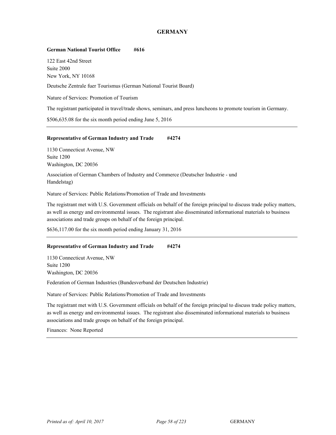## **GERMANY**

#### **German National Tourist Office #616**

122 East 42nd Street Suite 2000 New York, NY 10168

Deutsche Zentrale fuer Tourismus (German National Tourist Board)

Nature of Services: Promotion of Tourism

The registrant participated in travel/trade shows, seminars, and press luncheons to promote tourism in Germany.

\$506,635.08 for the six month period ending June 5, 2016

#### **Representative of German Industry and Trade #4274**

1130 Connecticut Avenue, NW Suite 1200 Washington, DC 20036

Association of German Chambers of Industry and Commerce (Deutscher Industrie - und Handelstag)

Nature of Services: Public Relations/Promotion of Trade and Investments

The registrant met with U.S. Government officials on behalf of the foreign principal to discuss trade policy matters, as well as energy and environmental issues. The registrant also disseminated informational materials to business associations and trade groups on behalf of the foreign principal.

\$636,117.00 for the six month period ending January 31, 2016

#### **Representative of German Industry and Trade #4274**

1130 Connecticut Avenue, NW Suite 1200 Washington, DC 20036

<sup>34</sup> Federation of German Industries (Bundesverband der Deutschen Industrie)

Nature of Services: Public Relations/Promotion of Trade and Investments

The registrant met with U.S. Government officials on behalf of the foreign principal to discuss trade policy matters, as well as energy and environmental issues. The registrant also disseminated informational materials to business associations and trade groups on behalf of the foreign principal.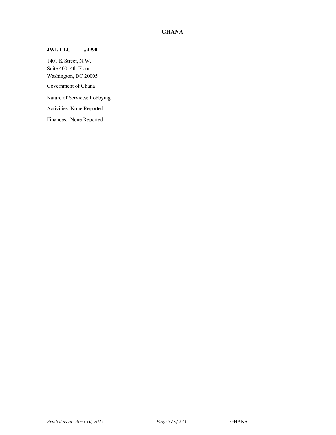# **GHANA**

# **JWI, LLC #4990**

1401 K Street, N.W. Suite 400, 4th Floor Washington, DC 20005 Government of Ghana Nature of Services: Lobbying Activities: None Reported Finances: None Reported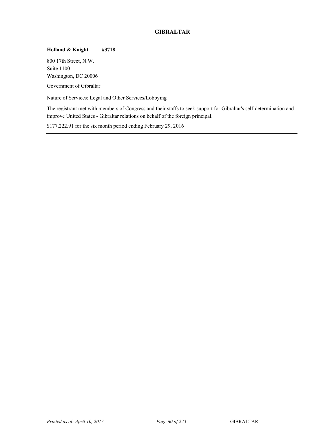# **GIBRALTAR**

# **Holland & Knight #3718**

800 17th Street, N.W. Suite 1100 Washington, DC 20006

Government of Gibraltar

Nature of Services: Legal and Other Services/Lobbying

The registrant met with members of Congress and their staffs to seek support for Gibraltar's self-determination and improve United States - Gibraltar relations on behalf of the foreign principal.

\$177,222.91 for the six month period ending February 29, 2016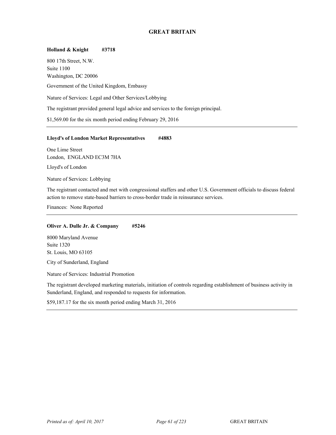# **GREAT BRITAIN**

**Holland & Knight #3718**  800 17th Street, N.W. Suite 1100 Washington, DC 20006 Government of the United Kingdom, Embassy Nature of Services: Legal and Other Services/Lobbying The registrant provided general legal advice and services to the foreign principal. \$1,569.00 for the six month period ending February 29, 2016

#### **Lloyd's of London Market Representatives #4883**

One Lime Street London, ENGLAND EC3M 7HA

Lloyd's of London

Nature of Services: Lobbying

The registrant contacted and met with congressional staffers and other U.S. Government officials to discuss federal action to remove state-based barriers to cross-border trade in reinsurance services.

Finances: None Reported

#### **Oliver A. Dulle Jr. & Company #5246**

8000 Maryland Avenue Suite 1320 St. Louis, MO 63105

City of Sunderland, England

Nature of Services: Industrial Promotion

The registrant developed marketing materials, initiation of controls regarding establishment of business activity in Sunderland, England, and responded to requests for information.

\$59,187.17 for the six month period ending March 31, 2016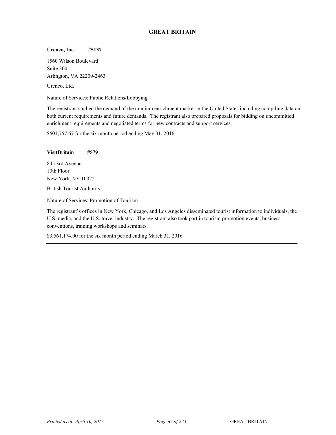# **GREAT BRITAIN**

## **Urenco, Inc. #5137**

1560 Wilson Boulevard Suite 300 Arlington, VA 22209-2463 Urenco, Ltd.

Nature of Services: Public Relations/Lobbying

The registrant studied the demand of the uranium enrichment market in the United States including compiling data on both current requirements and future demands. The registrant also prepared proposals for bidding on uncommitted enrichment requirements and negotiated terms for new contracts and support services.

\$601,757.67 for the six month period ending May 31, 2016

#### **VisitBritain #579**

845 3rd Avenue 10th Floor New York, NY 10022 British Tourist Authority

Nature of Services: Promotion of Tourism

The registrant's offices in New York, Chicago, and Los Angeles disseminated tourist information to individuals, the U.S. media, and the U.S. travel industry. The registrant also took part in tourism promotion events, business conventions, training workshops and seminars.

\$3,561,174.00 for the six month period ending March 31, 2016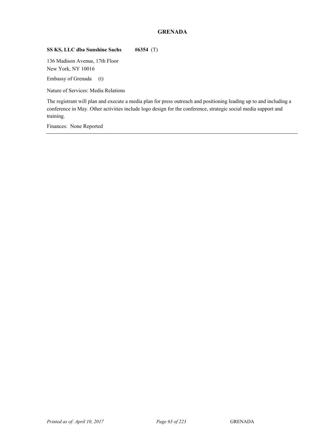# **GRENADA**

# **SS KS, LLC dba Sunshine Sachs #6354** (T)

136 Madison Avenue, 17th Floor New York, NY 10016

Embassy of Grenada (t)

Nature of Services: Media Relations

The registrant will plan and execute a media plan for press outreach and positioning leading up to and including a conference in May. Other activities include logo design for the conference, strategic social media support and training.

Finances: None Reported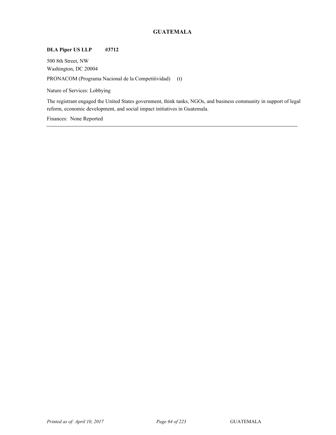# **GUATEMALA**

# **DLA Piper US LLP #3712**

500 8th Street, NW Washington, DC 20004 PRONACOM (Programa Nacional de la Competitividad) (t)

Nature of Services: Lobbying

The registrant engaged the United States government, think tanks, NGOs, and business community in support of legal reform, economic development, and social impact initiatives in Guatemala.

Finances: None Reported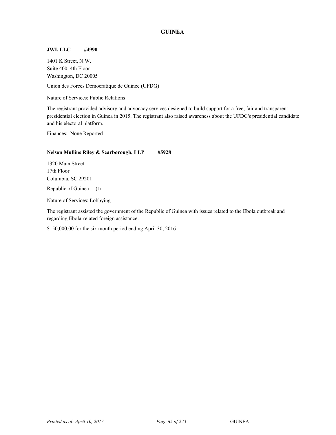# **GUINEA**

# **JWI, LLC #4990**

1401 K Street, N.W. Suite 400, 4th Floor Washington, DC 20005

Union des Forces Democratique de Guinee (UFDG)

Nature of Services: Public Relations

The registrant provided advisory and advocacy services designed to build support for a free, fair and transparent presidential election in Guinea in 2015. The registrant also raised awareness about the UFDG's presidential candidate and his electoral platform.

Finances: None Reported

## **Nelson Mullins Riley & Scarborough, LLP #5928**

1320 Main Street 17th Floor Columbia, SC 29201

Republic of Guinea (t)

Nature of Services: Lobbying

The registrant assisted the government of the Republic of Guinea with issues related to the Ebola outbreak and regarding Ebola-related foreign assistance.

\$150,000.00 for the six month period ending April 30, 2016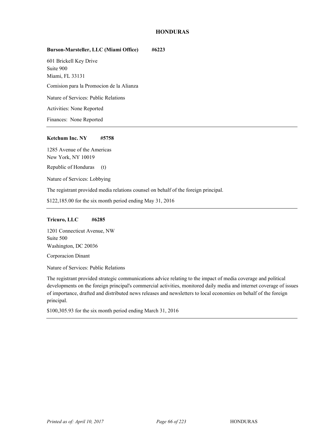# **HONDURAS**

# **Burson-Marsteller, LLC (Miami Office) #6223**

601 Brickell Key Drive Suite 900 Miami, FL 33131 Comision para la Promocion de la Alianza

Nature of Services: Public Relations

Activities: None Reported

Finances: None Reported

#### **Ketchum Inc. NY #5758**

1285 Avenue of the Americas New York, NY 10019

Republic of Honduras (t)

Nature of Services: Lobbying

The registrant provided media relations counsel on behalf of the foreign principal.

\$122,185.00 for the six month period ending May 31, 2016

## **Tricuro, LLC #6285**

1201 Connecticut Avenue, NW Suite 500 Washington, DC 20036

Corporacion Dinant

Nature of Services: Public Relations

The registrant provided strategic communications advice relating to the impact of media coverage and political developments on the foreign principal's commercial activities, monitored daily media and internet coverage of issues of importance, drafted and distributed news releases and newsletters to local economies on behalf of the foreign principal.

\$100,305.93 for the six month period ending March 31, 2016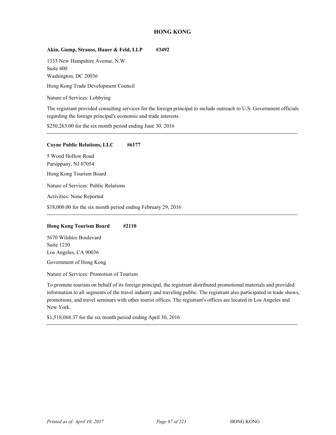# **HONG KONG**

# **Akin, Gump, Strauss, Hauer & Feld, LLP #3492**

1333 New Hampshire Avenue, N.W. Suite 400 Washington, DC 20036

<sup>37</sup> Hong Kong Trade Development Council

Nature of Services: Lobbying

The registrant provided consulting services for the foreign principal to include outreach to U.S. Government officials regarding the foreign principal's economic and trade interests.

\$250,263.00 for the six month period ending June 30, 2016

#### **Coyne Public Relations, LLC #6177**

5 Wood Hollow Road Parsippany, NJ 07054

<sup>37</sup> Hong Kong Tourism Board

Nature of Services: Public Relations

Activities: None Reported

\$18,000.00 for the six month period ending February 29, 2016

## **Hong Kong Tourism Board #2110**

5670 Wilshire Boulevard Suite 1230 Los Angeles, CA 90036

Government of Hong Kong

Nature of Services: Promotion of Tourism

To promote tourism on behalf of its foreign principal, the registrant distributed promotional materials and provided information to all segments of the travel industry and traveling public. The registrant also participated in trade shows, promotions, and travel seminars with other tourist offices. The registrant's offices are located in Los Angeles and New York.

\$1,518,068.37 for the six month period ending April 30, 2016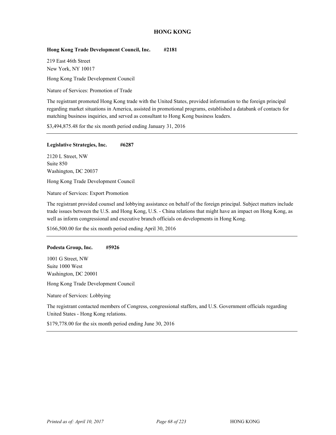# **HONG KONG**

# **Hong Kong Trade Development Council, Inc. #2181**

219 East 46th Street New York, NY 10017

<sup>37</sup> Hong Kong Trade Development Council

Nature of Services: Promotion of Trade

The registrant promoted Hong Kong trade with the United States, provided information to the foreign principal regarding market situations in America, assisted in promotional programs, established a databank of contacts for matching business inquiries, and served as consultant to Hong Kong business leaders.

\$3,494,875.48 for the six month period ending January 31, 2016

## **Legislative Strategies, Inc. #6287**

2120 L Street, NW Suite 850 Washington, DC 20037

<sup>37</sup> Hong Kong Trade Development Council

Nature of Services: Export Promotion

The registrant provided counsel and lobbying assistance on behalf of the foreign principal. Subject matters include trade issues between the U.S. and Hong Kong, U.S. - China relations that might have an impact on Hong Kong, as well as inform congressional and executive branch officials on developments in Hong Kong.

\$166,500.00 for the six month period ending April 30, 2016

#### **Podesta Group, Inc. #5926**

1001 G Street, NW Suite 1000 West Washington, DC 20001

<sup>37</sup> Hong Kong Trade Development Council

Nature of Services: Lobbying

The registrant contacted members of Congress, congressional staffers, and U.S. Government officials regarding United States - Hong Kong relations.

\$179,778.00 for the six month period ending June 30, 2016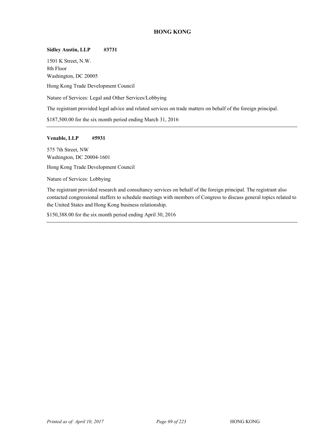# **HONG KONG**

# **Sidley Austin, LLP #3731**

1501 K Street, N.W. 8th Floor Washington, DC 20005 <sup>37</sup> Hong Kong Trade Development Council Nature of Services: Legal and Other Services/Lobbying The registrant provided legal advice and related services on trade matters on behalf of the foreign principal.

\$187,500.00 for the six month period ending March 31, 2016

#### **Venable, LLP #5931**

575 7th Street, NW Washington, DC 20004-1601

<sup>37</sup> Hong Kong Trade Development Council

Nature of Services: Lobbying

The registrant provided research and consultancy services on behalf of the foreign principal. The registrant also contacted congressional staffers to schedule meetings with members of Congress to discuss general topics related to the United States and Hong Kong business relationship.

\$150,388.00 for the six month period ending April 30, 2016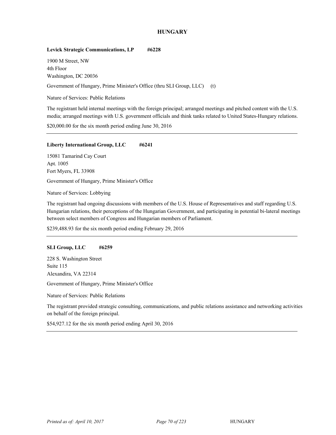# **HUNGARY**

## Levick Strategic Communications, LP #6228

1900 M Street, NW 4th Floor Washington, DC 20036

Government of Hungary, Prime Minister's Office (thru SLI Group, LLC) (t)

Nature of Services: Public Relations

The registrant held internal meetings with the foreign principal; arranged meetings and pitched content with the U.S. media; arranged meetings with U.S. government officials and think tanks related to United States-Hungary relations.

\$20,000.00 for the six month period ending June 30, 2016

## **Liberty International Group, LLC #6241**

15081 Tamarind Cay Court Apt. 1005 Fort Myers, FL 33908

Government of Hungary, Prime Minister's Office

Nature of Services: Lobbying

The registrant had ongoing discussions with members of the U.S. House of Representatives and staff regarding U.S. Hungarian relations, their perceptions of the Hungarian Government, and participating in potential bi-lateral meetings between select members of Congress and Hungarian members of Parliament.

\$239,488.93 for the six month period ending February 29, 2016

#### **SLI Group, LLC #6259**

228 S. Washington Street Suite 115 Alexandira, VA 22314

Government of Hungary, Prime Minister's Office

Nature of Services: Public Relations

The registrant provided strategic consulting, communications, and public relations assistance and networking activities on behalf of the foreign principal.

\$54,927.12 for the six month period ending April 30, 2016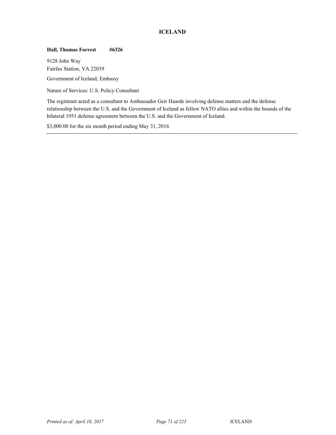# **ICELAND**

# **Hall, Thomas Forrest #6326**

9128 John Way Fairfax Station, VA 22039

Government of Iceland, Embassy

Nature of Services: U.S. Policy Consultant

The registrant acted as a consultant to Ambassador Geir Haarde involving defense matters and the defense relationship between the U.S. and the Government of Iceland as fellow NATO allies and within the bounds of the bilateral 1951 defense agreement between the U.S. and the Government of Iceland.

\$3,000.00 for the six month period ending May 31, 2016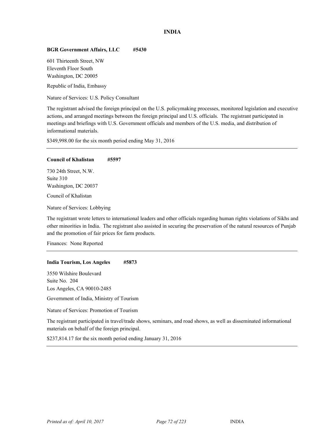# **INDIA**

## **BGR Government Affairs, LLC #5430**

601 Thirteenth Street, NW Eleventh Floor South Washington, DC 20005

Republic of India, Embassy

Nature of Services: U.S. Policy Consultant

The registrant advised the foreign principal on the U.S. policymaking processes, monitored legislation and executive actions, and arranged meetings between the foreign principal and U.S. officials. The registrant participated in meetings and briefings with U.S. Government officials and members of the U.S. media, and distribution of informational materials.

\$349,998.00 for the six month period ending May 31, 2016

#### **Council of Khalistan #5597**

730 24th Street, N.W. Suite 310 Washington, DC 20037

Council of Khalistan

Nature of Services: Lobbying

The registrant wrote letters to international leaders and other officials regarding human rights violations of Sikhs and other minorities in India. The registrant also assisted in securing the preservation of the natural resources of Punjab and the promotion of fair prices for farm products.

Finances: None Reported

#### **India Tourism, Los Angeles #5873**

3550 Wilshire Boulevard Suite No. 204 Los Angeles, CA 90010-2485

Government of India, Ministry of Tourism

Nature of Services: Promotion of Tourism

The registrant participated in travel/trade shows, seminars, and road shows, as well as disseminated informational materials on behalf of the foreign principal.

\$237,814.17 for the six month period ending January 31, 2016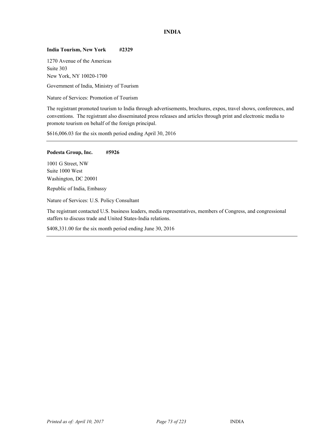# **INDIA**

## **India Tourism, New York #2329**

1270 Avenue of the Americas Suite 303 New York, NY 10020-1700

Government of India, Ministry of Tourism

Nature of Services: Promotion of Tourism

The registrant promoted tourism to India through advertisements, brochures, expos, travel shows, conferences, and conventions. The registrant also disseminated press releases and articles through print and electronic media to promote tourism on behalf of the foreign principal.

\$616,006.03 for the six month period ending April 30, 2016

#### **Podesta Group, Inc. #5926**

1001 G Street, NW Suite 1000 West Washington, DC 20001 Republic of India, Embassy

Nature of Services: U.S. Policy Consultant

The registrant contacted U.S. business leaders, media representatives, members of Congress, and congressional staffers to discuss trade and United States-India relations.

\$408,331.00 for the six month period ending June 30, 2016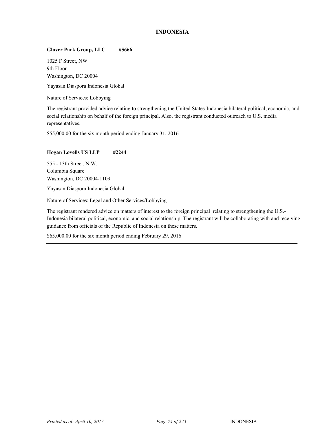# **INDONESIA**

# **Glover Park Group, LLC #5666**

1025 F Street, NW 9th Floor Washington, DC 20004

Yayasan Diaspora Indonesia Global

Nature of Services: Lobbying

The registrant provided advice relating to strengthening the United States-Indonesia bilateral political, economic, and social relationship on behalf of the foreign principal. Also, the registrant conducted outreach to U.S. media representatives.

\$55,000.00 for the six month period ending January 31, 2016

## **Hogan Lovells US LLP #2244**

555 - 13th Street, N.W. Columbia Square Washington, DC 20004-1109

Yayasan Diaspora Indonesia Global

Nature of Services: Legal and Other Services/Lobbying

The registrant rendered advice on matters of interest to the foreign principal relating to strengthening the U.S.- Indonesia bilateral political, economic, and social relationship. The registrant will be collaborating with and receiving guidance from officials of the Republic of Indonesia on these matters.

\$65,000.00 for the six month period ending February 29, 2016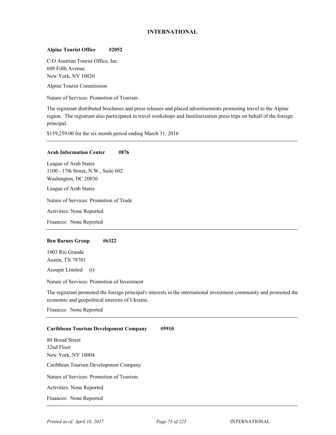# **INTERNATIONAL**

#### **Alpine Tourist Office #2052**

C/O Austrian Tourist Office, Inc. 608 Fifth Avenue New York, NY 10020

Alpine Tourist Commission

Nature of Services: Promotion of Tourism

The registrant distributed brochures and press releases and placed advertisements promoting travel to the Alpine region. The registrant also participated in travel workshops and familiarization press trips on behalf of the foreign principal.

\$159,259.00 for the six month period ending March 31, 2016

#### **Arab Information Center #876**

League of Arab States 1100 - 17th Street, N.W., Suite 602 Washington, DC 20036

League of Arab States

Nature of Services: Promotion of Trade

Activities: None Reported

Finances: None Reported

#### **Ben Barnes Group #6322**

1003 Rio Grande Austin, TX 78701

 $\Delta$ Soupir Limited (t)

Nature of Services: Promotion of Investment

The registrant promoted the foreign principal's interests in the international investment community and promoted the economic and geopolitical interests of Ukraine.

Finances: None Reported

#### **Caribbean Tourism Development Company #5910**

80 Broad Street 32nd Floor New York, NY 10004 <sup>38</sup> Caribbean Tourism Development Company Nature of Services: Promotion of Tourism Activities: None Reported Finances: None Reported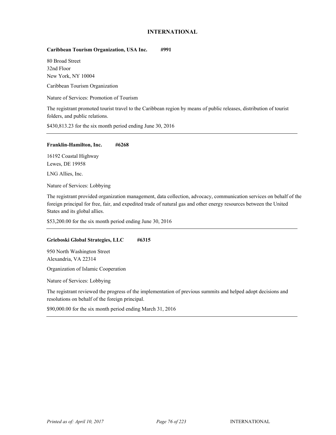# **INTERNATIONAL**

# **Caribbean Tourism Organization, USA Inc. #991**

80 Broad Street 32nd Floor New York, NY 10004

Caribbean Tourism Organization

Nature of Services: Promotion of Tourism

The registrant promoted tourist travel to the Caribbean region by means of public releases, distribution of tourist folders, and public relations.

\$430,813.23 for the six month period ending June 30, 2016

#### **Franklin-Hamilton, Inc. #6268**

16192 Coastal Highway Lewes, DE 19958

LNG Allies, Inc.

Nature of Services: Lobbying

The registrant provided organization management, data collection, advocacy, communication services on behalf of the foreign principal for free, fair, and expedited trade of natural gas and other energy resources between the United States and its global allies.

\$53,200.00 for the six month period ending June 30, 2016

# **Grieboski Global Strategies, LLC #6315**

950 North Washington Street Alexandria, VA 22314

Organization of Islamic Cooperation

Nature of Services: Lobbying

The registrant reviewed the progress of the implementation of previous summits and helped adopt decisions and resolutions on behalf of the foreign principal.

\$90,000.00 for the six month period ending March 31, 2016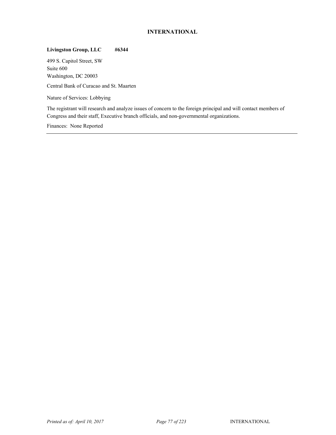# **INTERNATIONAL**

# **Livingston Group, LLC #6344**

499 S. Capitol Street, SW Suite 600 Washington, DC 20003

<sup>38</sup> Central Bank of Curacao and St. Maarten

Nature of Services: Lobbying

The registrant will research and analyze issues of concern to the foreign principal and will contact members of Congress and their staff, Executive branch officials, and non-governmental organizations.

Finances: None Reported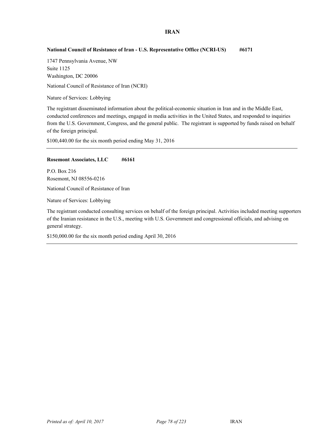# **IRAN**

# **National Council of Resistance of Iran - U.S. Representative Office (NCRI-US) #6171**

1747 Pennsylvania Avenue, NW Suite 1125 Washington, DC 20006

National Council of Resistance of Iran (NCRI)

Nature of Services: Lobbying

The registrant disseminated information about the political-economic situation in Iran and in the Middle East, conducted conferences and meetings, engaged in media activities in the United States, and responded to inquiries from the U.S. Government, Congress, and the general public. The registrant is supported by funds raised on behalf of the foreign principal.

\$100,440.00 for the six month period ending May 31, 2016

#### **Rosemont Associates, LLC** #6161

P.O. Box 216 Rosemont, NJ 08556-0216

National Council of Resistance of Iran

Nature of Services: Lobbying

The registrant conducted consulting services on behalf of the foreign principal. Activities included meeting supporters of the Iranian resistance in the U.S., meeting with U.S. Government and congressional officials, and advising on general strategy.

\$150,000.00 for the six month period ending April 30, 2016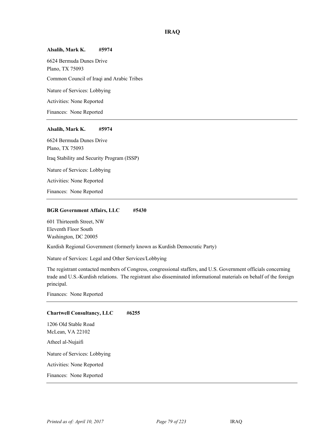#### **Alsalih, Mark K. #5974**

6624 Bermuda Dunes Drive Plano, TX 75093 <sup>39</sup> Common Council of Iraqi and Arabic Tribes Nature of Services: Lobbying Activities: None Reported Finances: None Reported

## **Alsalih, Mark K. #5974**

6624 Bermuda Dunes Drive Plano, TX 75093 Iraq Stability and Security Program (ISSP) Nature of Services: Lobbying Activities: None Reported Finances: None Reported

#### **BGR Government Affairs, LLC #5430**

601 Thirteenth Street, NW Eleventh Floor South Washington, DC 20005

<sup>39</sup> Kurdish Regional Government (formerly known as Kurdish Democratic Party)

Nature of Services: Legal and Other Services/Lobbying

The registrant contacted members of Congress, congressional staffers, and U.S. Government officials concerning trade and U.S.-Kurdish relations. The registrant also disseminated informational materials on behalf of the foreign principal.

Finances: None Reported

#### **Chartwell Consultancy, LLC #6255**

1206 Old Stable Road McLean, VA 22102 Atheel al-Nujaifi

Nature of Services: Lobbying

Activities: None Reported

Finances: None Reported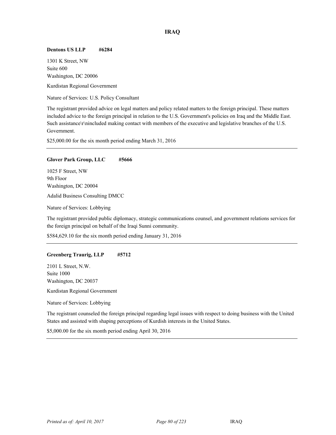## **Dentons US LLP #6284**

1301 K Street, NW Suite 600 Washington, DC 20006

<sup>39</sup> Kurdistan Regional Government

Nature of Services: U.S. Policy Consultant

The registrant provided advice on legal matters and policy related matters to the foreign principal. These matters included advice to the foreign principal in relation to the U.S. Government's policies on Iraq and the Middle East. Such assistance\r\nincluded making contact with members of the executive and legislative branches of the U.S. Government.

\$25,000.00 for the six month period ending March 31, 2016

## **Glover Park Group, LLC #5666**

1025 F Street, NW 9th Floor Washington, DC 20004

<sup>39</sup> Adalid Business Consulting DMCC

Nature of Services: Lobbying

The registrant provided public diplomacy, strategic communications counsel, and government relations services for the foreign principal on behalf of the Iraqi Sunni community.

\$584,629.10 for the six month period ending January 31, 2016

#### **Greenberg Traurig, LLP #5712**

2101 L Street, N.W. Suite 1000 Washington, DC 20037

<sup>39</sup> Kurdistan Regional Government

Nature of Services: Lobbying

The registrant counseled the foreign principal regarding legal issues with respect to doing business with the United States and assisted with shaping perceptions of Kurdish interests in the United States.

\$5,000.00 for the six month period ending April 30, 2016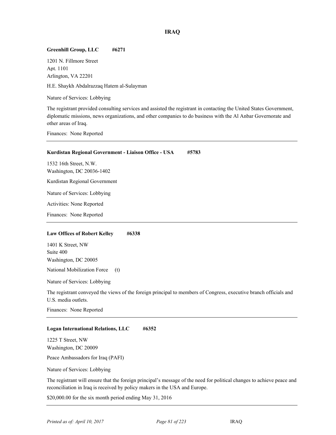## **Greenhill Group, LLC #6271**

1201 N. Fillmore Street Apt. 1101 Arlington, VA 22201

<sup>39</sup> H.E. Shaykh Abdalrazzaq Hatem al-Sulayman

Nature of Services: Lobbying

The registrant provided consulting services and assisted the registrant in contacting the United States Government, diplomatic missions, news organizations, and other companies to do business with the Al Anbar Governorate and other areas of Iraq.

Finances: None Reported

# **Kurdistan Regional Government - Liaison Office - USA #5783**  1532 16th Street, N.W. Washington, DC 20036-1402

<sup>39</sup> Kurdistan Regional Government

Nature of Services: Lobbying

Activities: None Reported

Finances: None Reported

#### **Law Offices of Robert Kelley #6338**

1401 K Street, NW Suite 400 Washington, DC 20005

National Mobilization Force (t)

Nature of Services: Lobbying

The registrant conveyed the views of the foreign principal to members of Congress, executive branch officials and U.S. media outlets.

Finances: None Reported

#### **Logan International Relations, LLC #6352**

1225 T Street, NW Washington, DC 20009

Peace Ambassadors for Iraq (PAFI)

Nature of Services: Lobbying

The registrant will ensure that the foreign principal's message of the need for political changes to achieve peace and reconciliation in Iraq is received by policy makers in the USA and Europe.

\$20,000.00 for the six month period ending May 31, 2016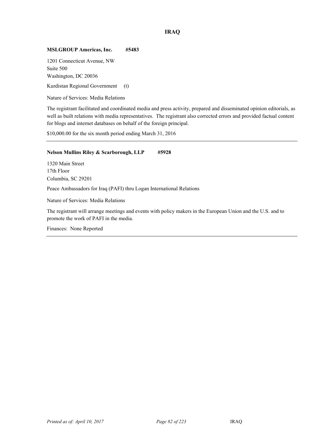## **MSLGROUP Americas, Inc. #5483**

1201 Connecticut Avenue, NW Suite 500 Washington, DC 20036

<sup>39</sup> Kurdistan Regional Government (t)

Nature of Services: Media Relations

The registrant facilitated and coordinated media and press activity, prepared and disseminated opinion editorials, as well as built relations with media representatives. The registrant also corrected errors and provided factual content for blogs and internet databases on behalf of the foreign principal.

\$10,000.00 for the six month period ending March 31, 2016

## **Nelson Mullins Riley & Scarborough, LLP #5928**

1320 Main Street 17th Floor Columbia, SC 29201

<sup>39</sup> Peace Ambassadors for Iraq (PAFI) thru Logan International Relations

Nature of Services: Media Relations

The registrant will arrange meetings and events with policy makers in the European Union and the U.S. and to promote the work of PAFI in the media.

Finances: None Reported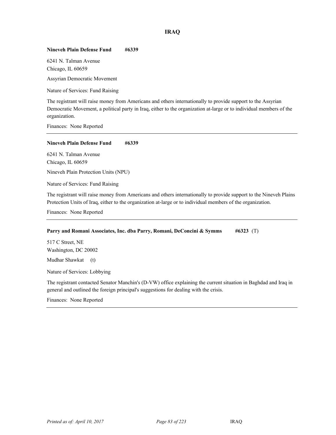## **Nineveh Plain Defense Fund #6339**

6241 N. Talman Avenue Chicago, IL 60659

Assyrian Democratic Movement

Nature of Services: Fund Raising

The registrant will raise money from Americans and others internationally to provide support to the Assyrian Democratic Movement, a political party in Iraq, either to the organization at-large or to individual members of the organization.

Finances: None Reported

**Nineveh Plain Defense Fund #6339** 

6241 N. Talman Avenue Chicago, IL 60659

<sup>39</sup> Nineveh Plain Protection Units (NPU)

Nature of Services: Fund Raising

The registrant will raise money from Americans and others internationally to provide support to the Nineveh Plains Protection Units of Iraq, either to the organization at-large or to individual members of the organization.

Finances: None Reported

#### **Parry and Romani Associates, Inc. dba Parry, Romani, DeConcini & Symms #6323** (T)

517 C Street, NE Washington, DC 20002

Mudhar Shawkat (t)

Nature of Services: Lobbying

The registrant contacted Senator Manchin's (D-VW) office explaining the current situation in Baghdad and Iraq in general and outlined the foreign principal's suggestions for dealing with the crisis.

Finances: None Reported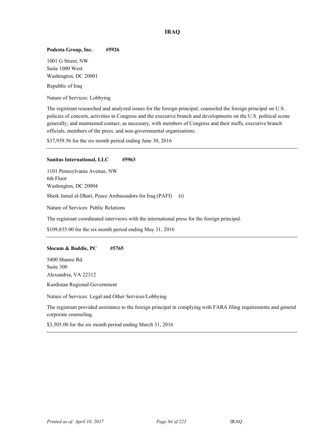#### **Podesta Group, Inc. #5926**

1001 G Street, NW Suite 1000 West Washington, DC 20001

Republic of Iraq

Nature of Services: Lobbying

The registrant researched and analyzed issues for the foreign principal; counseled the foreign principal on U.S. policies of concern, activities in Congress and the executive branch and developments on the U.S. political scene generally; and maintained contact, as necessary, with members of Congress and their staffs, executive branch officials, members of the press, and non-governmental organizations.

\$37,939.56 for the six month period ending June 30, 2016

#### **Sanitas International, LLC #5963**

1101 Pennsylvania Avenue, NW 6th Floor Washington, DC 20004 Sheik Jamal al-Dhari, Peace Ambassadors for Iraq (PAFI) (t)

Nature of Services: Public Relations

The registrant coordinated interviews with the international press for the foreign principal.

\$109,835.00 for the six month period ending May 31, 2016

#### **Slocum & Boddie, PC #5765**

5400 Shanee Rd. Suite 300 Alexandria, VA 22312

<sup>39</sup> Kurdistan Regional Government

Nature of Services: Legal and Other Services/Lobbying

The registrant provided assistance to the foreign principal in complying with FARA filing requirements and general corporate counseling.

\$3,505.00 for the six month period ending March 31, 2016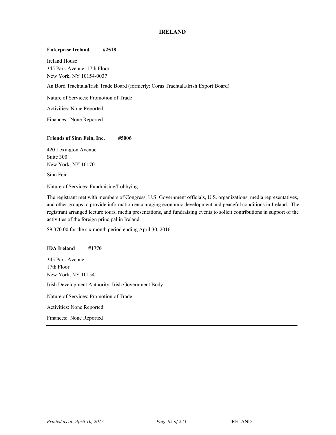# **IRELAND**

#### **Enterprise Ireland #2518**

Ireland House 345 Park Avenue, 17th Floor New York, NY 10154-0037 An Bord Trachtala/Irish Trade Board (formerly: Coras Trachtala/Irish Export Board) Nature of Services: Promotion of Trade Activities: None Reported

Finances: None Reported

#### **Friends of Sinn Fein, Inc. #5006**

420 Lexington Avenue Suite 300 New York, NY 10170

Sinn Fein

Nature of Services: Fundraising/Lobbying

The registrant met with members of Congress, U.S. Government officials, U.S. organizations, media representatives, and other groups to provide information encouraging economic development and peaceful conditions in Ireland. The registrant arranged lecture tours, media presentations, and fundraising events to solicit contributions in support of the activities of the foreign principal in Ireland.

\$9,370.00 for the six month period ending April 30, 2016

#### **IDA Ireland #1770**

345 Park Avenue 17th Floor New York, NY 10154 Irish Development Authority, Irish Government Body Nature of Services: Promotion of Trade Activities: None Reported Finances: None Reported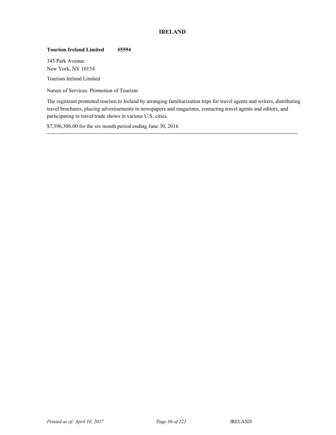# **IRELAND**

# **Tourism Ireland Limited #5594**

345 Park Avenue New York, NY 10154

<sup>40</sup> Tourism Ireland Limited

Nature of Services: Promotion of Tourism

The registrant promoted tourism to Ireland by arranging familiarization trips for travel agents and writers, distributing travel brochures, placing advertisements in newspapers and magazines, contacting travel agents and editors, and participating in travel/trade shows in various U.S. cities.

\$7,396,306.00 for the six month period ending June 30, 2016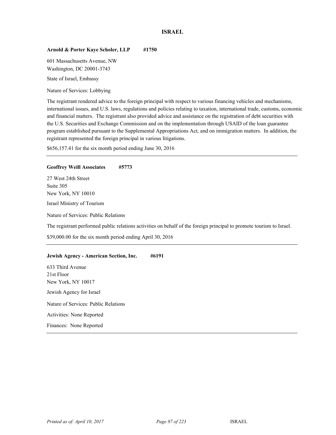# **ISRAEL**

## Arnold & Porter Kaye Scholer, LLP #1750

601 Massachusetts Avenue, NW Washington, DC 20001-3743

State of Israel, Embassy

Nature of Services: Lobbying

The registrant rendered advice to the foreign principal with respect to various financing vehicles and mechanisms, international issues, and U.S. laws, regulations and policies relating to taxation, international trade, customs, economic and financial matters. The registrant also provided advice and assistance on the registration of debt securities with the U.S. Securities and Exchange Commission and on the implementation through USAID of the loan guarantee program established pursuant to the Supplemental Appropriations Act, and on immigration matters. In addition, the registrant represented the foreign principal in various litigations.

\$656,157.41 for the six month period ending June 30, 2016

#### **Geoffrey Weill Associates #5773**

27 West 24th Street Suite 305 New York, NY 10010

Israel Ministry of Tourism

Nature of Services: Public Relations

The registrant performed public relations activities on behalf of the foreign principal to promote tourism to Israel.

\$39,000.00 for the six month period ending April 30, 2016

#### **Jewish Agency - American Section, Inc. #6191**

633 Third Avenue 21st Floor New York, NY 10017 Jewish Agency for Israel Nature of Services: Public Relations Activities: None Reported Finances: None Reported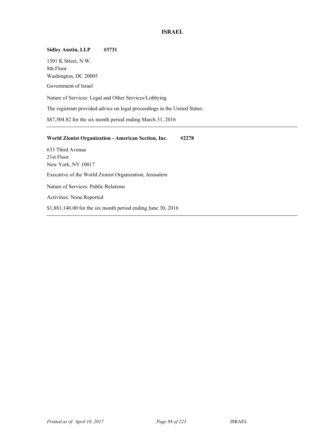# **ISRAEL**

# **Sidley Austin, LLP #3731**  1501 K Street, N.W. 8th Floor Washington, DC 20005 Government of Israel Nature of Services: Legal and Other Services/Lobbying The registrant provided advice on legal proceedings in the United States. \$87,504.82 for the six month period ending March 31, 2016 **World Zionist Organization - American Section, Inc. #2278**  633 Third Avenue

21st Floor New York, NY 10017 Executive of the World Zionist Organization, Jerusalem Nature of Services: Public Relations Activities: None Reported \$1,881,140.00 for the six month period ending June 30, 2016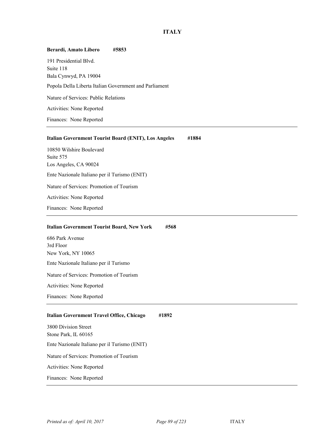# **ITALY**

| Berardi, Amato Libero<br>#5853                                         |
|------------------------------------------------------------------------|
| 191 Presidential Blvd.                                                 |
| Suite 118<br>Bala Cynwyd, PA 19004                                     |
| Popola Della Liberta Italian Government and Parliament                 |
| Nature of Services: Public Relations                                   |
| Activities: None Reported                                              |
| Finances: None Reported                                                |
| #1884<br><b>Italian Government Tourist Board (ENIT), Los Angeles</b>   |
| 10850 Wilshire Boulevard                                               |
| Suite 575                                                              |
| Los Angeles, CA 90024<br>Ente Nazionale Italiano per il Turismo (ENIT) |
| Nature of Services: Promotion of Tourism                               |
| Activities: None Reported                                              |
| Finances: None Reported                                                |
|                                                                        |
| <b>Italian Government Tourist Board, New York</b><br>#568              |
|                                                                        |
| 686 Park Avenue                                                        |
| 3rd Floor                                                              |
| New York, NY 10065<br>Ente Nazionale Italiano per il Turismo           |
| Nature of Services: Promotion of Tourism                               |
| Activities: None Reported                                              |
| Finances: None Reported                                                |
| #1892<br>Italian Government Travel Office, Chicago                     |
| 3800 Division Street                                                   |
| Stone Park, IL 60165                                                   |
| Ente Nazionale Italiano per il Turismo (ENIT)                          |
| Nature of Services: Promotion of Tourism                               |
| Activities: None Reported                                              |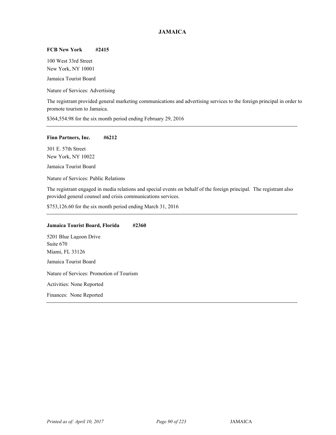# **JAMAICA**

## **FCB New York #2415**

100 West 33rd Street New York, NY 10001 Jamaica Tourist Board

Nature of Services: Advertising

The registrant provided general marketing communications and advertising services to the foreign principal in order to promote tourism to Jamaica.

\$364,554.98 for the six month period ending February 29, 2016

#### **Finn Partners, Inc. #6212**

301 E. 57th Street New York, NY 10022

Jamaica Tourist Board

Nature of Services: Public Relations

The registrant engaged in media relations and special events on behalf of the foreign principal. The registrant also provided general counsel and crisis communications services.

\$753,126.60 for the six month period ending March 31, 2016

### **Jamaica Tourist Board, Florida #2360**

5201 Blue Lagoon Drive Suite 670 Miami, FL 33126 Jamaica Tourist Board

Nature of Services: Promotion of Tourism

Activities: None Reported

Finances: None Reported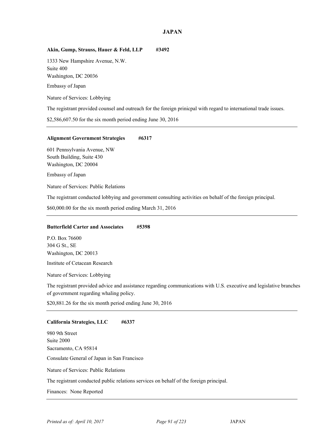## **Akin, Gump, Strauss, Hauer & Feld, LLP #3492**

1333 New Hampshire Avenue, N.W. Suite 400 Washington, DC 20036 Embassy of Japan

Nature of Services: Lobbying

The registrant provided counsel and outreach for the foreign prinicpal with regard to international trade issues.

\$2,586,607.50 for the six month period ending June 30, 2016

#### **Alignment Government Strategies #6317**

601 Pennsylvania Avenue, NW South Building, Suite 430 Washington, DC 20004

Embassy of Japan

Nature of Services: Public Relations

The registrant conducted lobbying and government consulting activities on behalf of the foreign principal.

\$60,000.00 for the six month period ending March 31, 2016

#### **Butterfield Carter and Associates #5398**

P.O. Box 76600 304 G St., SE Washington, DC 20013

Institute of Cetacean Research

Nature of Services: Lobbying

The registrant provided advice and assistance regarding communications with U.S. executive and legislative branches of government regarding whaling policy.

\$20,881.26 for the six month period ending June 30, 2016

#### **California Strategies, LLC #6337**

980 9th Street Suite 2000 Sacramento, CA 95814 Consulate General of Japan in San Francisco Nature of Services: Public Relations The registrant conducted public relations services on behalf of the foreign principal. Finances: None Reported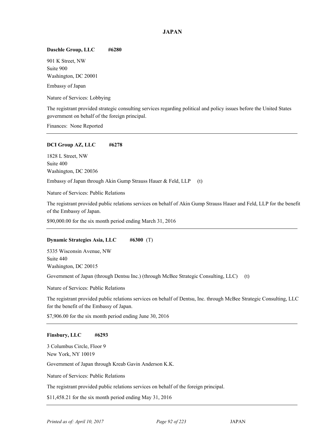## **Daschle Group, LLC #6280**

901 K Street, NW Suite 900 Washington, DC 20001

Embassy of Japan

Nature of Services: Lobbying

The registrant provided strategic consulting services regarding political and policy issues before the United States government on behalf of the foreign principal.

Finances: None Reported

## **DCI Group AZ, LLC #6278**

1828 L Street, NW Suite 400 Washington, DC 20036

Embassy of Japan through Akin Gump Strauss Hauer & Feld, LLP (t)

Nature of Services: Public Relations

The registrant provided public relations services on behalf of Akin Gump Strauss Hauer and Feld, LLP for the benefit of the Embassy of Japan.

\$90,000.00 for the six month period ending March 31, 2016

# **Dynamic Strategies Asia, LLC #6300** (T)

5335 Wisconsin Avenue, NW Suite 440 Washington, DC 20015

Government of Japan (through Dentsu Inc.) (through McBee Strategic Consulting, LLC) (t)

Nature of Services: Public Relations

The registrant provided public relations services on behalf of Dentsu, Inc. through McBee Strategic Consulting, LLC for the benefit of the Embassy of Japan.

\$7,906.00 for the six month period ending June 30, 2016

# **Finsbury, LLC #6293**

3 Columbus Circle, Floor 9 New York, NY 10019

Government of Japan through Kreab Gavin Anderson K.K.

Nature of Services: Public Relations

The registrant provided public relations services on behalf of the foreign principal.

\$11,458.21 for the six month period ending May 31, 2016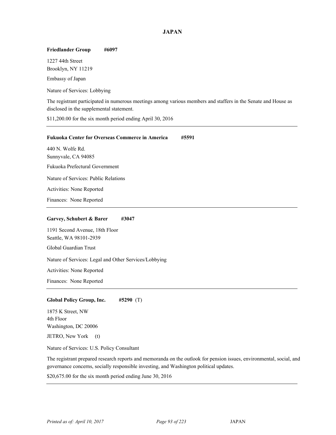# **Friedlander Group #6097**

1227 44th Street Brooklyn, NY 11219

Embassy of Japan

Nature of Services: Lobbying

The registrant participated in numerous meetings among various members and staffers in the Senate and House as disclosed in the supplemental statement.

\$11,200.00 for the six month period ending April 30, 2016

| <b>Fukuoka Center for Overseas Commerce in America</b><br>#5591 |
|-----------------------------------------------------------------|
| 440 N. Wolfe Rd.                                                |
| Sunnyvale, CA 94085                                             |
| Fukuoka Prefectural Government                                  |
| Nature of Services: Public Relations                            |
| Activities: None Reported                                       |
| Finances: None Reported                                         |
| Garvey, Schubert & Barer<br>#3047                               |
| 1191 Second Avenue, 18th Floor<br>Seattle, WA 98101-2939        |
| Global Guardian Trust                                           |
| Nature of Services: Legal and Other Services/Lobbying           |
| Activities: None Reported                                       |
| Finances: None Reported                                         |
|                                                                 |
| <b>Global Policy Group, Inc.</b><br>#5290 (T)                   |
| 1875 K Street, NW<br>$4th$ Floor                                |

4th Floor Washington, DC 20006 JETRO, New York (t)

Nature of Services: U.S. Policy Consultant

The registrant prepared research reports and memoranda on the outlook for pension issues, environmental, social, and governance concerns, socially responsible investing, and Washington political updates.

\$20,675.00 for the six month period ending June 30, 2016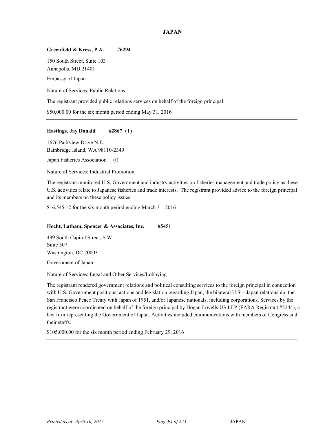## **Greenfield & Kress, P.A. #6294**

150 South Street, Suite 103 Annapolis, MD 21401 Embassy of Japan

Nature of Services: Public Relations

The registrant provided public relations services on behalf of the foreign principal.

\$50,000.00 for the six month period ending May 31, 2016

## **Hastings, Jay Donald #2867** (T)

1676 Parkview Drive N.E. Bainbridge Island, WA 98110-2349

Japan Fisheries Association (t)

Nature of Services: Industrial Promotion

The registrant monitored U.S. Government and industry activities on fisheries management and trade policy as these U.S. activities relate to Japanese fisheries and trade interests. The registrant provided advice to the foreign principal and its members on these policy issues.

\$16,545.12 for the six month period ending March 31, 2016

#### **Hecht, Latham, Spencer & Associates, Inc. #5451**

499 South Capitol Street, S.W. Suite 507 Washington, DC 20003

Government of Japan

Nature of Services: Legal and Other Services/Lobbying

The registrant rendered government relations and political consulting services to the foreign principal in connection with U.S. Government positions, actions and legislation regarding Japan, the bilateral U.S. - Japan relationship, the San Francisco Peace Treaty with Japan of 1951, and/or Japanese nationals, including corporations. Services by the registrant were coordinated on behalf of the foreign principal by Hogan Lovells US LLP (FARA Registrant #2244), a law firm representing the Government of Japan. Activities included communications with members of Congress and their staffs.

\$105,000.00 for the six month period ending February 29, 2016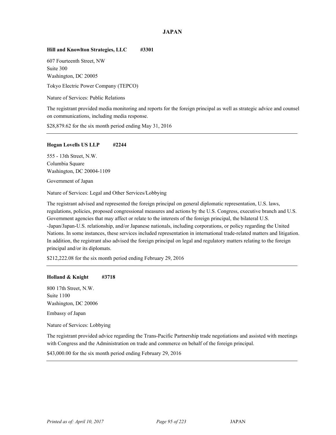# **Hill and Knowlton Strategies, LLC #3301**

607 Fourteenth Street, NW Suite 300 Washington, DC 20005

<sup>41</sup> Tokyo Electric Power Company (TEPCO)

Nature of Services: Public Relations

The registrant provided media monitoring and reports for the foreign principal as well as strategic advice and counsel on communications, including media response.

\$28,879.62 for the six month period ending May 31, 2016

## **Hogan Lovells US LLP #2244**

555 - 13th Street, N.W. Columbia Square Washington, DC 20004-1109

Government of Japan

Nature of Services: Legal and Other Services/Lobbying

The registrant advised and represented the foreign principal on general diplomatic representation, U.S. laws, regulations, policies, proposed congressional measures and actions by the U.S. Congress, executive branch and U.S. Government agencies that may affect or relate to the interests of the foreign principal, the bilateral U.S. -Japan/Japan-U.S. relationship, and/or Japanese nationals, including corporations, or policy regarding the United Nations. In some instances, these services included representation in international trade-related matters and litigation. In addition, the registrant also advised the foreign principal on legal and regulatory matters relating to the foreign principal and/or its diplomats.

\$212,222.08 for the six month period ending February 29, 2016

#### **Holland & Knight #3718**

800 17th Street, N.W. Suite 1100 Washington, DC 20006 Embassy of Japan

Nature of Services: Lobbying

The registrant provided advice regarding the Trans-Pacific Partnership trade negotiations and assisted with meetings with Congress and the Administration on trade and commerce on behalf of the foreign principal.

\$43,000.00 for the six month period ending February 29, 2016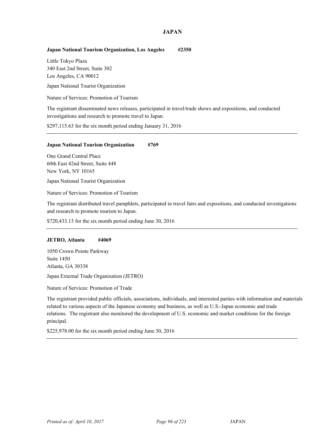## **Japan National Tourism Organization, Los Angeles #2350**

Little Tokyo Plaza 340 East 2nd Street, Suite 302 Los Angeles, CA 90012

Japan National Tourist Organization

Nature of Services: Promotion of Tourism

The registrant disseminated news releases, participated in travel/trade shows and expositions, and conducted investigations and research to promote travel to Japan.

\$297,115.63 for the six month period ending January 31, 2016

#### **Japan National Tourism Organization #769**

One Grand Central Place 60th East 42nd Street, Suite 448 New York, NY 10165

Japan National Tourist Organization

Nature of Services: Promotion of Tourism

The registrant distributed travel pamphlets, participated in travel fairs and expositions, and conducted investigations and research to promote tourism to Japan.

\$720,433.13 for the six month period ending June 30, 2016

#### **JETRO, Atlanta #4069**

1050 Crown Pointe Parkway Suite 1450 Atlanta, GA 30338 <sup>41</sup> Japan External Trade Organization (JETRO)

Nature of Services: Promotion of Trade

The registrant provided public officials, associations, individuals, and interested parties with information and materials related to various aspects of the Japanese economy and business, as well as U.S.-Japan economic and trade relations. The registrant also monitored the development of U.S. economic and market conditions for the foreign principal.

\$225,978.00 for the six month period ending June 30, 2016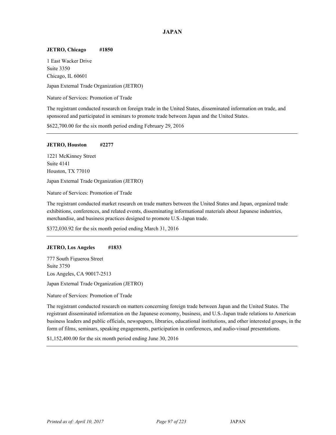#### **JETRO, Chicago #1850**

1 East Wacker Drive Suite 3350 Chicago, IL 60601

<sup>41</sup> Japan External Trade Organization (JETRO)

Nature of Services: Promotion of Trade

The registrant conducted research on foreign trade in the United States, disseminated information on trade, and sponsored and participated in seminars to promote trade between Japan and the United States.

\$622,700.00 for the six month period ending February 29, 2016

#### **JETRO, Houston #2277**

1221 McKinney Street Suite 4141 Houston, TX 77010 <sup>41</sup> Japan External Trade Organization (JETRO)

Nature of Services: Promotion of Trade

The registrant conducted market research on trade matters between the United States and Japan, organized trade exhibitions, conferences, and related events, disseminating informational materials about Japanese industries, merchandise, and business practices designed to promote U.S.-Japan trade.

\$372,030.92 for the six month period ending March 31, 2016

#### **JETRO, Los Angeles #1833**

777 South Figueroa Street Suite 3750 Los Angeles, CA 90017-2513 <sup>41</sup> Japan External Trade Organization (JETRO)

Nature of Services: Promotion of Trade

The registrant conducted research on matters concerning foreign trade between Japan and the United States. The registrant disseminated information on the Japanese economy, business, and U.S.-Japan trade relations to American business leaders and public officials, newspapers, libraries, educational institutions, and other interested groups, in the form of films, seminars, speaking engagements, participation in conferences, and audio-visual presentations.

\$1,152,400.00 for the six month period ending June 30, 2016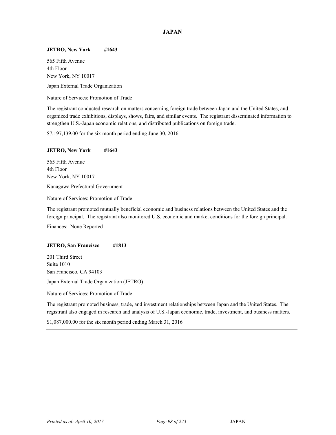### **JETRO, New York #1643**

565 Fifth Avenue 4th Floor New York, NY 10017

Japan External Trade Organization

Nature of Services: Promotion of Trade

The registrant conducted research on matters concerning foreign trade between Japan and the United States, and organized trade exhibitions, displays, shows, fairs, and similar events. The registrant disseminated information to strengthen U.S.-Japan economic relations, and distributed publications on foreign trade.

\$7,197,139.00 for the six month period ending June 30, 2016

### **JETRO, New York #1643**

565 Fifth Avenue 4th Floor New York, NY 10017

<sup>41</sup> Kanagawa Prefectural Government

Nature of Services: Promotion of Trade

The registrant promoted mutually beneficial economic and business relations between the United States and the foreign principal. The registrant also monitored U.S. economic and market conditions for the foreign principal.

Finances: None Reported

### **JETRO, San Francisco #1813**

201 Third Street Suite 1010 San Francisco, CA 94103

<sup>41</sup> Japan External Trade Organization (JETRO)

Nature of Services: Promotion of Trade

The registrant promoted business, trade, and investment relationships between Japan and the United States. The registrant also engaged in research and analysis of U.S.-Japan economic, trade, investment, and business matters.

\$1,087,000.00 for the six month period ending March 31, 2016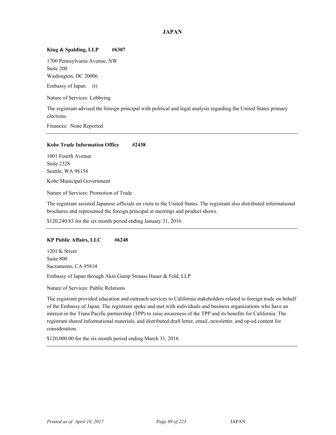### King & Spalding, LLP #6307

1700 Pennsylvania Avenue, NW Suite 200 Washington, DC 20006

Embassy of Japan (t)

Nature of Services: Lobbying

The registrant advised the foreign principal with political and legal analysis regarding the United States primary elections.

Finances: None Reported

## **Kobe Trade Information Office #2438**

1001 Fourth Avenue Suite 2328 Seattle, WA 98154

Kobe Municipal Government

Nature of Services: Promotion of Trade

The registrant assisted Japanese officials on visits to the United States. The registrant also distributed informational brochures and represented the foreign principal at meetings and product shows.

\$120,240.83 for the six month period ending January 31, 2016

### **KP Public Affairs, LLC #6248**

1201 K Street Suite 800 Sacramento, CA 95814

Embassy of Japan through Akin Gump Strauss Hauer & Feld, LLP

Nature of Services: Public Relations

The registrant provided education and outreach services to California stakeholders related to foreign trade on behalf of the Embassy of Japan. The registrant spoke and met with individuals and business organizations who have an interest in the Trans Pacific partnership (TPP) to raise awareness of the TPP and its benefits for California. The registrant shared informational materials, and distributed draft letter, email, newsletter, and op-ed content for consideration.

\$120,000.00 for the six month period ending March 31, 2016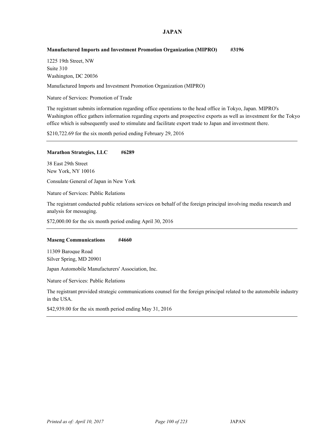## **Manufactured Imports and Investment Promotion Organization (MIPRO) #3196**

1225 19th Street, NW Suite 310 Washington, DC 20036

Manufactured Imports and Investment Promotion Organization (MIPRO) <sup>41</sup>

Nature of Services: Promotion of Trade

The registrant submits information regarding office operations to the head office in Tokyo, Japan. MIPRO's Washington office gathers information regarding exports and prospective exports as well as investment for the Tokyo office which is subsequently used to stimulate and facilitate export trade to Japan and investment there.

\$210,722.69 for the six month period ending February 29, 2016

### **Marathon Strategies, LLC #6289**

38 East 29th Street New York, NY 10016

Consulate General of Japan in New York

Nature of Services: Public Relations

The registrant conducted public relations services on behalf of the foreign principal involving media research and analysis for messaging.

\$72,000.00 for the six month period ending April 30, 2016

### **Maseng Communications #4660**

11309 Baroque Road Silver Spring, MD 20901

Japan Automobile Manufacturers' Association, Inc.

Nature of Services: Public Relations

The registrant provided strategic communications counsel for the foreign principal related to the automobile industry in the USA.

\$42,939.00 for the six month period ending May 31, 2016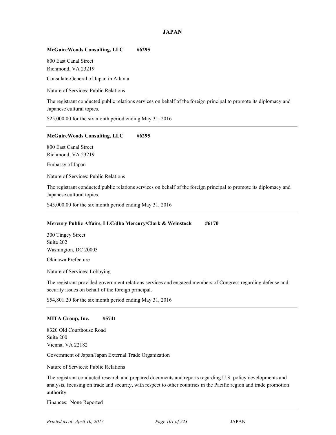## **McGuireWoods Consulting, LLC #6295**

800 East Canal Street Richmond, VA 23219

Consulate-General of Japan in Atlanta

Nature of Services: Public Relations

The registrant conducted public relations services on behalf of the foreign principal to promote its diplomacy and Japanese cultural topics.

\$25,000.00 for the six month period ending May 31, 2016

## **McGuireWoods Consulting, LLC #6295**

800 East Canal Street Richmond, VA 23219

Embassy of Japan

Nature of Services: Public Relations

The registrant conducted public relations services on behalf of the foreign principal to promote its diplomacy and Japanese cultural topics.

\$45,000.00 for the six month period ending May 31, 2016

## **Mercury Public Affairs, LLC/dba Mercury/Clark & Weinstock #6170**

300 Tingey Street Suite 202 Washington, DC 20003

Okinawa Prefecture

Nature of Services: Lobbying

The registrant provided government relations services and engaged members of Congress regarding defense and security issues on behalf of the foreign principal.

\$54,801.20 for the six month period ending May 31, 2016

### **MITA Group, Inc. #5741**

8320 Old Courthouse Road Suite 200 Vienna, VA 22182

<sup>41</sup> Government of Japan/Japan External Trade Organization

Nature of Services: Public Relations

The registrant conducted research and prepared documents and reports regarding U.S. policy developments and analysis, focusing on trade and security, with respect to other countries in the Pacific region and trade promotion authority.

Finances: None Reported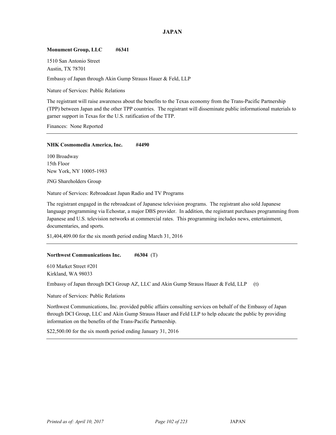## **Monument Group, LLC #6341**

1510 San Antonio Street Austin, TX 78701

Embassy of Japan through Akin Gump Strauss Hauer & Feld, LLP

Nature of Services: Public Relations

The registrant will raise awareness about the benefits to the Texas economy from the Trans-Pacific Partnership (TPP) between Japan and the other TPP countries. The registrant will disseminate public informational materials to garner support in Texas for the U.S. ratification of the TTP.

Finances: None Reported

## **NHK Cosmomedia America, Inc. #4490**

100 Broadway 15th Floor New York, NY 10005-1983

JNG Shareholders Group

Nature of Services: Rebroadcast Japan Radio and TV Programs

The registrant engaged in the rebroadcast of Japanese television programs. The registrant also sold Japanese language programming via Echostar, a major DBS provider. In addition, the registrant purchases programming from Japanese and U.S. television networks at commercial rates. This programming includes news, entertainment, documentaries, and sports.

\$1,404,409.00 for the six month period ending March 31, 2016

### **Northwest Communications Inc. #6304** (T)

610 Market Street #201 Kirkland, WA 98033

Embassy of Japan through DCI Group AZ, LLC and Akin Gump Strauss Hauer & Feld, LLP (t)

Nature of Services: Public Relations

Northwest Communications, Inc. provided public affairs consulting services on behalf of the Embassy of Japan through DCI Group, LLC and Akin Gump Strauss Hauer and Feld LLP to help educate the public by providing information on the benefits of the Trans-Pacific Partnership.

\$22,500.00 for the six month period ending January 31, 2016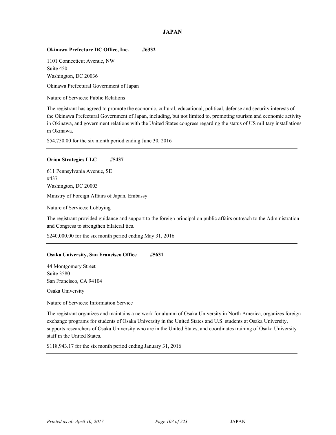## **Okinawa Prefecture DC Office, Inc. #6332**

1101 Connecticut Avenue, NW Suite 450 Washington, DC 20036

<sup>41</sup> Okinawa Prefectural Government of Japan

Nature of Services: Public Relations

The registrant has agreed to promote the economic, cultural, educational, political, defense and security interests of the Okinawa Prefectural Government of Japan, including, but not limited to, promoting tourism and economic activity in Okinawa, and government relations with the United States congress regarding the status of US military installations in Okinawa.

\$54,750.00 for the six month period ending June 30, 2016

## **Orion Strategies LLC #5437**

611 Pennsylvania Avenue, SE #437 Washington, DC 20003

Ministry of Foreign Affairs of Japan, Embassy <sup>41</sup>

Nature of Services: Lobbying

The registrant provided guidance and support to the foreign principal on public affairs outreach to the Administration and Congress to strengthen bilateral ties.

\$240,000.00 for the six month period ending May 31, 2016

### **Osaka University, San Francisco Office #5631**

44 Montgomery Street Suite 3580 San Francisco, CA 94104

Osaka University

Nature of Services: Information Service

The registrant organizes and maintains a network for alumni of Osaka University in North America, organizes foreign exchange programs for students of Osaka University in the United States and U.S. students at Osaka University, supports researchers of Osaka University who are in the United States, and coordinates training of Osaka University staff in the United States.

\$118,943.17 for the six month period ending January 31, 2016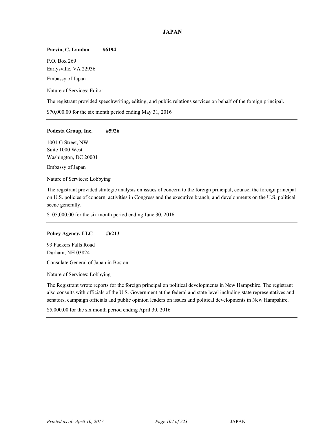### **Parvin, C. Landon #6194**

P.O. Box 269 Earlysville, VA 22936 Embassy of Japan

Nature of Services: Editor

The registrant provided speechwriting, editing, and public relations services on behalf of the foreign principal.

\$70,000.00 for the six month period ending May 31, 2016

## **Podesta Group, Inc. #5926**

1001 G Street, NW Suite 1000 West Washington, DC 20001

Embassy of Japan

Nature of Services: Lobbying

The registrant provided strategic analysis on issues of concern to the foreign principal; counsel the foreign principal on U.S. policies of concern, activities in Congress and the executive branch, and developments on the U.S. political scene generally.

\$105,000.00 for the six month period ending June 30, 2016

### **Policy Agency, LLC #6213**

93 Packers Falls Road Durham, NH 03824

Consulate General of Japan in Boston

Nature of Services: Lobbying

The Registrant wrote reports for the foreign principal on political developments in New Hampshire. The registrant also consults with officials of the U.S. Government at the federal and state level including state representatives and senators, campaign officials and public opinion leaders on issues and political developments in New Hampshire.

\$5,000.00 for the six month period ending April 30, 2016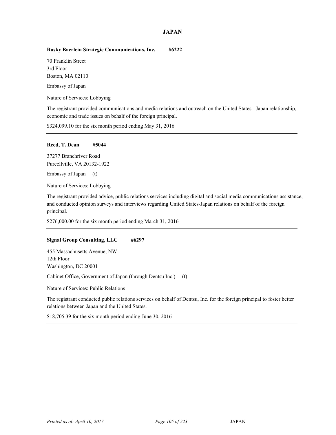## **Rasky Baerlein Strategic Communications, Inc. #6222**

70 Franklin Street 3rd Floor Boston, MA 02110 Embassy of Japan

Nature of Services: Lobbying

The registrant provided communications and media relations and outreach on the United States - Japan relationship, economic and trade issues on behalf of the foreign principal.

\$324,099.10 for the six month period ending May 31, 2016

## **Reed, T. Dean #5044**

37277 Branchriver Road Purcellville, VA 20132-1922

Embassy of Japan (t)

Nature of Services: Lobbying

The registrant provided advice, public relations services including digital and social media communications assistance, and conducted opinion surveys and interviews regarding United States-Japan relations on behalf of the foreign principal.

\$276,000.00 for the six month period ending March 31, 2016

### **Signal Group Consulting, LLC #6297**

455 Massachusetts Avenue, NW 12th Floor Washington, DC 20001

Cabinet Office, Government of Japan (through Dentsu Inc.) (t)

Nature of Services: Public Relations

The registrant conducted public relations services on behalf of Dentsu, Inc. for the foreign principal to foster better relations between Japan and the United States.

\$18,705.39 for the six month period ending June 30, 2016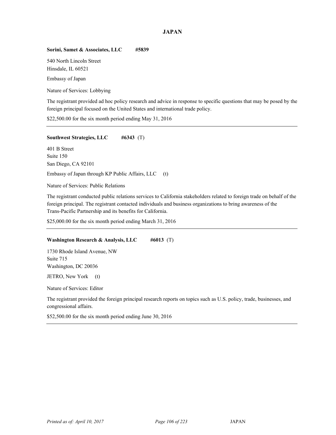## **Sorini, Samet & Associates, LLC #5839**

540 North Lincoln Street Hinsdale, IL 60521 Embassy of Japan

Nature of Services: Lobbying

The registrant provided ad hoc policy research and advice in response to specific questions that may be posed by the foreign principal focused on the United States and international trade policy.

\$22,500.00 for the six month period ending May 31, 2016

## **Southwest Strategies, LLC #6343** (T)

401 B Street Suite 150 San Diego, CA 92101

Embassy of Japan through KP Public Affairs, LLC (t)

Nature of Services: Public Relations

The registrant conducted public relations services to California stakeholders related to foreign trade on behalf of the foreign principal. The registrant contacted individuals and business organizations to bring awareness of the Trans-Pacific Partnership and its benefits for California.

\$25,000.00 for the six month period ending March 31, 2016

## **Washington Research & Analysis, LLC #6013** (T)

1730 Rhode Island Avenue, NW Suite 715 Washington, DC 20036 JETRO, New York (t)

Nature of Services: Editor

The registrant provided the foreign principal research reports on topics such as U.S. policy, trade, businesses, and congressional affairs.

\$52,500.00 for the six month period ending June 30, 2016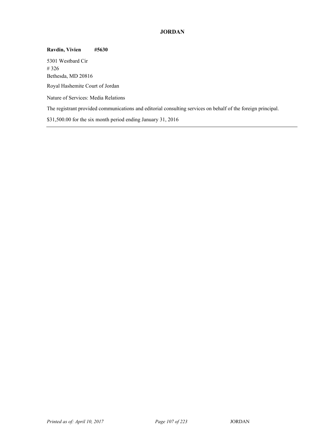## **JORDAN**

**Ravdin, Vivien #5630**  5301 Westbard Cir # 326 Bethesda, MD 20816 <sup>42</sup> Royal Hashemite Court of Jordan Nature of Services: Media Relations The registrant provided communications and editorial consulting services on behalf of the foreign principal. \$31,500.00 for the six month period ending January 31, 2016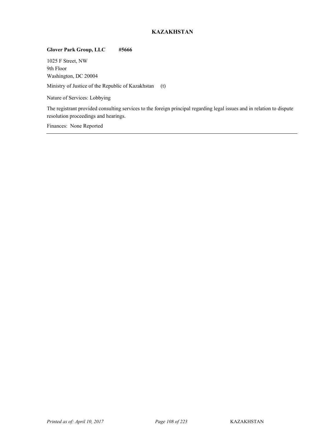# **KAZAKHSTAN**

## **Glover Park Group, LLC #5666**

1025 F Street, NW 9th Floor Washington, DC 20004

Ministry of Justice of the Republic of Kazakhstan (t)

Nature of Services: Lobbying

The registrant provided consulting services to the foreign principal regarding legal issues and in relation to dispute resolution proceedings and hearings.

Finances: None Reported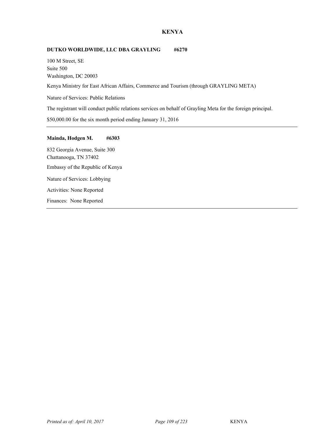## **KENYA**

## **DUTKO WORLDWIDE, LLC DBA GRAYLING #6270**

100 M Street, SE Suite 500 Washington, DC 20003

Kenya Ministry for East African Affairs, Commerce and Tourism (through GRAYLING META)

Nature of Services: Public Relations

The registrant will conduct public relations services on behalf of Grayling Meta for the foreign principal.

\$50,000.00 for the six month period ending January 31, 2016

## **Mainda, Hodgen M. #6303**

832 Georgia Avenue, Suite 300 Chattanooga, TN 37402 Embassy of the Republic of Kenya Nature of Services: Lobbying Activities: None Reported Finances: None Reported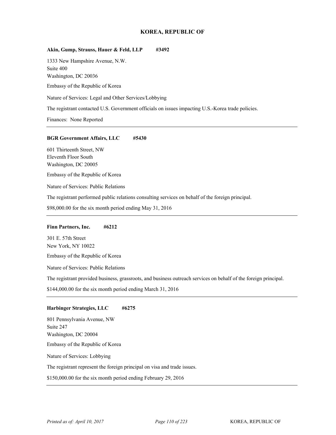## **Akin, Gump, Strauss, Hauer & Feld, LLP #3492**

1333 New Hampshire Avenue, N.W. Suite 400 Washington, DC 20036

Embassy of the Republic of Korea

Nature of Services: Legal and Other Services/Lobbying

The registrant contacted U.S. Government officials on issues impacting U.S.-Korea trade policies.

Finances: None Reported

#### **BGR Government Affairs, LLC #5430**

601 Thirteenth Street, NW Eleventh Floor South Washington, DC 20005

Embassy of the Republic of Korea

Nature of Services: Public Relations

The registrant performed public relations consulting services on behalf of the foreign principal.

\$98,000.00 for the six month period ending May 31, 2016

### **Finn Partners, Inc. #6212**

301 E. 57th Street New York, NY 10022

<sup>44</sup> Embassy of the Republic of Korea

Nature of Services: Public Relations

The registrant provided business, grassroots, and business outreach services on behalf of the foreign principal.

\$144,000.00 for the six month period ending March 31, 2016

## **Harbinger Strategies, LLC #6275**

801 Pennsylvania Avenue, NW Suite 247 Washington, DC 20004 Embassy of the Republic of Korea Nature of Services: Lobbying The registrant represent the foreign principal on visa and trade issues.

\$150,000.00 for the six month period ending February 29, 2016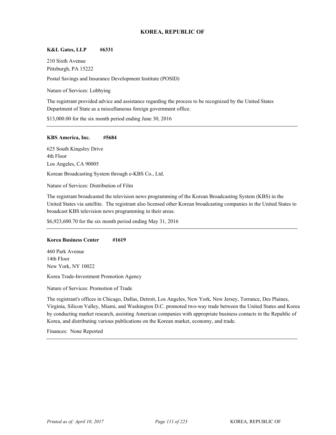## **K&L Gates, LLP #6331**

210 Sixth Avenue Pittsburgh, PA 15222 Postal Savings and Insurance Development Institute (POSID)

Nature of Services: Lobbying

The registrant provided advice and assistance regarding the process to be recognized by the United States Department of State as a miscellaneous foreign government office.

\$13,000.00 for the six month period ending June 30, 2016

### **KBS America, Inc. #5684**

625 South Kingsley Drive 4th Floor Los Angeles, CA 90005

Korean Broadcasting System through e-KBS Co., Ltd.

Nature of Services: Distribution of Film

The registrant broadcasted the television news programming of the Korean Broadcasting System (KBS) in the United States via satellite. The registrant also licensed other Korean broadcasting companies in the United States to broadcast KBS television news programming in their areas.

\$6,923,600.70 for the six month period ending May 31, 2016

## **Korea Business Center #1619**

460 Park Avenue 14th Floor New York, NY 10022

Korea Trade-Investment Promotion Agency

Nature of Services: Promotion of Trade

The registrant's offices in Chicago, Dallas, Detroit, Los Angeles, New York, New Jersey, Torrance, Des Plaines, Virginia, Silicon Valley, Miami, and Washington D.C. promoted two-way trade between the United States and Korea by conducting market research, assisting American companies with appropriate business contacts in the Republic of Korea, and distributing various publications on the Korean market, economy, and trade.

Finances: None Reported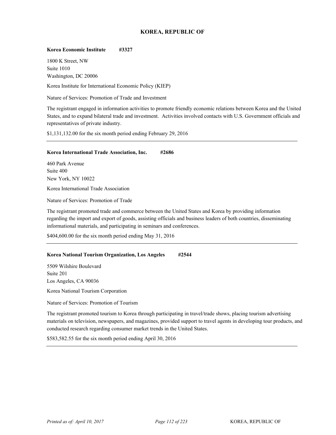## **Korea Economic Institute #3327**

1800 K Street, NW Suite 1010 Washington, DC 20006

Korea Institute for International Economic Policy (KIEP)

Nature of Services: Promotion of Trade and Investment

The registrant engaged in information activities to promote friendly economic relations between Korea and the United States, and to expand bilateral trade and investment. Activities involved contacts with U.S. Government officials and representatives of private industry.

\$1,131,132.00 for the six month period ending February 29, 2016

### **Korea International Trade Association, Inc. #2686**

460 Park Avenue Suite 400 New York, NY 10022

<sup>44</sup> Korea International Trade Association

Nature of Services: Promotion of Trade

The registrant promoted trade and commerce between the United States and Korea by providing information regarding the import and export of goods, assisting officials and business leaders of both countries, disseminating informational materials, and participating in seminars and conferences.

\$404,600.00 for the six month period ending May 31, 2016

### **Korea National Tourism Organization, Los Angeles #2544**

5509 Wilshire Boulevard Suite 201 Los Angeles, CA 90036

Korea National Tourism Corporation

Nature of Services: Promotion of Tourism

The registrant promoted tourism to Korea through participating in travel/trade shows, placing tourism advertising materials on television, newspapers, and magazines, provided support to travel agents in developing tour products, and conducted research regarding consumer market trends in the United States.

\$583,582.55 for the six month period ending April 30, 2016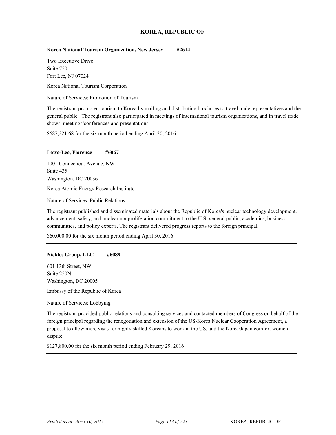## **Korea National Tourism Organization, New Jersey #2614**

Two Executive Drive Suite 750 Fort Lee, NJ 07024

Korea National Tourism Corporation

Nature of Services: Promotion of Tourism

The registrant promoted tourism to Korea by mailing and distributing brochures to travel trade representatives and the general public. The registrant also participated in meetings of international tourism organizations, and in travel trade shows, meetings/conferences and presentations.

\$687,221.68 for the six month period ending April 30, 2016

### **Lowe-Lee, Florence #6067**

1001 Connecticut Avenue, NW Suite 435 Washington, DC 20036

<sup>44</sup> Korea Atomic Energy Research Institute

Nature of Services: Public Relations

The registrant published and disseminated materials about the Republic of Korea's nuclear technology development, advancement, safety, and nuclear nonproliferation commitment to the U.S. general public, academics, business communities, and policy experts. The registrant delivered progress reports to the foreign principal.

\$60,000.00 for the six month period ending April 30, 2016

## **Nickles Group, LLC #6089**

601 13th Street, NW Suite 250N Washington, DC 20005

Embassy of the Republic of Korea

Nature of Services: Lobbying

The registrant provided public relations and consulting services and contacted members of Congress on behalf of the foreign principal regarding the renegotiation and extension of the US-Korea Nuclear Cooperation Agreement, a proposal to allow more visas for highly skilled Koreans to work in the US, and the Korea/Japan comfort women dispute.

\$127,800.00 for the six month period ending February 29, 2016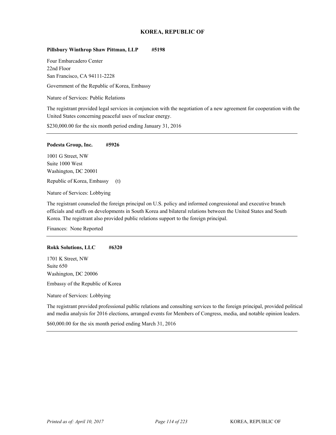#### **Pillsbury Winthrop Shaw Pittman, LLP #5198**

Four Embarcadero Center 22nd Floor San Francisco, CA 94111-2228

Government of the Republic of Korea, Embassy

Nature of Services: Public Relations

The registrant provided legal services in conjuncion with the negotiation of a new agreement for cooperation with the United States concerning peaceful uses of nuclear energy.

\$230,000.00 for the six month period ending January 31, 2016

#### **Podesta Group, Inc. #5926**

1001 G Street, NW Suite 1000 West Washington, DC 20001

Republic of Korea, Embassy (t)

Nature of Services: Lobbying

The registrant counseled the foreign principal on U.S. policy and informed congressional and executive branch officials and staffs on developments in South Korea and bilateral relations between the United States and South Korea. The registrant also provided public relations support to the foreign principal.

Finances: None Reported

### **Rokk Solutions, LLC #6320**

1701 K Street, NW Suite 650 Washington, DC 20006

Embassy of the Republic of Korea

Nature of Services: Lobbying

The registrant provided professional public relations and consulting services to the foreign principal, provided political and media analysis for 2016 elections, arranged events for Members of Congress, media, and notable opinion leaders.

\$60,000.00 for the six month period ending March 31, 2016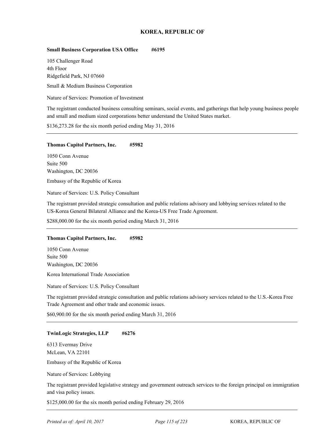## **Small Business Corporation USA Office #6195**

105 Challenger Road 4th Floor Ridgefield Park, NJ 07660

Small & Medium Business Corporation

Nature of Services: Promotion of Investment

The registrant conducted business consulting seminars, social events, and gatherings that help young business people and small and medium sized corporations better understand the United States market.

\$136,273.28 for the six month period ending May 31, 2016

#### **Thomas Capitol Partners, Inc. #5982**

1050 Conn Avenue Suite 500 Washington, DC 20036

Embassy of the Republic of Korea

Nature of Services: U.S. Policy Consultant

The registrant provided strategic consultation and public relations advisory and lobbying services related to the US-Korea General Bilateral Alliance and the Korea-US Free Trade Agreement.

\$288,000.00 for the six month period ending March 31, 2016

#### **Thomas Capitol Partners, Inc. #5982**

1050 Conn Avenue Suite 500 Washington, DC 20036

<sup>44</sup> Korea International Trade Association

Nature of Services: U.S. Policy Consultant

The registrant provided strategic consultation and public relations advisory services related to the U.S.-Korea Free Trade Agreement and other trade and economic issues.

\$60,900.00 for the six month period ending March 31, 2016

#### **TwinLogic Strategies, LLP #6276**

6313 Evermay Drive McLean, VA 22101

Embassy of the Republic of Korea

Nature of Services: Lobbying

The registrant provided legislative strategy and government outreach services to the foreign principal on immigration and visa policy issues.

\$125,000.00 for the six month period ending February 29, 2016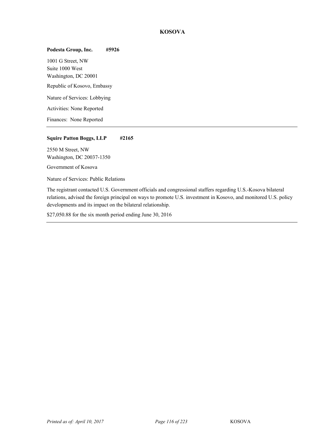## **KOSOVA**

# **Podesta Group, Inc. #5926**

1001 G Street, NW Suite 1000 West Washington, DC 20001 Republic of Kosovo, Embassy Nature of Services: Lobbying Activities: None Reported Finances: None Reported

## **Squire Patton Boggs, LLP #2165**

2550 M Street, NW Washington, DC 20037-1350

Government of Kosova

Nature of Services: Public Relations

The registrant contacted U.S. Government officials and congressional staffers regarding U.S.-Kosova bilateral relations, advised the foreign principal on ways to promote U.S. investment in Kosovo, and monitored U.S. policy developments and its impact on the bilateral relationship.

\$27,050.88 for the six month period ending June 30, 2016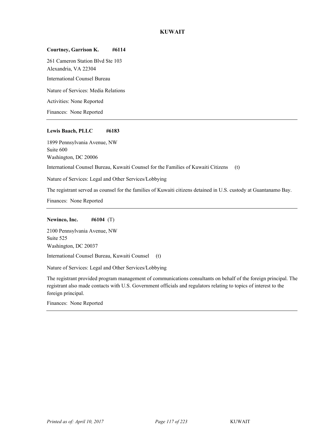## **KUWAIT**

## **Courtney, Garrison K. #6114**

261 Cameron Station Blvd Ste 103 Alexandria, VA 22304 <sup>45</sup> International Counsel Bureau Nature of Services: Media Relations Activities: None Reported Finances: None Reported

### **Lewis Baach, PLLC #6183**

1899 Pennsylvania Avenue, NW Suite 600 Washington, DC 20006

<sup>45</sup> International Counsel Bureau, Kuwaiti Counsel for the Families of Kuwaiti Citizens (t)

Nature of Services: Legal and Other Services/Lobbying

The registrant served as counsel for the families of Kuwaiti citizens detained in U.S. custody at Guantanamo Bay.

Finances: None Reported

### **Newinco, Inc. #6104** (T)

2100 Pennsylvania Avenue, NW Suite 525 Washington, DC 20037 <sup>45</sup> International Counsel Bureau, Kuwaiti Counsel (t)

Nature of Services: Legal and Other Services/Lobbying

The registrant provided program management of communications consultants on behalf of the foreign principal. The registrant also made contacts with U.S. Government officials and regulators relating to topics of interest to the foreign principal.

Finances: None Reported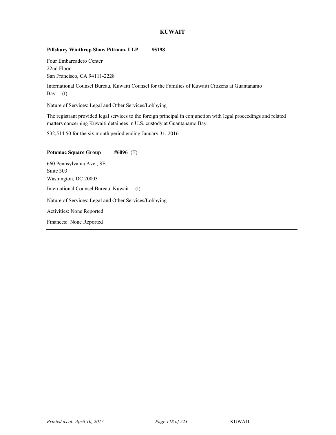## **KUWAIT**

## **Pillsbury Winthrop Shaw Pittman, LLP #5198**

Four Embarcadero Center 22nd Floor San Francisco, CA 94111-2228

<sup>45</sup> International Counsel Bureau, Kuwaiti Counsel for the Families of Kuwaiti Citizens at Guantanamo Bay (t)

Nature of Services: Legal and Other Services/Lobbying

The registrant provided legal services to the foreign principal in conjunction with legal proceedings and related matters concerning Kuwaiti detainees in U.S. custody at Guantanamo Bay.

\$32,514.50 for the six month period ending January 31, 2016

# **Potomac Square Group #6096** (T)

660 Pennsylvania Ave., SE Suite 303 Washington, DC 20003 <sup>45</sup> International Counsel Bureau, Kuwait (t) Nature of Services: Legal and Other Services/Lobbying Activities: None Reported Finances: None Reported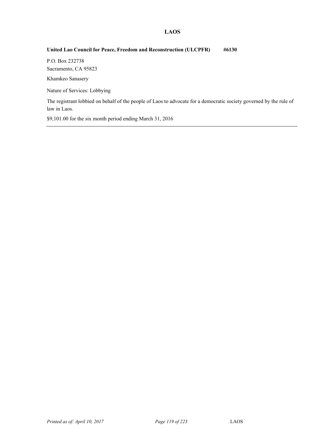## **LAOS**

## **United Lao Council for Peace, Freedom and Reconstruction (ULCPFR) #6130**

P.O. Box 232738 Sacramento, CA 95823

Khamkeo Sanasery

Nature of Services: Lobbying

The registrant lobbied on behalf of the people of Laos to advocate for a democratic society governed by the rule of law in Laos.

\$9,101.00 for the six month period ending March 31, 2016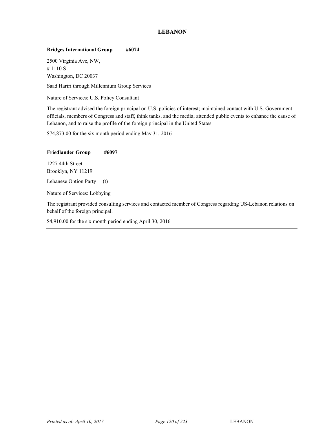## **LEBANON**

## **Bridges International Group #6074**

2500 Virginia Ave, NW, # 1110 S Washington, DC 20037

Saad Hariri through Millennium Group Services

Nature of Services: U.S. Policy Consultant

The registrant advised the foreign principal on U.S. policies of interest; maintained contact with U.S. Government officials, members of Congress and staff, think tanks, and the media; attended public events to enhance the cause of Lebanon, and to raise the profile of the foreign principal in the United States.

\$74,873.00 for the six month period ending May 31, 2016

### **Friedlander Group #6097**

1227 44th Street Brooklyn, NY 11219

Lebanese Option Party (t)

Nature of Services: Lobbying

The registrant provided consulting services and contacted member of Congress regarding US-Lebanon relations on behalf of the foreign principal.

\$4,910.00 for the six month period ending April 30, 2016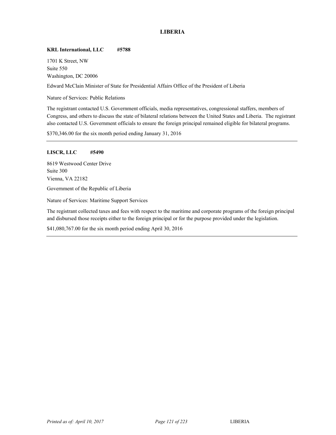## **LIBERIA**

## **KRL International, LLC #5788**

1701 K Street, NW Suite 550 Washington, DC 20006

<sup>48</sup> Edward McClain Minister of State for Presidential Affairs Office of the President of Liberia

Nature of Services: Public Relations

The registrant contacted U.S. Government officials, media representatives, congressional staffers, members of Congress, and others to discuss the state of bilateral relations between the United States and Liberia. The registrant also contacted U.S. Government officials to ensure the foreign principal remained eligible for bilateral programs.

\$370,346.00 for the six month period ending January 31, 2016

## **LISCR, LLC #5490**

8619 Westwood Center Drive Suite 300 Vienna, VA 22182 Government of the Republic of Liberia

Nature of Services: Maritime Support Services

The registrant collected taxes and fees with respect to the maritime and corporate programs of the foreign principal and disbursed those receipts either to the foreign principal or for the purpose provided under the legislation.

\$41,080,767.00 for the six month period ending April 30, 2016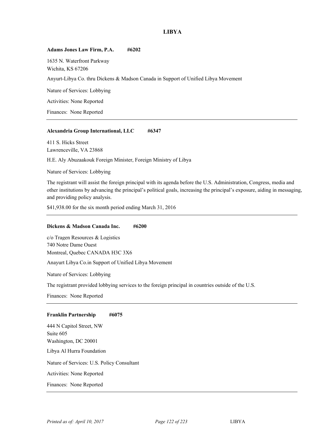## **LIBYA**

### **Adams Jones Law Firm, P.A. #6202**

1635 N. Waterfront Parkway Wichita, KS 67206

Anyurt-Libya Co. thru Dickens & Madson Canada in Support of Unified Libya Movement

Nature of Services: Lobbying

Activities: None Reported

Finances: None Reported

### **Alexandria Group International, LLC #6347**

411 S. Hicks Street Lawrenceville, VA 23868

H.E. Aly Abuzaakouk Foreign Minister, Foreign Ministry of Libya

Nature of Services: Lobbying

The registrant will assist the foreign principal with its agenda before the U.S. Administration, Congress, media and other institutions by advancing the principal's political goals, increasing the principal's exposure, aiding in messaging, and providing policy analysis.

\$41,938.00 for the six month period ending March 31, 2016

## **Dickens & Madson Canada Inc. #6200**

c/o Tragen Resources & Logistics 740 Notre Dame Ouest Montreal, Quebec CANADA H3C 3X6

Anayurt Libya Co.in Support of Unified Libya Movement

Nature of Services: Lobbying

The registrant provided lobbying services to the foreign principal in countries outside of the U.S.

Finances: None Reported

### **Franklin Partnership #6075**

444 N Capitol Street, NW Suite 605 Washington, DC 20001 Libya Al Hurra Foundation Nature of Services: U.S. Policy Consultant Activities: None Reported Finances: None Reported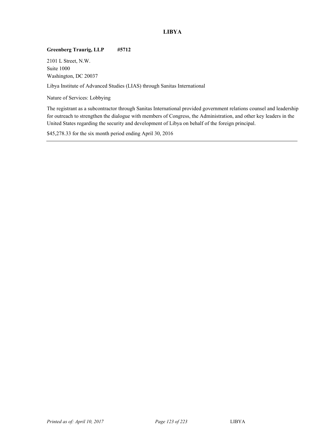# **LIBYA**

## **Greenberg Traurig, LLP #5712**

2101 L Street, N.W. Suite 1000 Washington, DC 20037

Libya Institute of Advanced Studies (LIAS) through Sanitas International

Nature of Services: Lobbying

The registrant as a subcontractor through Sanitas International provided government relations counsel and leadership for outreach to strengthen the dialogue with members of Congress, the Administration, and other key leaders in the United States regarding the security and development of Libya on behalf of the foreign principal.

\$45,278.33 for the six month period ending April 30, 2016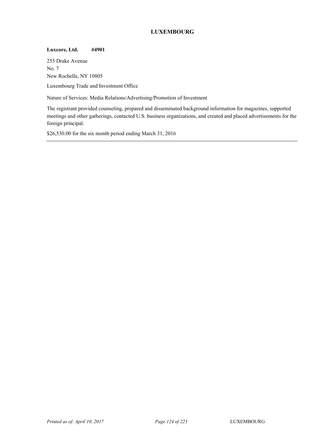# **LUXEMBOURG**

## **Luxcore, Ltd. #4901**

255 Drake Avenue No. 7 New Rochelle, NY 10805

Luxembourg Trade and Investment Office

Nature of Services: Media Relations/Advertising/Promotion of Investment

The registrant provided counseling, prepared and disseminated background information for magazines, supported meetings and other gatherings, contacted U.S. business organizations, and created and placed advertisements for the foreign principal.

\$26,530.00 for the six month period ending March 31, 2016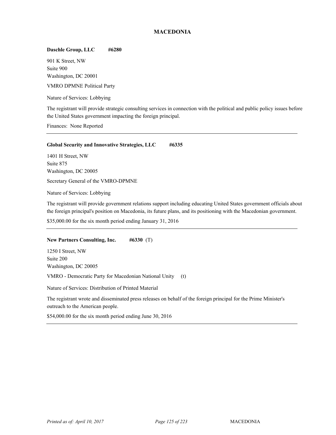## **MACEDONIA**

## **Daschle Group, LLC #6280**

901 K Street, NW Suite 900 Washington, DC 20001

VMRO DPMNE Political Party

Nature of Services: Lobbying

The registrant will provide strategic consulting services in connection with the political and public policy issues before the United States government impacting the foreign principal.

Finances: None Reported

### **Global Security and Innovative Strategies, LLC #6335**

1401 H Street, NW Suite 875 Washington, DC 20005

Secretary General of the VMRO-DPMNE

Nature of Services: Lobbying

The registrant will provide government relations support including educating United States government officials about the foreign principal's position on Macedonia, its future plans, and its positioning with the Macedonian government.

\$35,000.00 for the six month period ending January 31, 2016

### **New Partners Consulting, Inc. #6330** (T)

1250 I Street, NW Suite 200 Washington, DC 20005 VMRO - Democratic Party for Macedonian National Unity (t)

Nature of Services: Distribution of Printed Material

The registrant wrote and disseminated press releases on behalf of the foreign principal for the Prime Minister's outreach to the American people.

\$54,000.00 for the six month period ending June 30, 2016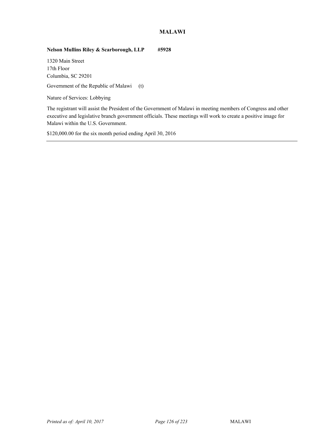## **MALAWI**

## **Nelson Mullins Riley & Scarborough, LLP #5928**

1320 Main Street 17th Floor Columbia, SC 29201

Government of the Republic of Malawi (t)

Nature of Services: Lobbying

The registrant will assist the President of the Government of Malawi in meeting members of Congress and other executive and legislative branch government officials. These meetings will work to create a positive image for Malawi within the U.S. Government.

\$120,000.00 for the six month period ending April 30, 2016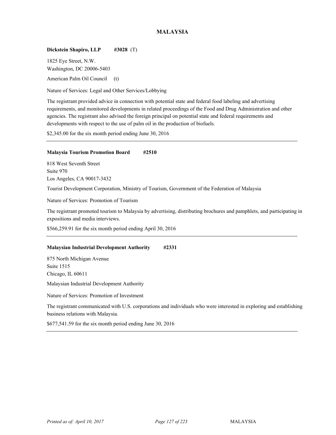## **MALAYSIA**

## **Dickstein Shapiro, LLP #3028** (T)

1825 Eye Street, N.W. Washington, DC 20006-5403

American Palm Oil Council (t)

Nature of Services: Legal and Other Services/Lobbying

The registrant provided advice in connection with potential state and federal food labeling and advertising requirements, and monitored developments in related proceedings of the Food and Drug Administration and other agencies. The registrant also advised the foreign principal on potential state and federal requirements and developments with respect to the use of palm oil in the production of biofuels.

\$2,345.00 for the six month period ending June 30, 2016

## **Malaysia Tourism Promotion Board #2510**

818 West Seventh Street Suite 970 Los Angeles, CA 90017-3432

<sup>51</sup> Tourist Development Corporation, Ministry of Tourism, Government of the Federation of Malaysia

Nature of Services: Promotion of Tourism

The registrant promoted tourism to Malaysia by advertising, distributing brochures and pamphlets, and participating in expositions and media interviews.

\$566,259.91 for the six month period ending April 30, 2016

## **Malaysian Industrial Development Authority #2331**

875 North Michigan Avenue Suite 1515 Chicago, IL 60611

Malaysian Industrial Development Authority <sup>51</sup>

Nature of Services: Promotion of Investment

The registrant communicated with U.S. corporations and individuals who were interested in exploring and establishing business relations with Malaysia.

\$677,541.59 for the six month period ending June 30, 2016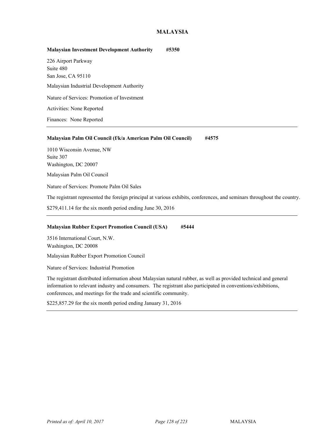## **MALAYSIA**

| <b>Malaysian Investment Development Authority</b> | #5350 |
|---------------------------------------------------|-------|
| 226 Airport Parkway                               |       |
| Suite 480                                         |       |
| San Jose, CA 95110                                |       |
| Malaysian Industrial Development Authority        |       |
| Nature of Services: Promotion of Investment       |       |
| Activities: None Reported                         |       |
| Finances: None Reported                           |       |

## **Malaysian Palm Oil Council (f/k/a American Palm Oil Council) #4575**

1010 Wisconsin Avenue, NW Suite 307 Washington, DC 20007 Malaysian Palm Oil Council <sup>51</sup>

Nature of Services: Promote Palm Oil Sales

The registrant represented the foreign principal at various exhibits, conferences, and seminars throughout the country.

\$279,411.14 for the six month period ending June 30, 2016

## **Malaysian Rubber Export Promotion Council (USA) #5444**

3516 International Court, N.W. Washington, DC 20008

Malaysian Rubber Export Promotion Council <sup>51</sup>

Nature of Services: Industrial Promotion

The registrant distributed information about Malaysian natural rubber, as well as provided technical and general information to relevant industry and consumers. The registrant also participated in conventions/exhibitions, conferences, and meetings for the trade and scientific community.

\$225,857.29 for the six month period ending January 31, 2016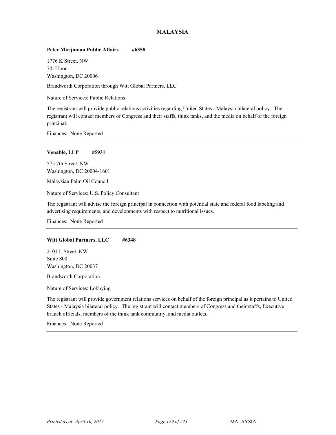## **MALAYSIA**

## **Peter Mirijanian Public Affairs #6358**

1776 K Street, NW 7th Floor Washington, DC 20006

<sup>51</sup> Brandworth Corporation through Witt Global Partners, LLC

Nature of Services: Public Relations

The registrant will provide public relations activities regarding United States - Malaysia bilateral policy. The registrant will contact members of Congress and their staffs, think tanks, and the media on behalf of the foreign principal.

Finances: None Reported

### **Venable, LLP #5931**

575 7th Street, NW Washington, DC 20004-1601

Malaysian Palm Oil Council <sup>51</sup>

Nature of Services: U.S. Policy Consultant

The registrant will advise the foreign principal in connection with potential state and federal food labeling and advertising requirements, and developments with respect to nutritional issues.

Finances: None Reported

### Witt Global Partners, LLC #6348

2101 L Street, NW Suite 800 Washington, DC 20037

**Brandworth Corporation** 

Nature of Services: Lobbying

The registrant will provide government relations services on behalf of the foreign principal as it pertains to United States - Malaysia bilateral policy. The registrant will contact members of Congress and their staffs, Executive branch officials, members of the think tank community, and media outlets.

Finances: None Reported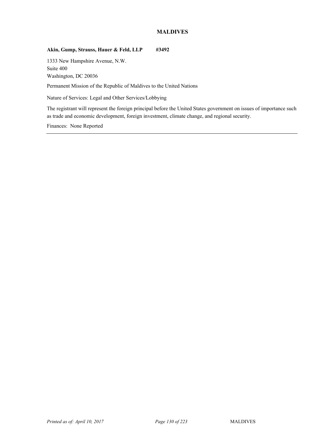## **MALDIVES**

## Akin, Gump, Strauss, Hauer & Feld, LLP #3492

1333 New Hampshire Avenue, N.W. Suite 400 Washington, DC 20036

Permanent Mission of the Republic of Maldives to the United Nations

Nature of Services: Legal and Other Services/Lobbying

The registrant will represent the foreign principal before the United States government on issues of importance such as trade and economic development, foreign investment, climate change, and regional security.

Finances: None Reported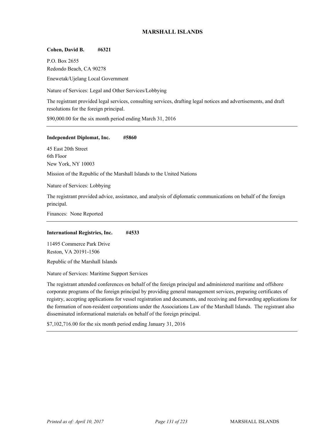## **MARSHALL ISLANDS**

## **Cohen, David B. #6321**

P.O. Box 2655 Redondo Beach, CA 90278 <sup>51</sup> Enewetak/Ujelang Local Government

Nature of Services: Legal and Other Services/Lobbying

The registrant provided legal services, consulting services, drafting legal notices and advertisements, and draft resolutions for the foreign principal.

\$90,000.00 for the six month period ending March 31, 2016

### **Independent Diplomat, Inc. #5860**

45 East 20th Street 6th Floor New York, NY 10003

Mission of the Republic of the Marshall Islands to the United Nations <sup>51</sup>

Nature of Services: Lobbying

The registrant provided advice, assistance, and analysis of diplomatic communications on behalf of the foreign principal.

Finances: None Reported

## **International Registries, Inc. #4533**

11495 Commerce Park Drive Reston, VA 20191-1506

Republic of the Marshall Islands

Nature of Services: Maritime Support Services

The registrant attended conferences on behalf of the foreign principal and administered maritime and offshore corporate programs of the foreign principal by providing general management services, preparing certificates of registry, accepting applications for vessel registration and documents, and receiving and forwarding applications for the formation of non-resident corporations under the Associations Law of the Marshall Islands. The registrant also disseminated informational materials on behalf of the foreign principal.

\$7,102,716.00 for the six month period ending January 31, 2016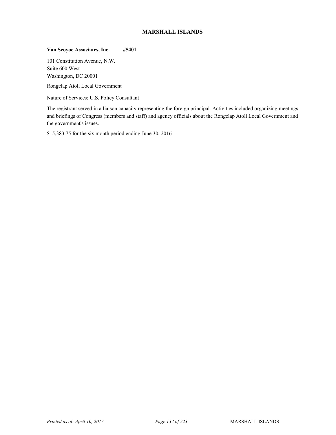## **MARSHALL ISLANDS**

## **Van Scoyoc Associates, Inc. #5401**

101 Constitution Avenue, N.W. Suite 600 West Washington, DC 20001

<sup>51</sup> Rongelap Atoll Local Government

Nature of Services: U.S. Policy Consultant

The registrant served in a liaison capacity representing the foreign principal. Activities included organizing meetings and briefings of Congress (members and staff) and agency officials about the Rongelap Atoll Local Government and the government's issues.

\$15,383.75 for the six month period ending June 30, 2016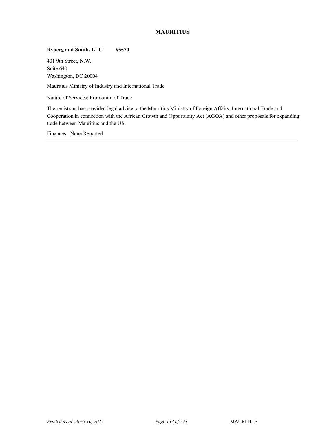# **MAURITIUS**

## **Ryberg and Smith, LLC #5570**

401 9th Street, N.W. Suite 640 Washington, DC 20004

Mauritius Ministry of Industry and International Trade

Nature of Services: Promotion of Trade

The registrant has provided legal advice to the Mauritius Ministry of Foreign Affairs, International Trade and Cooperation in connection with the African Growth and Opportunity Act (AGOA) and other proposals for expanding trade between Mauritius and the US.

Finances: None Reported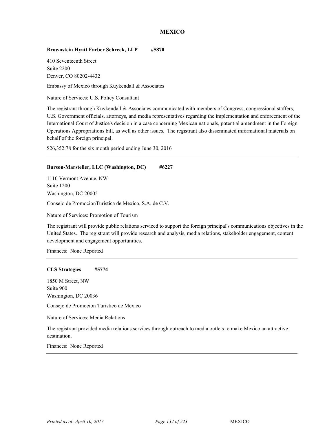## **Brownstein Hyatt Farber Schreck, LLP #5870**

410 Seventeenth Street Suite 2200 Denver, CO 80202-4432

Embassy of Mexico through Kuykendall & Associates

Nature of Services: U.S. Policy Consultant

The registrant through Kuykendall & Associates communicated with members of Congress, congressional staffers, U.S. Government officials, attorneys, and media representatives regarding the implementation and enforcement of the International Court of Justice's decision in a case concerning Mexican nationals, potential amendment in the Foreign Operations Appropriations bill, as well as other issues. The registrant also disseminated informational materials on behalf of the foreign principal.

\$26,352.78 for the six month period ending June 30, 2016

#### **Burson-Marsteller, LLC (Washington, DC) #6227**

1110 Vermont Avenue, NW Suite 1200 Washington, DC 20005 <sup>52</sup> Consejo de PromocionTuristica de Mexico, S.A. de C.V.

Nature of Services: Promotion of Tourism

The registrant will provide public relations serviced to support the foreign principal's communications objectives in the United States. The registrant will provide research and analysis, media relations, stakeholder engagement, content development and engagement opportunities.

Finances: None Reported

#### **CLS Strategies #5774**

1850 M Street, NW Suite 900 Washington, DC 20036

<sup>52</sup> Consejo de Promocion Turistico de Mexico

Nature of Services: Media Relations

The registrant provided media relations services through outreach to media outlets to make Mexico an attractive destination.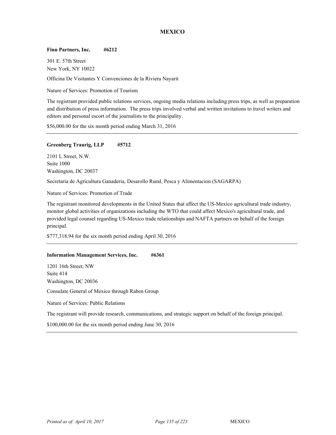#### **Finn Partners, Inc. #6212**

301 E. 57th Street New York, NY 10022

<sup>52</sup> Officina De Visitantes Y Convenciones de la Riviera Nayarit

Nature of Services: Promotion of Tourism

The registrant provided public relations services, ongoing media relations including press trips, as well as preparation and distribution of press information. The press trips involved verbal and written invitations to travel writers and editors and personal escort of the journalists to the principality.

\$56,000.00 for the six month period ending March 31, 2016

## **Greenberg Traurig, LLP #5712**

2101 L Street, N.W. Suite 1000 Washington, DC 20037

<sup>52</sup> Secretaria de Agricultura Ganaderia, Desarollo Rural, Pesca y Alimentacion (SAGARPA)

Nature of Services: Promotion of Trade

The registrant monitored developments in the United States that affect the US-Mexico agricultural trade industry, monitor global activities of organizations including the WTO that could affect Mexico's agricultural trade, and provided legal counsel regarding US-Mexico trade relationships and NAFTA partners on behalf of the foreign principal.

\$777,318.94 for the six month period ending April 30, 2016

#### **Information Management Services, Inc. #6361**

1201 16th Street, NW Suite 414 Washington, DC 20036

Consulate General of Mexico through Raben Group

Nature of Services: Public Relations

The registrant will provide research, communications, and strategic support on behalf of the foreign principal.

\$100,000.00 for the six month period ending June 30, 2016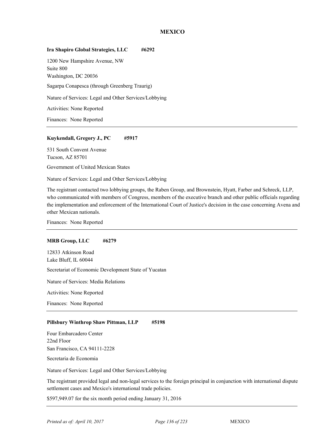#### **Ira Shapiro Global Strategies, LLC #6292**

1200 New Hampshire Avenue, NW Suite 800 Washington, DC 20036

Sagarpa Conapesca (through Greenberg Traurig)

Nature of Services: Legal and Other Services/Lobbying

Activities: None Reported

Finances: None Reported

#### **Kuykendall, Gregory J., PC #5917**

531 South Convent Avenue Tucson, AZ 85701

<sup>52</sup> Government of United Mexican States

Nature of Services: Legal and Other Services/Lobbying

The registrant contacted two lobbying groups, the Raben Group, and Brownstein, Hyatt, Farber and Schreck, LLP, who communicated with members of Congress, members of the executive branch and other public officials regarding the implementation and enforcement of the International Court of Justice's decision in the case concerning Avena and other Mexican nationals.

Finances: None Reported

#### **MRB Group, LLC #6279**

12833 Atkinson Road Lake Bluff, IL 60044 Secretariat of Economic Development State of Yucatan

Nature of Services: Media Relations

Activities: None Reported

Finances: None Reported

#### **Pillsbury Winthrop Shaw Pittman, LLP #5198**

Four Embarcadero Center 22nd Floor San Francisco, CA 94111-2228

Secretaria de Economia

Nature of Services: Legal and Other Services/Lobbying

The registrant provided legal and non-legal services to the foreign principal in conjunction with international dispute settlement cases and Mexico's international trade policies.

\$597,949.07 for the six month period ending January 31, 2016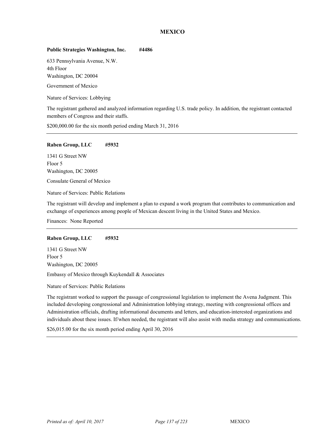## **Public Strategies Washington, Inc. #4486**

633 Pennsylvania Avenue, N.W. 4th Floor Washington, DC 20004

Government of Mexico

Nature of Services: Lobbying

The registrant gathered and analyzed information regarding U.S. trade policy. In addition, the registrant contacted members of Congress and their staffs.

\$200,000.00 for the six month period ending March 31, 2016

## **Raben Group, LLC #5932**

1341 G Street NW Floor 5 Washington, DC 20005

Consulate General of Mexico

Nature of Services: Public Relations

The registrant will develop and implement a plan to expand a work program that contributes to communication and exchange of experiences among people of Mexican descent living in the United States and Mexico.

Finances: None Reported

## **Raben Group, LLC #5932**

1341 G Street NW Floor 5 Washington, DC 20005

Embassy of Mexico through Kuykendall & Associates

Nature of Services: Public Relations

The registrant worked to support the passage of congressional legislation to implement the Avena Judgment. This included developing congressional and Administration lobbying strategy, meeting with congressional offices and Administration officials, drafting informational documents and letters, and education-interested organizations and individuals about these issues. If/when needed, the registrant will also assist with media strategy and communications.

\$26,015.00 for the six month period ending April 30, 2016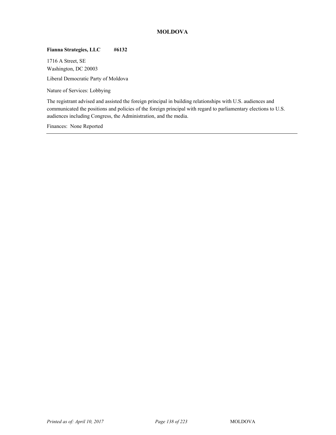# **MOLDOVA**

# **Fianna Strategies, LLC #6132**

1716 A Street, SE Washington, DC 20003

Liberal Democratic Party of Moldova

Nature of Services: Lobbying

The registrant advised and assisted the foreign principal in building relationships with U.S. audiences and communicated the positions and policies of the foreign principal with regard to parliamentary elections to U.S. audiences including Congress, the Administration, and the media.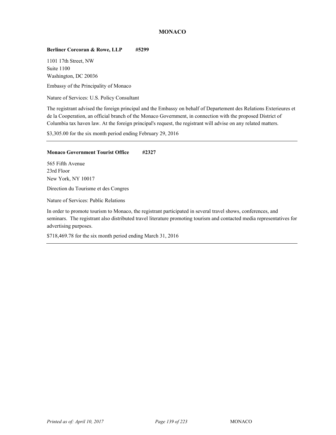# **MONACO**

## **Berliner Corcoran & Rowe, LLP #5299**

1101 17th Street, NW Suite 1100 Washington, DC 20036

<sup>53</sup> Embassy of the Principality of Monaco

Nature of Services: U.S. Policy Consultant

The registrant advised the foreign principal and the Embassy on behalf of Departement des Relations Exterieures et de la Cooperation, an official branch of the Monaco Government, in connection with the proposed District of Columbia tax haven law. At the foreign principal's request, the registrant will advise on any related matters.

\$3,305.00 for the six month period ending February 29, 2016

## **Monaco Government Tourist Office #2327**

565 Fifth Avenue 23rd Floor New York, NY 10017 <sup>53</sup> Direction du Tourisme et des Congres

Nature of Services: Public Relations

In order to promote tourism to Monaco, the registrant participated in several travel shows, conferences, and seminars. The registrant also distributed travel literature promoting tourism and contacted media representatives for advertising purposes.

\$718,469.78 for the six month period ending March 31, 2016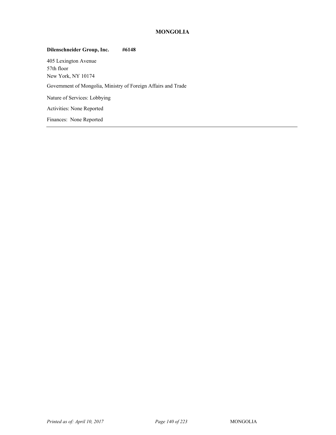# **MONGOLIA**

## **Dilenschneider Group, Inc. #6148**

405 Lexington Avenue 57th floor New York, NY 10174 <sup>54</sup> Government of Mongolia, Ministry of Foreign Affairs and Trade Nature of Services: Lobbying Activities: None Reported Finances: None Reported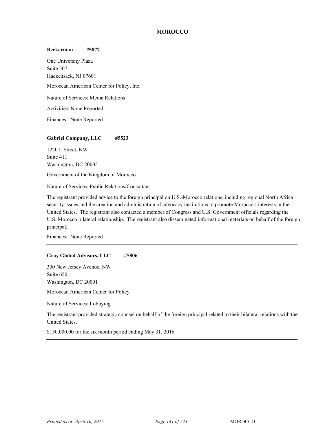## **Beckerman #5877**

One University Plaza Suite 507 Hackensack, NJ 07601 Moroccan American Center for Policy, Inc. Nature of Services: Media Relations Activities: None Reported Finances: None Reported

## **Gabriel Company, LLC #5523**

1220 L Street, NW Suite 411 Washington, DC 20005

Government of the Kingdom of Morocco

Nature of Services: Public Relations/Consultant

The registrant provided advice to the foreign principal on U.S.-Morocco relations, including regional North Africa security issues and the creation and administration of advocacy institutions to promote Morocco's interests in the United States. The registrant also contacted a member of Congress and U.S. Government officials regarding the U.S. Morocco bilateral relationship. The registrant also disseminated informational materials on behalf of the foreign principal.

Finances: None Reported

#### **Gray Global Advisors, LLC #5806**

300 New Jersey Avenue, NW Suite 650 Washington, DC 20001

Moroccan American Center for Policy

Nature of Services: Lobbying

The registrant provided strategic counsel on behalf of the foreign principal related to their bilateral relations with the United States.

\$150,000.00 for the six month period ending May 31, 2016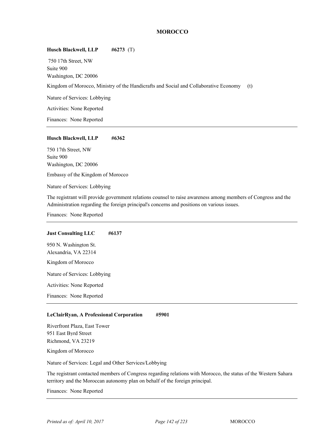# **Husch Blackwell, LLP #6273** (T)

 750 17th Street, NW Suite 900 Washington, DC 20006 Kingdom of Morocco, Ministry of the Handicrafts and Social and Collaborative Economy (t) Nature of Services: Lobbying Activities: None Reported

Finances: None Reported

#### **Husch Blackwell, LLP #6362**

750 17th Street, NW Suite 900 Washington, DC 20006

Embassy of the Kingdom of Morocco

Nature of Services: Lobbying

The registrant will provide government relations counsel to raise awareness among members of Congress and the Administration regarding the foreign principal's concerns and positions on various issues.

Finances: None Reported

#### **Just Consulting LLC #6137**

950 N. Washington St. Alexandria, VA 22314 Kingdom of Morocco

Nature of Services: Lobbying

Activities: None Reported

Finances: None Reported

#### **LeClairRyan, A Professional Corporation #5901**

Riverfront Plaza, East Tower 951 East Byrd Street Richmond, VA 23219

Kingdom of Morocco

Nature of Services: Legal and Other Services/Lobbying

The registrant contacted members of Congress regarding relations with Morocco, the status of the Western Sahara territory and the Moroccan autonomy plan on behalf of the foreign principal.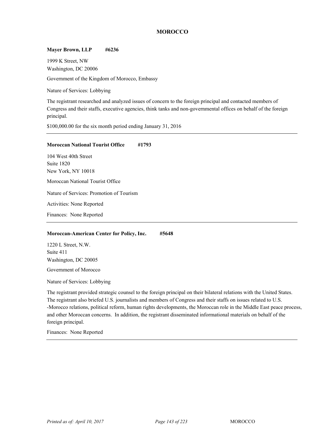## **Mayer Brown, LLP #6236**

1999 K Street, NW Washington, DC 20006

Government of the Kingdom of Morocco, Embassy

Nature of Services: Lobbying

The registrant researched and analyzed issues of concern to the foreign principal and contacted members of Congress and their staffs, executive agencies, think tanks and non-governmental offices on behalf of the foreign principal.

\$100,000.00 for the six month period ending January 31, 2016

#### **Moroccan National Tourist Office #1793**

104 West 40th Street Suite 1820 New York, NY 10018 Moroccan National Tourist Office Nature of Services: Promotion of Tourism Activities: None Reported Finances: None Reported

#### **Moroccan-American Center for Policy, Inc. #5648**

1220 L Street, N.W. Suite 411 Washington, DC 20005

Government of Morocco

Nature of Services: Lobbying

The registrant provided strategic counsel to the foreign principal on their bilateral relations with the United States. The registrant also briefed U.S. journalists and members of Congress and their staffs on issues related to U.S. -Morocco relations, political reform, human rights developments, the Moroccan role in the Middle East peace process, and other Moroccan concerns. In addition, the registrant disseminated informational materials on behalf of the foreign principal.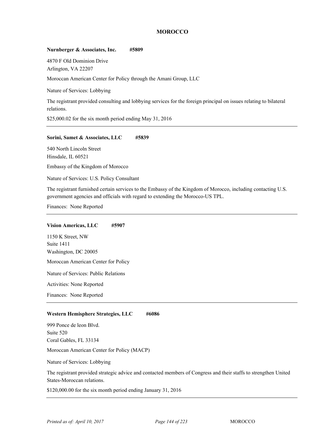## **Nurnberger & Associates, Inc. #5809**

4870 F Old Dominion Drive Arlington, VA 22207

Moroccan American Center for Policy through the Amani Group, LLC <sup>54</sup>

Nature of Services: Lobbying

The registrant provided consulting and lobbying services for the foreign principal on issues relating to bilateral relations.

\$25,000.02 for the six month period ending May 31, 2016

## **Sorini, Samet & Associates, LLC #5839**

540 North Lincoln Street Hinsdale, IL 60521

Embassy of the Kingdom of Morocco

Nature of Services: U.S. Policy Consultant

The registrant furnished certain services to the Embassy of the Kingdom of Morocco, including contacting U.S. government agencies and officials with regard to extending the Morocco-US TPL.

Finances: None Reported

#### **Vision Americas, LLC #5907**

1150 K Street, NW Suite 1411 Washington, DC 20005 Moroccan American Center for Policy Nature of Services: Public Relations Activities: None Reported

Finances: None Reported

## Western Hemisphere Strategies, LLC #6086

999 Ponce de leon Blvd. Suite 520 Coral Gables, FL 33134

Moroccan American Center for Policy (MACP)

Nature of Services: Lobbying

The registrant provided strategic advice and contacted members of Congress and their staffs to strengthen United States-Moroccan relations.

\$120,000.00 for the six month period ending January 31, 2016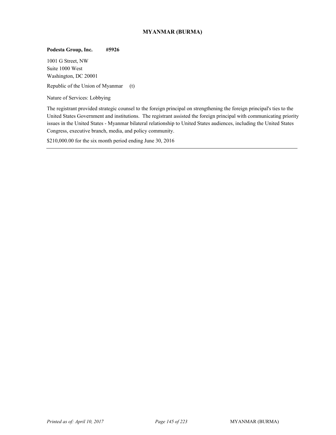# **MYANMAR (BURMA)**

## **Podesta Group, Inc. #5926**

1001 G Street, NW Suite 1000 West Washington, DC 20001

Republic of the Union of Myanmar (t)

Nature of Services: Lobbying

The registrant provided strategic counsel to the foreign principal on strengthening the foreign principal's ties to the United States Government and institutions. The registrant assisted the foreign principal with communicating priority issues in the United States - Myanmar bilateral relationship to United States audiences, including the United States Congress, executive branch, media, and policy community.

\$210,000.00 for the six month period ending June 30, 2016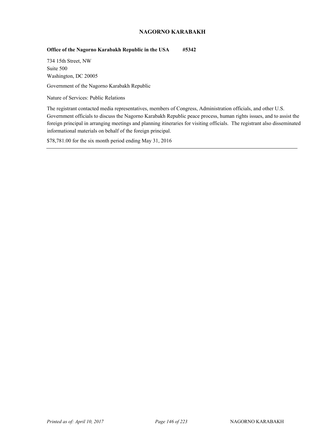# **NAGORNO KARABAKH**

## **Office of the Nagorno Karabakh Republic in the USA #5342**

734 15th Street, NW Suite 500 Washington, DC 20005

<sup>55</sup> Government of the Nagorno Karabakh Republic

Nature of Services: Public Relations

The registrant contacted media representatives, members of Congress, Administration officials, and other U.S. Government officials to discuss the Nagorno Karabakh Republic peace process, human rights issues, and to assist the foreign principal in arranging meetings and planning itineraries for visiting officials. The registrant also disseminated informational materials on behalf of the foreign principal.

\$78,781.00 for the six month period ending May 31, 2016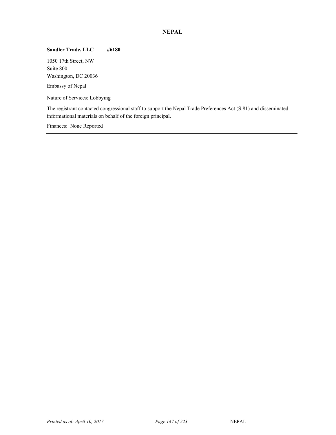# **NEPAL**

## **Sandler Trade, LLC #6180**

1050 17th Street, NW Suite 800 Washington, DC 20036

Embassy of Nepal

Nature of Services: Lobbying

The registrant contacted congressional staff to support the Nepal Trade Preferences Act (S.81) and disseminated informational materials on behalf of the foreign principal.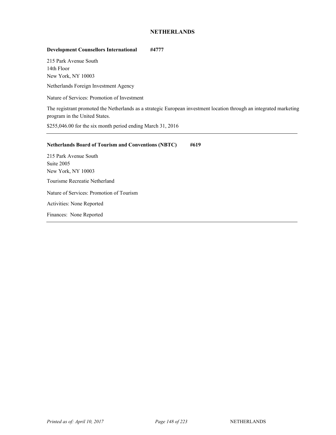# **NETHERLANDS**

# **Development Counsellors International #4777**

215 Park Avenue South 14th Floor New York, NY 10003

Netherlands Foreign Investment Agency

Nature of Services: Promotion of Investment

The registrant promoted the Netherlands as a strategic European investment location through an integrated marketing program in the United States.

\$255,046.00 for the six month period ending March 31, 2016

| <b>Netherlands Board of Tourism and Conventions (NBTC)</b> | #619 |
|------------------------------------------------------------|------|
| 215 Park Avenue South                                      |      |
| <b>Suite 2005</b>                                          |      |
| <b>New York, NY 10003</b>                                  |      |
| Tourisme Recreatie Netherland                              |      |
| Nature of Services: Promotion of Tourism                   |      |
| <b>Activities: None Reported</b>                           |      |
| Finances: None Reported                                    |      |
|                                                            |      |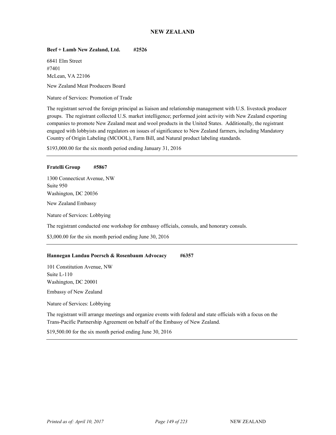# **NEW ZEALAND**

## **Beef + Lamb New Zealand, Ltd. #2526**

6841 Elm Street #7401 McLean, VA 22106

<sup>57</sup> New Zealand Meat Producers Board

Nature of Services: Promotion of Trade

The registrant served the foreign principal as liaison and relationship management with U.S. livestock producer groups. The registrant collected U.S. market intelligence; performed joint activity with New Zealand exporting companies to promote New Zealand meat and wool products in the United States. Additionally, the registrant engaged with lobbyists and regulators on issues of significance to New Zealand farmers, including Mandatory Country of Origin Labeling (MCOOL), Farm Bill, and Natural product labeling standards.

\$193,000.00 for the six month period ending January 31, 2016

#### **Fratelli Group #5867**

1300 Connecticut Avenue, NW Suite 950 Washington, DC 20036 New Zealand Embassy Nature of Services: Lobbying The registrant conducted one workshop for embassy officials, consuls, and honorary consuls. \$3,000.00 for the six month period ending June 30, 2016

## **Hannegan Landau Poersch & Rosenbaum Advocacy #6357**

101 Constitution Avenue, NW Suite L-110 Washington, DC 20001 <sup>57</sup> Embassy of New Zealand

Nature of Services: Lobbying

The registrant will arrange meetings and organize events with federal and state officials with a focus on the Trans-Pacific Partnership Agreement on behalf of the Embassy of New Zealand.

\$19,500.00 for the six month period ending June 30, 2016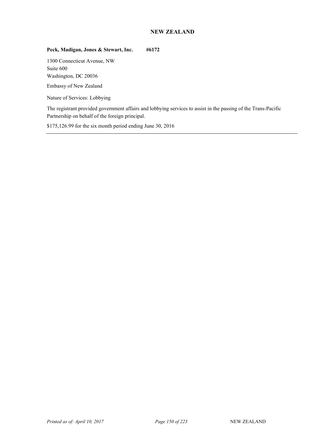# **NEW ZEALAND**

# Peck, Madigan, Jones & Stewart, Inc. #6172

1300 Connecticut Avenue, NW Suite 600 Washington, DC 20036

Embassy of New Zealand

Nature of Services: Lobbying

The registrant provided government affairs and lobbying services to assist in the passing of the Trans-Pacific Partnership on behalf of the foreign principal.

\$175,126.99 for the six month period ending June 30, 2016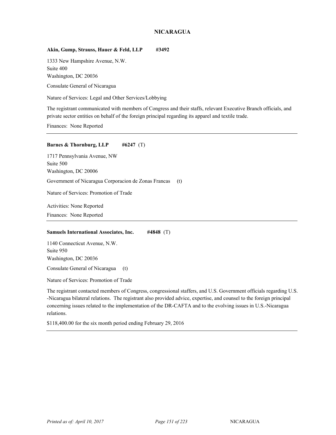# **NICARAGUA**

## **Akin, Gump, Strauss, Hauer & Feld, LLP #3492**

1333 New Hampshire Avenue, N.W. Suite 400 Washington, DC 20036

Consulate General of Nicaragua

Nature of Services: Legal and Other Services/Lobbying

The registrant communicated with members of Congress and their staffs, relevant Executive Branch officials, and private sector entities on behalf of the foreign principal regarding its apparel and textile trade.

Finances: None Reported

#### **Barnes & Thornburg, LLP** #6247 (T)

1717 Pennsylvania Avenue, NW Suite 500 Washington, DC 20006 <sup>58</sup> Government of Nicaragua Corporacion de Zonas Francas (t) Nature of Services: Promotion of Trade Activities: None Reported Finances: None Reported

#### **Samuels International Associates, Inc. #4848** (T)

1140 Connecticut Avenue, N.W. Suite 950 Washington, DC 20036

Consulate General of Nicaragua (t)

Nature of Services: Promotion of Trade

The registrant contacted members of Congress, congressional staffers, and U.S. Government officials regarding U.S. -Nicaragua bilateral relations. The registrant also provided advice, expertise, and counsel to the foreign principal concerning issues related to the implementation of the DR-CAFTA and to the evolving issues in U.S.-Nicaragua relations.

\$118,400.00 for the six month period ending February 29, 2016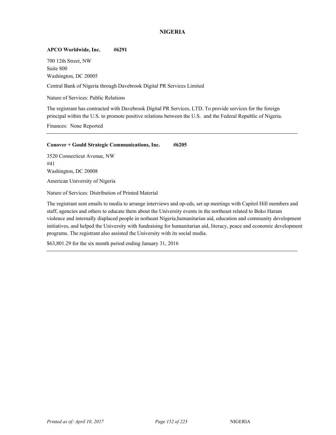# **NIGERIA**

## **APCO Worldwide, Inc. #6291**

700 12th Street, NW Suite 800 Washington, DC 20005

<sup>59</sup> Central Bank of Nigeria through Davebrook Digital PR Services Limited

Nature of Services: Public Relations

The registrant has contracted with Davebrook Digital PR Services, LTD. To provide services for the foreign principal within the U.S. to promote positive relations between the U.S. and the Federal Republic of Nigeria.

Finances: None Reported

#### **Conover + Gould Strategic Communications, Inc. #6205**

3520 Connecticut Avenue, NW #41 Washington, DC 20008

American University of Nigeria

Nature of Services: Distribution of Printed Material

The registrant sent emails to media to arrange interviews and op-eds, set up meetings with Capitol Hill members and staff, agencies and others to educate them about the University events in the northeast related to Boko Haram violence and internally displaced people in notheast Nigeria,humanitarian aid, education and community development initiatives, and helped the University with fundraising for humanitarian aid, literacy, peace and economic development programs. The registrant also assisted the University with its social media.

\$63,801.29 for the six month period ending January 31, 2016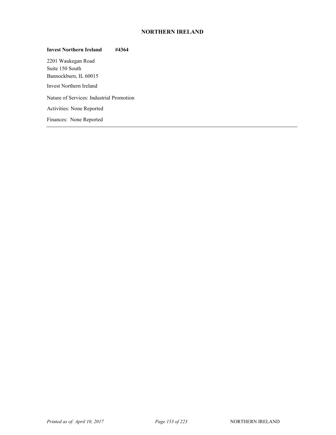# **NORTHERN IRELAND**

# **Invest Northern Ireland #4364**  2201 Waukegan Road Suite 150 South Bannockburn, IL 60015 Invest Northern Ireland Nature of Services: Industrial Promotion Activities: None Reported Finances: None Reported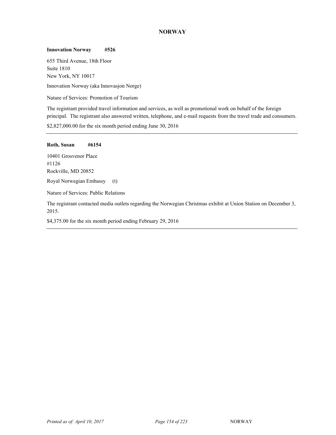# **NORWAY**

#### **Innovation Norway #526**

655 Third Avenue, 18th Floor Suite 1810 New York, NY 10017

Innovation Norway (aka Innovasjon Norge)

Nature of Services: Promotion of Tourism

The registrant provided travel information and services, as well as promotional work on behalf of the foreign principal. The registrant also answered written, telephone, and e-mail requests from the travel trade and consumers.

\$2,827,000.00 for the six month period ending June 30, 2016

## **Roth, Susan #6154**

10401 Grosvenor Place #1126 Rockville, MD 20852

Royal Norwegian Embassy (t)

Nature of Services: Public Relations

The registrant contacted media outlets regarding the Norwegian Christmas exhibit at Union Station on December 3, 2015.

\$4,375.00 for the six month period ending February 29, 2016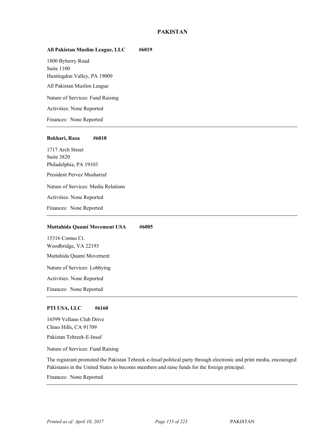# **PAKISTAN**

## **All Pakistan Muslim League, LLC #6019**

1800 Byberry Road Suite 1100 Huntingdon Valley, PA 19009 All Pakistan Muslim League Nature of Services: Fund Raising Activities: None Reported Finances: None Reported

#### **Bokhari, Raza #6018**

1717 Arch Street Suite 3820 Philadelphia, PA 19103 President Pervez Musharraf Nature of Services: Media Relations Activities: None Reported Finances: None Reported

#### **Muttahida Quami Movement USA #6005**

15316 Comus Ct. Woodbridge, VA 22193 Muttahida Quami Movement <sup>62</sup> Nature of Services: Lobbying Activities: None Reported Finances: None Reported

#### **PTI USA, LLC #6160**

16599 Vellano Club Drive Chino Hills, CA 91709 Pakistan Tehreek-E-Insaf

Nature of Services: Fund Raising

The registrant promoted the Pakistan Tehreek-e-Insaf political party through electronic and print media, encouraged Pakistanis in the United States to become members and raise funds for the foreign principal.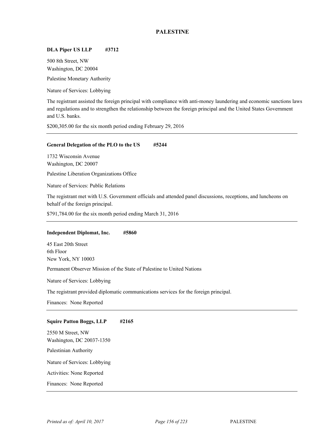# **PALESTINE**

## **DLA Piper US LLP #3712**

500 8th Street, NW Washington, DC 20004

Palestine Monetary Authority

Nature of Services: Lobbying

The registrant assisted the foreign principal with compliance with anti-money laundering and economic sanctions laws and regulations and to strengthen the relationship between the foreign principal and the United States Government and U.S. banks.

\$200,305.00 for the six month period ending February 29, 2016

#### **General Delegation of the PLO to the US #5244**

1732 Wisconsin Avenue Washington, DC 20007

Palestine Liberation Organizations Office

Nature of Services: Public Relations

The registrant met with U.S. Government officials and attended panel discussions, receptions, and luncheons on behalf of the foreign principal.

\$791,784.00 for the six month period ending March 31, 2016

## **Independent Diplomat, Inc. #5860**

45 East 20th Street 6th Floor New York, NY 10003

Permanent Observer Mission of the State of Palestine to United Nations

Nature of Services: Lobbying

The registrant provided diplomatic communications services for the foreign principal.

Finances: None Reported

#### **Squire Patton Boggs, LLP #2165**

2550 M Street, NW Washington, DC 20037-1350 Palestinian Authority Nature of Services: Lobbying Activities: None Reported Finances: None Reported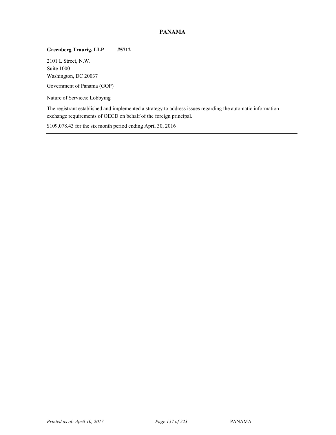# **PANAMA**

# **Greenberg Traurig, LLP #5712**

2101 L Street, N.W. Suite 1000 Washington, DC 20037

Government of Panama (GOP)

Nature of Services: Lobbying

The registrant established and implemented a strategy to address issues regarding the automatic information exchange requirements of OECD on behalf of the foreign principal.

\$109,078.43 for the six month period ending April 30, 2016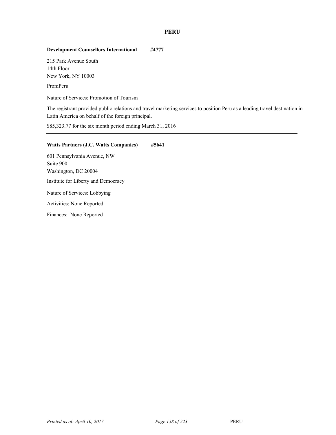# **PERU**

# **Development Counsellors International #4777**

215 Park Avenue South 14th Floor New York, NY 10003

PromPeru

Nature of Services: Promotion of Tourism

The registrant provided public relations and travel marketing services to position Peru as a leading travel destination in Latin America on behalf of the foreign principal.

\$85,323.77 for the six month period ending March 31, 2016

| <b>Watts Partners (J.C. Watts Companies)</b> | #5641 |
|----------------------------------------------|-------|
| 601 Pennsylvania Avenue, NW                  |       |
| Suite 900                                    |       |
| Washington, DC 20004                         |       |
| Institute for Liberty and Democracy          |       |
| Nature of Services: Lobbying                 |       |
| Activities: None Reported                    |       |
| Finances: None Reported                      |       |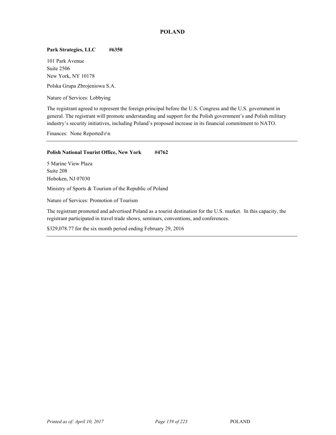# **POLAND**

## **Park Strategies, LLC #6350**

101 Park Avenue Suite 2506 New York, NY 10178

Polska Grupa Zbrojeniowa S.A.

Nature of Services: Lobbying

The registrant agreed to represent the foreign principal before the U.S. Congress and the U.S. government in general. The registrant will promote understanding and support for the Polish government's and Polish military industry's security initiatives, including Poland's proposed increase in its financial commitment to NATO.

Finances: None Reported\r\n

# **Polish National Tourist Office, New York #4762**

5 Marine View Plaza Suite 208 Hoboken, NJ 07030

Ministry of Sports & Tourism of the Republic of Poland

Nature of Services: Promotion of Tourism

The registrant promoted and advertised Poland as a tourist destination for the U.S. market. In this capacity, the registrant participated in travel trade shows, seminars, conventions, and conferences.

\$329,078.77 for the six month period ending February 29, 2016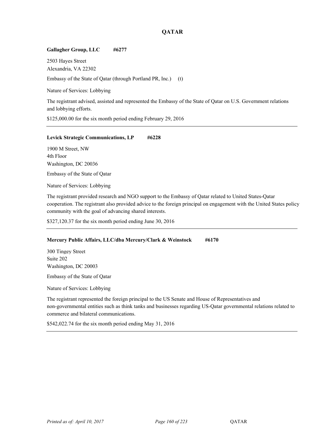# **QATAR**

## **Gallagher Group, LLC #6277**

2503 Hayes Street Alexandria, VA 22302

Embassy of the State of Qatar (through Portland PR, Inc.) (t)

Nature of Services: Lobbying

The registrant advised, assisted and represented the Embassy of the State of Qatar on U.S. Government relations and lobbying efforts.

\$125,000.00 for the six month period ending February 29, 2016

## Levick Strategic Communications, LP #6228

1900 M Street, NW 4th Floor Washington, DC 20036

Embassy of the State of Qatar

Nature of Services: Lobbying

The registrant provided research and NGO support to the Embassy of Qatar related to United States-Qatar cooperation. The registrant also provided advice to the foreign principal on engagement with the United States policy community with the goal of advancing shared interests.

\$327,120.37 for the six month period ending June 30, 2016

## **Mercury Public Affairs, LLC/dba Mercury/Clark & Weinstock #6170**

300 Tingey Street Suite 202 Washington, DC 20003

Embassy of the State of Qatar

Nature of Services: Lobbying

The registrant represented the foreign principal to the US Senate and House of Representatives and non-governmental entities such as think tanks and businesses regarding US-Qatar governmental relations related to commerce and bilateral communications.

\$542,022.74 for the six month period ending May 31, 2016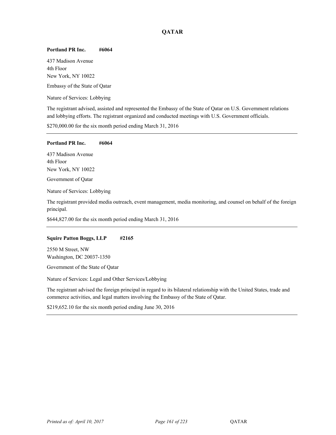# **QATAR**

## **Portland PR Inc. #6064**

437 Madison Avenue 4th Floor New York, NY 10022

Embassy of the State of Qatar

Nature of Services: Lobbying

The registrant advised, assisted and represented the Embassy of the State of Qatar on U.S. Government relations and lobbying efforts. The registrant organized and conducted meetings with U.S. Government officials.

\$270,000.00 for the six month period ending March 31, 2016

#### **Portland PR Inc. #6064**

437 Madison Avenue 4th Floor New York, NY 10022

Government of Qatar

Nature of Services: Lobbying

The registrant provided media outreach, event management, media monitoring, and counsel on behalf of the foreign principal.

\$644,827.00 for the six month period ending March 31, 2016

#### **Squire Patton Boggs, LLP #2165**

2550 M Street, NW Washington, DC 20037-1350

Government of the State of Qatar

Nature of Services: Legal and Other Services/Lobbying

The registrant advised the foreign principal in regard to its bilateral relationship with the United States, trade and commerce activities, and legal matters involving the Embassy of the State of Qatar.

\$219,652.10 for the six month period ending June 30, 2016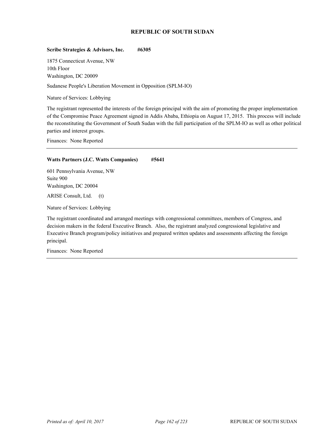## **REPUBLIC OF SOUTH SUDAN**

## **Scribe Strategies & Advisors, Inc. #6305**

1875 Connecticut Avenue, NW 10th Floor Washington, DC 20009

Sudanese People's Liberation Movement in Opposition (SPLM-IO)

Nature of Services: Lobbying

The registrant represented the interests of the foreign principal with the aim of promoting the proper implementation of the Compromise Peace Agreement signed in Addis Ababa, Ethiopia on August 17, 2015. This process will include the reconstituting the Government of South Sudan with the full participation of the SPLM-IO as well as other political parties and interest groups.

Finances: None Reported

## **Watts Partners (J.C. Watts Companies) #5641**

601 Pennsylvania Avenue, NW Suite 900 Washington, DC 20004

<sup>67</sup> ARISE Consult, Ltd. (t)

Nature of Services: Lobbying

The registrant coordinated and arranged meetings with congressional committees, members of Congress, and decision makers in the federal Executive Branch. Also, the registrant analyzed congressional legislative and Executive Branch program/policy initiatives and prepared written updates and assessments affecting the foreign principal.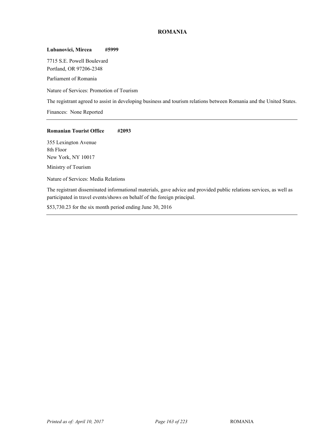# **ROMANIA**

#### **Lubanovici, Mircea #5999**

7715 S.E. Powell Boulevard Portland, OR 97206-2348

Parliament of Romania

Nature of Services: Promotion of Tourism

The registrant agreed to assist in developing business and tourism relations between Romania and the United States.

Finances: None Reported

## **Romanian Tourist Office #2093**

355 Lexington Avenue 8th Floor New York, NY 10017

Ministry of Tourism <sup>68</sup>

Nature of Services: Media Relations

The registrant disseminated informational materials, gave advice and provided public relations services, as well as participated in travel events/shows on behalf of the foreign principal.

\$53,730.23 for the six month period ending June 30, 2016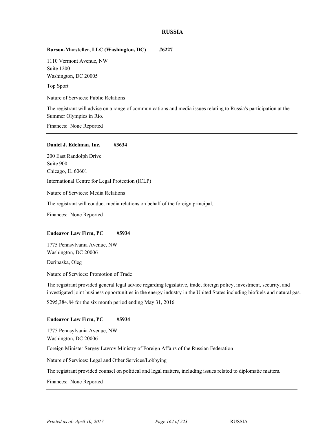#### **RUSSIA**

## **Burson-Marsteller, LLC (Washington, DC) #6227**

1110 Vermont Avenue, NW Suite 1200 Washington, DC 20005

Top Sport

Nature of Services: Public Relations

The registrant will advise on a range of communications and media issues relating to Russia's participation at the Summer Olympics in Rio.

Finances: None Reported

#### **Daniel J. Edelman, Inc. #3634**

200 East Randolph Drive Suite 900 Chicago, IL 60601 International Centre for Legal Protection (ICLP) Nature of Services: Media Relations The registrant will conduct media relations on behalf of the foreign principal.

Finances: None Reported

#### **Endeavor Law Firm, PC #5934**

1775 Pennsylvania Avenue, NW Washington, DC 20006

Deripaska, Oleg

Nature of Services: Promotion of Trade

The registrant provided general legal advice regarding legislative, trade, foreign policy, investment, security, and investigated joint business opportunities in the energy industry in the United States including biofuels and natural gas.

\$295,384.84 for the six month period ending May 31, 2016

#### **Endeavor Law Firm, PC #5934**

1775 Pennsylvania Avenue, NW Washington, DC 20006 Foreign Minister Sergey Lavrov Ministry of Foreign Affairs of the Russian Federation Nature of Services: Legal and Other Services/Lobbying

The registrant provided counsel on political and legal matters, including issues related to diplomatic matters.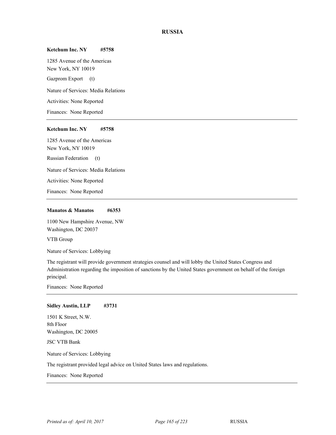## **RUSSIA**

#### **Ketchum Inc. NY #5758**

1285 Avenue of the Americas New York, NY 10019

Gazprom Export (t)

Nature of Services: Media Relations

Activities: None Reported

Finances: None Reported

#### **Ketchum Inc. NY #5758**

1285 Avenue of the Americas New York, NY 10019 Russian Federation (t) Nature of Services: Media Relations Activities: None Reported

Finances: None Reported

## **Manatos & Manatos #6353**

1100 New Hampshire Avenue, NW Washington, DC 20037

VTB Group

Nature of Services: Lobbying

The registrant will provide government strategies counsel and will lobby the United States Congress and Administration regarding the imposition of sanctions by the United States government on behalf of the foreign principal.

Finances: None Reported

## **Sidley Austin, LLP #3731**

1501 K Street, N.W. 8th Floor Washington, DC 20005 JSC VTB Bank

Nature of Services: Lobbying

The registrant provided legal advice on United States laws and regulations.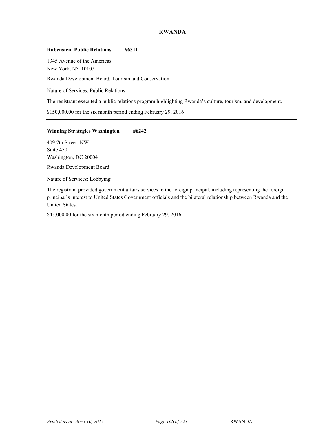# **RWANDA**

#### **Rubenstein Public Relations #6311**

1345 Avenue of the Americas New York, NY 10105

Rwanda Development Board, Tourism and Conservation

Nature of Services: Public Relations

The registrant executed a public relations program highlighting Rwanda's culture, tourism, and development.

\$150,000.00 for the six month period ending February 29, 2016

## **Winning Strategies Washington #6242**

409 7th Street, NW Suite 450 Washington, DC 20004

Rwanda Development Board

Nature of Services: Lobbying

The registrant provided government affairs services to the foreign principal, including representing the foreign principal's interest to United States Government officials and the bilateral relationship between Rwanda and the United States.

\$45,000.00 for the six month period ending February 29, 2016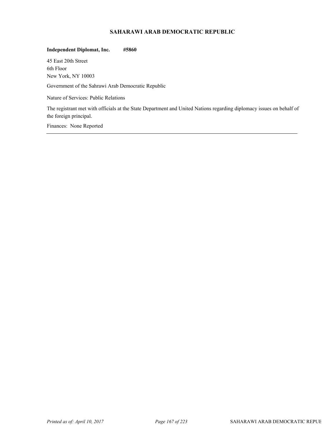# **SAHARAWI ARAB DEMOCRATIC REPUBLIC**

## **Independent Diplomat, Inc. #5860**

45 East 20th Street 6th Floor New York, NY 10003

Government of the Sahrawi Arab Democratic Republic

Nature of Services: Public Relations

The registrant met with officials at the State Department and United Nations regarding diplomacy issues on behalf of the foreign principal.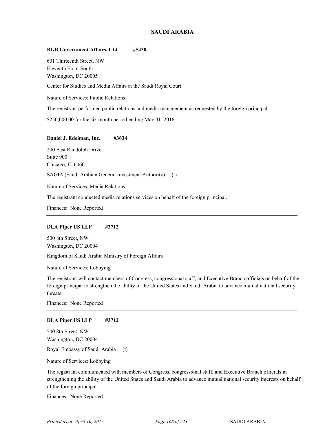## **SAUDI ARABIA**

## **BGR Government Affairs, LLC #5430**

601 Thirteenth Street, NW Eleventh Floor South Washington, DC 20005

Center for Studies and Media Affairs at the Saudi Royal Court

Nature of Services: Public Relations

The registrant performed public relations and media management as requested by the foreign principal.

\$250,000.00 for the six month period ending May 31, 2016

#### **Daniel J. Edelman, Inc. #3634**

200 East Randolph Drive Suite 900 Chicago, IL 60601 SAGIA (Saudi Arabian General Investment Authority) (t)

Nature of Services: Media Relations

The registrant conducted media relations services on behalf of the foreign principal.

Finances: None Reported

## **DLA Piper US LLP #3712**

500 8th Street, NW Washington, DC 20004

Kingdom of Saudi Arabia Ministry of Foreign Affairs

Nature of Services: Lobbying

The registrant will contact members of Congress, congressional staff, and Executive Branch officials on behalf of the foreign principal to strengthen the ability of the United States and Saudi Arabia to advance mutual national security threats.

Finances: None Reported

#### **DLA Piper US LLP #3712**

500 8th Street, NW Washington, DC 20004

Royal Embassy of Saudi Arabia (t)

Nature of Services: Lobbying

The registrant communicated with members of Congress, congressional staff, and Executive Branch officials in strengthening the ability of the United States and Saudi Arabia to advance mutual national security interests on behalf of the foreign principal.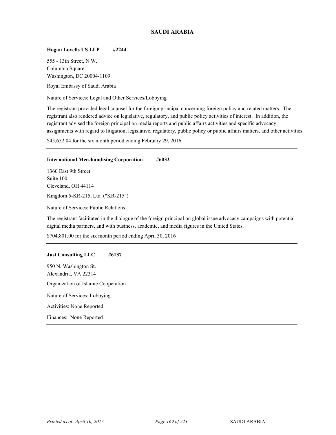# **SAUDI ARABIA**

## **Hogan Lovells US LLP #2244**

555 - 13th Street, N.W. Columbia Square Washington, DC 20004-1109

Royal Embassy of Saudi Arabia

Nature of Services: Legal and Other Services/Lobbying

The registrant provided legal counsel for the foreign principal concerning foreign policy and related matters. The registrant also rendered advice on legislative, regulatory, and public policy activities of interest. In addition, the registrant advised the foreign principal on media reports and public affairs activities and specific advocacy assignments with regard to litigation, legislative, regulatory, public policy or public affairs matters, and other activities.

\$45,652.04 for the six month period ending February 29, 2016

#### **International Merchandising Corporation #6032**

1360 East 9th Street Suite 100 Cleveland, OH 44114 Kingdom 5-KR-215, Ltd. ("KR-215")

Nature of Services: Public Relations

The registrant facilitated in the dialogue of the foreign principal on global issue advocacy campaigns with potential digital media partners, and with business, academic, and media figures in the United States.

\$704,801.00 for the six month period ending April 30, 2016

#### **Just Consulting LLC #6137**

950 N. Washington St. Alexandria, VA 22314 Organization of Islamic Cooperation Nature of Services: Lobbying Activities: None Reported Finances: None Reported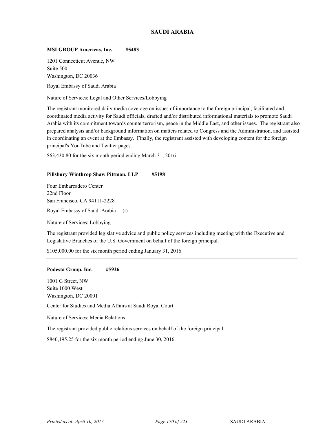## **SAUDI ARABIA**

#### **MSLGROUP Americas, Inc. #5483**

1201 Connecticut Avenue, NW Suite 500 Washington, DC 20036

Royal Embassy of Saudi Arabia

Nature of Services: Legal and Other Services/Lobbying

The registrant monitored daily media coverage on issues of importance to the foreign principal, facilitated and coordinated media activity for Saudi officials, drafted and/or distributed informational materials to promote Saudi Arabia with its commitment towards counterterrorism, peace in the Middle East, and other issues. The registrant also prepared analysis and/or background information on matters related to Congress and the Administration, and assisted in coordinating an event at the Embassy. Finally, the registrant assisted with developing content for the foreign principal's YouTube and Twitter pages.

\$63,430.80 for the six month period ending March 31, 2016

#### **Pillsbury Winthrop Shaw Pittman, LLP #5198**

Four Embarcadero Center 22nd Floor San Francisco, CA 94111-2228 Royal Embassy of Saudi Arabia (t)

Nature of Services: Lobbying

The registrant provided legislative advice and public policy services including meeting with the Executive and Legislative Branches of the U.S. Government on behalf of the foreign principal.

\$105,000.00 for the six month period ending January 31, 2016

#### **Podesta Group, Inc. #5926**

1001 G Street, NW Suite 1000 West Washington, DC 20001

<sup>71</sup> Center for Studies and Media Affairs at Saudi Royal Court

Nature of Services: Media Relations

The registrant provided public relations services on behalf of the foreign principal.

\$840,195.25 for the six month period ending June 30, 2016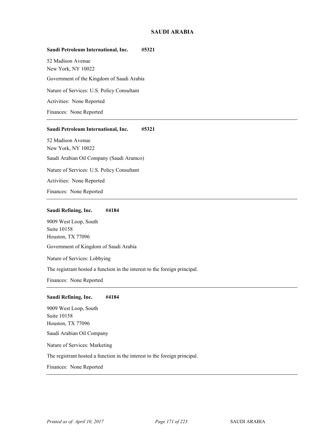## **SAUDI ARABIA**

#### **Saudi Petroleum International, Inc. #5321**

52 Madison Avenue New York, NY 10022

Government of the Kingdom of Saudi Arabia

Nature of Services: U.S. Policy Consultant

Activities: None Reported

Finances: None Reported

#### **Saudi Petroleum International, Inc. #5321**

52 Madison Avenue New York, NY 10022 Saudi Arabian Oil Company (Saudi Aramco) Nature of Services: U.S. Policy Consultant

Activities: None Reported

Finances: None Reported

#### **Saudi Refining, Inc. #4184**

9009 West Loop, South Suite 10158 Houston, TX 77096

Government of Kingdom of Saudi Arabia

Nature of Services: Lobbying

The registrant hosted a function in the interest to the foreign principal.

Finances: None Reported

#### **Saudi Refining, Inc. #4184**

9009 West Loop, South Suite 10158 Houston, TX 77096 Saudi Arabian Oil Company

Nature of Services: Marketing

The registrant hosted a function in the interest to the foreign principal.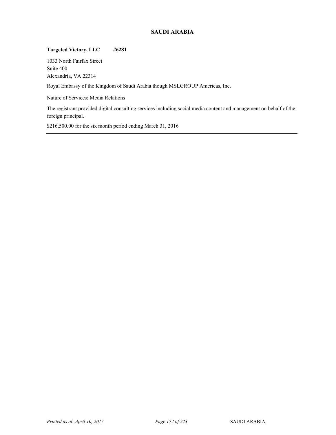# **SAUDI ARABIA**

# **Targeted Victory, LLC #6281**

1033 North Fairfax Street Suite 400 Alexandria, VA 22314

Royal Embassy of the Kingdom of Saudi Arabia though MSLGROUP Americas, Inc.

Nature of Services: Media Relations

The registrant provided digital consulting services including social media content and management on behalf of the foreign principal.

\$216,500.00 for the six month period ending March 31, 2016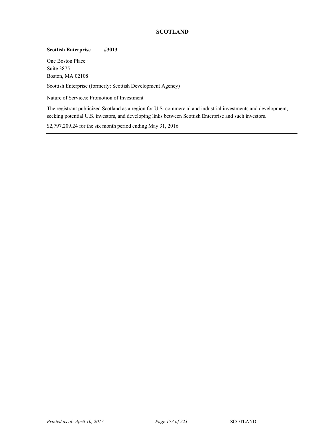# **SCOTLAND**

# **Scottish Enterprise #3013**

One Boston Place Suite 3875 Boston, MA 02108

Scottish Enterprise (formerly: Scottish Development Agency)

Nature of Services: Promotion of Investment

The registrant publicized Scotland as a region for U.S. commercial and industrial investments and development, seeking potential U.S. investors, and developing links between Scottish Enterprise and such investors.

\$2,797,209.24 for the six month period ending May 31, 2016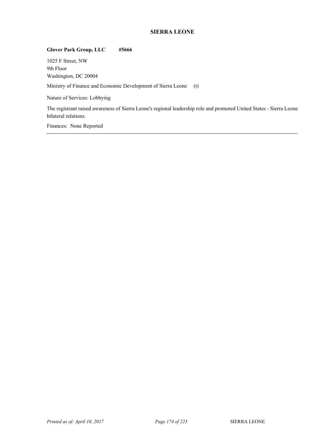# **SIERRA LEONE**

# **Glover Park Group, LLC #5666**

1025 F Street, NW 9th Floor Washington, DC 20004

Ministry of Finance and Economic Development of Sierra Leone (t)

Nature of Services: Lobbying

The registrant raised awareness of Sierra Leone's regional leadership role and promoted United States - Sierra Leone bilateral relations.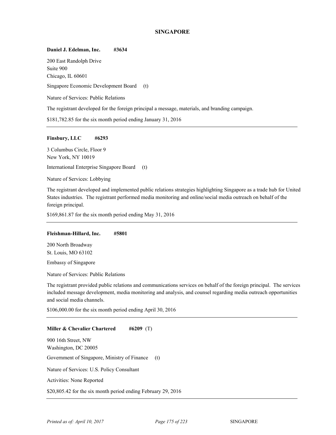#### **SINGAPORE**

#### **Daniel J. Edelman, Inc. #3634**

200 East Randolph Drive Suite 900 Chicago, IL 60601 Singapore Economic Development Board (t) Nature of Services: Public Relations

The registrant developed for the foreign principal a message, materials, and branding campaign.

\$181,782.85 for the six month period ending January 31, 2016

#### **Finsbury, LLC #6293**

3 Columbus Circle, Floor 9 New York, NY 10019

International Enterprise Singapore Board (t)

Nature of Services: Lobbying

The registrant developed and implemented public relations strategies highlighting Singapore as a trade hub for United States industries. The registrant performed media monitoring and online/social media outreach on behalf of the foreign principal.

\$169,861.87 for the six month period ending May 31, 2016

#### **Fleishman-Hillard, Inc. #5801**

200 North Broadway St. Louis, MO 63102

Embassy of Singapore

Nature of Services: Public Relations

The registrant provided public relations and communications services on behalf of the foreign principal. The services included message development, media monitoring and analysis, and counsel regarding media outreach opportunities and social media channels.

\$106,000.00 for the six month period ending April 30, 2016

#### **Miller & Chevalier Chartered #6209** (T)

900 16th Street, NW Washington, DC 20005 Government of Singapore, Ministry of Finance (t) Nature of Services: U.S. Policy Consultant Activities: None Reported \$20,805.42 for the six month period ending February 29, 2016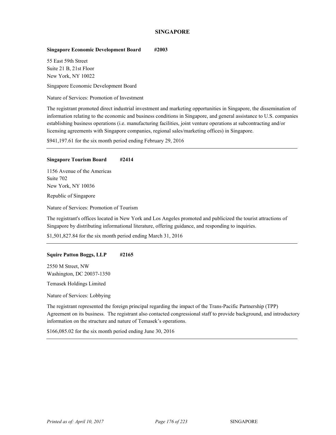## **SINGAPORE**

#### **Singapore Economic Development Board #2003**

55 East 59th Street Suite 21 B, 21st Floor New York, NY 10022

Singapore Economic Development Board

Nature of Services: Promotion of Investment

The registrant promoted direct industrial investment and marketing opportunities in Singapore, the dissemination of information relating to the economic and business conditions in Singapore, and general assistance to U.S. companies establishing business operations (i.e. manufacturing facilities, joint venture operations at subcontracting and/or licensing agreements with Singapore companies, regional sales/marketing offices) in Singapore.

\$941,197.61 for the six month period ending February 29, 2016

#### **Singapore Tourism Board #2414**

1156 Avenue of the Americas Suite 702 New York, NY 10036 Republic of Singapore

Nature of Services: Promotion of Tourism

The registrant's offices located in New York and Los Angeles promoted and publicized the tourist attractions of Singapore by distributing informational literature, offering guidance, and responding to inquiries.

\$1,501,827.84 for the six month period ending March 31, 2016

#### **Squire Patton Boggs, LLP #2165**

2550 M Street, NW Washington, DC 20037-1350

<sup>73</sup> Temasek Holdings Limited

Nature of Services: Lobbying

The registrant represented the foreign principal regarding the impact of the Trans-Pacific Partnership (TPP) Agreement on its business. The registrant also contacted congressional staff to provide background, and introductory information on the structure and nature of Temasek's operations.

\$166,085.02 for the six month period ending June 30, 2016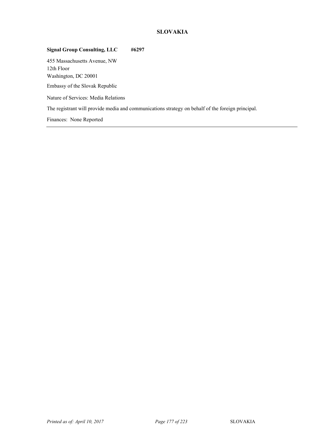# **SLOVAKIA**

# **Signal Group Consulting, LLC #6297**

455 Massachusetts Avenue, NW 12th Floor Washington, DC 20001

Embassy of the Slovak Republic

Nature of Services: Media Relations

The registrant will provide media and communications strategy on behalf of the foreign principal.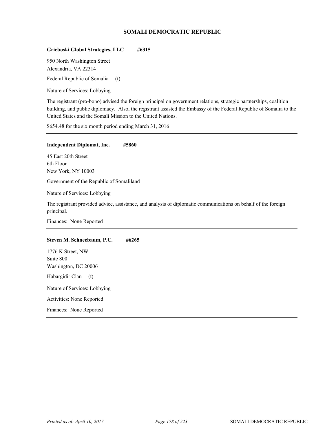## **SOMALI DEMOCRATIC REPUBLIC**

## **Grieboski Global Strategies, LLC #6315**

950 North Washington Street Alexandria, VA 22314 Federal Republic of Somalia (t)

Nature of Services: Lobbying

The registrant (pro-bono) advised the foreign principal on government relations, strategic partnerships, coalition building, and public diplomacy. Also, the registrant assisted the Embassy of the Federal Republic of Somalia to the United States and the Somali Mission to the United Nations.

\$654.48 for the six month period ending March 31, 2016

#### **Independent Diplomat, Inc. #5860**

45 East 20th Street 6th Floor New York, NY 10003

Government of the Republic of Somaliland

Nature of Services: Lobbying

The registrant provided advice, assistance, and analysis of diplomatic communications on behalf of the foreign principal.

Finances: None Reported

#### **Steven M. Schneebaum, P.C. #6265**

1776 K Street, NW Suite 800 Washington, DC 20006 Habargidir Clan (t) Nature of Services: Lobbying Activities: None Reported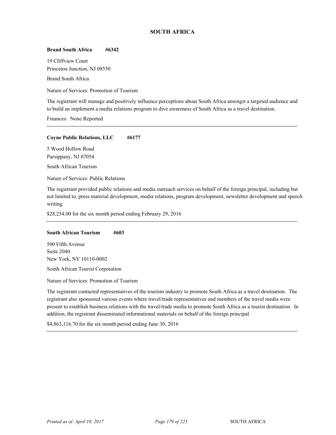# **SOUTH AFRICA**

#### **Brand South Africa #6342**

19 Cliffview Court Princeton Junction, NJ 08550

**Brand South Africa** 

Nature of Services: Promotion of Tourism

The registrant will manage and positively influence perceptions about South Africa amongst a targeted audience and to build an implement a media relations program to dive awareness of South Africa as a travel destination.

Finances: None Reported

#### **Coyne Public Relations, LLC #6177**

5 Wood Hollow Road Parsippany, NJ 07054

South African Tourism

Nature of Services: Public Relations

The registrant provided public relations and media outreach services on behalf of the foreign principal, including but not limited to, press material development, media relations, program development, newsletter development and speech writing.

\$28,254.00 for the six month period ending February 29, 2016

#### **South African Tourism #603**

500 Fifth Avenue Suite 2040 New York, NY 10110-0002

South African Tourist Corporation

Nature of Services: Promotion of Tourism

The registrant contacted representatives of the tourism industry to promote South Africa as a travel destination. The registrant also sponsored various events where travel/trade representatives and members of the travel media were present to establish business relations with the travel/trade media to promote South Africa as a tourist destination. In addition, the registrant disseminated informational materials on behalf of the foreign principal.

\$4,863,116.70 for the six month period ending June 30, 2016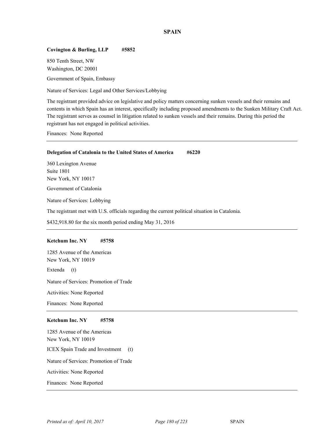## **SPAIN**

## **Covington & Burling, LLP #5852**

850 Tenth Street, NW Washington, DC 20001

Government of Spain, Embassy

Nature of Services: Legal and Other Services/Lobbying

The registrant provided advice on legislative and policy matters concerning sunken vessels and their remains and contents in which Spain has an interest, specifically including proposed amendments to the Sunken Military Craft Act. The registrant serves as counsel in litigation related to sunken vessels and their remains. During this period the registrant has not engaged in political activities.

Finances: None Reported

#### **Delegation of Catalonia to the United States of America #6220**

360 Lexington Avenue Suite 1801 New York, NY 10017

Government of Catalonia

Nature of Services: Lobbying

The registrant met with U.S. officials regarding the current political situation in Catalonia.

\$432,918.80 for the six month period ending May 31, 2016

#### **Ketchum Inc. NY #5758**

1285 Avenue of the Americas New York, NY 10019

Extenda (t)

Nature of Services: Promotion of Trade

Activities: None Reported

Finances: None Reported

#### **Ketchum Inc. NY #5758**

1285 Avenue of the Americas New York, NY 10019 ICEX Spain Trade and Investment (t) Nature of Services: Promotion of Trade Activities: None Reported Finances: None Reported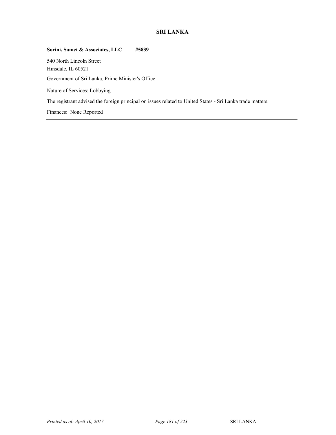# **SRI LANKA**

# **Sorini, Samet & Associates, LLC #5839**

540 North Lincoln Street Hinsdale, IL 60521 <sup>76</sup> Government of Sri Lanka, Prime Minister's Office

Nature of Services: Lobbying

The registrant advised the foreign principal on issues related to United States - Sri Lanka trade matters.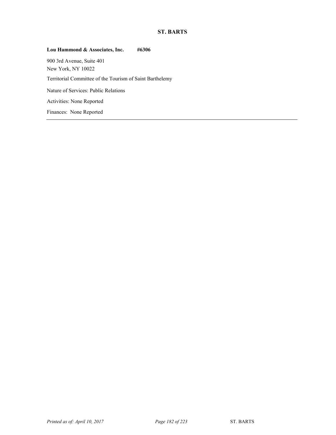# **ST. BARTS**

# **Lou Hammond & Associates, Inc. #6306**

900 3rd Avenue, Suite 401 New York, NY 10022 <sup>77</sup> Territorial Committee of the Tourism of Saint Barthelemy Nature of Services: Public Relations Activities: None Reported Finances: None Reported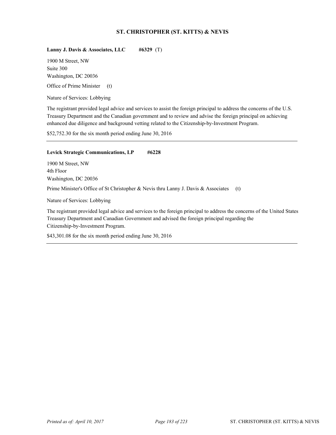## **ST. CHRISTOPHER (ST. KITTS) & NEVIS**

## **Lanny J. Davis & Associates, LLC #6329** (T)

1900 M Street, NW Suite 300 Washington, DC 20036 Office of Prime Minister (t)

Nature of Services: Lobbying

The registrant provided legal advice and services to assist the foreign principal to address the concerns of the U.S. Treasury Department and the Canadian government and to review and advise the foreign principal on achieving enhanced due diligence and background vetting related to the Citizenship-by-Investment Program.

\$52,752.30 for the six month period ending June 30, 2016

#### Levick Strategic Communications, LP #6228

1900 M Street, NW 4th Floor Washington, DC 20036

Prime Minister's Office of St Christopher & Nevis thru Lanny J. Davis & Associates (t)

Nature of Services: Lobbying

The registrant provided legal advice and services to the foreign principal to address the concerns of the United States Treasury Department and Canadian Government and advised the foreign principal regarding the Citizenship-by-Investment Program.

\$43,301.08 for the six month period ending June 30, 2016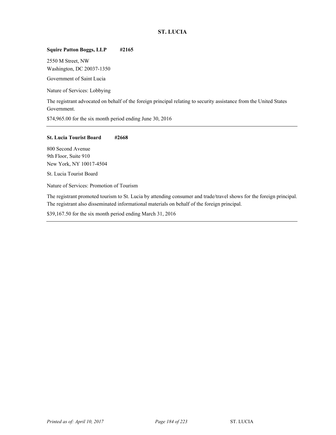# **ST. LUCIA**

# **Squire Patton Boggs, LLP #2165**

2550 M Street, NW Washington, DC 20037-1350

Government of Saint Lucia

Nature of Services: Lobbying

The registrant advocated on behalf of the foreign principal relating to security assistance from the United States Government.

\$74,965.00 for the six month period ending June 30, 2016

## **St. Lucia Tourist Board #2668**

800 Second Avenue 9th Floor, Suite 910 New York, NY 10017-4504

St. Lucia Tourist Board

Nature of Services: Promotion of Tourism

The registrant promoted tourism to St. Lucia by attending consumer and trade/travel shows for the foreign principal. The registrant also disseminated informational materials on behalf of the foreign principal.

\$39,167.50 for the six month period ending March 31, 2016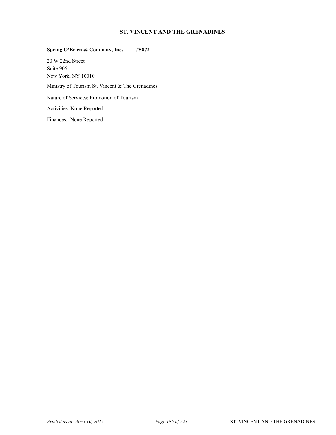# **ST. VINCENT AND THE GRENADINES**

# **Spring O'Brien & Company, Inc. #5872**  20 W 22nd Street Suite 906 New York, NY 10010 Ministry of Tourism St. Vincent & The Grenadines Nature of Services: Promotion of Tourism Activities: None Reported Finances: None Reported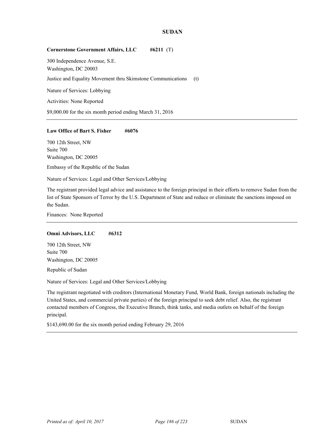## **SUDAN**

#### **Cornerstone Government Affairs, LLC #6211** (T)

300 Independence Avenue, S.E. Washington, DC 20003 Justice and Equality Movement thru Skimstone Communications (t) Nature of Services: Lobbying Activities: None Reported \$9,000.00 for the six month period ending March 31, 2016

#### Law Office of Bart S. Fisher #6076

700 12th Street, NW Suite 700 Washington, DC 20005

Embassy of the Republic of the Sudan

Nature of Services: Legal and Other Services/Lobbying

The registrant provided legal advice and assistance to the foreign principal in their efforts to remove Sudan from the list of State Sponsors of Terror by the U.S. Department of State and reduce or eliminate the sanctions imposed on the Sudan.

Finances: None Reported

#### **Omni Advisors, LLC #6312**

700 12th Street, NW Suite 700 Washington, DC 20005

Republic of Sudan

Nature of Services: Legal and Other Services/Lobbying

The registrant negotiated with creditors (International Monetary Fund, World Bank, foreign nationals including the United States, and commercial private parties) of the foreign principal to seek debt relief. Also, the registrant contacted members of Congress, the Executive Branch, think tanks, and media outlets on behalf of the foreign principal.

\$143,690.00 for the six month period ending February 29, 2016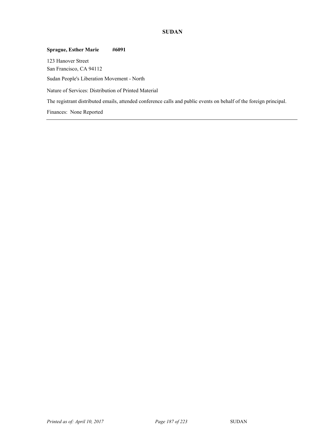# **SUDAN**

# **Sprague, Esther Marie #6091**  123 Hanover Street San Francisco, CA 94112 Sudan People's Liberation Movement - North Nature of Services: Distribution of Printed Material The registrant distributed emails, attended conference calls and public events on behalf of the foreign principal. Finances: None Reported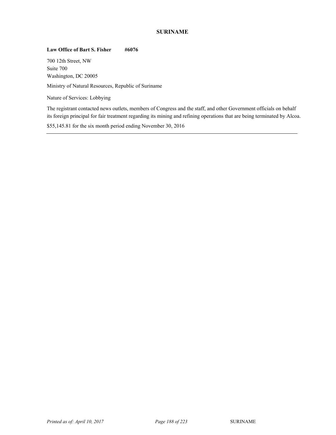# **SURINAME**

## Law Office of Bart S. Fisher #6076

700 12th Street, NW Suite 700 Washington, DC 20005

Ministry of Natural Resources, Republic of Suriname

Nature of Services: Lobbying

The registrant contacted news outlets, members of Congress and the staff, and other Government officials on behalf its foreign principal for fair treatment regarding its mining and refining operations that are being terminated by Alcoa.

\$55,145.81 for the six month period ending November 30, 2016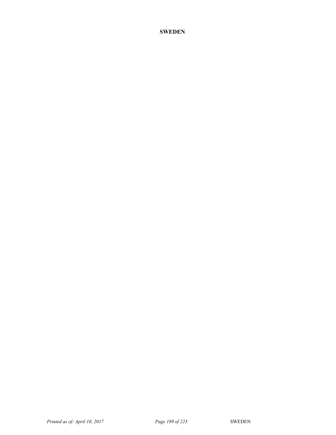# **SWEDEN**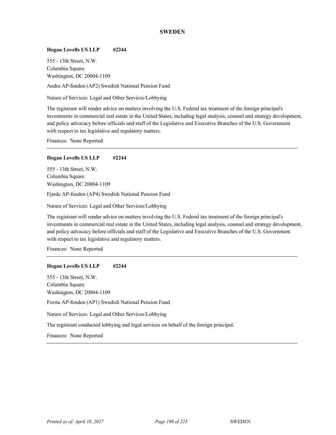## **SWEDEN**

#### **Hogan Lovells US LLP #2244**

555 - 13th Street, N.W. Columbia Square Washington, DC 20004-1109

Andra AP-fonden (AP2) Swedish National Pension Fund

Nature of Services: Legal and Other Services/Lobbying

The registrant will render advice on matters involving the U.S. Federal tax treatment of the foreign principal's investments in commercial real estate in the United States, including legal analysis, counsel and strategy development, and policy advocacy before officials and staff of the Legislative and Executive Branches of the U.S. Government with respect to tax legislative and regulatory matters.

Finances: None Reported

#### **Hogan Lovells US LLP #2244**

555 - 13th Street, N.W. Columbia Square Washington, DC 20004-1109

Fjarde AP-fonden (AP4) Swedish National Pension Fund

Nature of Services: Legal and Other Services/Lobbying

The registrant will render advice on matters involving the U.S. Federal tax treatment of the foreign principal's investments in commercial real estate in the United States, including legal analysis, counsel and strategy development, and policy advocacy before officials and staff of the Legislative and Executive Branches of the U.S. Government with respect to tax legislative and regulatory matters.

Finances: None Reported

## **Hogan Lovells US LLP #2244**

555 - 13th Street, N.W. Columbia Square Washington, DC 20004-1109

Forsta AP-fonden (AP1) Swedish National Pension Fund

Nature of Services: Legal and Other Services/Lobbying

The registrant conducted lobbying and legal services on behalf of the foreign principal.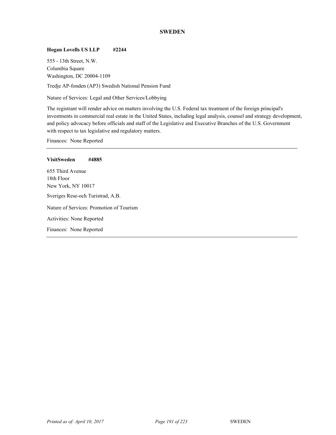## **SWEDEN**

# **Hogan Lovells US LLP #2244**

555 - 13th Street, N.W. Columbia Square Washington, DC 20004-1109

Tredje AP-fonden (AP3) Swedish National Pension Fund

Nature of Services: Legal and Other Services/Lobbying

The registrant will render advice on matters involving the U.S. Federal tax treatment of the foreign principal's investments in commercial real estate in the United States, including legal analysis, counsel and strategy development, and policy advocacy before officials and staff of the Legislative and Executive Branches of the U.S. Government with respect to tax legislative and regulatory matters.

| <b>VisitSweden</b>                | #4885                                    |
|-----------------------------------|------------------------------------------|
| 655 Third Avenue                  |                                          |
| 18th Floor                        |                                          |
| New York, NY 10017                |                                          |
| Sveriges Rese-och Turistrad, A.B. |                                          |
|                                   | Nature of Services: Promotion of Tourism |
| Activities: None Reported         |                                          |
| Finances: None Reported           |                                          |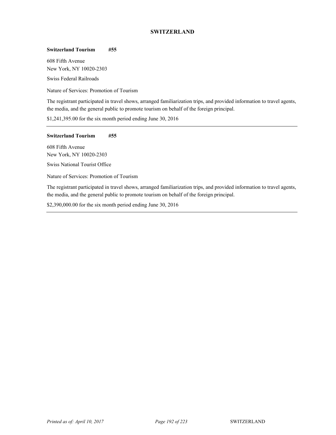# **SWITZERLAND**

#### **Switzerland Tourism #55**

608 Fifth Avenue New York, NY 10020-2303 Swiss Federal Railroads

Nature of Services: Promotion of Tourism

The registrant participated in travel shows, arranged familiarization trips, and provided information to travel agents, the media, and the general public to promote tourism on behalf of the foreign principal.

\$1,241,395.00 for the six month period ending June 30, 2016

## **Switzerland Tourism #55**

608 Fifth Avenue New York, NY 10020-2303

**Swiss National Tourist Office** 

Nature of Services: Promotion of Tourism

The registrant participated in travel shows, arranged familiarization trips, and provided information to travel agents, the media, and the general public to promote tourism on behalf of the foreign principal.

\$2,390,000.00 for the six month period ending June 30, 2016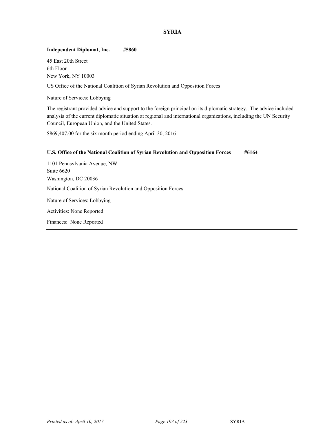# **SYRIA**

# **Independent Diplomat, Inc. #5860**

45 East 20th Street 6th Floor New York, NY 10003

US Office of the National Coalition of Syrian Revolution and Opposition Forces

Nature of Services: Lobbying

The registrant provided advice and support to the foreign principal on its diplomatic strategy. The advice included analysis of the current diplomatic situation at regional and international organizations, including the UN Security Council, European Union, and the United States.

\$869,407.00 for the six month period ending April 30, 2016

| U.S. Office of the National Coalition of Syrian Revolution and Opposition Forces | #6164 |
|----------------------------------------------------------------------------------|-------|
| 1101 Pennsylvania Avenue, NW                                                     |       |
| Suite 6620                                                                       |       |
| Washington, DC 20036                                                             |       |
| National Coalition of Syrian Revolution and Opposition Forces                    |       |
| Nature of Services: Lobbying                                                     |       |
| Activities: None Reported                                                        |       |
| Finances: None Reported                                                          |       |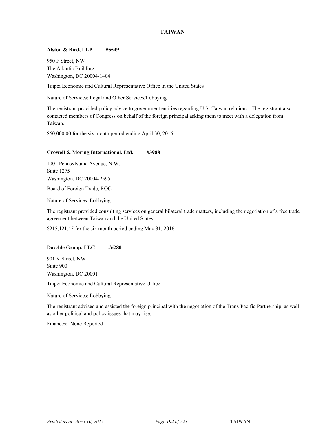#### **Alston & Bird, LLP #5549**

950 F Street, NW The Atlantic Building Washington, DC 20004-1404

Taipei Economic and Cultural Representative Office in the United States

Nature of Services: Legal and Other Services/Lobbying

The registrant provided policy advice to government entities regarding U.S.-Taiwan relations. The registrant also contacted members of Congress on behalf of the foreign principal asking them to meet with a delegation from Taiwan.

\$60,000.00 for the six month period ending April 30, 2016

#### **Crowell & Moring International, Ltd. #3988**

1001 Pennsylvania Avenue, N.W. Suite 1275 Washington, DC 20004-2595

Board of Foreign Trade, ROC

Nature of Services: Lobbying

The registrant provided consulting services on general bilateral trade matters, including the negotiation of a free trade agreement between Taiwan and the United States.

\$215,121.45 for the six month period ending May 31, 2016

#### **Daschle Group, LLC #6280**

901 K Street, NW Suite 900 Washington, DC 20001

Taipei Economic and Cultural Representative Office

Nature of Services: Lobbying

The registrant advised and assisted the foreign principal with the negotiation of the Trans-Pacific Partnership, as well as other political and policy issues that may rise.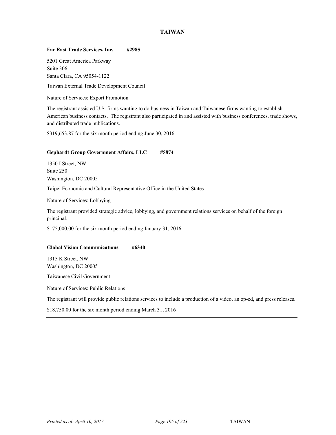## **Far East Trade Services, Inc. #2985**

5201 Great America Parkway Suite 306 Santa Clara, CA 95054-1122

Taiwan External Trade Development Council

Nature of Services: Export Promotion

The registrant assisted U.S. firms wanting to do business in Taiwan and Taiwanese firms wanting to establish American business contacts. The registrant also participated in and assisted with business conferences, trade shows, and distributed trade publications.

\$319,653.87 for the six month period ending June 30, 2016

# **Gephardt Group Government Affairs, LLC #5874**

1350 I Street, NW Suite 250 Washington, DC 20005

Taipei Economic and Cultural Representative Office in the United States

Nature of Services: Lobbying

The registrant provided strategic advice, lobbying, and government relations services on behalf of the foreign principal.

\$175,000.00 for the six month period ending January 31, 2016

## **Global Vision Communications #6340**

1315 K Street, NW Washington, DC 20005

Taiwanese Civil Government

Nature of Services: Public Relations

The registrant will provide public relations services to include a production of a video, an op-ed, and press releases.

\$18,750.00 for the six month period ending March 31, 2016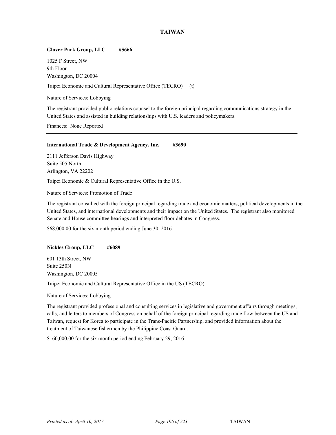## **Glover Park Group, LLC #5666**

1025 F Street, NW 9th Floor Washington, DC 20004

Taipei Economic and Cultural Representative Office (TECRO) (t)

Nature of Services: Lobbying

The registrant provided public relations counsel to the foreign principal regarding communications strategy in the United States and assisted in building relationships with U.S. leaders and policymakers.

Finances: None Reported

#### **International Trade & Development Agency, Inc. #3690**

2111 Jefferson Davis Highway Suite 505 North Arlington, VA 22202

Taipei Economic & Cultural Representative Office in the U.S.

Nature of Services: Promotion of Trade

The registrant consulted with the foreign principal regarding trade and economic matters, political developments in the United States, and international developments and their impact on the United States. The registrant also monitored Senate and House committee hearings and interpreted floor debates in Congress.

\$68,000.00 for the six month period ending June 30, 2016

#### **Nickles Group, LLC #6089**

601 13th Street, NW Suite 250N Washington, DC 20005

Taipei Economic and Cultural Representative Office in the US (TECRO)

Nature of Services: Lobbying

The registrant provided professional and consulting services in legislative and government affairs through meetings, calls, and letters to members of Congress on behalf of the foreign principal regarding trade flow between the US and Taiwan, request for Korea to participate in the Trans-Pacific Partnership, and provided information about the treatment of Taiwanese fishermen by the Philippine Coast Guard.

\$160,000.00 for the six month period ending February 29, 2016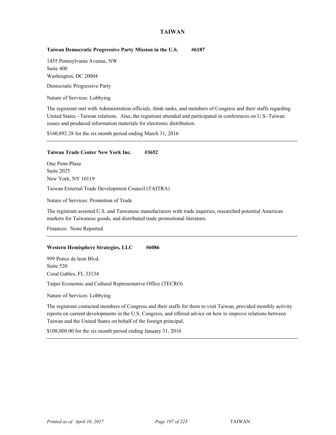## **Taiwan Democratic Progressive Party Mission in the U.S. #6187**

1455 Pennsylvania Avenue, NW Suite 400 Washington, DC 20004

Democratic Progressive Party

Nature of Services: Lobbying

The registrant met with Administration officials, think tanks, and members of Congress and their staffs regarding United States - Taiwan relations. Also, the registrant attended and participated in conferences on U.S.-Taiwan issues and produced information materials for electronic distribution.

\$160,892.28 for the six month period ending March 31, 2016

#### **Taiwan Trade Center New York Inc. #3652**

One Penn Plaza Suite 2025 New York, NY 10119 Taiwan External Trade Development Council (TAITRA)

Nature of Services: Promotion of Trade

The registrant assisted U.S. and Taiwanese manufacturers with trade inquiries, researched potential American markets for Taiwanese goods, and distributed trade promotional literature.

Finances: None Reported

## Western Hemisphere Strategies, LLC #6086

999 Ponce de leon Blvd. Suite 520 Coral Gables, FL 33134

Taipei Economic and Cultural Representative Office (TECRO)

Nature of Services: Lobbying

The registrant contacted members of Congress and their staffs for them to visit Taiwan, provided monthly activity reports on current developments in the U.S. Congress, and offered advice on how to improve relations between Taiwan and the United States on behalf of the foreign principal.

\$108,000.00 for the six month period ending January 31, 2016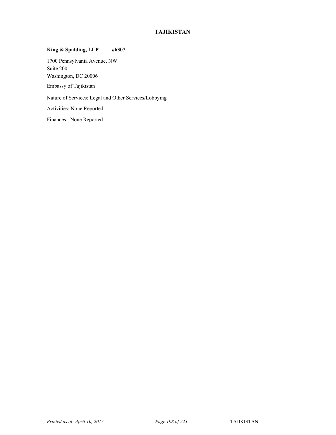# **TAJIKISTAN**

# **King & Spalding, LLP #6307**

1700 Pennsylvania Avenue, NW Suite 200 Washington, DC 20006 Embassy of Tajikistan

Nature of Services: Legal and Other Services/Lobbying

Activities: None Reported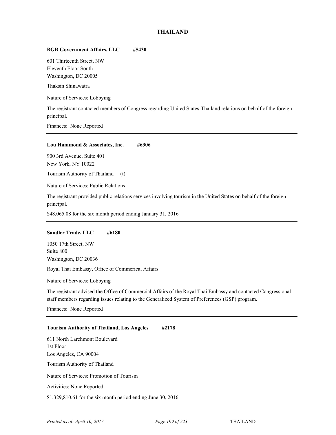## **THAILAND**

## **BGR Government Affairs, LLC #5430**

601 Thirteenth Street, NW Eleventh Floor South Washington, DC 20005

Thaksin Shinawatra

Nature of Services: Lobbying

The registrant contacted members of Congress regarding United States-Thailand relations on behalf of the foreign principal.

Finances: None Reported

#### **Lou Hammond & Associates, Inc. #6306**

900 3rd Avenue, Suite 401 New York, NY 10022

Tourism Authority of Thailand (t)

Nature of Services: Public Relations

The registrant provided public relations services involving tourism in the United States on behalf of the foreign principal.

\$48,065.08 for the six month period ending January 31, 2016

#### **Sandler Trade, LLC #6180**

1050 17th Street, NW Suite 800 Washington, DC 20036 Royal Thai Embassy, Office of Commerical Affairs

Nature of Services: Lobbying

The registrant advised the Office of Commercial Affairs of the Royal Thai Embassy and contacted Congressional staff members regarding issues relating to the Generalized System of Preferences (GSP) program.

Finances: None Reported

#### **Tourism Authority of Thailand, Los Angeles #2178**

611 North Larchmont Boulevard 1st Floor Los Angeles, CA 90004 Tourism Authority of Thailand Nature of Services: Promotion of Tourism Activities: None Reported \$1,329,810.61 for the six month period ending June 30, 2016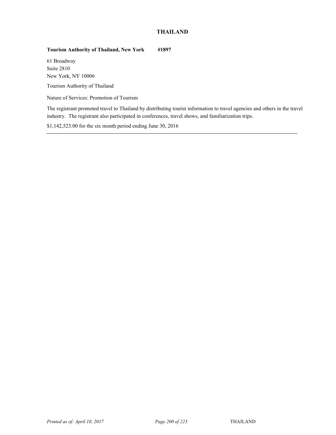# **THAILAND**

# **Tourism Authority of Thailand, New York #1897**

61 Broadway Suite 2810 New York, NY 10006

Tourism Authority of Thailand

Nature of Services: Promotion of Tourism

The registrant promoted travel to Thailand by distributing tourist information to travel agencies and others in the travel industry. The registrant also participated in conferences, travel shows, and familiarization trips.

\$1,142,523.00 for the six month period ending June 30, 2016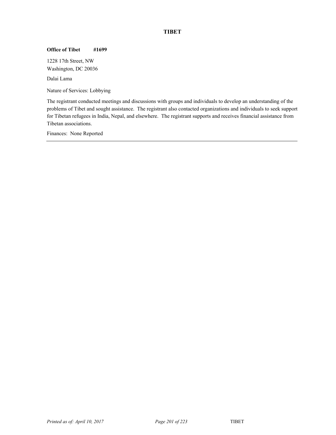# **TIBET**

## **Office of Tibet #1699**

1228 17th Street, NW Washington, DC 20036

<sup>82</sup> Dalai Lama

Nature of Services: Lobbying

The registrant conducted meetings and discussions with groups and individuals to develop an understanding of the problems of Tibet and sought assistance. The registrant also contacted organizations and individuals to seek support for Tibetan refugees in India, Nepal, and elsewhere. The registrant supports and receives financial assistance from Tibetan associations.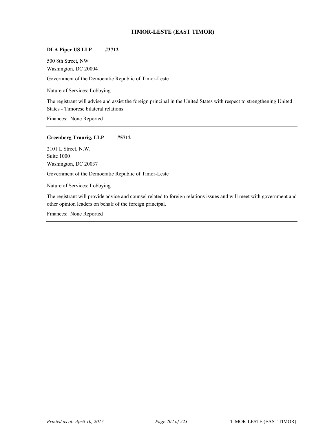# **TIMOR-LESTE (EAST TIMOR)**

# **DLA Piper US LLP #3712**

500 8th Street, NW Washington, DC 20004

Government of the Democratic Republic of Timor-Leste

Nature of Services: Lobbying

The registrant will advise and assist the foreign principal in the United States with respect to strengthening United States - Timorese bilateral relations.

Finances: None Reported

## **Greenberg Traurig, LLP #5712**

2101 L Street, N.W. Suite 1000 Washington, DC 20037

Government of the Democratic Republic of Timor-Leste

Nature of Services: Lobbying

The registrant will provide advice and counsel related to foreign relations issues and will meet with government and other opinion leaders on behalf of the foreign principal.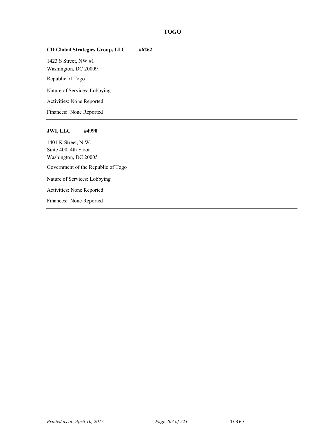# **TOGO**

# **CD Global Strategies Group, LLC #6262**

1423 S Street, NW #1 Washington, DC 20009

Republic of Togo

Nature of Services: Lobbying

Activities: None Reported

Finances: None Reported

## **JWI, LLC #4990**

1401 K Street, N.W. Suite 400, 4th Floor Washington, DC 20005 Government of the Republic of Togo Nature of Services: Lobbying Activities: None Reported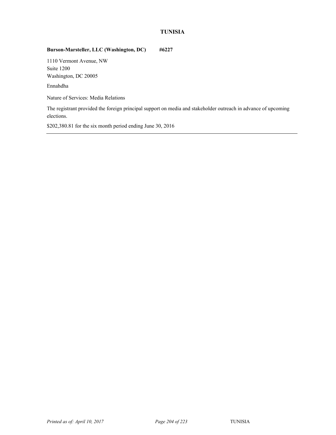# **TUNISIA**

## **Burson-Marsteller, LLC (Washington, DC) #6227**

1110 Vermont Avenue, NW Suite 1200 Washington, DC 20005

<sup>84</sup> Ennahdha

Nature of Services: Media Relations

The registrant provided the foreign principal support on media and stakeholder outreach in advance of upcoming elections.

\$202,380.81 for the six month period ending June 30, 2016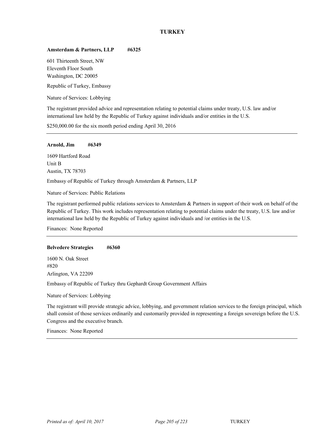# **TURKEY**

## Amsterdam & Partners, LLP #6325

601 Thirteenth Street, NW Eleventh Floor South Washington, DC 20005

Republic of Turkey, Embassy

Nature of Services: Lobbying

The registrant provided advice and representation relating to potential claims under treaty, U.S. law and/or international law held by the Republic of Turkey against individuals and/or entities in the U.S.

\$250,000.00 for the six month period ending April 30, 2016

#### **Arnold, Jim #6349**

1609 Hartford Road Unit B Austin, TX 78703

Embassy of Republic of Turkey through Amsterdam & Partners, LLP

Nature of Services: Public Relations

The registrant performed public relations services to Amsterdam & Partners in support of their work on behalf of the Republic of Turkey. This work includes representation relating to potential claims under the treaty, U.S. law and/or international law held by the Republic of Turkey against individuals and /or entities in the U.S.

Finances: None Reported

#### **Belvedere Strategies #6360**

1600 N. Oak Street #820 Arlington, VA 22209

Embassy of Republic of Turkey thru Gephardt Group Government Affairs

Nature of Services: Lobbying

The registrant will provide strategic advice, lobbying, and government relation services to the foreign principal, which shall consist of those services ordinarily and customarily provided in representing a foreign sovereign before the U.S. Congress and the executive branch.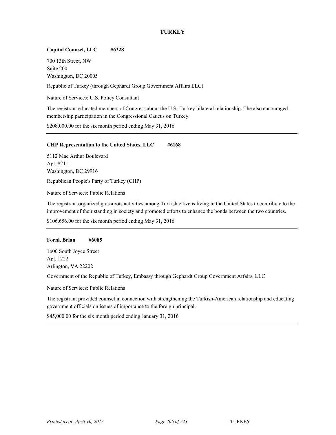# **Capitol Counsel, LLC #6328**

700 13th Street, NW Suite 200 Washington, DC 20005

Republic of Turkey (through Gephardt Group Government Affairs LLC)

Nature of Services: U.S. Policy Consultant

The registrant educated members of Congress about the U.S.-Turkey bilateral relationship. The also encouraged membership participation in the Congressional Caucus on Turkey.

\$208,000.00 for the six month period ending May 31, 2016

## **CHP Representation to the United States, LLC #6168**

5112 Mac Arthur Boulevard Apt. #211 Washington, DC 29916

Republican People's Party of Turkey (CHP)

Nature of Services: Public Relations

The registrant organized grassroots activities among Turkish citizens living in the United States to contribute to the improvement of their standing in society and promoted efforts to enhance the bonds between the two countries.

\$106,656.00 for the six month period ending May 31, 2016

## **Forni, Brian #6085**

1600 South Joyce Street Apt. 1222 Arlington, VA 22202

<sup>84</sup> Government of the Republic of Turkey, Embassy through Gephardt Group Government Affairs, LLC

Nature of Services: Public Relations

The registrant provided counsel in connection with strengthening the Turkish-American relationship and educating government officials on issues of importance to the foreign principal.

\$45,000.00 for the six month period ending January 31, 2016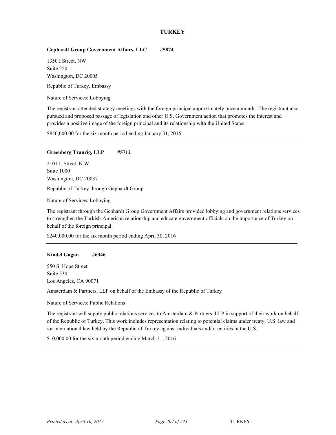## **Gephardt Group Government Affairs, LLC #5874**

1350 I Street, NW Suite 250 Washington, DC 20005

Republic of Turkey, Embassy

Nature of Services: Lobbying

The registrant attended strategy meetings with the foreign principal approximately once a month. The registrant also pursued and proposed passage of legislation and other U.S. Government action that promotes the interest and provides a positive image of the foreign principal and its relationship with the United States.

\$850,000.00 for the six month period ending January 31, 2016

## **Greenberg Traurig, LLP #5712**

2101 L Street, N.W. Suite 1000 Washington, DC 20037 Republic of Turkey through Gephardt Group

Nature of Services: Lobbying

The registrant through the Gephardt Group Government Affairs provided lobbying and government relations services to strengthen the Turkish-American relationship and educate government officials on the importance of Turkey on behalf of the foreign principal.

\$240,000.00 for the six month period ending April 30, 2016

## **Kindel Gagan #6346**

550 S. Hope Street Suite 530 Los Angeles, CA 90071

Amsterdam  $&$  Partners, LLP on behalf of the Embassy of the Republic of Turkey

Nature of Services: Public Relations

The registrant will supply public relations services to Amsterdam & Partners, LLP in support of their work on behalf of the Republic of Turkey. This work includes representation relating to potential claims under treaty, U.S. law and /or international law held by the Republic of Turkey against individuals and/or entities in the U.S.

\$10,000.00 for the six month period ending March 31, 2016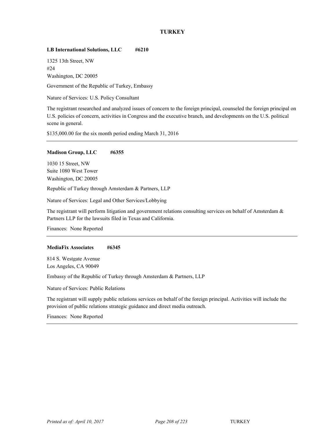# **LB International Solutions, LLC #6210**

1325 13th Street, NW #24 Washington, DC 20005

Government of the Republic of Turkey, Embassy

Nature of Services: U.S. Policy Consultant

The registrant researched and analyzed issues of concern to the foreign principal, counseled the foreign principal on U.S. policies of concern, activities in Congress and the executive branch, and developments on the U.S. political scene in general.

\$135,000.00 for the six month period ending March 31, 2016

## **Madison Group, LLC #6355**

1030 15 Street, NW Suite 1080 West Tower Washington, DC 20005

Republic of Turkey through Amsterdam & Partners, LLP

Nature of Services: Legal and Other Services/Lobbying

The registrant will perform litigation and government relations consulting services on behalf of Amsterdam & Partners LLP for the lawsuits filed in Texas and California.

Finances: None Reported

## **MediaFix Associates #6345**

814 S. Westgate Avenue Los Angeles, CA 90049

Embassy of the Republic of Turkey through Amsterdam & Partners, LLP

Nature of Services: Public Relations

The registrant will supply public relations services on behalf of the foreign principal. Activities will include the provision of public relations strategic guidance and direct media outreach.

Finances: None Reported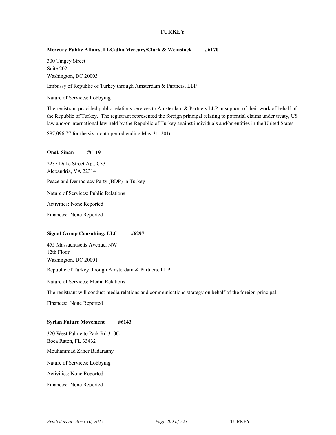## **Mercury Public Affairs, LLC/dba Mercury/Clark & Weinstock #6170**

300 Tingey Street Suite 202 Washington, DC 20003

Embassy of Republic of Turkey through Amsterdam & Partners, LLP

Nature of Services: Lobbying

The registrant provided public relations services to Amsterdam & Partners LLP in support of their work of behalf of the Republic of Turkey. The registrant represented the foreign principal relating to potential claims under treaty, US law and/or international law held by the Republic of Turkey against individuals and/or entities in the United States.

\$87,096.77 for the six month period ending May 31, 2016

## **Onal, Sinan #6119**

2237 Duke Street Apt. C33 Alexandria, VA 22314 Peace and Democracy Party (BDP) in Turkey Nature of Services: Public Relations Activities: None Reported

Finances: None Reported

## **Signal Group Consulting, LLC #6297**

455 Massachusetts Avenue, NW 12th Floor Washington, DC 20001 Republic of Turkey through Amsterdam & Partners, LLP

Nature of Services: Media Relations

The registrant will conduct media relations and communications strategy on behalf of the foreign principal.

Finances: None Reported

## **Syrian Future Movement #6143**

320 West Palmetto Park Rd 310C Boca Raton, FL 33432 Mouhammad Zaher Badaraany <sup>84</sup> Nature of Services: Lobbying Activities: None Reported Finances: None Reported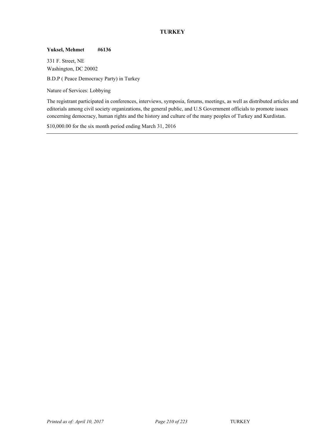## **Yuksel, Mehmet #6136**

331 F. Street, NE Washington, DC 20002 <sup>84</sup> B.D.P ( Peace Democracy Party) in Turkey

Nature of Services: Lobbying

The registrant participated in conferences, interviews, symposia, forums, meetings, as well as distributed articles and editorials among civil society organizations, the general public, and U.S Government officials to promote issues concerning democracy, human rights and the history and culture of the many peoples of Turkey and Kurdistan.

\$10,000.00 for the six month period ending March 31, 2016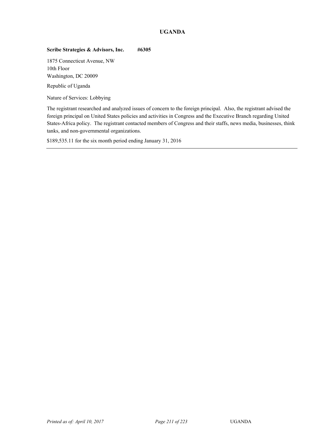# **UGANDA**

# **Scribe Strategies & Advisors, Inc. #6305**

1875 Connecticut Avenue, NW 10th Floor Washington, DC 20009

Republic of Uganda

Nature of Services: Lobbying

The registrant researched and analyzed issues of concern to the foreign principal. Also, the registrant advised the foreign principal on United States policies and activities in Congress and the Executive Branch regarding United States-Africa policy. The registrant contacted members of Congress and their staffs, news media, businesses, think tanks, and non-governmental organizations.

\$189,535.11 for the six month period ending January 31, 2016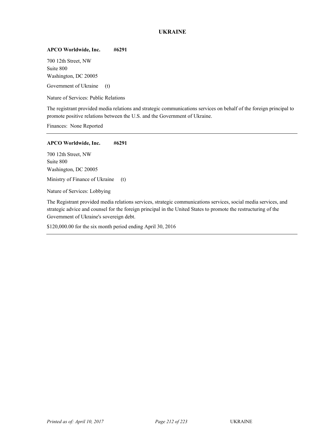# **UKRAINE**

## **APCO Worldwide, Inc. #6291**

700 12th Street, NW Suite 800 Washington, DC 20005

Government of Ukraine (t)

Nature of Services: Public Relations

The registrant provided media relations and strategic communications services on behalf of the foreign principal to promote positive relations between the U.S. and the Government of Ukraine.

Finances: None Reported

## **APCO Worldwide, Inc. #6291**

700 12th Street, NW Suite 800 Washington, DC 20005

Ministry of Finance of Ukraine (t)

Nature of Services: Lobbying

The Registrant provided media relations services, strategic communications services, social media services, and strategic advice and counsel for the foreign principal in the United States to promote the restructuring of the Government of Ukraine's sovereign debt.

\$120,000.00 for the six month period ending April 30, 2016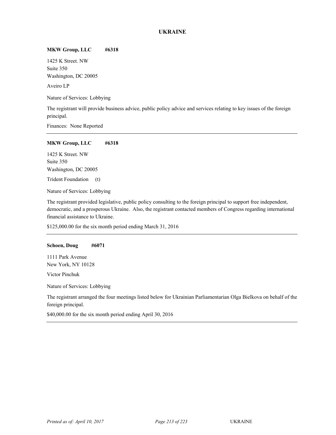# **UKRAINE**

## **MKW Group, LLC #6318**

1425 K Street. NW Suite 350 Washington, DC 20005

Aveiro LP

Nature of Services: Lobbying

The registrant will provide business advice, public policy advice and services relating to key issues of the foreign principal.

Finances: None Reported

## **MKW Group, LLC #6318**

1425 K Street. NW Suite 350 Washington, DC 20005

Trident Foundation (t)

Nature of Services: Lobbying

The registrant provided legislative, public policy consulting to the foreign principal to support free independent, democratic, and a prosperous Ukraine. Also, the registrant contacted members of Congress regarding international financial assistance to Ukraine.

\$125,000.00 for the six month period ending March 31, 2016

## **Schoen, Doug #6071**

1111 Park Avenue New York, NY 10128

<sup>85</sup> Victor Pinchuk

Nature of Services: Lobbying

The registrant arranged the four meetings listed below for Ukrainian Parliamentarian Olga Bielkova on behalf of the foreign principal.

\$40,000.00 for the six month period ending April 30, 2016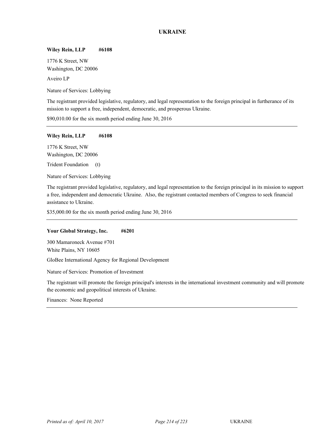# **UKRAINE**

## **Wiley Rein, LLP #6108**

1776 K Street, NW Washington, DC 20006

<sup>85</sup> Aveiro LP

Nature of Services: Lobbying

The registrant provided legislative, regulatory, and legal representation to the foreign principal in furtherance of its mission to support a free, independent, democratic, and prosperous Ukraine.

\$90,010.00 for the six month period ending June 30, 2016

## **Wiley Rein, LLP #6108**

1776 K Street, NW Washington, DC 20006

Trident Foundation (t)

Nature of Services: Lobbying

The registrant provided legislative, regulatory, and legal representation to the foreign principal in its mission to support a free, independent and democratic Ukraine. Also, the registrant contacted members of Congress to seek financial assistance to Ukraine.

\$35,000.00 for the six month period ending June 30, 2016

## **Your Global Strategy, Inc. #6201**

300 Mamaroneck Avenue #701 White Plains, NY 10605

GloBee International Agency for Regional Development

Nature of Services: Promotion of Investment

The registrant will promote the foreign principal's interests in the international investment community and will promote the economic and geopolitical interests of Ukraine.

Finances: None Reported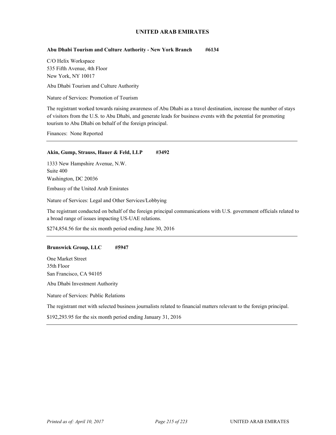## **Abu Dhabi Tourism and Culture Authority - New York Branch #6134**

C/O Helix Workspace 535 Fifth Avenue, 4th Floor New York, NY 10017

Abu Dhabi Tourism and Culture Authority

Nature of Services: Promotion of Tourism

The registrant worked towards raising awareness of Abu Dhabi as a travel destination, increase the number of stays of visitors from the U.S. to Abu Dhabi, and generate leads for business events with the potential for promoting tourism to Abu Dhabi on behalf of the foreign principal.

Finances: None Reported

## Akin, Gump, Strauss, Hauer & Feld, LLP #3492

1333 New Hampshire Avenue, N.W. Suite 400 Washington, DC 20036

Embassy of the United Arab Emirates

Nature of Services: Legal and Other Services/Lobbying

The registrant conducted on behalf of the foreign principal communications with U.S. government officials related to a broad range of issues impacting US-UAE relations.

\$274,854.56 for the six month period ending June 30, 2016

## **Brunswick Group, LLC #5947**

One Market Street 35th Floor San Francisco, CA 94105

Abu Dhabi Investment Authority

Nature of Services: Public Relations

The registrant met with selected business journalists related to financial matters relevant to the foreign principal.

\$192,293.95 for the six month period ending January 31, 2016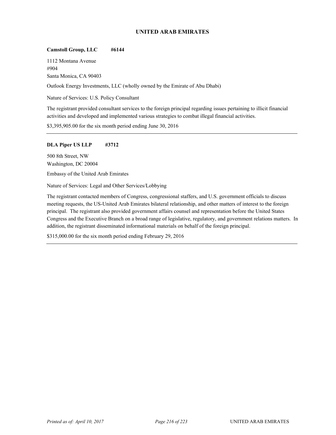## **Camstoll Group, LLC #6144**

1112 Montana Avenue #904 Santa Monica, CA 90403

Outlook Energy Investments, LLC (wholly owned by the Emirate of Abu Dhabi)

Nature of Services: U.S. Policy Consultant

The registrant provided consultant services to the foreign principal regarding issues pertaining to illicit financial activities and developed and implemented various strategies to combat illegal financial activities.

\$3,395,905.00 for the six month period ending June 30, 2016

## **DLA Piper US LLP #3712**

500 8th Street, NW Washington, DC 20004

Embassy of the United Arab Emirates

Nature of Services: Legal and Other Services/Lobbying

The registrant contacted members of Congress, congressional staffers, and U.S. government officials to discuss meeting requests, the US-United Arab Emirates bilateral relationship, and other matters of interest to the foreign principal. The registrant also provided government affairs counsel and representation before the United States Congress and the Executive Branch on a broad range of legislative, regulatory, and government relations matters. In addition, the registrant disseminated informational materials on behalf of the foreign principal.

\$315,000.00 for the six month period ending February 29, 2016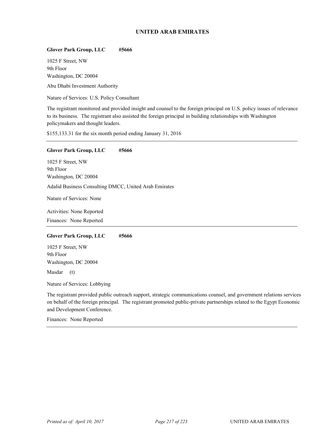## **Glover Park Group, LLC #5666**

1025 F Street, NW 9th Floor Washington, DC 20004

Abu Dhabi Investment Authority

Nature of Services: U.S. Policy Consultant

The registrant monitored and provided insight and counsel to the foreign principal on U.S. policy issues of relevance to its business. The registrant also assisted the foreign principal in building relationships with Washington policymakers and thought leaders.

\$155,133.31 for the six month period ending January 31, 2016

## **Glover Park Group, LLC #5666**

1025 F Street, NW 9th Floor Washington, DC 20004 Adalid Business Consulting DMCC, United Arab Emirates Nature of Services: None

Activities: None Reported Finances: None Reported

## **Glover Park Group, LLC #5666**

1025 F Street, NW 9th Floor Washington, DC 20004

Masdar (t)

Nature of Services: Lobbying

The registrant provided public outreach support, strategic communications counsel, and government relations services on behalf of the foreign principal. The registrant promoted public-private partnerships related to the Egypt Economic and Development Conference.

Finances: None Reported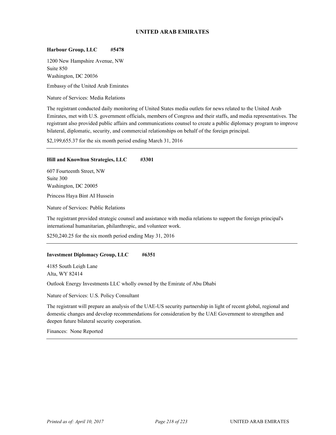## **Harbour Group, LLC #5478**

1200 New Hampshire Avenue, NW Suite 850 Washington, DC 20036

Embassy of the United Arab Emirates

Nature of Services: Media Relations

The registrant conducted daily monitoring of United States media outlets for news related to the United Arab Emirates, met with U.S. government officials, members of Congress and their staffs, and media representatives. The registrant also provided public affairs and communications counsel to create a public diplomacy program to improve bilateral, diplomatic, security, and commercial relationships on behalf of the foreign principal.

\$2,199,655.37 for the six month period ending March 31, 2016

## **Hill and Knowlton Strategies, LLC #3301**

607 Fourteenth Street, NW Suite 300 Washington, DC 20005

Princess Haya Bint AI Hussein

Nature of Services: Public Relations

The registrant provided strategic counsel and assistance with media relations to support the foreign principal's international humanitarian, philanthropic, and volunteer work.

\$250,240.25 for the six month period ending May 31, 2016

## **Investment Diplomacy Group, LLC #6351**

4185 South Leigh Lane Alta, WY 82414

Outlook Energy Investments LLC wholly owned by the Emirate of Abu Dhabi

Nature of Services: U.S. Policy Consultant

The registrant will prepare an analysis of the UAE-US security partnership in light of recent global, regional and domestic changes and develop recommendations for consideration by the UAE Government to strengthen and deepen future bilateral security cooperation.

Finances: None Reported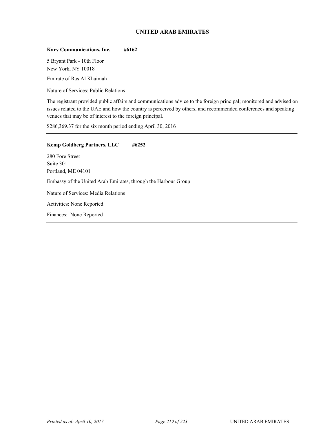## **Karv Communications, Inc. #6162**

5 Bryant Park - 10th Floor New York, NY 10018

Emirate of Ras Al Khaimah

Nature of Services: Public Relations

The registrant provided public affairs and communications advice to the foreign principal; monitored and advised on issues related to the UAE and how the country is perceived by others, and recommended conferences and speaking venues that may be of interest to the foreign principal.

\$286,369.37 for the six month period ending April 30, 2016

# **Kemp Goldberg Partners, LLC #6252**

280 Fore Street Suite 301 Portland, ME 04101 Embassy of the United Arab Emirates, through the Harbour Group Nature of Services: Media Relations Activities: None Reported Finances: None Reported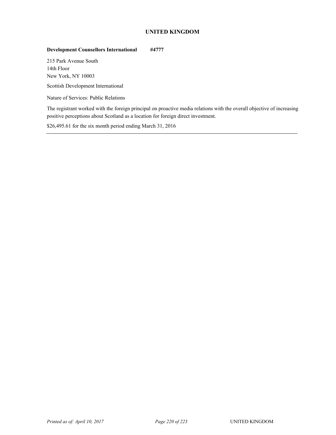# **UNITED KINGDOM**

# **Development Counsellors International #4777**

215 Park Avenue South 14th Floor New York, NY 10003

Scottish Development International

Nature of Services: Public Relations

The registrant worked with the foreign principal on proactive media relations with the overall objective of increasing positive perceptions about Scotland as a location for foreign direct investment.

\$26,495.61 for the six month period ending March 31, 2016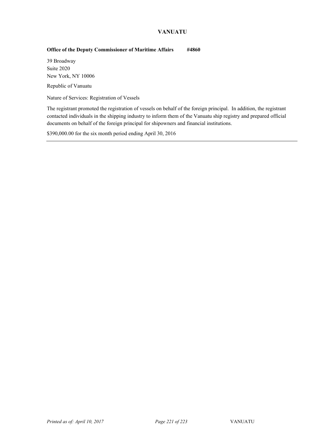# **VANUATU**

# **Office of the Deputy Commissioner of Maritime Affairs #4860**

39 Broadway Suite 2020 New York, NY 10006

Republic of Vanuatu

Nature of Services: Registration of Vessels

The registrant promoted the registration of vessels on behalf of the foreign principal. In addition, the registrant contacted individuals in the shipping industry to inform them of the Vanuatu ship registry and prepared official documents on behalf of the foreign principal for shipowners and financial institutions.

\$390,000.00 for the six month period ending April 30, 2016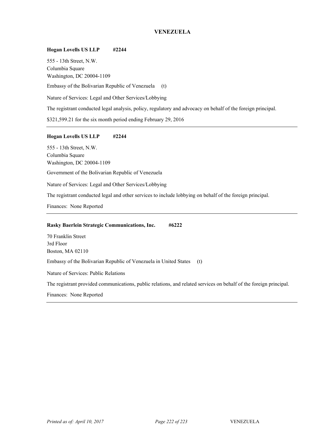# **VENEZUELA**

## **Hogan Lovells US LLP #2244**

555 - 13th Street, N.W. Columbia Square Washington, DC 20004-1109 Embassy of the Bolivarian Republic of Venezuela (t) Nature of Services: Legal and Other Services/Lobbying The registrant conducted legal analysis, policy, regulatory and advocacy on behalf of the foreign principal. \$321,599.21 for the six month period ending February 29, 2016

## **Hogan Lovells US LLP #2244**

555 - 13th Street, N.W. Columbia Square Washington, DC 20004-1109

Government of the Bolivarian Republic of Venezuela

Nature of Services: Legal and Other Services/Lobbying

The registrant conducted legal and other services to include lobbying on behalf of the foreign principal.

Finances: None Reported

## **Rasky Baerlein Strategic Communications, Inc. #6222**

70 Franklin Street 3rd Floor Boston, MA 02110 Embassy of the Bolivarian Republic of Venezuela in United States (t) Nature of Services: Public Relations

The registrant provided communications, public relations, and related services on behalf of the foreign principal.

Finances: None Reported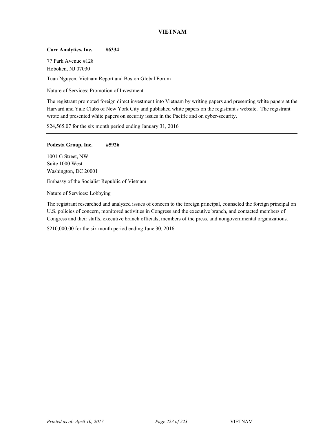# **VIETNAM**

## **Corr Analytics, Inc. #6334**

77 Park Avenue #128 Hoboken, NJ 07030

Tuan Nguyen, Vietnam Report and Boston Global Forum

Nature of Services: Promotion of Investment

The registrant promoted foreign direct investment into Vietnam by writing papers and presenting white papers at the Harvard and Yale Clubs of New York City and published white papers on the registrant's website. The registrant wrote and presented white papers on security issues in the Pacific and on cyber-security.

\$24,565.07 for the six month period ending January 31, 2016

## **Podesta Group, Inc. #5926**

1001 G Street, NW Suite 1000 West Washington, DC 20001

Embassy of the Socialist Republic of Vietnam

Nature of Services: Lobbying

The registrant researched and analyzed issues of concern to the foreign principal, counseled the foreign principal on U.S. policies of concern, monitored activities in Congress and the executive branch, and contacted members of Congress and their staffs, executive branch officials, members of the press, and nongovernmental organizations.

\$210,000.00 for the six month period ending June 30, 2016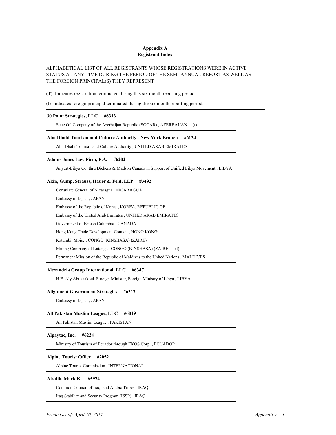## **Appendix A Registrant Index**

## ALPHABETICAL LIST OF ALL REGISTRANTS WHOSE REGISTRATIONS WERE IN ACTIVE STATUS AT ANY TIME DURING THE PERIOD OF THE SEMI-ANNUAL REPORT AS WELL AS THE FOREIGN PRINCIPAL(S) THEY REPRESENT

(T) Indicates registration terminated during this six month reporting period.

(t) Indicates foreign principal terminated during the six month reporting period.

## **30 Point Strategies, LLC #6313**

State Oil Company of the Azerbaijan Republic (SOCAR), AZERBAIJAN (t)

## **Abu Dhabi Tourism and Culture Authority - New York Branch #6134**

Abu Dhabi Tourism and Culture Authority , UNITED ARAB EMIRATES 1

## **Adams Jones Law Firm, P.A. #6202**

Anyurt-Libya Co. thru Dickens & Madson Canada in Support of Unified Libya Movement , LIBYA 1

## **Akin, Gump, Strauss, Hauer & Feld, LLP #3492**

Consulate General of Nicaragua , NICARAGUA 1

Embassy of Japan , JAPAN 2

Embassy of the Republic of Korea , KOREA, REPUBLIC OF 3

Embassy of the United Arab Emirates , UNITED ARAB EMIRATES 4

Government of British Columbia , CANADA 5

Hong Kong Trade Development Council , HONG KONG 6

Katumbi, Moise , CONGO (KINSHASA) (ZAIRE) 7

Mining Company of Katanga, CONGO (KINSHASA) (ZAIRE) (t)

Permanent Mission of the Republic of Maldives to the United Nations, MALDIVES

## **Alexandria Group International, LLC #6347**

H.E. Aly Abuzaakouk Foreign Minister, Foreign Ministry of Libya , LIBYA 1

### **Alignment Government Strategies #6317**

Embassy of Japan , JAPAN 1

## **All Pakistan Muslim League, LLC #6019**

All Pakistan Muslim League , PAKISTAN 1

## **Alpaytac, Inc. #6224**

Ministry of Tourism of Ecuador through EKOS Corp. , ECUADOR 1

## **Alpine Tourist Office #2052**

Alpine Tourist Commission , INTERNATIONAL 1

## **Alsalih, Mark K. #5974**

Common Council of Iraqi and Arabic Tribes , IRAQ 1

Iraq Stability and Security Program (ISSP), IRAQ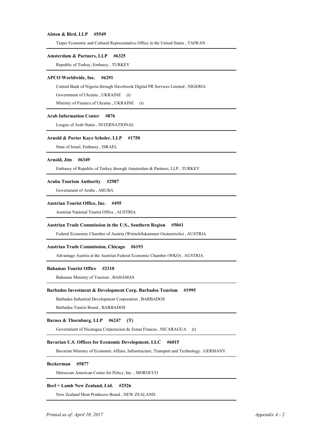### **Alston & Bird, LLP #5549**

Taipei Economic and Cultural Representative Office in the United States , TAIWAN 1

## **Amsterdam & Partners, LLP #6325**

Republic of Turkey, Embassy , TURKEY 1

### **APCO Worldwide, Inc. #6291**

Central Bank of Nigeria through Davebrook Digital PR Services Limited , NIGERIA 1

Government of Ukraine, UKRAINE (t)

Ministry of Finance of Ukraine, UKRAINE (t)

## **Arab Information Center #876**

League of Arab States , INTERNATIONAL 1

## **Arnold & Porter Kaye Scholer, LLP #1750**

State of Israel, Embassy, ISRAEL

## **Arnold, Jim #6349**

Embassy of Republic of Turkey through Amsterdam & Partners, LLP , TURKEY 1

## **Aruba Tourism Authority #2987**

Government of Aruba , ARUBA 1

## **Austrian Tourist Office, Inc. #495**

Austrian National Tourist Office , AUSTRIA 1

## **Austrian Trade Commission in the U.S., Southern Region #5041**

1 Federal Economic Chamber of Austria (Wirtschftskammer Oesterreichs) , AUSTRIA

## **Austrian Trade Commission, Chicago #6193**

Advantage Austria at the Austrian Federal Economic Chamber (WKO) , AUSTRIA 1

## **Bahamas Tourist Office #2310**

Bahamas Ministry of Tourism , BAHAMAS 1

### **Barbados Investment & Development Corp. Barbados Tourism #1995**

Barbados Industrial Development Corporation , BARBADOS 1

Barbados Tourist Board , BARBADOS 2

## **Barnes & Thornburg, LLP #6247 (T)**

Government of Nicaragua Corporacion de Zonas Francas , NICARAGUA (t) 1

#### **Bavarian U.S. Offices for Economic Development, LLC #6015**

Bavarian Ministry of Economic Affairs, Infrastructure, Transport and Technology , GERMANY 1

### **Beckerman #5877**

Moroccan American Center for Policy, Inc. , MOROCCO 1

## **Beef + Lamb New Zealand, Ltd. #2526**

New Zealand Meat Producers Board , NEW ZEALAND 1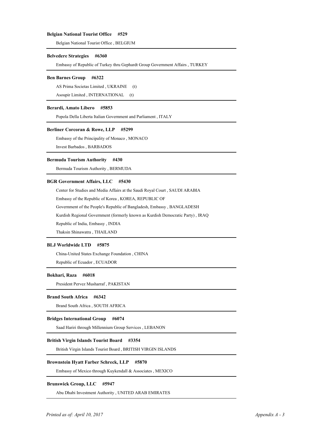### **Belgian National Tourist Office #529**

Belgian National Tourist Office , BELGIUM 1

#### **Belvedere Strategies #6360**

Embassy of Republic of Turkey thru Gephardt Group Government Affairs , TURKEY 1

### **Ben Barnes Group #6322**

AS Prima Societas Limited, UKRAINE (t)

Asoupir Limited , INTERNATIONAL (t)

## **Berardi, Amato Libero #5853**

1 Popola Della Liberta Italian Government and Parliament , ITALY

## **Berliner Corcoran & Rowe, LLP #5299**

Embassy of the Principality of Monaco , MONACO 1 2 Invest Barbados , BARBADOS

# **Bermuda Tourism Authority #430**

Bermuda Tourism Authority , BERMUDA 1

## **BGR Government Affairs, LLC #5430**

Center for Studies and Media Affairs at the Saudi Royal Court , SAUDI ARABIA 1

Embassy of the Republic of Korea , KOREA, REPUBLIC OF 2

Government of the People's Republic of Bangladesh, Embassy , BANGLADESH 3

Kurdish Regional Government (formerly known as Kurdish Democratic Party) , IRAQ 4

Republic of India, Embassy, INDIA

Thaksin Shinawatra , THAILAND 6

## **BLJ Worldwide LTD #5875**

China-United States Exchange Foundation , CHINA 1 Republic of Ecuador , ECUADOR 2

### **Bokhari, Raza #6018**

1 President Pervez Musharraf , PAKISTAN

### **Brand South Africa #6342**

Brand South Africa , SOUTH AFRICA 1

### **Bridges International Group #6074**

Saad Hariri through Millennium Group Services , LEBANON

## **British Virgin Islands Tourist Board #3354**

British Virgin Islands Tourist Board , BRITISH VIRGIN ISLANDS 1

## **Brownstein Hyatt Farber Schreck, LLP #5870**

Embassy of Mexico through Kuykendall & Associates , MEXICO 1

## **Brunswick Group, LLC #5947**

Abu Dhabi Investment Authority , UNITED ARAB EMIRATES 1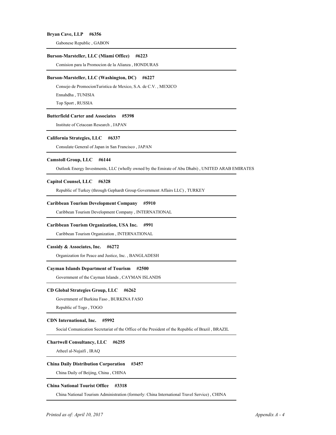### **Bryan Cave, LLP #6356**

Gabonese Republic , GABON 1

### **Burson-Marsteller, LLC (Miami Office) #6223**

Comision para la Promocion de la Alianza , HONDURAS 1

### **Burson-Marsteller, LLC (Washington, DC) #6227**

Consejo de PromocionTuristica de Mexico, S.A. de C.V. , MEXICO 1

Ennahdha , TUNISIA 2

Top Sport , RUSSIA 3

### **Butterfield Carter and Associates #5398**

1 Institute of Cetacean Research , JAPAN

### **California Strategies, LLC #6337**

Consulate General of Japan in San Francisco , JAPAN 1

## **Camstoll Group, LLC #6144**

Outlook Energy Investments, LLC (wholly owned by the Emirate of Abu Dhabi) , UNITED ARAB EMIRATES 1

## **Capitol Counsel, LLC #6328**

Republic of Turkey (through Gephardt Group Government Affairs LLC) , TURKEY 1

## **Caribbean Tourism Development Company #5910**

Caribbean Tourism Development Company , INTERNATIONAL 1

### **Caribbean Tourism Organization, USA Inc. #991**

Caribbean Tourism Organization , INTERNATIONAL 1

## **Cassidy & Associates, Inc. #6272**

Organization for Peace and Justice, Inc. , BANGLADESH 1

## **Cayman Islands Department of Tourism #2500**

Government of the Cayman Islands , CAYMAN ISLANDS 1

### **CD Global Strategies Group, LLC #6262**

Government of Burkina Faso , BURKINA FASO 1

Republic of Togo, TOGO

## **CDN International, Inc. #5992**

Social Comunication Secretariat of the Office of the President of the Republic of Brazil, BRAZIL

## **Chartwell Consultancy, LLC #6255**

Atheel al-Nujaifi , IRAQ 1

## **China Daily Distribution Corporation #3457**

China Daily of Beijing, China , CHINA 1

#### **China National Tourist Office #3318**

China National Tourism Administration (formerly: China International Travel Service) , CHINA 1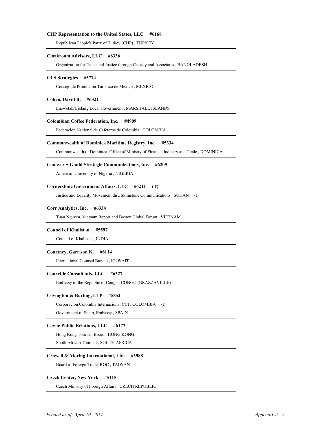## **CHP Representation to the United States, LLC #6168**

Republican People's Party of Turkey (CHP), TURKEY

### **Cloakroom Advisors, LLC #6336**

Organization for Peace and Justice through Cassidy and Associates , BANGLADESH 1

## **CLS Strategies #5774**

Consejo de Promocion Turistico de Mexico , MEXICO 1

### **Cohen, David B. #6321**

Enewetak/Ujelang Local Government , MARSHALL ISLANDS 1

### **Colombian Coffee Federation, Inc. #4909**

1 Federacion Nacional de Cafeteros de Colombia , COLOMBIA

## **Commonwealth of Dominica Maritime Registry, Inc. #5334**

Commonwealth of Dominica, Office of Ministry of Finance, Industry and Trade , DOMINICA 1

#### **Conover + Gould Strategic Communications, Inc. #6205**

American University of Nigeria , NIGERIA 1

## **Cornerstone Government Affairs, LLC #6211 (T)**

Justice and Equality Movement thru Skimstone Communications , SUDAN (t)

### **Corr Analytics, Inc. #6334**

Tuan Nguyen, Vietnam Report and Boston Global Forum , VIETNAM 1

### **Council of Khalistan #5597**

Council of Khalistan , INDIA 1

## **Courtney, Garrison K. #6114**

1 International Counsel Bureau , KUWAIT

#### **Courville Consultants, LLC #6327**

Embassy of the Republic of Congo , CONGO (BRAZZAVILLE) 1

### **Covington & Burling, LLP #5852**

Corporacion Colombia Internacional CCI , COLOMBIA (t) 1

Government of Spain, Embassy , SPAIN 2

## **Coyne Public Relations, LLC #6177**

Hong Kong Tourism Board , HONG KONG 1

2 South African Tourism , SOUTH AFRICA

## **Crowell & Moring International, Ltd. #3988**

Board of Foreign Trade, ROC , TAIWAN 1

## **Czech Center, New York #5115**

Czech Ministry of Foreign Affairs , CZECH REPUBLIC 1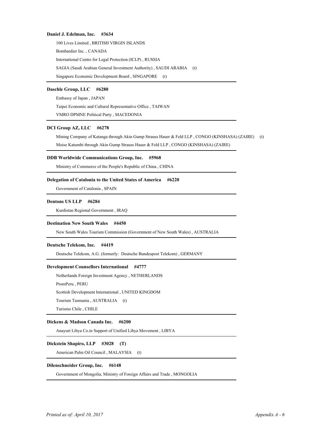## **Daniel J. Edelman, Inc. #3634**

 1 100 Lives Limited , BRITISH VIRGIN ISLANDS Bombardier Inc. , CANADA 2 International Centre for Legal Protection (ICLP), RUSSIA 4 SAGIA (Saudi Arabian General Investment Authority) , SAUDI ARABIA (t) Singapore Economic Development Board, SINGAPORE (t)

## **Daschle Group, LLC #6280**

Embassy of Japan , JAPAN 1

Taipei Economic and Cultural Representative Office , TAIWAN 2

VMRO DPMNE Political Party , MACEDONIA 3

## **DCI Group AZ, LLC #6278**

Mining Company of Katanga through Akin Gump Strauss Hauer & Feld LLP , CONGO (KINSHASA) (ZAIRE) (t) 1 Moise Katumbi through Akin Gump Strauss Hauer & Feld LLP , CONGO (KINSHASA) (ZAIRE) 2

### **DDB Worldwide Communications Group, Inc. #5968**

Ministry of Commerce of the People's Republic of China , CHINA 1

## **Delegation of Catalonia to the United States of America #6220**

Government of Catalonia , SPAIN 1

## **Dentons US LLP #6284**

Kurdistan Regional Government , IRAQ 1

## **Destination New South Wales #4450**

New South Wales Tourism Commission (Government of New South Wales) , AUSTRALIA 1

### **Deutsche Telekom, Inc. #4419**

Deutsche Telekom, A.G. (formerly: Deutsche Bundespost Telekom) , GERMANY 1

## **Development Counsellors International #4777**

Netherlands Foreign Investment Agency , NETHERLANDS 1 PromPeru, PERU 3 Scottish Development International , UNITED KINGDOM Tourism Tasmania , AUSTRALIA (t) 4 Turismo Chile , CHILE 5

## **Dickens & Madson Canada Inc. #6200**

Anayurt Libya Co.in Support of Unified Libya Movement , LIBYA 1

## **Dickstein Shapiro, LLP #3028 (T)**

American Palm Oil Council, MALAYSIA (t)

## **Dilenschneider Group, Inc. #6148**

Government of Mongolia, Ministry of Foreign Affairs and Trade , MONGOLIA 1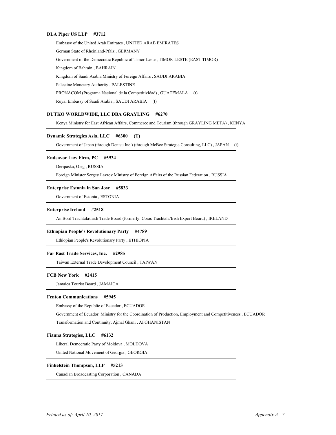## **DLA Piper US LLP #3712**

Embassy of the United Arab Emirates , UNITED ARAB EMIRATES 1 German State of Rheinland-Pfalz , GERMANY 2 Government of the Democratic Republic of Timor-Leste , TIMOR-LESTE (EAST TIMOR) 3 Kingdom of Bahrain , BAHRAIN 4 Kingdom of Saudi Arabia Ministry of Foreign Affairs, SAUDI ARABIA Palestine Monetary Authority , PALESTINE 7 PRONACOM (Programa Nacional de la Competitividad) , GUATEMALA (t) Royal Embassy of Saudi Arabia , SAUDI ARABIA (t) 8

## **DUTKO WORLDWIDE, LLC DBA GRAYLING #6270**

Kenya Ministry for East African Affairs, Commerce and Tourism (through GRAYLING META) , KENYA 1

### **Dynamic Strategies Asia, LLC #6300 (T)**

Government of Japan (through Dentsu Inc.) (through McBee Strategic Consulting, LLC), JAPAN (t)

#### **Endeavor Law Firm, PC #5934**

Deripaska, Oleg , RUSSIA 1

2 Foreign Minister Sergey Lavrov Ministry of Foreign Affairs of the Russian Federation , RUSSIA

#### **Enterprise Estonia in San Jose #5833**

Government of Estonia , ESTONIA 1

#### **Enterprise Ireland #2518**

An Bord Trachtala/Irish Trade Board (formerly: Coras Trachtala/Irish Export Board) , IRELAND 1

### **Ethiopian People's Revolutionary Party #4789**

Ethiopian People's Revolutionary Party , ETHIOPIA 1

### **Far East Trade Services, Inc. #2985**

Taiwan External Trade Development Council , TAIWAN 1

### **FCB New York #2415**

Jamaica Tourist Board, JAMAICA

#### **Fenton Communications #5945**

Embassy of the Republic of Ecuador , ECUADOR 1

Government of Ecuador, Ministry for the Coordination of Production, Employment and Competitiveness , ECUADOR 2

Transformation and Continuity, Ajmal Ghani , AFGHANISTAN 3

### **Fianna Strategies, LLC #6132**

Liberal Democratic Party of Moldova , MOLDOVA 1

United National Movement of Georgia , GEORGIA 2

## **Finkelstein Thompson, LLP #5213**

Canadian Broadcasting Corporation , CANADA 1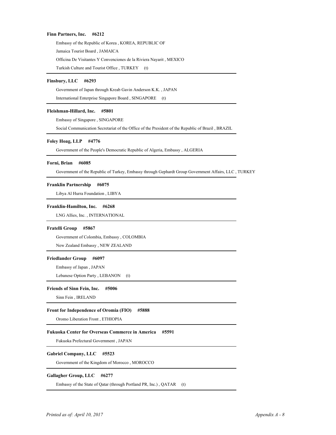### **Finn Partners, Inc. #6212**

Embassy of the Republic of Korea , KOREA, REPUBLIC OF 1 Jamaica Tourist Board, JAMAICA Officina De Visitantes Y Convenciones de la Riviera Nayarit , MEXICO 3 Turkish Culture and Tourist Office, TURKEY (t)

## **Finsbury, LLC #6293**

Government of Japan through Kreab Gavin Anderson K.K. , JAPAN 1

International Enterprise Singapore Board, SINGAPORE (t)

## **Fleishman-Hillard, Inc. #5801**

Embassy of Singapore , SINGAPORE 1

Social Communication Secretariat of the Office of the President of the Republic of Brazil, BRAZIL

### **Foley Hoag, LLP #4776**

Government of the People's Democratic Republic of Algeria, Embassy , ALGERIA 1

## **Forni, Brian #6085**

Government of the Republic of Turkey, Embassy through Gephardt Group Government Affairs, LLC , TURKEY 1

## **Franklin Partnership #6075**

Libya Al Hurra Foundation , LIBYA 1

### **Franklin-Hamilton, Inc. #6268**

LNG Allies, Inc., INTERNATIONAL

### **Fratelli Group #5867**

Government of Colombia, Embassy , COLOMBIA 1 New Zealand Embassy , NEW ZEALAND 2

## **Friedlander Group #6097**

Embassy of Japan , JAPAN 1

Lebanese Option Party, LEBANON (t)

### **Friends of Sinn Fein, Inc. #5006**

Sinn Fein, IRELAND

## **Front for Independence of Oromia (FIO) #5888**

Oromo Liberation Front , ETHIOPIA 1

## **Fukuoka Center for Overseas Commerce in America #5591**

1 Fukuoka Prefectural Government , JAPAN

## **Gabriel Company, LLC #5523**

Government of the Kingdom of Morocco , MOROCCO 1

## **Gallagher Group, LLC #6277**

Embassy of the State of Qatar (through Portland PR, Inc.), QATAR (t)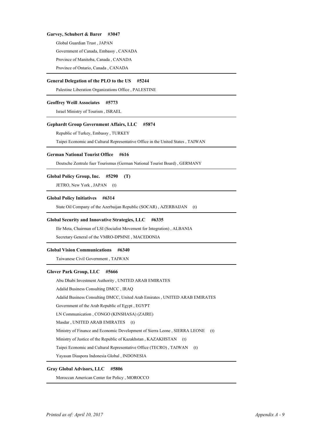## **Garvey, Schubert & Barer #3047**

Global Guardian Trust , JAPAN 1

Government of Canada, Embassy , CANADA 2

3 Province of Manitoba, Canada , CANADA

4 Province of Ontario, Canada , CANADA

### **General Delegation of the PLO to the US #5244**

Palestine Liberation Organizations Office, PALESTINE

## **Geoffrey Weill Associates #5773**

1 Israel Ministry of Tourism , ISRAEL

## **Gephardt Group Government Affairs, LLC #5874**

Republic of Turkey, Embassy , TURKEY 1

Taipei Economic and Cultural Representative Office in the United States , TAIWAN 2

### **German National Tourist Office #616**

Deutsche Zentrale fuer Tourismus (German National Tourist Board) , GERMANY 1

#### **Global Policy Group, Inc. #5290 (T)**

JETRO, New York, JAPAN (t)

## **Global Policy Initiatives #6314**

State Oil Company of the Azerbaijan Republic (SOCAR), AZERBAIJAN (t)

### **Global Security and Innovative Strategies, LLC #6335**

Ilir Meta, Chairman of LSI (Socialist Movement for Integration), ALBANIA Secretary General of the VMRO-DPMNE, MACEDONIA

## **Global Vision Communications #6340**

Taiwanese Civil Government , TAIWAN 1

## **Glover Park Group, LLC #5666**

Abu Dhabi Investment Authority , UNITED ARAB EMIRATES 1

Adalid Business Consulting DMCC , IRAQ 2

Adalid Business Consulting DMCC, United Arab Emirates , UNITED ARAB EMIRATES 3

Government of the Arab Republic of Egypt , EGYPT 4

LN Communication , CONGO (KINSHASA) (ZAIRE) 5

Masdar, UNITED ARAB EMIRATES (t)

Ministry of Finance and Economic Development of Sierra Leone, SIERRA LEONE (t)

Ministry of Justice of the Republic of Kazakhstan, KAZAKHSTAN (t)

Taipei Economic and Cultural Representative Office (TECRO), TAIWAN (t)

Yayasan Diaspora Indonesia Global, INDONESIA

## **Gray Global Advisors, LLC #5806**

Moroccan American Center for Policy , MOROCCO 1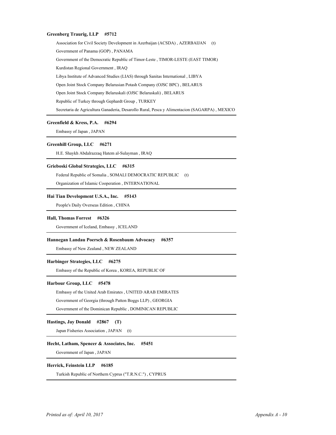## **Greenberg Traurig, LLP #5712**

Association for Civil Society Development in Azerbaijan (ACSDA), AZERBAIJAN (t) Government of Panama (GOP) , PANAMA 2 Government of the Democratic Republic of Timor-Leste , TIMOR-LESTE (EAST TIMOR) 3 Kurdistan Regional Government , IRAQ 4 Libya Institute of Advanced Studies (LIAS) through Sanitas International , LIBYA 5 Open Joint Stock Company Belarusian Potash Company (OJSC BPC) , BELARUS 6 Open Joint Stock Company Belaruskali (OJSC Belaruskali) , BELARUS 7 Republic of Turkey through Gephardt Group, TURKEY 9 Secretaria de Agricultura Ganaderia, Desarollo Rural, Pesca y Alimentacion (SAGARPA) , MEXICO

## **Greenfield & Kress, P.A. #6294**

Embassy of Japan , JAPAN 1

### **Greenhill Group, LLC #6271**

H.E. Shaykh Abdalrazzaq Hatem al-Sulayman , IRAQ 1

## **Grieboski Global Strategies, LLC #6315**

Federal Republic of Somalia, SOMALI DEMOCRATIC REPUBLIC (t)

Organization of Islamic Cooperation , INTERNATIONAL 2

### **Hai Tian Development U.S.A., Inc. #5143**

People's Daily Overseas Edition, CHINA

## **Hall, Thomas Forrest #6326**

Government of Iceland, Embassy , ICELAND 1

### **Hannegan Landau Poersch & Rosenbaum Advocacy #6357**

Embassy of New Zealand , NEW ZEALAND 1

## **Harbinger Strategies, LLC #6275**

Embassy of the Republic of Korea , KOREA, REPUBLIC OF 1

### **Harbour Group, LLC #5478**

Embassy of the United Arab Emirates , UNITED ARAB EMIRATES 1

Government of Georgia (through Patton Boggs LLP) , GEORGIA 2

Government of the Dominican Republic , DOMINICAN REPUBLIC 3

## **Hastings, Jay Donald #2867 (T)**

Japan Fisheries Association, JAPAN (t)

## **Hecht, Latham, Spencer & Associates, Inc. #5451**

Government of Japan , JAPAN 1

## **Herrick, Feinstein LLP #6185**

Turkish Republic of Northern Cyprus ("T.R.N.C.") , CYPRUS 1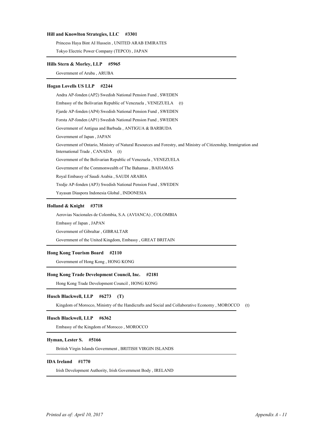## **Hill and Knowlton Strategies, LLC #3301**

Princess Haya Bint AI Hussein, UNITED ARAB EMIRATES

Tokyo Electric Power Company (TEPCO) , JAPAN 2

## **Hills Stern & Morley, LLP #5965**

Government of Aruba , ARUBA 1

### **Hogan Lovells US LLP #2244**

Andra AP-fonden (AP2) Swedish National Pension Fund , SWEDEN 1 Embassy of the Bolivarian Republic of Venezuela , VENEZUELA (t) 2 3 Fjarde AP-fonden (AP4) Swedish National Pension Fund , SWEDEN 4 Forsta AP-fonden (AP1) Swedish National Pension Fund , SWEDEN Government of Antigua and Barbuda , ANTIGUA & BARBUDA 5 Government of Japan , JAPAN 6 Government of Ontario, Ministry of Natural Resources and Forestry, and Ministry of Citizenship, Immigration and 7 International Trade , CANADA (t) Government of the Bolivarian Republic of Venezuela , VENEZUELA 8 Government of the Commonwealth of The Bahamas, BAHAMAS Royal Embassy of Saudi Arabia, SAUDI ARABIA Tredje AP-fonden (AP3) Swedish National Pension Fund , SWEDEN 11 Yayasan Diaspora Indonesia Global , INDONESIA 12

## **Holland & Knight #3718**

Aerovias Nacionales de Colombia, S.A. (AVIANCA) , COLOMBIA 1

Embassy of Japan , JAPAN 2

Government of Gibraltar , GIBRALTAR 3

Government of the United Kingdom, Embassy , GREAT BRITAIN 4

## **Hong Kong Tourism Board #2110**

Government of Hong Kong , HONG KONG 1

## **Hong Kong Trade Development Council, Inc. #2181**

Hong Kong Trade Development Council , HONG KONG 1

## **Husch Blackwell, LLP #6273 (T)**

Kingdom of Morocco, Ministry of the Handicrafts and Social and Collaborative Economy , MOROCCO (t)

## **Husch Blackwell, LLP #6362**

Embassy of the Kingdom of Morocco , MOROCCO 2

## **Hyman, Lester S. #5166**

British Virgin Islands Government , BRITISH VIRGIN ISLANDS 1

## **IDA Ireland #1770**

1 Irish Development Authority, Irish Government Body , IRELAND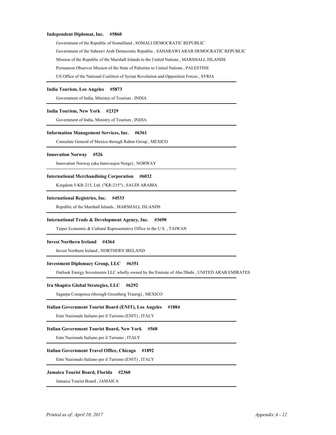## **Independent Diplomat, Inc. #5860**

Government of the Republic of Somaliland , SOMALI DEMOCRATIC REPUBLIC 1 Government of the Sahrawi Arab Democratic Republic , SAHARAWI ARAB DEMOCRATIC REPUBLIC 2 Mission of the Republic of the Marshall Islands to the United Nations , MARSHALL ISLANDS 3 Permanent Observer Mission of the State of Palestine to United Nations, PALESTINE US Office of the National Coalition of Syrian Revolution and Opposition Forces, SYRIA

### **India Tourism, Los Angeles #5873**

Government of India, Ministry of Tourism , INDIA 1

## **India Tourism, New York #2329**

Government of India, Ministry of Tourism , INDIA 1

### **Information Management Services, Inc. #6361**

Consulate General of Mexico through Raben Group , MEXICO 1

#### **Innovation Norway #526**

Innovation Norway (aka Innovasjon Norge), NORWAY

#### **International Merchandising Corporation #6032**

Kingdom 5-KR-215, Ltd. ("KR-215") , SAUDI ARABIA 1

## **International Registries, Inc. #4533**

Republic of the Marshall Islands , MARSHALL ISLANDS 1

### **International Trade & Development Agency, Inc. #3690**

Taipei Economic & Cultural Representative Office in the U.S. , TAIWAN 1

### **Invest Northern Ireland #4364**

1 Invest Northern Ireland , NORTHERN IRELAND

## **Investment Diplomacy Group, LLC #6351**

Outlook Energy Investments LLC wholly owned by the Emirate of Abu Dhabi , UNITED ARAB EMIRATES 1

#### **Ira Shapiro Global Strategies, LLC #6292**

Sagarpa Conapesca (through Greenberg Traurig), MEXICO

## **Italian Government Tourist Board (ENIT), Los Angeles #1884**

Ente Nazionale Italiano per il Turismo (ENIT) , ITALY 1

## **Italian Government Tourist Board, New York #568**

Ente Nazionale Italiano per il Turismo , ITALY 1

## **Italian Government Travel Office, Chicago #1892**

Ente Nazionale Italiano per il Turismo (ENIT) , ITALY 1

#### **Jamaica Tourist Board, Florida #2360**

Jamaica Tourist Board, JAMAICA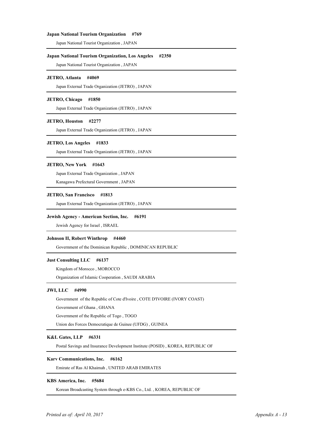## **Japan National Tourism Organization #769**

1 Japan National Tourist Organization , JAPAN

## **Japan National Tourism Organization, Los Angeles #2350**

1 Japan National Tourist Organization , JAPAN

### **JETRO, Atlanta #4069**

Japan External Trade Organization (JETRO), JAPAN

## **JETRO, Chicago #1850**

1 Japan External Trade Organization (JETRO) , JAPAN

## **JETRO, Houston #2277**

1 Japan External Trade Organization (JETRO) , JAPAN

### **JETRO, Los Angeles #1833**

Japan External Trade Organization (JETRO), JAPAN

## **JETRO, New York #1643**

1 Japan External Trade Organization , JAPAN

Kanagawa Prefectural Government , JAPAN 2

## **JETRO, San Francisco #1813**

Japan External Trade Organization (JETRO), JAPAN

## **Jewish Agency - American Section, Inc. #6191**

Jewish Agency for Israel, ISRAEL

## **Johnson II, Robert Winthrop #4460**

Government of the Dominican Republic , DOMINICAN REPUBLIC 1

## **Just Consulting LLC #6137**

Kingdom of Morocco, MOROCCO

Organization of Islamic Cooperation , SAUDI ARABIA 2

## **JWI, LLC #4990**

Government of the Republic of Cote d'Ivoire , COTE D'IVOIRE (IVORY COAST) 1 Government of Ghana , GHANA 2 Government of the Republic of Togo, TOGO

Union des Forces Democratique de Guinee (UFDG) , GUINEA 4

## **K&L Gates, LLP #6331**

1 Postal Savings and Insurance Development Institute (POSID) , KOREA, REPUBLIC OF

## **Karv Communications, Inc. #6162**

Emirate of Ras Al Khaimah , UNITED ARAB EMIRATES 1

## **KBS America, Inc. #5684**

Korean Broadcasting System through e-KBS Co., Ltd., KOREA, REPUBLIC OF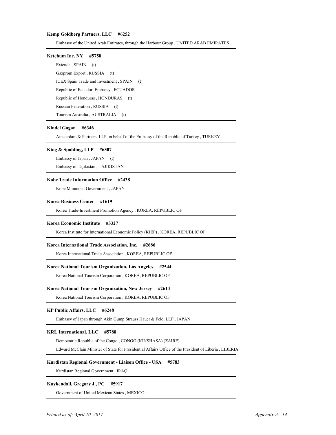## **Kemp Goldberg Partners, LLC #6252**

Embassy of the United Arab Emirates, through the Harbour Group , UNITED ARAB EMIRATES 1

## **Ketchum Inc. NY #5758**

Extenda, SPAIN (t) Gazprom Export, RUSSIA (t) ICEX Spain Trade and Investment, SPAIN (t) Republic of Ecuador, Embassy , ECUADOR 4 Republic of Honduras, HONDURAS (t) Russian Federation, RUSSIA (t) Tourism Australia, AUSTRALIA (t)

### **Kindel Gagan #6346**

Amsterdam & Partners, LLP on behalf of the Embassy of the Republic of Turkey, TURKEY

### **King & Spalding, LLP #6307**

Embassy of Japan, JAPAN (t)

Embassy of Tajikistan , TAJIKISTAN 2

## **Kobe Trade Information Office #2438**

Kobe Municipal Government, JAPAN

#### **Korea Business Center #1619**

Korea Trade-Investment Promotion Agency , KOREA, REPUBLIC OF 1

### **Korea Economic Institute #3327**

Korea Institute for International Economic Policy (KIEP) , KOREA, REPUBLIC OF 1

## **Korea International Trade Association, Inc. #2686**

Korea International Trade Association , KOREA, REPUBLIC OF 1

## **Korea National Tourism Organization, Los Angeles #2544**

Korea National Tourism Corporation , KOREA, REPUBLIC OF 1

## **Korea National Tourism Organization, New Jersey #2614**

Korea National Tourism Corporation , KOREA, REPUBLIC OF 1

## **KP Public Affairs, LLC #6248**

Embassy of Japan through Akin Gump Strauss Hauer & Feld, LLP , JAPAN 1

## **KRL International, LLC #5788**

Democratic Republic of the Congo , CONGO (KINSHASA) (ZAIRE) 1

Edward McClain Minister of State for Presidential Affairs Office of the President of Liberia , LIBERIA 2

## **Kurdistan Regional Government - Liaison Office - USA #5783**

Kurdistan Regional Government , IRAQ 1

## **Kuykendall, Gregory J., PC #5917**

Government of United Mexican States , MEXICO 1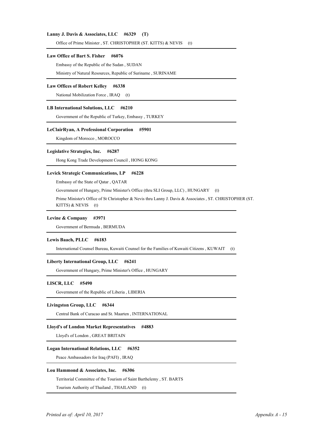## **Lanny J. Davis & Associates, LLC #6329 (T)**

Office of Prime Minister, ST. CHRISTOPHER (ST. KITTS) & NEVIS (t)

#### Law Office of Bart S. Fisher #6076

Embassy of the Republic of the Sudan , SUDAN 1

Ministry of Natural Resources, Republic of Suriname , SURINAME 2

### **Law Offices of Robert Kelley #6338**

National Mobilization Force, IRAQ (t)

## **LB International Solutions, LLC #6210**

Government of the Republic of Turkey, Embassy , TURKEY 1

## **LeClairRyan, A Professional Corporation #5901**

Kingdom of Morocco, MOROCCO

## **Legislative Strategies, Inc. #6287**

Hong Kong Trade Development Council , HONG KONG 1

### Levick Strategic Communications, LP #6228

Embassy of the State of Qatar , QATAR 1

Government of Hungary, Prime Minister's Office (thru SLI Group, LLC) , HUNGARY (t) 2

 3 Prime Minister's Office of St Christopher & Nevis thru Lanny J. Davis & Associates , ST. CHRISTOPHER (ST. KITTS) & NEVIS (t)

### **Levine & Company #3971**

Government of Bermuda , BERMUDA 1

#### **Lewis Baach, PLLC #6183**

1 International Counsel Bureau, Kuwaiti Counsel for the Families of Kuwaiti Citizens , KUWAIT (t)

## **Liberty International Group, LLC #6241**

Government of Hungary, Prime Minister's Office , HUNGARY 1

## **LISCR, LLC #5490**

Government of the Republic of Liberia , LIBERIA 1

## **Livingston Group, LLC #6344**

Central Bank of Curacao and St. Maarten , INTERNATIONAL 1

## **Lloyd's of London Market Representatives #4883**

Lloyd's of London , GREAT BRITAIN 1

### **Logan International Relations, LLC #6352**

Peace Ambassadors for Iraq (PAFI), IRAQ

## **Lou Hammond & Associates, Inc. #6306**

Territorial Committee of the Tourism of Saint Barthelemy , ST. BARTS 1

Tourism Authority of Thailand, THAILAND (t)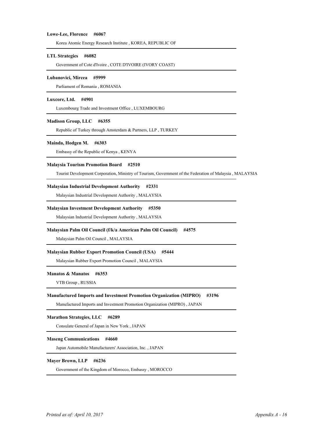### **Lowe-Lee, Florence #6067**

Korea Atomic Energy Research Institute , KOREA, REPUBLIC OF 1

### **LTL Strategies #6082**

Government of Cote d'Ivoire , COTE D'IVOIRE (IVORY COAST) 1

## **Lubanovici, Mircea #5999**

Parliament of Romania, ROMANIA

#### **Luxcore, Ltd. #4901**

Luxembourg Trade and Investment Office , LUXEMBOURG 1

## **Madison Group, LLC #6355**

Republic of Turkey through Amsterdam & Partners, LLP, TURKEY

### **Mainda, Hodgen M. #6303**

Embassy of the Republic of Kenya , KENYA 1

#### **Malaysia Tourism Promotion Board #2510**

Tourist Development Corporation, Ministry of Tourism, Government of the Federation of Malaysia , MALAYSIA 1

### **Malaysian Industrial Development Authority #2331**

Malaysian Industrial Development Authority , MALAYSIA 1

### **Malaysian Investment Development Authority #5350**

Malaysian Industrial Development Authority , MALAYSIA 1

### **Malaysian Palm Oil Council (f/k/a American Palm Oil Council) #4575**

Malaysian Palm Oil Council , MALAYSIA 1

### **Malaysian Rubber Export Promotion Council (USA) #5444**

Malaysian Rubber Export Promotion Council , MALAYSIA 1

#### **Manatos & Manatos #6353**

VTB Group , RUSSIA 1

### **Manufactured Imports and Investment Promotion Organization (MIPRO) #3196**

Manufactured Imports and Investment Promotion Organization (MIPRO) , JAPAN 1

### **Marathon Strategies, LLC #6289**

Consulate General of Japan in New York , JAPAN 1

## **Maseng Communications #4660**

1 Japan Automobile Manufacturers' Association, Inc. , JAPAN

## **Mayer Brown, LLP #6236**

Government of the Kingdom of Morocco, Embassy , MOROCCO 1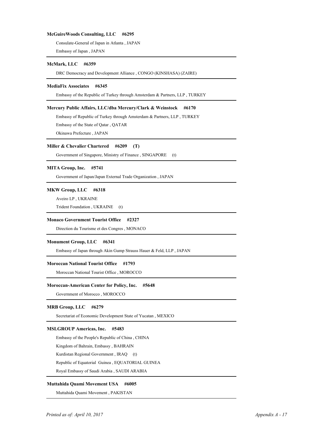## **McGuireWoods Consulting, LLC #6295**

Consulate-General of Japan in Atlanta , JAPAN 1

Embassy of Japan , JAPAN 2

## **McMark, LLC #6359**

DRC Democracy and Development Alliance , CONGO (KINSHASA) (ZAIRE) 1

#### **MediaFix Associates #6345**

Embassy of the Republic of Turkey through Amsterdam & Partners, LLP , TURKEY 1

## **Mercury Public Affairs, LLC/dba Mercury/Clark & Weinstock #6170**

Embassy of Republic of Turkey through Amsterdam & Partners, LLP , TURKEY 1 Embassy of the State of Qatar , QATAR 2

Okinawa Prefecture , JAPAN 3

#### **Miller & Chevalier Chartered #6209 (T)**

Government of Singapore, Ministry of Finance, SINGAPORE (t)

## **MITA Group, Inc. #5741**

Government of Japan/Japan External Trade Organization , JAPAN 1

## **MKW Group, LLC #6318**

Aveiro LP , UKRAINE 1

Trident Foundation, UKRAINE (t)

#### **Monaco Government Tourist Office #2327**

Direction du Tourisme et des Congres , MONACO 1

## **Monument Group, LLC #6341**

Embassy of Japan through Akin Gump Strauss Hauer & Feld, LLP , JAPAN 1

#### **Moroccan National Tourist Office #1793**

Moroccan National Tourist Office , MOROCCO 1

#### **Moroccan-American Center for Policy, Inc. #5648**

Government of Morocco , MOROCCO 1

## **MRB Group, LLC #6279**

Secretariat of Economic Development State of Yucatan, MEXICO

## **MSLGROUP Americas, Inc. #5483**

Embassy of the People's Republic of China , CHINA 1

Kingdom of Bahrain, Embassy , BAHRAIN 2

Kurdistan Regional Government, IRAQ (t)

Republic of Equatorial Guinea, EQUATORIAL GUINEA

Royal Embassy of Saudi Arabia , SAUDI ARABIA 5

## **Muttahida Quami Movement USA #6005**

Muttahida Quami Movement , PAKISTAN 1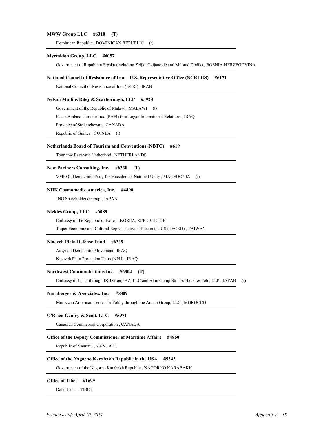## **MWW Group LLC #6310 (T)**

Dominican Republic, DOMINICAN REPUBLIC (t)

#### **Myrmidon Group, LLC #6057**

Government of Republika Srpska (including Zeljka Cvijanovic and Milorad Dodik) , BOSNIA-HERZEGOVINA 1

### **National Council of Resistance of Iran - U.S. Representative Office (NCRI-US) #6171**

National Council of Resistance of Iran (NCRI) , IRAN 1

### **Nelson Mullins Riley & Scarborough, LLP #5928**

Government of the Republic of Malawi, MALAWI (t)

2 Peace Ambassadors for Iraq (PAFI) thru Logan International Relations , IRAQ

3 Province of Saskatchewan , CANADA

Republic of Guinea, GUINEA (t)

#### **Netherlands Board of Tourism and Conventions (NBTC) #619**

Tourisme Recreatie Netherland , NETHERLANDS 1

## **New Partners Consulting, Inc. #6330 (T)**

VMRO - Democratic Party for Macedonian National Unity , MACEDONIA (t) 1

## **NHK Cosmomedia America, Inc. #4490**

1 JNG Shareholders Group , JAPAN

## **Nickles Group, LLC #6089**

Embassy of the Republic of Korea , KOREA, REPUBLIC OF 1

Taipei Economic and Cultural Representative Office in the US (TECRO) , TAIWAN 2

### **Nineveh Plain Defense Fund #6339**

Assyrian Democratic Movement , IRAQ 1

Nineveh Plain Protection Units (NPU) , IRAQ 3

## **Northwest Communications Inc. #6304 (T)**

Embassy of Japan through DCI Group AZ, LLC and Akin Gump Strauss Hauer & Feld, LLP, JAPAN (t)

### **Nurnberger & Associates, Inc. #5809**

Moroccan American Center for Policy through the Amani Group, LLC , MOROCCO 1

#### **O'Brien Gentry & Scott, LLC #5971**

Canadian Commercial Corporation , CANADA 1

### **Office of the Deputy Commissioner of Maritime Affairs #4860**

Republic of Vanuatu , VANUATU 1

## **Office of the Nagorno Karabakh Republic in the USA #5342**

Government of the Nagorno Karabakh Republic , NAGORNO KARABAKH 1

#### **Office of Tibet #1699**

Dalai Lama , TIBET 1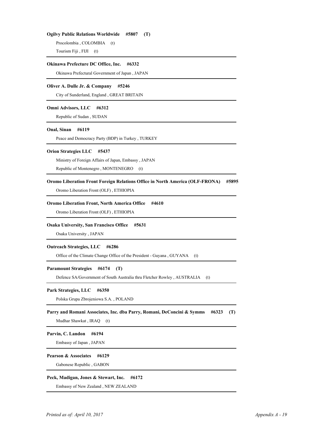## **Ogilvy Public Relations Worldwide #5807 (T)**

Procolombia, COLOMBIA (t) Tourism Fiji, FIJI (t)

## **Okinawa Prefecture DC Office, Inc. #6332**

Okinawa Prefectural Government of Japan , JAPAN 1

### **Oliver A. Dulle Jr. & Company #5246**

City of Sunderland, England , GREAT BRITAIN 1

# **Omni Advisors, LLC #6312**

Republic of Sudan , SUDAN 1

## **Onal, Sinan #6119**

Peace and Democracy Party (BDP) in Turkey, TURKEY

# **Orion Strategies LLC #5437**

Ministry of Foreign Affairs of Japan, Embassy , JAPAN 1

Republic of Montenegro, MONTENEGRO (t)

# **Oromo Liberation Front Foreign Relations Office in North America (OLF-FRONA) #5895**

Oromo Liberation Front (OLF) , ETHIOPIA 1

# **Oromo Liberation Front, North America Office #4610**

Oromo Liberation Front (OLF) , ETHIOPIA 1

### **Osaka University, San Francisco Office #5631**

Osaka University , JAPAN 1

## **Outreach Strategies, LLC #6286**

Office of the Climate Change Office of the President - Guyana, GUYANA (t)

# **Paramount Strategies #6174 (T)**

Defence SA/Government of South Australia thru Fletcher Rowley, AUSTRALIA (t)

### **Park Strategies, LLC #6350**

1 Polska Grupa Zbrojeniowa S.A. , POLAND

### **Parry and Romani Associates, Inc. dba Parry, Romani, DeConcini & Symms #6323 (T)**

Mudhar Shawkat, IRAQ (t)

#### **Parvin, C. Landon #6194**

Embassy of Japan , JAPAN 1

### **Pearson & Associates #6129**

Gabonese Republic , GABON 1

# **Peck, Madigan, Jones & Stewart, Inc. #6172**

Embassy of New Zealand , NEW ZEALAND 1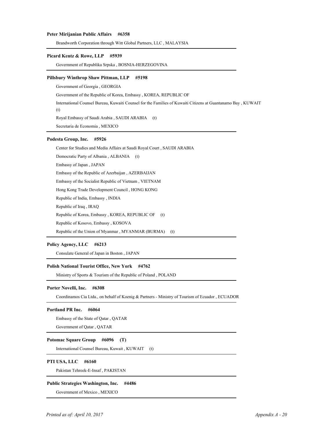## **Peter Mirijanian Public Affairs #6358**

Brandworth Corporation through Witt Global Partners, LLC , MALAYSIA 1

# **Picard Kentz & Rowe, LLP #5939**

Government of Republika Srpska , BOSNIA-HERZEGOVINA 1

### **Pillsbury Winthrop Shaw Pittman, LLP #5198**

Government of Georgia , GEORGIA 1 Government of the Republic of Korea, Embassy , KOREA, REPUBLIC OF 2 3 International Counsel Bureau, Kuwaiti Counsel for the Families of Kuwaiti Citizens at Guantanamo Bay , KUWAIT (t) Royal Embassy of Saudi Arabia, SAUDI ARABIA (t) 5 Secretaria de Economia , MEXICO

# **Podesta Group, Inc. #5926**

Center for Studies and Media Affairs at Saudi Royal Court , SAUDI ARABIA 1

Democratic Party of Albania, ALBANIA (t)

Embassy of Japan , JAPAN 3

Embassy of the Republic of Azerbaijan , AZERBAIJAN 4

Embassy of the Socialist Republic of Vietnam, VIETNAM

Hong Kong Trade Development Council, HONG KONG

Republic of India, Embassy , INDIA 7

Republic of Iraq, IRAQ

Republic of Korea, Embassy, KOREA, REPUBLIC OF (t)

Republic of Kosovo, Embassy, KOSOVA

Republic of the Union of Myanmar, MYANMAR (BURMA) (t)

# **Policy Agency, LLC #6213**

Consulate General of Japan in Boston , JAPAN 1

## **Polish National Tourist Office, New York #4762**

Ministry of Sports & Tourism of the Republic of Poland , POLAND 1

#### **Porter Novelli, Inc. #6308**

Coordinamos Cia Ltda., on behalf of Koenig & Partners - Ministry of Tourism of Ecuador , ECUADOR 1

### **Portland PR Inc. #6064**

Embassy of the State of Qatar , QATAR 1

Government of Qatar , QATAR 2

# **Potomac Square Group #6096 (T)**

1 International Counsel Bureau, Kuwait , KUWAIT (t)

## **PTI USA, LLC #6160**

1 Pakistan Tehreek-E-Insaf , PAKISTAN

# **Public Strategies Washington, Inc. #4486**

Government of Mexico , MEXICO 1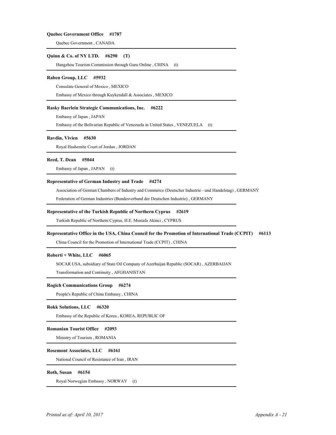### **Quebec Government Office #1787**

Quebec Government , CANADA 1

### **Quinn & Co. of NY LTD. #6290 (T)**

Hangzhou Tourism Commission through Guru Online, CHINA (t)

# **Raben Group, LLC #5932**

Consulate General of Mexico , MEXICO 1

Embassy of Mexico through Kuykendall & Associates , MEXICO 2

### **Rasky Baerlein Strategic Communications, Inc. #6222**

Embassy of Japan , JAPAN 1

Embassy of the Bolivarian Republic of Venezuela in United States , VENEZUELA (t) 2

#### **Ravdin, Vivien #5630**

Royal Hashemite Court of Jordan , JORDAN 1

# **Reed, T. Dean #5044**

Embassy of Japan, JAPAN (t)

# **Representative of German Industry and Trade #4274**

Association of German Chambers of Industry and Commerce (Deutscher Industrie - und Handelstag) , GERMANY 1

2 Federation of German Industries (Bundesverband der Deutschen Industrie) , GERMANY

# **Representative of the Turkish Republic of Northern Cyprus #2619**

Turkish Republic of Northern Cyprus, H.E. Mustafa Akinci , CYPRUS 1

### **Representative Office in the USA, China Council for the Promotion of International Trade (CCPIT) #6113**

China Council for the Promotion of International Trade (CCPIT) , CHINA 1

## **Roberti + White, LLC #6065**

1 SOCAR USA, subsidiary of State Oil Company of Azerbaijan Republic (SOCAR) , AZERBAIJAN

Transformation and Continuity , AFGHANISTAN 2

#### **Rogich Communications Group #6274**

People's Republic of China Embassy, CHINA

# **Rokk Solutions, LLC #6320**

Embassy of the Republic of Korea , KOREA, REPUBLIC OF 1

### **Romanian Tourist Office #2093**

Ministry of Tourism , ROMANIA 1

## **Rosemont Associates, LLC #6161**

National Council of Resistance of Iran , IRAN 1

### **Roth, Susan #6154**

Royal Norwegian Embassy , NORWAY (t) 1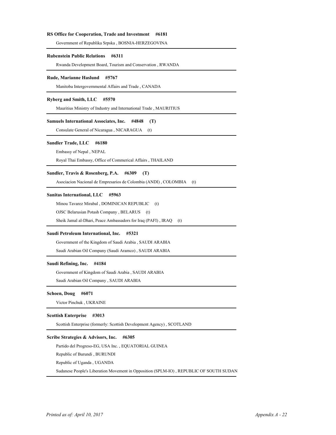## **RS Office for Cooperation, Trade and Investment #6181**

Government of Republika Srpska , BOSNIA-HERZEGOVINA 1

#### **Rubenstein Public Relations #6311**

Rwanda Development Board, Tourism and Conservation , RWANDA 1

### **Rude, Marianne Haslund #5767**

Manitoba Intergovernmental Affairs and Trade , CANADA 1

### **Ryberg and Smith, LLC #5570**

Mauritius Ministry of Industry and International Trade , MAURITIUS 1

### **Samuels International Associates, Inc. #4848 (T)**

Consulate General of Nicaragua, NICARAGUA (t)

#### **Sandler Trade, LLC #6180**

Embassy of Nepal , NEPAL 1

Royal Thai Embassy, Office of Commerical Affairs , THAILAND 2

## **Sandler, Travis & Rosenberg, P.A. #6309 (T)**

Asociacion Nacional de Empresarios de Colombia (ANDI) , COLOMBIA (t) 1

## **Sanitas International, LLC #5963**

Minou Tavarez Mirabal, DOMINICAN REPUBLIC (t)

OJSC Belarusian Potash Company, BELARUS (t)

Sheik Jamal al-Dhari, Peace Ambassadors for Iraq (PAFI), IRAQ (t)

### **Saudi Petroleum International, Inc. #5321**

Government of the Kingdom of Saudi Arabia , SAUDI ARABIA 1 Saudi Arabian Oil Company (Saudi Aramco), SAUDI ARABIA

#### **Saudi Refining, Inc. #4184**

Government of Kingdom of Saudi Arabia , SAUDI ARABIA 1 2 Saudi Arabian Oil Company , SAUDI ARABIA

#### **Schoen, Doug #6071**

Victor Pinchuk , UKRAINE 1

#### **Scottish Enterprise #3013**

Scottish Enterprise (formerly: Scottish Development Agency), SCOTLAND

### **Scribe Strategies & Advisors, Inc. #6305**

Partido del Progreso-EG, USA Inc., EQUATORIAL GUINEA

Republic of Burundi , BURUNDI 2

Republic of Uganda, UGANDA

4 Sudanese People's Liberation Movement in Opposition (SPLM-IO) , REPUBLIC OF SOUTH SUDAN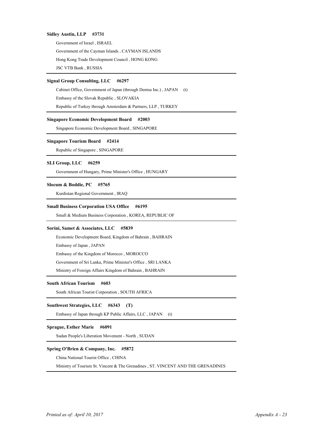### **Sidley Austin, LLP #3731**

Government of Israel , ISRAEL 1 Government of the Cayman Islands , CAYMAN ISLANDS 2 Hong Kong Trade Development Council , HONG KONG 3 JSC VTB Bank, RUSSIA

# **Signal Group Consulting, LLC #6297**

Cabinet Office, Government of Japan (through Dentsu Inc.), JAPAN (t)

Embassy of the Slovak Republic , SLOVAKIA 2

Republic of Turkey through Amsterdam & Partners, LLP, TURKEY

### **Singapore Economic Development Board #2003**

Singapore Economic Development Board, SINGAPORE

### **Singapore Tourism Board #2414**

Republic of Singapore, SINGAPORE

# **SLI Group, LLC #6259**

Government of Hungary, Prime Minister's Office , HUNGARY 1

# **Slocum & Boddie, PC #5765**

Kurdistan Regional Government , IRAQ 1

# **Small Business Corporation USA Office #6195**

Small & Medium Business Corporation , KOREA, REPUBLIC OF

### **Sorini, Samet & Associates, LLC #5839**

Economic Development Board, Kingdom of Bahrain , BAHRAIN 1

Embassy of Japan , JAPAN 2

Embassy of the Kingdom of Morocco , MOROCCO 3

Government of Sri Lanka, Prime Minister's Office , SRI LANKA 4

Ministry of Foreign Affairs Kingdom of Bahrain , BAHRAIN 5

# **South African Tourism #603**

South African Tourist Corporation, SOUTH AFRICA

# **Southwest Strategies, LLC #6343 (T)**

Embassy of Japan through KP Public Affairs, LLC, JAPAN (t)

# **Sprague, Esther Marie #6091**

Sudan People's Liberation Movement - North, SUDAN

# **Spring O'Brien & Company, Inc. #5872**

China National Tourist Office , CHINA 1

Ministry of Tourism St. Vincent & The Grenadines , ST. VINCENT AND THE GRENADINES 2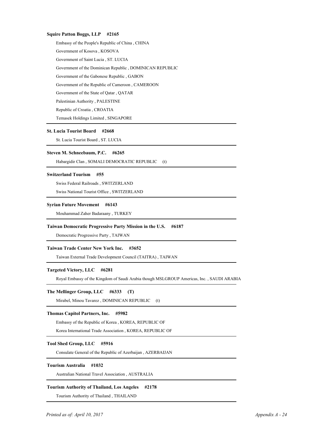## **Squire Patton Boggs, LLP #2165**

Embassy of the People's Republic of China , CHINA 1 Government of Kosova , KOSOVA 2 Government of Saint Lucia, ST. LUCIA Government of the Dominican Republic , DOMINICAN REPUBLIC 4 Government of the Gabonese Republic, GABON Government of the Republic of Cameroon , CAMEROON 6 Government of the State of Qatar , QATAR 7 Palestinian Authority, PALESTINE Republic of Croatia, CROATIA Temasek Holdings Limited, SINGAPORE

## **St. Lucia Tourist Board #2668**

St. Lucia Tourist Board, ST. LUCIA

### **Steven M. Schneebaum, P.C. #6265**

Habargidir Clan , SOMALI DEMOCRATIC REPUBLIC (t) 1

### **Switzerland Tourism #55**

1 Swiss Federal Railroads , SWITZERLAND

2 Swiss National Tourist Office , SWITZERLAND

# **Syrian Future Movement #6143**

Mouhammad Zaher Badaraany , TURKEY 1

# **Taiwan Democratic Progressive Party Mission in the U.S. #6187**

Democratic Progressive Party , TAIWAN 1

# **Taiwan Trade Center New York Inc. #3652**

Taiwan External Trade Development Council (TAITRA) , TAIWAN 1

## **Targeted Victory, LLC #6281**

Royal Embassy of the Kingdom of Saudi Arabia though MSLGROUP Americas, Inc. , SAUDI ARABIA 1

### **The Mellinger Group, LLC #6333 (T)**

Mirabel, Minou Tavarez, DOMINICAN REPUBLIC (t)

# **Thomas Capitol Partners, Inc. #5982**

Embassy of the Republic of Korea , KOREA, REPUBLIC OF 1

Korea International Trade Association , KOREA, REPUBLIC OF 2

# **Tool Shed Group, LLC #5916**

Consulate General of the Republic of Azerbaijan , AZERBAIJAN 1

# **Tourism Australia #1032**

Australian National Travel Association , AUSTRALIA 1

# **Tourism Authority of Thailand, Los Angeles #2178**

Tourism Authority of Thailand , THAILAND 1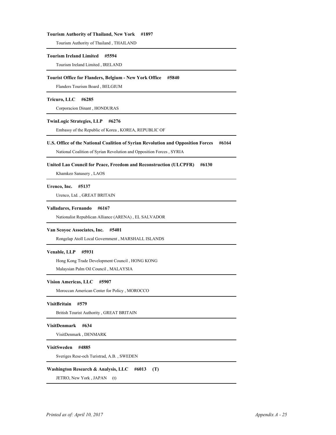### **Tourism Authority of Thailand, New York #1897**

Tourism Authority of Thailand , THAILAND 1

#### **Tourism Ireland Limited #5594**

Tourism Ireland Limited , IRELAND 1

### **Tourist Office for Flanders, Belgium - New York Office #5840**

1 Flanders Tourism Board , BELGIUM

# **Tricuro, LLC #6285**

Corporacion Dinant , HONDURAS 1

## **TwinLogic Strategies, LLP #6276**

Embassy of the Republic of Korea , KOREA, REPUBLIC OF 1

### **U.S. Office of the National Coalition of Syrian Revolution and Opposition Forces #6164**

National Coalition of Syrian Revolution and Opposition Forces , SYRIA 1

## **United Lao Council for Peace, Freedom and Reconstruction (ULCPFR) #6130**

Khamkeo Sanasery , LAOS 1

### **Urenco, Inc. #5137**

Urenco, Ltd. , GREAT BRITAIN 1

### **Valladares, Fernando #6167**

Nationalist Republican Alliance (ARENA) , EL SALVADOR 1

### **Van Scoyoc Associates, Inc. #5401**

Rongelap Atoll Local Government , MARSHALL ISLANDS 1

## **Venable, LLP #5931**

Hong Kong Trade Development Council , HONG KONG 1

Malaysian Palm Oil Council , MALAYSIA 2

### **Vision Americas, LLC #5907**

Moroccan American Center for Policy , MOROCCO 1

# **VisitBritain #579**

British Tourist Authority , GREAT BRITAIN 1

# **VisitDenmark #634**

VisitDenmark , DENMARK 1

## **VisitSweden #4885**

1 Sveriges Rese-och Turistrad, A.B. , SWEDEN

### **Washington Research & Analysis, LLC #6013 (T)**

JETRO, New York, JAPAN (t)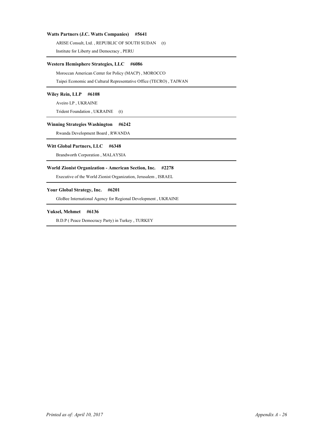# **Watts Partners (J.C. Watts Companies) #5641**

ARISE Consult, Ltd., REPUBLIC OF SOUTH SUDAN (t) 2 Institute for Liberty and Democracy , PERU

# **Western Hemisphere Strategies, LLC #6086**

Moroccan American Center for Policy (MACP), MOROCCO

Taipei Economic and Cultural Representative Office (TECRO) , TAIWAN 2

# **Wiley Rein, LLP #6108**

Aveiro LP , UKRAINE 1

Trident Foundation, UKRAINE (t)

# **Winning Strategies Washington #6242**

Rwanda Development Board , RWANDA 1

# **Witt Global Partners, LLC #6348**

Brandworth Corporation , MALAYSIA 1

### **World Zionist Organization - American Section, Inc. #2278**

Executive of the World Zionist Organization, Jerusalem , ISRAEL 1

# **Your Global Strategy, Inc. #6201**

GloBee International Agency for Regional Development , UKRAINE 1

# **Yuksel, Mehmet #6136**

B.D.P ( Peace Democracy Party) in Turkey, TURKEY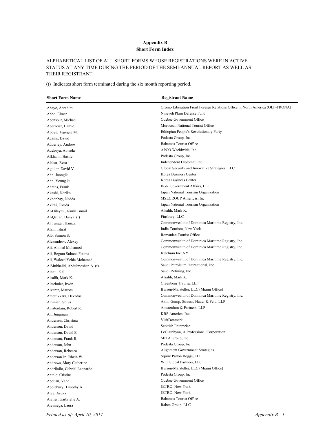# **Appendix B Short Form Index**

# ALPHABETICAL LIST OF ALL SHORT FORMS WHOSE REGISTRATIONS WERE IN ACTIVE STATUS AT ANY TIME DURING THE PERIOD OF THE SEMI-ANNUAL REPORT AS WELL AS THEIR REGISTRANT

(t) Indicates short form terminated during the six month reporting period.

| <b>Short Form Name</b>        | <b>Registrant Name</b>                                                       |
|-------------------------------|------------------------------------------------------------------------------|
| Abaye, Abrahim                | Oromo Liberation Front Foreign Relations Office in North America (OLF-FRONA) |
| Abbo, Elmer                   | Nineveh Plain Defense Fund                                                   |
| Abensour, Michael             | <b>Ouebec Government Office</b>                                              |
| Aberaouz, Hamid               | Moroccan National Tourist Office                                             |
| Aboye, Tegegne M.             | Ethiopian People's Revolutionary Party                                       |
| Adams, David                  | Podesta Group, Inc.                                                          |
| Adderley, Andrew              | <b>Bahamas Tourist Office</b>                                                |
| Adekoya, Abisola              | APCO Worldwide, Inc.                                                         |
| Afkhami, Hastie               | Podesta Group, Inc.                                                          |
| Afshar, Reza                  | Independent Diplomat, Inc.                                                   |
| Aguilar, David V.             | Global Security and Innovative Strategies, LLC                               |
| Ahn, Joongik                  | Korea Business Center                                                        |
| Ahn, Young Ju                 | Korea Business Center                                                        |
| Ahrens, Frank                 | BGR Government Affairs, LLC                                                  |
| Akashi, Noriko                | Japan National Tourism Organization                                          |
| Akhonbay, Nedda               | MSLGROUP Americas, Inc.                                                      |
| Akimi, Okuda                  | Japan National Tourism Organization                                          |
| Al-Dilaymi, Kamil Ismail      | Alsalih, Mark K.                                                             |
| Al-Qattan, Danya (t)          | Finsbury, LLC                                                                |
| Al Tanger, Hamza              | Commonwealth of Dominica Maritime Registry, Inc.                             |
| Alam, Ishrat                  | India Tourism, New York                                                      |
| Alb, Simion S.                | Romanian Tourist Office                                                      |
| Alexandrov, Alexey            | Commonwealth of Dominica Maritime Registry, Inc.                             |
| Ali, Ahmed Mohamed            | Commonwealth of Dominica Maritime Registry, Inc.                             |
| Ali, Begum Sultana Fatima     | Ketchum Inc. NY                                                              |
| Ali, Waleed Yehia Mohamed     | Commonwealth of Dominica Maritime Registry, Inc.                             |
| AlMukhaild, Abdulmoshen A (t) | Saudi Petroleum International, Inc.                                          |
| Alnaji, K.S.                  | Saudi Refining, Inc.                                                         |
| Alsalih, Mark K.              | Alsalih, Mark K.                                                             |
| Altschuler, Irwin             | Greenberg Traurig, LLP                                                       |
| Alvarez, Marcos               | Burson-Marsteller, LLC (Miami Office)                                        |
| Amettikkara, Devadas          | Commonwealth of Dominica Maritime Registry, Inc.                             |
| Aminian, Shiva                | Akin, Gump, Strauss, Hauer & Feld, LLP                                       |
| Amsterdam, Robert R.          | Amsterdam & Partners, LLP                                                    |
| An, Jungmun                   | KBS America, Inc.                                                            |
| Andersen, Christina           | VisitDenmark                                                                 |
| Anderson, David               | Scottish Enterprise                                                          |
| Anderson, David E.            | LeClairRyan, A Professional Corporation                                      |
| Anderson, Frank R.            | MITA Group, Inc.                                                             |
| Anderson, John                | Podesta Group, Inc.                                                          |
| Anderson, Rebecca             | Alignment Government Strategies                                              |
| Anderson Jr, Edwin W.         | Squire Patton Boggs, LLP                                                     |
| Andrews, Mary Catherine       | Witt Global Partners, LLC                                                    |
| Andrilollo, Gabriel Leonardo  | Burson-Marsteller, LLC (Miami Office)                                        |
| Antelo, Cristina              | Podesta Group, Inc.                                                          |
| Apelian, Vahe                 | Quebec Government Office                                                     |
| Applebury, Timothy A          | JETRO, New York                                                              |
| Arce, Asuka                   | JETRO, New York                                                              |
| Archer, Garbrielle A.         | <b>Bahamas Tourist Office</b>                                                |
| Arciniega, Laura              | Raben Group, LLC                                                             |

*Printed as of: April 10, 2017 Appendix B - 1*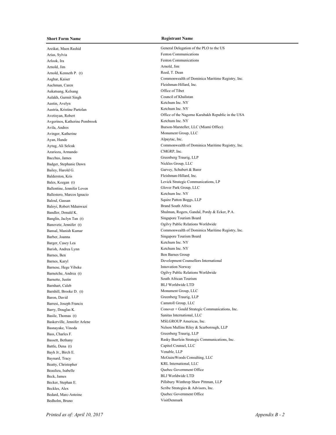Areikat, Maen Rashid General Delegation of the PLO to the US Arias, Sylvia Fenton Communications Arlook, Ira Fenton Communications Arnold, Jim Arnold, Jim Arnold, Kenneth P. (t) Reed, T. Dean Auchman, Caren Fleishman-Hillard, Inc. Aukatsang, Kelsang Office of Tibet Aulakh, Gurmit Singh Council of Khalistan Austin, Avelyn Ketchum Inc. NY Austria, Kristine Partolan Ketchum Inc. NY Avgerinos, Katherine Pembrook Ketchum Inc. NY Avinger, Katherine Monument Group, LLC Ayan, Hande Alpaytac, Inc. Azarioza, Armando CMGRP, Inc. Bacchus, James Greenberg Traurig, LLP Badger, Stephanie Dawn Nickles Group, LLC Bailey, Harold G. Garvey, Schubert & Barer Balderston, Kris Fleishman-Hillard, Inc. Ballentine, Jennifer Loven Glover Park Group, LLC Ballestero, Marcos Ignacio Ketchum Inc. NY Baloul, Gassan Squire Patton Boggs, LLP Baloyi, Robert Mdunwazi Brand South Africa Banglin, Jaclyn Tan (t) Singapore Tourism Board Barber, Joanna Singapore Tourism Board Barger, Casey Lea Ketchum Inc. NY Barish, Andrea Lynn Ketchum Inc. NY Barnes, Ben Ben Barnes Group Barnese, Hege Vibeke Innovation Norway Barnette, Justin South African Tourism Barnhart, Caleb BLJ Worldwide LTD Barnhill, Brooke D. (t) Monument Group, LLC Baron, David Greenberg Traurig, LLP Barresi, Joseph Francis Camstoll Group, LLC Basile, Thomas (t) Sanitas International, LLC Baskerville, Jennifer Arlene MSLGROUP Americas, Inc. Bass, Charles F. Greenberg Traurig, LLP Battle, Dena (t) Capitol Counsel, LLC Bayh Jr., Birch E. Venable, LLP Baynard, Tracy McGuireWoods Consulting, LLC Beatty, Christopher KRL International, LLC Beaulieu, Isabelle Quebec Government Office Beck, James BLJ Worldwide LTD Beckles, Alex Scribe Strategies & Advisors, Inc. Bedard, Marc-Antoine Quebec Government Office Bedholm, Bruno VisitDenmark

Asghar, Kaiser Commonwealth of Dominica Maritime Registry, Inc. Avetisyan, Robert Christian and Communication of the Nagorno Karabakh Republic in the USA Avila, Andres Burson-Marsteller, LLC (Miami Office) Aytug, Ali Selcuk Commonwealth of Dominica Maritime Registry, Inc. Bales, Keegan (t) Levick Strategic Communications, LP BandIer, Donald K. Shulman, Rogers, Gandal, Pordy & Ecker, P.A. Banovetz, Jennifer (t) Ogilvy Public Relations Worldwide Bansal, Manish Kumar Commonwealth of Dominica Maritime Registry, Inc. Barnes, Karyl Development Counsellors International Barnetche, Andrea (t) Ogilvy Public Relations Worldwide Barry, Douglas K. Conover + Gould Strategic Communications, Inc. Basnayake, Vinoda Nelson Mullins Riley & Scarborough, LLP Bassett, Bethany Rasky Baerlein Strategic Communications, Inc. Becker, Stephan E. Pillsbury Winthrop Shaw Pittman, LLP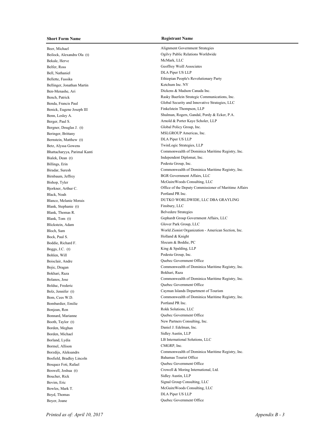Beer, Michael Alignment Government Strategies Bekale, Herve McMark, LLC Belfer, Ross Geoffrey Weill Associates Bell, Nathaniel DLA Piper US LLP Bellinger, Jonathan Martin Ketchum Inc. NY Ben-Menashe, Ari Dickens & Madson Canada Inc. Benick, Eugene Joseph III Finkelstein Thompson, LLP Bergner, Douglas J. (t) Global Policy Group, Inc. Beringer, Brittany MSLGROUP Americas, Inc. Bernstein, Matthew (t) DLA Piper US LLP Betz, Alyssa Gowens TwinLogic Strategies, LLP Bialek, Dean (t) Independent Diplomat, Inc. Billings, Erin Podesta Group, Inc. Birnbaum, Jeffrey BGR Government Affairs, LLC Black, Noah Portland PR Inc. Blank, Stephanie (t) Finsbury, LLC Blank, Thomas R. Belvedere Strategies Blickstein, Adam Glover Park Group, LLC Bock, Paul S. Holland & Knight Boddie, Richard F. Slocum & Boddie, PC Boggs, J.C. (t) King & Spalding, LLP Bohlen, Will Podesta Group, Inc. Boisclair, Andre Quebec Government Office Bokhari, Raza Bokhari, Raza Bolduc, Frederic Quebec Government Office Bombardier, Emilie Portland PR Inc. Bonjean, Ron Rokk Solutions, LLC Bonnard, Marianne Quebec Government Office Booth, Taylor (t) New Partners Consulting, Inc. Borden, Meghan Daniel J. Edelman, Inc. Borden, Michael Sidley Austin, LLP Borland, Lydia LB International Solutions, LLC Bormel, Allison CMGRP, Inc. Bosfield, Bradley Lincoln Bahamas Tourist Office Bosquez Foti, Rafael Quebec Government Office Boucher, Rick Sidley Austin, LLP Bovim, Eric Signal Group Consulting, LLC Boyd, Thomas DLA Piper US LLP Boyer, Joane Quebec Government Office

Beilock, Alexandra Ola (t) Ogilvy Public Relations Worldwide Bellette, Fassika Ethiopian People's Revolutionary Party Bench, Patrick **Rasky Baerlein Strategic Communications**, Inc. Benda, Francis Paul Global Security and Innovative Strategies, LLC Benn, Lesley A. Shulman, Rogers, Gandal, Pordy & Ecker, P.A. Berger, Paul S. Arnold & Porter Kaye Scholer, LLP Bhattacharyya, Parimal Kanti Commonwealth of Dominica Maritime Registry, Inc. Biradar, Suresh Commonwealth of Dominica Maritime Registry, Inc. Bishop, Tyler McGuireWoods Consulting, LLC Bjorkner, Arthur C. **Channel Commissioner of Maritime Affairs** Office of the Deputy Commissioner of Maritime Affairs Blanco, Melanie Morais DUTKO WORLDWIDE, LLC DBA GRAYLING Blank, Tom (t) Gephardt Group Government Affairs, LLC Bloch, Sam World Zionist Organization - American Section, Inc. Bojic, Dragan Commonwealth of Dominica Maritime Registry, Inc. Bolanos, Jose Commonwealth of Dominica Maritime Registry, Inc. Bolz, Jennifer (t) Cayman Islands Department of Tourism Bom, Cees W.D. Commonwealth of Dominica Maritime Registry, Inc. Borzdijs, Aleksandrs Commonwealth of Dominica Maritime Registry, Inc. Boswell, Joshua (t) Crowell & Moring International, Ltd. Bowles, Mark T. McGuireWoods Consulting, LLC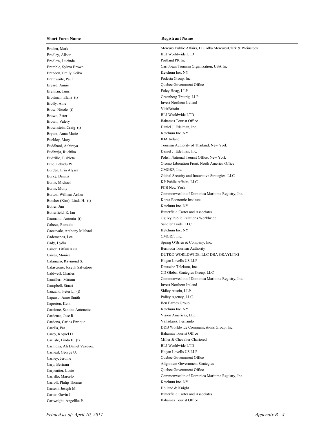Bradley, Alison BLJ Worldwide LTD Bradlow, Lucinda PR Inc. Brandon, Emily Keiko Ketchum Inc. NY Brathwaite, Paul Podesta Group, Inc. Breard, Annie Quebec Government Office Brennan, Janis Foley Hoag, LLP Broitman, Elana (t) Greenberg Traurig, LLP Brolly, Aine Invest Northern Ireland Brow, Nicole (t) VisitBritain Brown, Peter BLJ Worldwide LTD Brown, Valery Bahamas Tourist Office Brownstein, Craig (t) Daniel J. Edelman, Inc. Bryant, Anna Marie Ketchum Inc. NY Buckley, Mary **IDA** Ireland Budhraja, Ruchika Daniel J. Edelman, Inc. Burden, Erin Alyssa CMGRP, Inc. Burns, Michael KP Public Affairs, LLC Burns, Molly **FCB** New York Butcher (Kim), Linda H. (t) Korea Economic Institute Butler, Jim Ketchum Inc. NY Cabeza, Romulo Sandler Trade, LLC Caccavale, Anthony Michael Ketchum Inc. NY Cademenos, Lea CMGRP, Inc. Cady, Lydia Spring O'Brien & Company, Inc. Cailor, Tiffani Keir Bermuda Tourism Authority Calamaro, Raymond S. Hogan Lovells US LLP Calascione, Joseph Salvatore Deutsche Telekom, Inc. Campbell, Stuart Ireland Canzano, Peter L. (t) Sidley Austin, LLP Caparso, Anne Smith Policy Agency, LLC Caperton, Kent Ben Barnes Group Carcione, Santina Antonette Ketchum Inc. NY Cardenas, Jose R. Vision Americas, LLC Cardona, Carlos Enrique Valladares, Fernando Carey, Raquel D. Bahamas Tourist Office Carlisle, Linda E. (t) Miller & Chevalier Chartered Carmona, Ali Daniel Vazquez BLJ Worldwide LTD Carneal, George U. Hogan Lovells US LLP Carney, Jerome Quebec Government Office Carpentier, Lucie Quebec Government Office Carroll, Philip Thomas Ketchum Inc. NY Carseni, Joseph M. Holland & Knight Cartwright, Angelika P. Bahamas Tourist Office

Braden, Mark Mercury Public Affairs, LLC/dba Mercury/Clark & Weinstock Bramble, Sylma Brown Caribbean Tourism Organization, USA Inc. Buddhani, Achiraya Tourism Authority of Thailand, New York Budzillo, Elzbieta Polish National Tourist Office, New York Bulo, Fekadu W. Oromo Liberation Front, North America Office Burke, Dennis Global Security and Innovative Strategies, LLC Burton, William Arthur Commonwealth of Dominica Maritime Registry, Inc. Butterfield, R. Ian Butterfield, R. Ian Butterfield, R. Ian Butterfield, Carter and Associates Caamano, Antonia (t) Ogilvy Public Relations Worldwide Caires, Monica DUTKO WORLDWIDE, LLC DBA GRAYLING Caldwell, Charles CD Global Strategies Group, LLC Camilleri, Miriam Commonwealth of Dominica Maritime Registry, Inc. Carella, Pat DDB Worldwide Communications Group, Inc. Carp, Bertram Alignment Government Strategies Carrillo, Marcelo Commonwealth of Dominica Maritime Registry, Inc. Carter, Gavin J. Butterfield Carter and Associates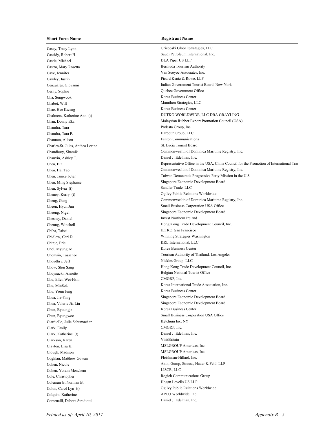Casey, Tracy Lynn Grieboski Global Strategies, LLC Cassidy, Robert H. Saudi Petroleum International, Inc. Castle, Michael DLA Piper US LLP Castro, Mary Rosetta **Bermuda Tourism Authority** Cave, Jennifer Van Scoyoc Associates, Inc. Cawley, Justin Picard Kentz & Rowe, LLP Cerny, Sophie Quebec Government Office Cha, Sungwook Korea Business Center Chabot, Will Marathon Strategies, LLC Chae, Hee Kwang Korea Business Center Chandra, Tara Podesta Group, Inc. Chandra, Tara P. Harbour Group, LLC Channon, Alison Fenton Communications Charles-St. Jules, Anthea Lorine St. Lucia Tourist Board Chauvin, Ashley T. Daniel J. Edelman, Inc. Chen, Sylvia (t) Sandler Trade, LLC Cheney, Kerry (t) Ogilvy Public Relations Worldwide Chesney, Daniel Invest Northern Ireland Chiba, Taisei JETRO, San Francisco Chidlow, Carl D. Winning Strategies Washington Chinje, Eric KRL International, LLC Choi, Myunglae Korea Business Center Choudhry, Jeff Nickles Group, LLC Choynacki, Annette Belgian National Tourist Office Chu, Ellen Wei-Hsin CMGRP, Inc. Chu, Youn Jung Korea Business Center Chun, Byoungje Korea Business Center Ciardiello, Juiie Schumacher Ketchum Inc. NY Clark, Emily CMGRP, Inc. Clark, Katherine (t) Daniel J. Edelman, Inc. Clarkson, Karen VisitBritain Clayton, Lisa K. MSLGROUP Americas, Inc. Clough, Madison MSLGROUP Americas, Inc. Coghlan, Matthew Gowan Fleishman-Hillard, Inc. Cohen, Yoram Menchem LISCR, LLC Cole, Christopher **Rogich Communications Group** Coleman Jr, Norman B. Hogan Lovells US LLP Colquitt, Katherine APCO Worldwide, Inc. Comenalli, Debora Stradiotti Daniel J. Edelman, Inc.

Cenzuales, Giovanni Italian Government Tourist Board, New York Chalmers, Katherine Ann (t) DUTKO WORLDWIDE, LLC DBA GRAYLING Chan, Donny Eka Malaysian Rubber Export Promotion Council (USA) Chaudhury, Shamik Commonwealth of Dominica Maritime Registry, Inc. Chen, Bin Representative Office in the USA, China Council for the Promotion of International Trade (CPIT) Chen, Hai Tao Commonwealth of Dominica Maritime Registry, Inc. Chen, Janice I-Jier Taiwan Democratic Progressive Party Mission in the U.S. Chen, Ming Stephanie Singapore Economic Development Board Cheng, Gang Commonwealth of Dominica Maritime Registry, Inc. Cheon, Hyun Jun Small Business Corporation USA Office Cheong, Nigel Singapore Economic Development Board Cheung, Winchell Hong Kong Trade Development Council, Inc. Chomsin, Tassanee Tourism Authority of Thailand, Los Angeles Chow, Shui Sang **Hong Kong Trade Development Council**, Inc. Chu, MinSok Korea International Trade Association, Inc. Chua, Jia-Ying Singapore Economic Development Board Chua, Valerie Jia Lin Singapore Economic Development Board Chun, Byungwoo Small Business Corporation USA Office Cohen, Nicole Akin, Gump, Strauss, Hauer & Feld, LLP Colon, Carol Lyn (t) Ogilvy Public Relations Worldwide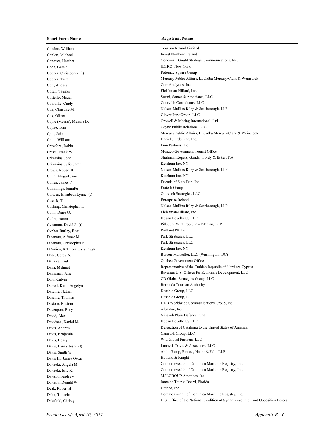Condon, William Tourism Ireland Limited Conlon, Michael Invest Northern Ireland Cook, Gerald JETRO, New York Cooper, Christopher (t) Potomac Square Group Corr, Anders Corr Analytics, Inc. Cosar, Yagmur Fleishman-Hillard, Inc. Costello, Megan Sorini, Samet & Associates, LLC Courville, Cindy Courville Consultants, LLC Cox, Oliver Cox, Oliver Park Group, LLC Coyne, Tom Coyne Public Relations, LLC Crain, William Daniel J. Edelman, Inc. Crawford, Robin Finn Partners, Inc. Crimmins, Julie Sarah Ketchum Inc. NY Culin, Abigail Jane Ketchum Inc. NY Cullen, James P. Friends of Sinn Fein, Inc. Cummings, Jennifer Fratelli Group Curwen, Elizabeth Lynne (t) Outreach Strategies, LLC Cusack, Tom Enterprise Ireland Cutin, Dario O. Fleishman-Hillard, Inc. Cutler, Aaron Hogan Lovells US LLP Cypher-Burley, Ross Portland PR Inc. D'Amato, Alfonse M. Park Strategies, LLC D'Amato, Christopher P. Park Strategies, LLC D'Amico, Kathleen Cavanaugh Ketchum Inc. NY Dallaire, Paul Quebec Government Office Dark, Calvin CD Global Strategies Group, LLC Darrell, Karin Angelyn Bermuda Tourism Authority Daschle, Nathan Daschle Group, LLC Daschle, Thomas Daschle Group, LLC Davenport, Rory Alpaytac, Inc. David, Alex Nineveh Plain Defense Fund Davidson, Daniel M. Hogan Lovells US LLP Davis, Benjamin Camstoll Group, LLC Davis, Henry Witt Global Partners, LLC Davis, Lanny Jesse (t) Lanny J. Davis & Associates, LLC Davis III, James Oscar Holland & Knight Dawson, Andrew MSLGROUP Americas, Inc. Dawson, Donald W. Jamaica Tourist Board, Florida Deak, Robert H. Urenco, Inc.

Conover, Heather Conover + Gould Strategic Communications, Inc. Copper, Tarrah Mercury Public Affairs, LLC/dba Mercury/Clark & Weinstock Cox, Christine M. Nelson Mullins Riley & Scarborough, LLP Coyle (Morris), Melissa D. Crowell & Moring International, Ltd. Cpin, John Mercury Public Affairs, LLC/dba Mercury/Clark & Weinstock Cresci, Frank W. Monaco Government Tourist Office Crimmins, John Shulman, Rogers, Gandal, Pordy & Ecker, P.A. Crowe, Robert B. Nelson Mullins Riley & Scarborough, LLP Cushing, Christopher T. Nelson Mullins Riley & Scarborough, LLP Cynamon, David J. (t) Pillsbury Winthrop Shaw Pittman, LLP Dade, Corey A. Burson-Marsteller, LLC (Washington, DC) Dana, Mehmet Representative of the Turkish Republic of Northern Cyprus Danisman, Janet Bavarian U.S. Offices for Economic Development, LLC Dastoor, Rustom DDB Worldwide Communications Group, Inc. Davis, Andrew Delegation of Catalonia to the United States of America Davis, Smith W. Akin, Gump, Strauss, Hauer & Feld, LLP Dawicki, Angela M. Commonwealth of Dominica Maritime Registry, Inc. Dawicki, Eric R. Commonwealth of Dominica Maritime Registry, Inc. Dehn, Torstein Commonwealth of Dominica Maritime Registry, Inc. Delafield, Christy U.S. Office of the National Coalition of Syrian Revolution and Opposition Forces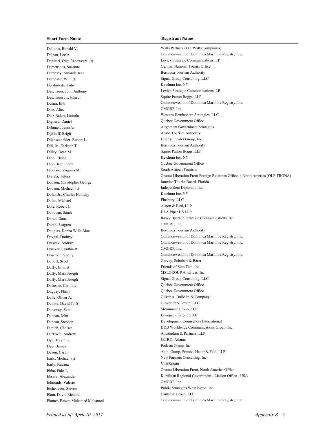Dellums, Ronald V. Watts Partners (J.C. Watts Companies) Demetrious, Susanne German National Tourist Office Dempsey, Amanda Jane Bermuda Tourism Authority Dempster, Will (t) Signal Group Consulting, LLC Dershowitz, Toby Ketchum Inc. NY Deschauer Jr., John J. Squire Patton Boggs, LLP Diaz, Alice CMGRP, Inc. Dignard, Daniel Quebec Government Office DiJames, Jennifer Alignment Government Strategies Dijkhoff, Brigit Aruba Tourism Authority Dilenschneider, Robert L. Dilenschneider Group, Inc. Dill, Jr., Earlston T. Samuel and Tourism Authority Dilley, Dean M. Squire Patton Boggs, LLP Dion, Elaine Ketchum Inc. NY Dion, Jean Pierre Quebec Government Office Dionisio, Virginia M. South African Tourism Dobson, Christopher George Jamaica Tourist Board, Florida Dobson, Michael (t) Independent Diplomat, Inc. DoIan Jr., Charles Halliday Ketchum Inc. NY Dolan, Michael Finsbury, LLC Dole, Robert J. Alston & Bird, LLP Donovan, Sarah DLA Piper US LLP Doran, Seagren CMGRP, Inc. Douglas, Donna Willa-Mae Bermuda Tourism Authority Drucker, Cynthia R. CMGRP, Inc. Duboff, Scott Garvey, Schubert & Barer Duffy. Emmet Friends of Sinn Fein, Inc. Duffy, Mark Joseph MSLGROUP Americas, Inc. Duffy, Mark Joseph Signal Group Consulting, LLC Dufresne, Caroline Quebec Government Office Duguay, Philip Quebec Government Office Dulle, Oliver A. Dulle Jr. & Company Dumke, David T. (t) Glover Park Group, LLC Dunaway, Scott Monument Group, LLC Duncan, John Livingston Group, LLC Durkovic, Andrew Amsterdam & Partners, LLP Dye, Trevin G. JETRO, Atlanta Dyer, James Podesta Group, Inc. Earls, Michael (t) New Partners Consulting, Inc. Early, Katrina VisitBritain Edmonds, Valerie CMGRP, Inc. Eichenauer, Steven Public Strategies Washington, Inc. Elam, David Richard Camstoll Group, LLC

Delpan, Lee A. Commonwealth of Dominica Maritime Registry, Inc. DeMetri, Olga Ranaweera (t) Levick Strategic Communications, LP Deschauer, John Anthony Levick Strategic Communications, LP Desira, Elio Commonwealth of Dominica Maritime Registry, Inc. Diaz-Balart, Lincoln Western Hemisphere Strategies, LLC Djaleta, Tefera Oromo Liberation Front Foreign Relations Office in North America (OLF-FRONA) Doran, Dana Rasky Baerlein Strategic Communications, Inc. Dovgal, Dmitriy Commonwealth of Dominica Maritime Registry, Inc. Drascek, Andraz Commonwealth of Dominica Maritime Registry, Inc. Druzhkin, Serhiy Commonwealth of Dominica Maritime Registry, Inc. Duncan, Stephen Development Counsellors International Dunich, Chelsea DDB Worldwide Communications Group, Inc. Dyson, Caryn Akin, Gump, Strauss, Hauer & Feld, LLP Ebba, Fido T. Oromo Liberation Front, North America Office Ebsary, Alexander Kurdistan Regional Government - Liaison Office - USA Elamer, Basem Mohamed Mohamed Commonwealth of Dominica Maritime Registry, Inc.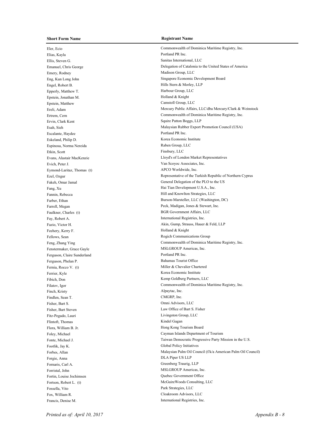Eler, Ecio Commonwealth of Dominica Maritime Registry, Inc. Elias, Kayla Portland PR Inc. Ellis, Steven G. Sanitas International, LLC Emery, Rodney Madison Group, LLC Engel, Robert B. Hills Stern & Morley, LLP Epperly, Matthew T. **Harbour Group**, LLC Epstein, Jonathan M. Holland & Knight Epstein, Matthew Camstoll Group, LLC Ervin, Clark Kent Squire Patton Boggs, LLP Escalante, Haydee Portland PR Inc. Eskeland, Philip D. Korea Economic Institute Espinosa, Norma Nereida Raben Group, LLC Etkin, Scott Finsbury, LLC Evich, Peter J. Van Scoyoc Associates, Inc. Eymond-Laritaz, Thomas (t) APCO Worldwide, Inc. Faulkner, Charles (t) BGR Government Affairs, LLC Fay, Robert A. International Registries, Inc. Feehery, Kerry F. Holland & Knight Fellows, Sean Rogich Communications Group Fenstermaker, Grace Gayle MSLGROUP Americas, Inc. Ferguson, Claire Sunderland PR Inc. Ferguson, Phelan P. Bahamas Tourist Office Fernia, Rocco V. (t) Miller & Chevalier Chartered Ferrier, Kyle Korea Economic Institute Fibich, Don Kemp Goldberg Partners, LLC Finch, Kristy Alpaytac, Inc. Findlen, Sean T. CMGRP, Inc. Fisher, Bart S. Omni Advisors, LLC Fisher, Bart Steven Law Office of Bart S. Fisher Fitz-Pegado, Lauri Livingston Group, LLC Flintoft, Thomas Kindel Gagan Flora, William B. Jr. **Hong Kong Tourism Board** Footlik, Jay K. Global Policy Initiatives Forgie, Anna DLA Piper US LLP Fornaris, Carl A. Greenberg Traurig, LLP Forristal, John MSLGROUP Americas, Inc. Fortin, Louise Jochimsen Quebec Government Office Fossella, Vito Park Strategies, LLC Fox, William R. Cloakroom Advisors, LLC Francis, Denise M. International Registries, Inc.

Emanuel, Chris George **Delegation of Catalonia to the United States of America** Eng, Kun Long John Singapore Economic Development Board Ereli, Adam Mercury Public Affairs, LLC/dba Mercury/Clark & Weinstock Ertrem, Cern Commonwealth of Dominica Maritime Registry, Inc. Esah, Sieh Malaysian Rubber Export Promotion Council (USA) Evans, Alastair MacKenzie Lloyd's of London Market Representatives Ezel, Ozgur Representative of the Turkish Republic of Northern Cyprus Fakeh, Omar Jamal General Delegation of the PLO to the US Fang, Xu Hai Tian Development U.S.A., Inc. Fannin, Rebecca **Hill and Knowlton Strategies**, LLC Farber, Ethan Burson-Marsteller, LLC (Washington, DC) Farrell, Megan Peck, Madigan, Jones & Stewart, Inc. Fazio, Victor H. Akin, Gump, Strauss, Hauer & Feld, LLP Feng, Zhang Ying Commonwealth of Dominica Maritime Registry, Inc. Filatov, Igor Commonwealth of Dominica Maritime Registry, Inc. Foley, Michael Cayman Islands Department of Tourism Fonte, Michael J. Taiwan Democratic Progressive Party Mission in the U.S. Forbes, Allan **Forbes, Allan** Oil Council (f/k/a American Palm Oil Council) **Malaysian Palm Oil Council** Fortson, Robert L. (t) McGuireWoods Consulting, LLC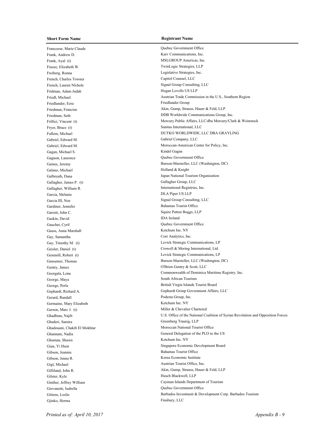Francoeur, Marie Claude Quebec Government Office Frank, Andrew D. Karv Communications, Inc. Frank, Ayal (t) MSLGROUP Americas, Inc. Frazee, Elizabeth W. TwinLogic Strategies, LLP Freiberg, Ronna Legislative Strategies, Inc. French, Charles Towner Capitol Counsel, LLC French, Lauren Nlchole Signal Group Consulting, LLC Fridman, Adam Judah Hogan Lovells US LLP Friedlander, Ezra Friedlander Group Fryer, Bruce (t) Sanitas International, LLC Gabriel, Edward M. Gabriel Company, LLC Gagan, Michael S. Kindel Gagan Gagnon, Laurence Quebec Government Office Galano, Michael Holland & Knight Gallagher, James P. (t) Gallagher Group, LLC Gallagher, William R. International Registries, Inc. Garcia, Melanie DLA Piper US LLP Garcia III, Noe Signal Group Consulting, LLC Gardiner, Jennifer Bahamas Tourist Office Garrett, John C. Squire Patton Boggs, LLP Gaskin, David IDA Ireland Gauchet, Cyril Quebec Government Office Gauss, Anna Marshall Ketchum Inc. NY Gay, Samantha Corr Analytics, Inc. Gentry, James O'Brien Gentry & Scott, LLC George, Maya South African Tourism Gerard, Randall Podesta Group, Inc. Germaine, Mary Elizabeth Ketchum Inc. NY Gerson, Marc J. (t) Miller & Chevalier Chartered Ghaderi, Samira Greenberg Traurig, LLP Ghuman, Shawn Ketchum Inc. NY Gibson, Jeannie Bahamas Tourist Office Gibson, Jenna R. Korea Economic Institute Gigl, Michael Austrian Tourist Office, Inc. Gilster, Kyle Husch Blackwell, LLP Giovanetti, Isabella Quebec Government Office Gjinko, Herma Finsbury, LLC

Friedl, Michael Austrian Trade Commission in the U.S., Southern Region Friedman, Francine Akin, Gump, Strauss, Hauer & Feld, LLP Friedman, Seth DDB Worldwide Communications Group, Inc. Frillici, Vincent (t) Mercury Public Affairs, LLC/dba Mercury/Clark & Weinstock Fullem, Michael DUTKO WORLDWIDE, LLC DBA GRAYLING Gabriel, Edward M. Moroccan-American Center for Policy, Inc. Gaines, Jeremy Burson-Marsteller, LLC (Washington, DC) Galbreath, Dana **Japan National Tourism Organization** Gay, Timothy M. (t) Levick Strategic Communications, LP Geisler, Daniel (t) Crowell & Moring International, Ltd. Gemmill, Robert (t) Levick Strategic Communications, LP Gensemer, Thomas Burson-Marsteller, LLC (Washington, DC) Georgala, Lena Commonwealth of Dominica Maritime Registry, Inc. George, Perla **British Virgin Islands Tourist Board** British Virgin Islands Tourist Board Gephardt, Richard A. Gephardt Group Government Affairs, LLC Ghadbian, Najib U.S. Office of the National Coalition of Syrian Revolution and Opposition Forces Ghadouani, Chakib El Mokhtar Moroccan National Tourist Office Ghannam, Nadia General Delegation of the PLO to the US Gian, Yi Hsen Singapore Economic Development Board Gilliland, John R. **Akin, Gump, Strauss, Hauer & Feld, LLP** Ginther, Jeffrey William Cayman Islands Department of Tourism Gittens, Leslie **Barbados Investment & Development Corp. Barbados Tourism**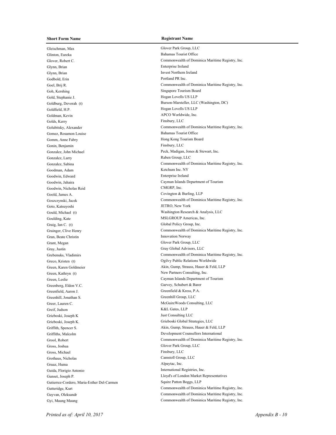Gleischman, Max Glover Park Group, LLC Glinton, Eureka Bahamas Tourist Office Glynn, Brian Enterprise Ireland Glynn, Brian Invest Northern Ireland Godbold, Erin Portland PR Inc. Goh, Kershing Singapore Tourism Board Gold, Stephanie J. Hogan Lovells US LLP Goldfield, H.P. **Hogan Lovells US LLP** Goldman, Kevin APCO Worldwide, Inc. Golds, Kerry Finsbury, LLC Gomez, Rosamon Louise Bahamas Tourist Office Gomm, Anne Fabry **Hong Kong Tourism Board** Gonin, Benjamin Finsbury, LLC Gonzalez, John Michael Peck, Madigan, Jones & Stewart, Inc. Gonzalez, Larry Raben Group, LLC Goodman, Adam Ketchum Inc. NY Goodwin, Edward Enterprise Ireland Goodwin, Nicholas Reid CMGRP, Inc. Goold, James A. Covington & Burling, LLP Goto, Katsuyoshi JETRO, New York Goulding, Kate MSLGROUP Americas, Inc. Graig, Ian C. (t) Global Policy Group, Inc. Gran, Beate Christin Innovation Norway Grant, Megan Glover Park Group, LLC Gray, Justin Gray Global Advisors, LLC Greco, Kristen (t) **Calculations Contained Acts** Contained Acts Ogilvy Public Relations Worldwide Green, Kathryn (t) New Partners Consulting, Inc. Greenberg, Eldon V.C. Garvey, Schubert & Barer Greenfield, Aaron J. Greenfield & Kress, P.A. Greenhill, Jonathan S. Greenhill Group, LLC Greer, Lauren C. McGuireWoods Consulting, LLC Greif, Judson K&L Gates, LLP Grieboski, Joseph K Just Consulting LLC Grieboski, Joseph K. Grieboski Global Strategies, LLC Gross, Joshua Glover Park Group, LLC Gross, Michael Finsbury, LLC Grothaus, Nicholas Camstoll Group, LLC Gruaz, Huma Alpaytac, Inc. Guida, Florigio Antonio International Registries, Inc. Gutierrez-Cordero, Maria-Esther Del-Carmen Squire Patton Boggs, LLP Gyi, Maung Maung Commonwealth of Dominica Maritime Registry, Inc.

Glover, Robert C. **Commonwealth of Dominica Maritime Registry**, Inc. Goel, Brij R. Commonwealth of Dominica Maritime Registry, Inc. Goldburg, Devorah (t) Burson-Marsteller, LLC (Washington, DC) Golubitsky, Alexander Commonwealth of Dominica Maritime Registry, Inc. Gonzalez, Sabina Commonwealth of Dominica Maritime Registry, Inc. Goodwin, Jahaira Cayman Islands Department of Tourism Goszczynski, Jacek Commonwealth of Dominica Maritime Registry, Inc. Gould, Michael (t) Washington Research & Analysis, LLC Grainger, Clive Henry Commonwealth of Dominica Maritime Registry, Inc. Grebenuks, Vladimirs Commonwealth of Dominica Maritime Registry, Inc. Green, Karen Goldmeier **Akin, Gump, Strauss, Hauer & Feld, LLP** Green, Leslie Cayman Islands Department of Tourism Griffith, Spencer S. Akin, Gump, Strauss, Hauer & Feld, LLP Griffiths, Malcolm Development Counsellors International Grool, Robert Commonwealth of Dominica Maritime Registry, Inc. Gunset, Joseph P. Lloyd's of London Market Representatives Gutteridge, Kurt **Commonwealth of Dominica Maritime Registry**, Inc. Guyvan, Oleksandr Commonwealth of Dominica Maritime Registry, Inc.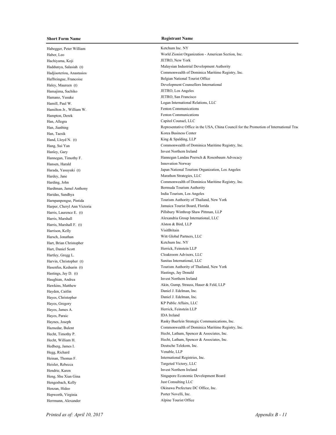Habegger, Peter William Ketchum Inc. NY Hachiyama, Koji JETRO, New York Hamajima, Sachiko JETRO, Los Angeles Hamano, Yusuke JETRO, San Francisco Hamilton Jr., William W. Fenton Communications Hampton, Derek Fenton Communications Han, Allegra Capitol Counsel, LLC Han, Taesik Korea Business Center Hand, Lloyd N. (t) King & Spalding, LLP Hanley, Gary Invest Northern Ireland Hansen, Harald Innovation Norway Hardey, Jane Marathon Strategies, LLC Hardtman, Jamel Anthony Bermuda Tourism Authority Haridas, Sandhya **India Tourism**, Los Angeles Harris, Marshall F. (t) Alston & Bird, LLP Harrison, Kelly VisitBritain Harsch, Jonathan Witt Global Partners, LLC Hart, Brian Christopher Ketchum Inc. NY Hart, Daniel Scott Herrick, Feinstein LLP Hartley, Gregg L. Cloakroom Advisors, LLC Harvin, Christopher (t) Sanitas International, LLC Hastings, Jay D. (t) Hastings, Jay Donald Haughian, Andrea Invest Northern Ireland Hayden, Caitlin Daniel J. Edelman, Inc. Hayes, Christopher Daniel J. Edelman, Inc. Hayes, Gregory KP Public Affairs, LLC Hayes, James A. Herrick, Feinstein LLP Hayes, Paraic IDA Ireland Hedberg, James I. Deutsche Telekom, Inc. Hegg, Richard Venable, LLP Heinan, Thomas F. **International Registries**, Inc. Heisler, Rebecca Targeted Victory, LLC Hendrie, Karen Ireland Invest Northern Ireland Hengesbach, Kelly Hepworth, Virginia Porter Novelli, Inc. Herrmann, Alexander Alpine Tourist Office

Haber, Leo World Zionist Organization - American Section, Inc. Haddunya, Salasiah (t) Malaysian Industrial Development Authority Hadjisoteriou, Anastasios Commonwealth of Dominica Maritime Registry, Inc. Haffreingue, Francoise Belgian National Tourist Office Haley, Maureen (t) Development Counsellors International Hamill, Paul W. Logan International Relations, LLC Han, Jianbing Representative Office in the USA, China Council for the Promotion of International Trade (CCPIT) Hang, Sui Yan Commonwealth of Dominica Maritime Registry, Inc. Hannegan, Timothy F. Hannegan Landau Poersch & Rosenbaum Advocacy Harada, Yasuyuki (t) Japan National Tourism Organization, Los Angeles Harding, John Commonwealth of Dominica Maritime Registry, Inc. Harnpanpongse, Pintida Tourism Authority of Thailand, New York Harper, Cheryl Ann Victoria **Matter and America Tourist Board**, Florida Harris, Laurence E. (t) Pillsbury Winthrop Shaw Pittman, LLP Harris, Marshall Alexandria Group International, LLC Hasenfus, Kedsarin (t) Tourism Authority of Thailand, New York Hawkins, Matthew Akin, Gump, Strauss, Hauer & Feld, LLP Haynes, Joseph Rasky Baerlein Strategic Communications, Inc. Haznedar, Bulent Commonwealth of Dominica Maritime Registry, Inc. Hecht, Timothy P. Hecht, Latham, Spencer & Associates, Inc. Hecht, William H. Hecht, Latham, Spencer & Associates, Inc. Heng, Shu Xian Gina Singapore Economic Development Board<br>Hengeshach Kellv Singapore Economic Development Board<br>Just Consulting LLC Henzan, Hideo Okinawa Prefecture DC Office, Inc.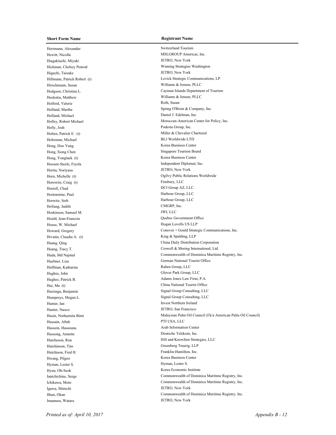Herrmann, Alexander Switzerland Tourism Hewitt, Nicolla MSLGROUP Americas, Inc. Hiagakiuchi, Miyuki JETRO, New York Higuchi, Taisuke JETRO, New York Hirschmann, Susan Williams & Jensen, PLLC Hoekstra, Matthew Williams & Jensen, PLLC Holford, Valerie Roth, Susan Holland, Michael Daniel J. Edelman, Inc. Holly, Josh Podesta Group, Inc. Holten, Patrick E. (t) Miller & Chevalier Chartered Holtzman, Michael BLJ Worldwide LTD Hong, Doo Yung Korea Business Center Hong, Siong Chen Singapore Tourism Board Hong, Yongtaek (t) Korea Business Center Hoosen-Steele, Fiyola Independent Diplomat, Inc. Horita, Noriyasu JETRO, New York Horowitz, Craig (t) Finsbury, LLC Horrell, Chad DCI Group AZ, LLC Harbour Group, LLC Horwitz, Seth Harbour Group, LLC HoSang, Judith CMGRP, Inc. Hoskinson, Samuel M. JWI, LLC Hould, Jean-Francois Quebec Government Office House, W. Michael Hogan Lovells US LLP Hrvatin, Claudia A. (t) King & Spalding, LLP Huffman, Katharine Raben Group, LLC Hughes, John Glover Park Group, LLC Hughes, Patrick B. Adams Jones Law Firm, P.A. Hui, Ma (t) China National Tourist Office Hunter, Ian Invest Northern Ireland Hunter, Naoco JETRO, San Francisco Hussain, Aftab PTI USA, LLC Hussein, Hassouna **Arab Information Center** Hussong, Annette Deutsche Telekom, Inc. Hutchinson, Tim Greenberg Traurig, LLP Hutchison, Fred H. Franklin-Hamilton, Inc. Hwang, Pilgoo Korea Business Center Hyman, Lester S. Hyman, Lester S. Hyun, Oh-Seok Korea Economic Institute Igawa, Shinichi JETRO, New York Imamura, Wataru JETRO, New York

Hickman, Chelsey Penrod Winning Strategies Washington Hillmann, Patrick Robert (t) Levick Strategic Communications, LP Hodgson, Christina L. Cayman Islands Department of Tourism Holland, Martha Spring O'Brien & Company, Inc. Holley, Robert Michael Moroccan-American Center for Policy, Inc. Horn, Michelle (t) Ogilvy Public Relations Worldwide Howard, Gregory Conover + Gould Strategic Communications, Inc. Huang, Qing China Daily Distribution Corporation Huang, Tracy T. Crowell & Moring International, Ltd. Huda, Md Najmul Commonwealth of Dominica Maritime Registry, Inc. Huebner, Lisa German National Tourist Office Huizinga, Benjamin Signal Group Consulting, LLC Humpreys, Megan L. Signal Group Consulting, LLC Husin, Norhaznita Binti Malaysian Palm Oil Council (f/k/a American Palm Oil Council) Hutcheson, Ron Hill and Knowlton Strategies, LLC Iantchichine, Serge Commonwealth of Dominica Maritime Registry, Inc. Ichikawa, Moto Commonwealth of Dominica Maritime Registry, Inc. Ilhan, Okan Commonwealth of Dominica Maritime Registry, Inc.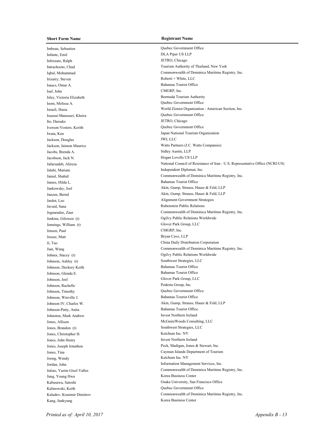Imbeau, Sebastien Quebec Government Office Infante, Emil DLA Piper US LLP Inforzato, Ralph JETRO, Chicago Irizarry, Steven Roberti + White, LLC Isaacs, Omar A. Bahamas Tourist Office Isaf, John CMGRP, Inc. Isley, Victoria Elizabeth Bermuda Tourism Authority Isom, Melissa A. Quebec Government Office Issaoui-Mansouri, Kheira Quebec Government Office Ito, Daisuke JETRO, Chicago Iverson-Vosters, Kerith Quebec Government Office Jackson, Douglas JWI, LLC Jacobs, Brenda A. Sidley Austin, LLP Jacobson, Jack N. Hogan Lovells US LLP Jalabi, Mariam Independent Diplomat, Inc. James, Hilda L. Bahamas Tourist Office Javaid, Sana Rubenstein Public Relations Jennings, William (t) Glover Park Group, LLC Jensen, Paul CMGRP, Inc. Jessee, Matt Bryan Cave, LLP Johnson, Ashley (t) Southwest Strategies, LLC Johnson, Deckery Keith Bahamas Tourist Office Johnson, Glenda E. Bahamas Tourist Office Johnson, Joel Glover Park Group, LLC Johnson, Rachelle Podesta Group, Inc. Johnson, Timothy Quebec Government Office Johnson, Winville J. Bahamas Tourist Office Johnson-Patty, Anita Bahamas Tourist Office Johnston, Mark Andrew Invest Northern Ireland Jones, Brandon (t) Southwest Strategies, LLC Jones, Christopher H. Ketchum Inc. NY Jones, John Henry Invest Northern Ireland Joong, Wendy Ketchum Inc. NY Jung, Young Hwa Korea Business Center Kalinowski, Keith Quebec Government Office Kang, Junkyung Korea Business Center

Intrachooto, Chad Tourism Authority of Thailand, New York Iqbal, Mohammad Commonwealth of Dominica Maritime Registry, Inc. Israeli, Hasia World Zionist Organization - American Section, Inc. Iwata, Ken Japan National Tourism Organization Jackson, Jaimon Maurice Watts Partners (J.C. Watts Companies) Jafarzadeh, Alireza National Council of Resistance of Iran - U.S. Representative Office (NCRI-US) Jamal, Shahid Commonwealth of Dominica Maritime Registry, Inc. Jankowsky, Joel **Akin, Gump, Strauss, Hauer & Feld, LLP** Janzen, Bernd Akin, Gump, Strauss, Hauer & Feld, LLP Jardot, Leo Alignment Government Strategies Jegnaradze, Zaur Commonwealth of Dominica Maritime Registry, Inc. Jenkins, Gilowen (t) Ogilvy Public Relations Worldwide Ji, Tao China Daily Distribution Corporation Jian, Wang Commonwealth of Dominica Maritime Registry, Inc. Johnes, Stacey (t) Ogilvy Public Relations Worldwide Johnson IV, Charles W. Akin, Gump, Strauss, Hauer & Feld, LLP Jones, Allison McGuireWoods Consulting, LLC Jones, Joseph Jonathon Peck, Madigan, Jones & Stewart, Inc. Jones, Tina Cayman Islands Department of Tourism Jordan, John Information Management Services, Inc. Juliao, Yazim Gisel Valles Commonwealth of Dominica Maritime Registry, Inc. Kabasawa, Satoshi Osaka University, San Francisco Office Kaludov, Krasimir Dimitrov Commonwealth of Dominica Maritime Registry, Inc.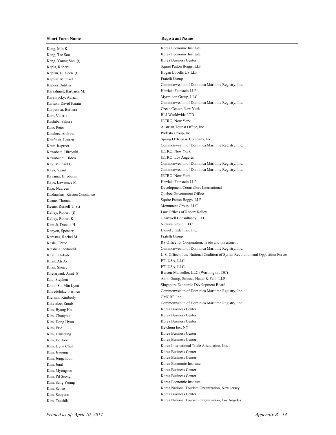Kang, Min K. Korea Economic Institute Kang, Tae Soo Korea Economic Institute Kang, Young Soo (t) Korea Business Center Kapla, Robert Squire Patton Boggs, LLP Kaplan, H. Deen (t) Hogan Lovells US LLP Kaplun, Michael Fratelli Group Karaahmet, Barbaros M. Herrick, Feinstein LLP Karatnycky, Adrian Myrmidon Group, LLC Karpetova, Barbara Czech Center, New York Karr, Valerie BLJ Worldwide LTD Kashiba, Sakura JETRO, New York Katz, Peter Austrian Tourist Office, Inc. Kauders, Andrew Podesta Group, Inc. Kawabata, Hiroyuki JETRO, New York Kawabuchi, Hideo JETRO, Los Angeles Kayama, Hirobumi JETRO, New York Kaye, Lawrence M. Herrick, Feinstein LLP Kazlauskas, Kirsten Constance **Constance** Quebec Government Office Keane, Thomas Squire Patton Boggs, LLP Keene, Russell T. (t) Monument Group, LLC Kelley, Robert (t) Law Offices of Robert Kelley Kelley, Robert K. Chartwell Consultancy, LLC Kent Jr, Donald H. Nickles Group, LLC Kenyon, Spencer Daniel J. Edelman, Inc. Kerestes, Rachel M. Fratelli Group Khan, Ali Asim PTI USA, LLC Khan, Sherry PTI USA, LLC Kiernan, Kimberly CMGRP, Inc. Kim, Byung Ho Korea Business Center Kim, Chanyoul Korea Business Center Kim, Dong Hyon Korea Business Center Kim, Eric Ketchum Inc. NY Kim, Hanseung Korea Business Center Kim, Ho Joon Korea Business Center Kim, Jiyoung Korea Business Center Kim, Jongchoon Korea Business Center Kim, Junil Korea Economic Institute Kim, Myongsoo Korea Business Center Kim, Pil Seong Korea Business Center Kim, Sang Young Korea Economic Institute Kim, Sooyeon Korea Business Center

Kapoor, Aditya Commonwealth of Dominica Maritime Registry, Inc. Kariuki, David Kiratu Commonwealth of Dominica Maritime Registry, Inc. Kaufman, Lauren Spring O'Brien & Company, Inc. Kaur, Jaspreet Commonwealth of Dominica Maritime Registry, Inc. Kay, Michael G. Commonwealth of Dominica Maritime Registry, Inc. Kaya, Yusuf Commonwealth of Dominica Maritime Registry, Inc. Kazi, Naureen Development Counsellors International Kesic, Obrad RS Office for Cooperation, Trade and Investment Ketsbaia, Avtandil Commonwealth of Dominica Maritime Registry, Inc. Khalil, Oubab U.S. Office of the National Coalition of Syrian Revolution and Opposition Forces Khetarpaul, Amit (t) Burson-Marsteller, LLC (Washington, DC) Kho, Stephen Akin, Gump, Strauss, Hauer & Feld, LLP Khoo, Shi Min Lynn Singapore Economic Development Board Khvedelidze, Parmen Commonwealth of Dominica Maritime Registry, Inc. Kikvadze, Zurab Commonwealth of Dominica Maritime Registry, Inc. Korea International Trade Association, Inc. Kim, Sehee Korea National Tourism Organization, New Jersey Kim, Taeshik **Korea National Tourism Organization**, Los Angeles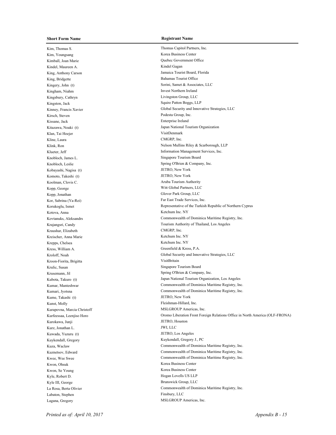Kim, Thomas S. Thomas S. Kim, Youngsang Korea Business Center Kimball, Joan Marie Quebec Government Office Kindel, Maureen A. Kindel Gagan King, Bridgette Bahamas Tourist Office Kingham, Niahm Invest Northern Ireland Kingsbury, Cathryn Livingston Group, LLC Kingston, Jack Squire Patton Boggs, LLP Kirsch, Steven Podesta Group, Inc. Kissane, Jack Enterprise Ireland Klan, Tai Hoejer VisitDenmark Kline, Laura CMGRP, Inc. Knobloch, James L. Singapore Tourism Board Kobayashi, Nagisa (t) JETRO, New York Komoto, Takeshi (t) JETRO, New York Koolman, Clovis C. Aruba Tourism Authority Kopp, George Witt Global Partners, LLC Kopp, Jonathan Glover Park Group, LLC Kor, Sabrina (Ya-Rei) Far East Trade Services, Inc. Kotova, Anna Ketchum Inc. NY Kraushar, Elizabeth CMGRP, Inc. Kreischer, Anna Marie Ketchum Inc. NY Krepps, Chelsea Ketchum Inc. NY Kress, William A. Greenfield & Kress, P.A. Kroon-Fiorita, Brigitta VisitBritain Krulic, Susan Singapore Tourism Board Kume, Takashi (t) JETRO, New York Kunst, Molly Fleishman-Hillard, Inc. Kurapovna, Marcia Christoff MSLGROUP Americas, Inc. Kurokawa, Junji JETRO, Houston Kurz, Jonathan L. JWI, LLC Kuwada, Yuzuru (t) JETRO, Los Angeles Kuykendall, Gregory J., PC Kwon, Ohsuk Korea Business Center Kwon, Se Young Korea Business Center Kyle, Robert D. Hogan Lovells US LLP Kyle III, George Brunswick Group, LLC Labaton, Stephen Finsbury, LLC Lagana, Gregory MSLGROUP Americas, Inc.

King, Anthony Carson Jamaica Tourist Board, Florida Kingery, John (t) Sorini, Samet & Associates, LLC Kinney, Francis Xavier Global Security and Innovative Strategies, LLC Kitazawa, Noaki (t) Japan National Tourism Organization Klink, Ron Nelson Mullins Riley & Scarborough, LLP Klueter, Jeff Information Management Services, Inc. Knobloch, Leslie Spring O'Brien & Company, Inc. Korukoglu, Ismet Representative of the Turkish Republic of Northern Cyprus Kovtanuks, Aleksandrs Commonwealth of Dominica Maritime Registry, Inc. Krajangsri, Candy Tourism Authority of Thailand, Los Angeles Kroloff, Noah Global Security and Innovative Strategies, LLC Krusemann, Jil Spring O'Brien & Company, Inc. Kubota, Takuro (t) Japan National Tourism Organization, Los Angeles Kumar, Manteshwar Commonwealth of Dominica Maritime Registry, Inc. Kumari, Jyotsna Commonwealth of Dominica Maritime Registry, Inc. Kurfeessaa, Leenjiso Horo Oromo Liberation Front Foreign Relations Office in North America (OLF-FRONA) Kuza, Waclaw Commonwealth of Dominica Maritime Registry, Inc. Kuznetsov, Edward Commonwealth of Dominica Maritime Registry, Inc. Kwee, Wee Swee Commonwealth of Dominica Maritime Registry, Inc. La Rosa, Berta Olivier Commonwealth of Dominica Maritime Registry, Inc.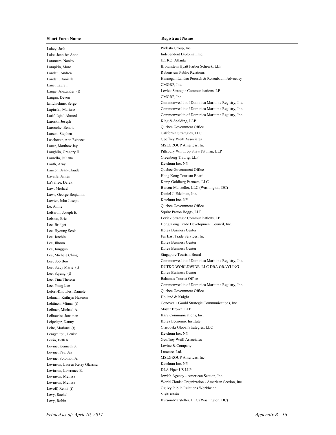Lahey, Josh Podesta Group, Inc. Lake, Jennifer Anne Independent Diplomat, Inc. Lammers, Naoko JETRO, Atlanta Landau, Andrea Rubenstein Public Relations Lane, Lauren CMGRP, Inc. Langin, Devon CMGRP, Inc. Laroski, Joseph King & Spalding, LLP Larouche, Benoit Quebec Government Office Larson, Stephen California Strategies, LLC Laschever, Ann Rebecca Geoffrey Weill Associates Lauer, Matthew Jay MSLGROUP Americas, Inc. Laurello, Juliana Greenberg Traurig, LLP Lauth, Arny Ketchum Inc. NY Lauzon, Jean-Claude Quebec Government Office Lavalle. James Hong Kong Tourism Board LaVallee, Derek Kemp Goldberg Partners, LLC Laws, George Benjamin Daniel J. Edelman, Inc. Lawter, John Joseph Ketchum Inc. NY Le, Annie Quebec Government Office LeBaron, Joseph E. Squire Patton Boggs, LLP Lee, Hyoung Seok Korea Business Center Lee, Jerchin Far East Trade Services, Inc. Lee, Jihoon Korea Business Center Lee, Jonggun Korea Business Center Lee, Michele Ching Singapore Tourism Board Lee, Sujung (t) Korea Business Center Lee, Tina Theresa Bahamas Tourist Office Lefort-Knowles, Daniele Quebec Government Office Lehman, Kathryn Hazeem Holland & Knight Leibner, Michael A. Mayer Brown, LLP Leibowitz, Jonathan Karv Communications, Inc. Leipziger, Danny Korea Economic Institute Lengyeltoti, Denise Ketchum Inc. NY Levin, Beth R. Geoffrey Weill Associates Levine, Kenneth S. Levine & Company Levine, Paul Jay Luxcore, Ltd. Levine, Solomon A. MSLGROUP Americas, Inc. Levinson, Lauren Kerry Glassner Ketchum Inc. NY Levinson, Lawrence E. DLA Piper US LLP Levy, Rachel VisitBritain

Lampkin, Marc Brownstein Hyatt Farber Schreck, LLP Landau, Daniella Hannegan Landau Poersch & Rosenbaum Advocacy Lange, Alexander (t) Levick Strategic Communications, LP lantchichine, Serge Commonwealth of Dominica Maritime Registry, Inc. Lapinski, Mariusz Commonwealth of Dominica Maritime Registry, Inc. Larif, Iqbal Ahmed Commonwealth of Dominica Maritime Registry, Inc. Laughlin, Gregory H. Pillsbury Winthrop Shaw Pittman, LLP Law, Michael Burson-Marsteller, LLC (Washington, DC) Lebson, Eric Levick Strategic Communications, LP Lee, Bridget **Hong Kong Trade Development Council, Inc.** Lee, Soo Boo Commonwealth of Dominica Maritime Registry, Inc. Lee, Stacy Marie (t) DUTKO WORLDWIDE, LLC DBA GRAYLING Lee, Yong Lee Commonwealth of Dominica Maritime Registry, Inc. Lehtinen, Minna (t) Conover + Gould Strategic Communications, Inc. Leite, Mariane (t) Grieboski Global Strategies, LLC Levinson, Melissa Jewish Agency - American Section, Inc. Levinson, Melissa World Zionist Organization - American Section, Inc. Levoff, Remi (t) Ogilvy Public Relations Worldwide Levy, Robin Burson-Marsteller, LLC (Washington, DC)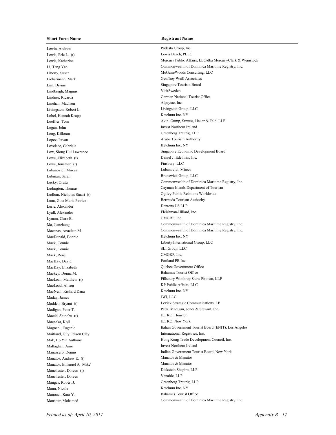Lewin, Andrew Podesta Group, Inc. Lewis, Eric L. (t) Lewis Baach, PLLC Liebermann, Mark Geoffrey Weill Associates Lim, Divine Singapore Tourism Board Lindbergh, Magnus VisitSweden Lindner, Ricarda German National Tourist Office Linehan, Madison Alpaytac, Inc. Livingston, Robert L. Livingston Group, LLC Lobel, Hannah Krupp Ketchum Inc. NY Logan, John Ireland Long, Killoran Greenberg Traurig, LLP Lopez, Istvan Aruba Tourism Authority Lovelace, Gabriela Ketchum Inc. NY Lowe, Elizabeth (t) Daniel J. Edelman, Inc. Lowe, Jonathan (t) Finsbury, LLC Lubanovici, Mircea Lubanovici, Mircea Lubman, Sarah Brunswick Group, LLC Luna, Gina Maria Patrice Bermuda Tourism Authority Lurie, Alexander Dentons US LLP Lyall, Alexander Fleishman-Hillard, Inc. Lynam, Clare B. CMGRP, Inc. MacDonald, Bonnie Ketchum Inc. NY Mack, Connie SLI Group, LLC Mack, Rene CMGRP, Inc. MacKay, David Press, 2008. Portland PR Inc. MacKay, Elizabeth Quebec Government Office Mackey, Donna M. Bahamas Tourist Office MacLeod, Alison KP Public Affairs, LLC MacNeill, Richard Dana Ketchum Inc. NY Maday, James JWI, LLC Maeda, Shinobu (t) JETRO, Houston Maenaka, Koji JETRO, New York Maitland, Guy Edison Clay **International Registries**, Inc. Mallaghan, Aine Invest Northern Ireland Manatos, Andrew E. (t) Manatos & Manatos Andrew E. (t) Manatos, Emanuel A. 'Mike' Manatos & Manatos & Manatos Manchester, Doreen (t) Dickstein Shapiro, LLP Manchester, Doreen Venable, LLP Mangas, Robert J. Greenberg Traurig, LLP Mann, Nicole Ketchum Inc. NY Manouzi, Kara Y. Bahamas Tourist Office

Lewis, Katherine Mercury Public Affairs, LLC/dba Mercury/Clark & Weinstock Li, Tang Yan Commonwealth of Dominica Maritime Registry, Inc. Liberty, Susan McGuireWoods Consulting, LLC Loeffler, Tom Akin, Gump, Strauss, Hauer & Feld, LLP Low, Siong Hui Lawrence Singapore Economic Development Board Lucky, Orutu Commonwealth of Dominica Maritime Registry, Inc. Ludington, Thomas Cayman Islands Department of Tourism Ludlum, Nicholas Stuart (t) Ogilvy Public Relations Worldwide Ma, Jianzhong Commonwealth of Dominica Maritime Registry, Inc. Macanas, Anacleto M. Commonwealth of Dominica Maritime Registry, Inc. Mack, Connie Liberty International Group, LLC MacLean, Matthew (t) Pillsbury Winthrop Shaw Pittman, LLP Madden, Bryant (t) Levick Strategic Communications, LP Madigan, Peter T. Peck, Madigan, Jones & Stewart, Inc. Magnani, Eugenio **Italian Government Tourist Board (ENIT)**, Los Angeles Mak, Ho Yin Anthony Hong Kong Trade Development Council, Inc. Manassero, Dennis Italian Government Tourist Board, New York Mansour, Mohamed Commonwealth of Dominica Maritime Registry, Inc.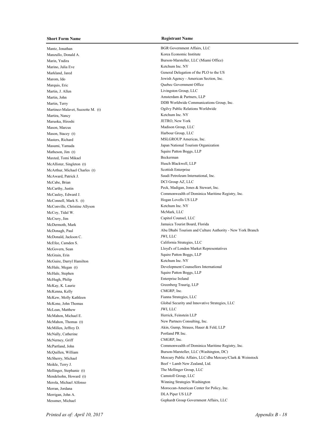Mantz, Jonathan BGR Government Affairs, LLC Manzullo, Donald A. Korea Economic Institute Marino, Julia Eve Ketchum Inc. NY Marquis, Eric Quebec Government Office Martin, J. Allen Livingston Group, LLC Martin, John Amsterdam & Partners, LLP Martinez-Malavet, Suzzette M. (t) Ogilvy Public Relations Worldwide Martira, Nancy Ketchum Inc. NY Maruoka, Hiroshi JETRO, New York Mason, Marcus Madison Group, LLC Mason, Stacey (t) Harbour Group, LLC MSLGROUP Americas, Inc. MSLGROUP Americas, Inc. Masumi, Yamada Japan National Tourism Organization Matheson, Jim (t) Squire Patton Boggs, LLP Maxted, Tomi Mikael Beckerman McAllister, Singleton (t) Husch Blackwell, LLP McArthur, Michael Charles (t) Scottish Enterprise McAward, Patrick J. Saudi Petroleum International, Inc. McCabe, Brian DCI Group AZ, LLC McCarthy, Justin Peck, Madigan, Jones & Stewart, Inc. McConnell, Mark S. (t) Hogan Lovells US LLP McConville, Christine Allyson Ketchum Inc. NY McCoy, Tidal W. McMark, LLC McCrery, Jim Capitol Counsel, LLC McDermoth, Mark Jamaica Tourist Board, Florida McDonald, Jackson C. JWI, LLC McEfee, Camden S. California Strategies, LLC McGrain, Erin Squire Patton Boggs, LLP McGuire, Darryl Hamilton Ketchum Inc. NY McHale, Stephen Squire Patton Boggs, LLP McHugh, Philip Enterprise Ireland McKay, K. Laurie Greenberg Traurig, LLP McKenna, Kelly CMGRP, Inc. McKew, Molly Kathleen Fianna Strategies, LLC McLean, Matthew JWI, LLC McMahon, Michael E. Herrick, Feinstein LLP McMahon, Thomas (t) New Partners Consulting, Inc. McNally, Catherine Portland PR Inc. McNerney, Griff CMGRP, Inc. Meikle, Terry J. Beef + Lamb New Zealand, Ltd. Mellinger, Stephanie (t) The Mellinger Group, LLC Mendelsohn, Howard (t) Camstoll Group, LLC Merola, Michael Alfonso Winning Strategies Washington Merrigan, John A. DLA Piper US LLP Messmer, Michael Gephardt Group Government Affairs, LLC

Marin, Yndira Burson-Marsteller, LLC (Miami Office) Markland, Jared General Delegation of the PLO to the US Marom, Ido Jewish Agency - American Section, Inc. Martin, Terry DDB Worldwide Communications Group, Inc. McCauley, Edward J. Commonwealth of Dominica Maritime Registry, Inc. McDonagh, Paul Abu Dhabi Tourism and Culture Authority - New York Branch McGovern, Sean Lloyd's of London Market Representatives McHale, Megan (t) Development Counsellors International McKone, John Thomas Global Security and Innovative Strategies, LLC McMillen, Jeffrey D. Akin, Gump, Strauss, Hauer & Feld, LLP McPartland, John Commonwealth of Dominica Maritime Registry, Inc. McQuillen, William Burson-Marsteller, LLC (Washington, DC) McSherry, Michael Mercury Public Affairs, LLC/dba Mercury/Clark & Weinstock Merran, Jordana Moroccan-American Center for Policy, Inc.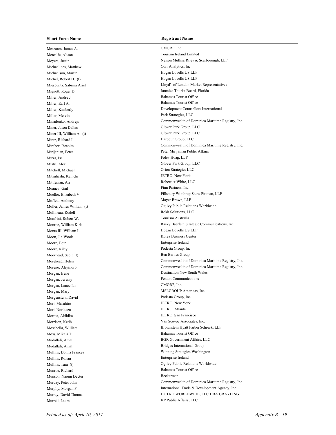Meszaros, James A. CMGRP, Inc. Metcalfe, Alison Tourism Ireland Limited Michaelides, Matthew Corr Analytics, Inc. Michaelson, Martin Hogan Lovells US LLP Michel, Robert H. (t) Hogan Lovells US LLP Mignott, Roger D. Jamaica Tourist Board, Florida Miller, Andre J. Bahamas Tourist Office Miller, Earl A. Bahamas Tourist Office Miller, Melvin Park Strategies, LLC Miner, Jason Dallas Glover Park Group, LLC Miner III, William A. (t) Glover Park Group, LLC Mintz, Richard I. Harbour Group, LLC Mirijanian, Peter **Mirijanian Public Affairs** Mirza, Isa Foley Hoag, LLP Mistri, Alex Glover Park Group, LLC Mitchell, Michael Orion Strategies LLC Mitsuhashi, Kenichi JETRO, New York Mittleman, Ari Roberti + White, LLC Moaney, Gail Finn Partners, Inc. Moffett, Anthony Mayer Brown, LLP Mollineau, Rodell Rokk Solutions, LLC Monfrini, Robert W. Tourism Australia Monts III, William L. **Hogan Lovells US LLP** Moon, Jin Wook Korea Business Center Moore, Eoin Enterprise Ireland Moore, Riley Podesta Group, Inc. Moorhead, Scott (t) Ben Barnes Group Morgan, Irene Destination New South Wales Morgan, Jeremy Fenton Communications Morgan, Lance Ian CMGRP, Inc. MSLGROUP Americas, Inc. Morgenstern, David Podesta Group, Inc. Mori, Masahiro JETRO, New York Mori, Norikazu JETRO, Atlanta Morota, Akihiko JETRO, San Francisco Morrison, Ketih Van Scoyoc Associates, Inc. Moss, Mikala T. Bahamas Tourist Office Mudallali, Amal Bridges International Group Mullins, Roisin Enterprise Ireland Munroe, Richard Bahamas Tourist Office Munson, Naomi Decter Beckerman Murrell, Laura KP Public Affairs, LLC

Meyers, Justin Nelson Mullins Riley & Scarborough, LLP Miesowitz, Sabrina Ariel Lloyd's of London Market Representatives Miller, Kimberly Development Counsellors International Minailenko, Andrejs Commonwealth of Dominica Maritime Registry, Inc. Mirahor, Ibrahim Commonwealth of Dominica Maritime Registry, Inc. Moeller, Elizabeth V. Pillsbury Winthrop Shaw Pittman, LLP Moller, James William (t) Ogilvy Public Relations Worldwide Monroe, William Kirk **Rasky Baerlein Strategic Communications**, Inc. Morehead, Helen Commonwealth of Dominica Maritime Registry, Inc. Moreno, Alejandro Commonwealth of Dominica Maritime Registry, Inc. Moschella, William Brownstein Hyatt Farber Schreck, LLP Mudallali, Amal BGR Government Affairs, LLC Mullins, Donna Frances **Winning Strategies Washington** Mullins, Tara (t) Ogilvy Public Relations Worldwide Murday, Peter John Commonwealth of Dominica Maritime Registry, Inc. Murphy, Morgan F. **International Trade & Development Agency**, Inc. Murray, David Thomas DUTKO WORLDWIDE, LLC DBA GRAYLING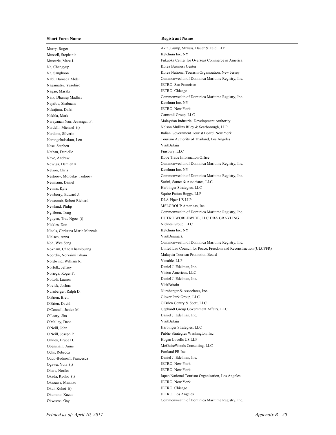Murry, Roger Akin, Gump, Strauss, Hauer & Feld, LLP Mussell, Stephanie Ketchum Inc. NY Na, Changyup Korea Business Center Nagamatsu, Yasuhiro JETRO, San Francisco Nagao, Masaki JETRO, Chicago Najafov, Shabnam Ketchum Inc. NY Nakajima, Daiki JETRO, New York Nakhla, Mark Camstoll Group, LLC Nase, Stephen VisitBritain Nathan, Danielle Finsbury, LLC Nave, Andrew Kobe Trade Information Office Nelson, Chris Ketchum Inc. NY Neumann, Daniel Sorini, Samet & Associates, LLC Nevins, Kyle Harbinger Strategies, LLC Newberry, Edward J. Squire Patton Boggs, LLP Newcomb, Robert Richard DLA Piper US LLP Newland, Philip MSLGROUP Americas, Inc. Nickles, Don Nickles Group, LLC Nicols, Christina Marie Mazzola Ketchum Inc. NY Nielsen, Anna VisitDenmark Nordwind, William R. Venable, LLP Norfolk, Jeffrey Daniel J. Edelman, Inc. Noriega, Roger F. Vision Americas, LLC Nottoli, Lauren Daniel J. Edelman, Inc. Novick, Joshua VisitBritain Nurnberger, Ralph D. Nurnberger & Associates, Inc. O'Brien, Brett Glover Park Group, LLC O'Brien, David O'Brien Gentry & Scott, LLC O'Leary, Jim Daniel J. Edelman, Inc. O'Malley, Dana VisitBritain O'Neill, John Harbinger Strategies, LLC O'Neill, Joseph P. Public Strategies Washington, Inc. Oakley, Bruce D. Hogan Lovells US LLP Obenshain, Anne McGuireWoods Consulting, LLC Ochs, Rebecca **Portland PR** Inc. Oddo-Budinoff, Francesca Daniel J. Edelman, Inc. Ogawa, Yuta (t) JETRO, New York Ohara, Noriko JETRO, New York Okazawa, Mamiko JETRO, New York Okui, Kohei (t) JETRO, Chicago Okumoto, Kazuo JETRO, Los Angeles

Musteric, Marc J. Fukuoka Center for Overseas Commerce in America Na, Sanghoon Korea National Tourism Organization, New Jersey Nabi, Hamada Abdel Commonwealth of Dominica Maritime Registry, Inc. Naik, Dhanraj Madhav Commonwealth of Dominica Maritime Registry, Inc. Narayanan Nair, Jeyasigan P. Malaysian Industrial Development Authority Nardelli, Michael (t) Nelson Mullins Riley & Scarborough, LLP Nardone, Silverio **Italian Government Tourist Board**, New York Narongchaisakun, Lert Tourism Authority of Thailand, Los Angeles Ndwiga, Damien K Commonwealth of Dominica Maritime Registry, Inc. Nestorov, Moroslav Todorov Commonwealth of Dominica Maritime Registry, Inc. Ng Boon, Tong Commonwealth of Dominica Maritime Registry, Inc. Nguyen, Truc Ngoc (t) DUTKO WORLDWIDE, LLC DBA GRAYLING Noh, Wee Seng Commonwealth of Dominica Maritime Registry, Inc. Nokham, Chao Khamlouang United Lao Council for Peace, Freedom and Reconstruction (ULCPFR) Noordin, Norzaimi Izham Malaysia Tourism Promotion Board O'Connell, Janice M. Gephardt Group Government Affairs, LLC Okada, Ryoko (t) Japan National Tourism Organization, Los Angeles Okwuosa, Osy Commonwealth of Dominica Maritime Registry, Inc.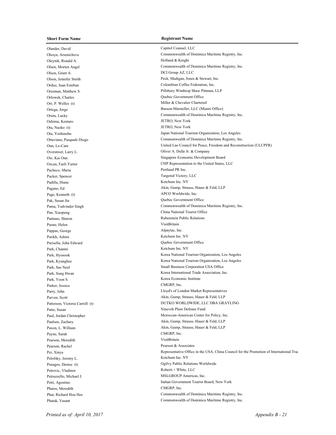Olander, David Capitol Counsel, LLC Oleynik, Ronald A. Holland & Knight Olson, Grant A. DCI Group AZ, LLC Orduz, Juan Esteban Colombian Coffee Federation, Inc. Orlowek, Charles Quebec Government Office Orr, P. Welles (t) Miller & Chevalier Chartered Oshima, Kentaro JETRO, New York Ota, Naoko (t) JETRO, New York Overstreet, Larry L. Oliver A. Dulle Jr. & Company Pacheco, Maria Portland PR Inc. Packer, Spencer Targeted Victory, LLC Padilla, Diane Ketchum Inc. NY Page, Kenneth (t) APCO Worldwide, Inc. Pak, Susan Jin Quebec Government Office Pan, Xiaopeng China National Tourist Office Pantano, Sharon Rubenstein Public Relations Paone, Helen VisitBritain Pappas, George Alpaytac, Inc. Parikh, Ashini Ketchum Inc. NY Parisella. John Edward Quebec Government Office Park, Chanmi Ketchum Inc. NY Park, Yoon S. Korea Economic Institute Parker, Jessica CMGRP, Inc. Patto, Susan Nineveh Plain Defense Fund Payne, Sarah CMGRP, Inc. Pearson, Meredith VisitBritain Pearson, Rachel Pearson & Associates Pelofsky, Jeremy L. Ketchum Inc. NY Penagos, Denise (t) Ogilvy Public Relations Worldwide Petrovic, Vladimir Roberti + White, LLC Petruzzello, Michael J. MSLGROUP Americas, Inc. Petti, Agostino Italian Government Tourist Board, New York Phares, Meredith CMGRP, Inc. Phatak, Vasant Commonwealth of Dominica Maritime Registry, Inc.

Olesya, Arsenicheva Commonwealth of Dominica Maritime Registry, Inc. Olsen, Morten Angel Commonwealth of Dominica Maritime Registry, Inc. Olson, Jennifer Smith Peck, Madigan, Jones & Stewart, Inc. Oresman, Matthew S. Pillsbury Winthrop Shaw Pittman, LLP Ortega, Jorge Burson-Marsteller, LLC (Miami Office) Orutu, Lucky Commonwealth of Dominica Maritime Registry, Inc. Ota, Yoshinobu Japan National Tourism Organization, Los Angeles Ottaviano, Pasquale Diego Commonwealth of Dominica Maritime Registry, Inc. Oun, Lo-Cam United Lao Council for Peace, Freedom and Reconstruction (ULCPFR) Ow, Kai Onn Singapore Economic Development Board Ozcan, Fazli Yurter CHP Representation to the United States, LLC Pagano, Ed Akin, Gump, Strauss, Hauer & Feld, LLP Pama, Yadvinder Singh Commonwealth of Dominica Maritime Registry, Inc. Park, Hyosook Korea National Tourism Organization, Los Angeles Park, Kyunghee **Korea National Tourism Organization**, Los Angeles Park, Sae Neul Small Business Corporation USA Office Park, Sung Hwan Korea International Trade Association, Inc. Parry, John Lloyd's of London Market Representatives Parven, Scott Akin, Gump, Strauss, Hauer & Feld, LLP Patterson, Victoria Carroll (t) **DUTKO WORLDWIDE, LLC DBA GRAYLING** Paul, Jordan Christopher Moroccan-American Center for Policy, Inc. Paulsen, Zachary Akin, Gump, Strauss, Hauer & Feld, LLP Paxon, L. William **Paxon, L. William** Akin, Gump, Strauss, Hauer & Feld, LLP Pei, Xinya **Representative Office in the USA**, China Council for the Promotion of International Trade (CCPIT)

Phat, Richard Hou Hee Commonwealth of Dominica Maritime Registry, Inc.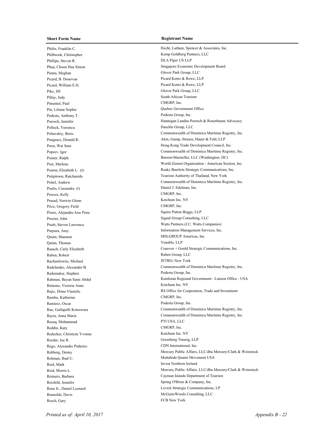Phifer, Franklin C. **Hecht, Latham, Spencer & Associates**, Inc. Philbrook, Christopher Kemp Goldberg Partners, LLC Phillips, Steven R. DLA Piper US LLP Pianta, Meghan Glover Park Group, LLC Picard, B. Donovan Picard Kentz & Rowe, LLP Picard, William E.D. Picard Kentz & Rowe, LLP Pike, Jill Glover Park Group, LLC Pillay, Judy South African Tourism Pimentel, Paul CMGRP, Inc. Pin, Liliane Sophie Quebec Government Office Podesta, Anthony T. Podesta Group, Inc. Pollock, Veronica Daschle Group, LLC Poulis, Cassandra (t) Daniel J. Edelman, Inc. Powers, Kelly CMGRP, Inc. Prasad, Norwin Glenn Ketchum Inc. NY Price, Gregory Field CMGRP, Inc. Prieto, Alejandro Jose Pena Squire Patton Boggs, LLP Procter, John Signal Group Consulting, LLC Quinn, Shannon MSLGROUP Americas, Inc. Quinn, Thomas Venable, LLP Raben, Robert Raben Group, LLC Rachmilowitz, Michael JETRO, New York Rademaker, Stephen Podesta Group, Inc. Rainone, Victoria Anne Ketchum Inc. NY Rambo, Katherine CMGRP, Inc. Ramirez, Oscar Podesta Group, Inc. Razaq, Mohammad PTI USA, LLC Reddin, Katy CMGRP, Inc. Redecker, Christyne Yvonne Ketchum Inc. NY Reeder, Joe R. Greenberg Traurig, LLP Rego, Alexandre Pinheiro CDN International, Inc. Reid, Mark Invest Northern Ireland Resch, Gary FCB New York

Phua, Choon Hua Simon Singapore Economic Development Board Poersch, Jennifer Hannegan Landau Poersch & Rosenbaum Advocacy Poltavskiy, Boris Commonwealth of Dominica Maritime Registry, Inc. Pongrace, Donald R. Akin, Gump, Strauss, Hauer & Feld, LLP Poon, Wai Sum Hong Kong Trade Development Council, Inc. Popeev, Igor Commonwealth of Dominica Maritime Registry, Inc. Posner, Ralph Burson-Marsteller, LLC (Washington, DC) Post, Marlene World Zionist Organization - American Section, Inc. Poston, Elizabeth L. (t) Rasky Baerlein Strategic Communications, Inc. Potipiroon, Ratchanida Tourism Authority of Thailand, New York Pottel, Andrew Commonwealth of Dominica Maritime Registry, Inc. Pruitt, Steven Lawrence Watts Partners (J.C. Watts Companies) Purpura, Amy Information Management Services, Inc. Raasch, Carly Elizabeth Conover + Gould Strategic Communications, Inc. Radchenko, Alexander B. Commonwealth of Dominica Maritime Registry, Inc. Rahman, Bayan Sami Abdul **Kurdistan Regional Government - Liaison Office - USA** Rajic, Drina Vlastelic **RS Office for Cooperation**, Trade and Investment Rao, Gullapalli Koteswara Commonwealth of Dominica Maritime Registry, Inc. Rayia, Anna Maria Commonwealth of Dominica Maritime Registry, Inc. Rehberg, Denny Mercury Public Affairs, LLC/dba Mercury/Clark & Weinstock Rehman, Ibad U. Muttahida Quami Movement USA Reid, Morris L. Mercury Public Affairs, LLC/dba Mercury/Clark & Weinstock Reimers, Barbara Cayman Islands Department of Tourism Reisfeld, Jennifer Spring O'Brien & Company, Inc. Rene Jr., Daniel Leonard Levick Strategic Communications, LP Rennolds, Davis **McGuireWoods Consulting, LLC**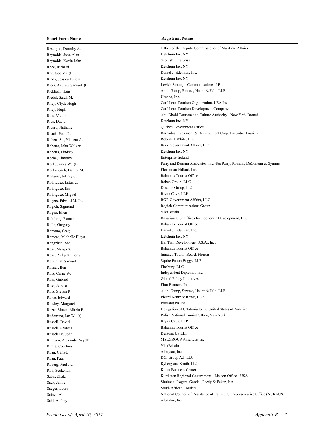Reynolds, John Alan Ketchum Inc. NY Reynolds, Kevin John Scottish Enterprise Rhee, Richard Ketchum Inc. NY Rho, Soo Mi (t) Daniel J. Edelman, Inc. Riady, Jessica Felicia Ketchum Inc. NY Riedel, Sarah M. Urenco, Inc. Riva, David Ketchum Inc. NY Rivard, Nathalie Quebec Government Office Roberti Sr., Vincent A. Roberti + White, LLC Roberts, John Walker BGR Government Affairs, LLC Roberts, Lindsay Ketchum Inc. NY Roche, Timothy Enterprise Ireland Rockenbach, Denise M. Fleishman-Hillard, Inc. Rodgers, Jeffrey C. Bahamas Tourist Office Rodriguez, Estuardo Raben Group, LLC Rodriguez, Ilia Daschle Group, LLC Rodriguez, Miguel Bryan Cave, LLP Rogers, Edward M. Jr., BGR Government Affairs, LLC Rogich, Sigmund Rogich Communications Group Rogoz, Ellen VisitBritain Rolle, Gregory Bahamas Tourist Office Romano, Greg Daniel J. Edelman, Inc. Romero, Michelle Blaya Ketchum Inc. NY Rose, Margo S. Bahamas Tourist Office Rose, Philip Anthony Jamaica Tourist Board, Florida Rosenthal, Samuel Squire Patton Boggs, LLP Rosner, Ben Finsbury, LLC Ross, Carne W. Independent Diplomat, Inc. Ross, Gabriel Global Policy Initiatives Ross, Jessica Finn Partners, Inc. Rowe, Edward **Picard Kentz & Rowe**, LLP Rowley, Margaret Portland PR Inc. Russell, David Bryan Cave, LLP Russell, Shane I. Bahamas Tourist Office Russell IV, John Dentons US LLP Ruthven, Alexander Wyeth MSLGROUP Americas, Inc. Ruttle, Courtney VisitBritain Ryan, Garrett Alpaytac, Inc. Ryan, Paul DCI Group AZ, LLC Ryberg, Paul Jr., Ryberg and Smith, LLC Ryu, Seokchun Korea Business Center Saeger, Laura South African Tourism Sahl, Audrey Alpaytac, Inc.

## **Short Form Name Registrant Name**

Rescigno, Dorothy A. Office of the Deputy Commissioner of Maritime Affairs Ricci, Andrew Samuel (t) Levick Strategic Communications, LP Rickhoff, Hans Akin, Gump, Strauss, Hauer & Feld, LLP Riley, Clyde Hugh Caribbean Tourism Organization, USA Inc. Riley, Hugh Caribbean Tourism Development Company Rios, Victor **Abu Dhabi Tourism and Culture Authority - New York Branch** Rios, Victor Roach, Petra L. Barbados Investment & Development Corp. Barbados Tourism Rock, James W. (t) Parry and Romani Associates, Inc. dba Parry, Romani, DeConcini & Symms Rohrberg, Roman Bavarian U.S. Offices for Economic Development, LLC Rongzhen, Xie Hai Tian Development U.S.A., Inc. Ross, Steven R. Akin, Gump, Strauss, Hauer & Feld, LLP Rozas-Simon, Mireia E. Delegation of Catalonia to the United States of America Rudomina, Jan W. (t) Polish National Tourist Office, New York Sabir, Zhala Kurdistan Regional Government - Liaison Office - USA Shulman, Rogers, Gandal, Pordy & Ecker, P.A. Safavi, Ali National Council of Resistance of Iran - U.S. Representative Office (NCRI-US)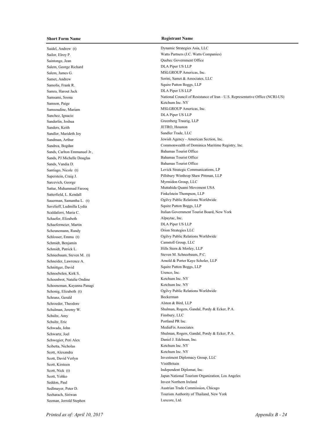Saidel, Andrew (t) Dynamic Strategies Asia, LLC Saintonge, Jean Quebec Government Office Salem, George Richard DLA Piper US LLP Salem, James G. MSLGROUP Americas, Inc. Samet, Andrew Sorini, Samet & Associates, LLC Samolis, Frank R. Squire Patton Boggs, LLP Samra, Harout Jack DLA Piper US LLP Samson, Paige Ketchum Inc. NY Samsoudine, Mariam MSLGROUP Americas, Inc. Sanchez, Ignacio DLA Piper US LLP Sanderlin, Joshua Greenberg Traurig, LLP Sanders, Keith JETRO, Houston Sandler, Marideth Joy Sandler Trade, LLC Sands, Carlton Emmanuel Jr., Bahamas Tourist Office Sands, PJ Michelle Douglas Bahamas Tourist Office Sands, Vandia D. Bahamas Tourist Office Sarcevich, George Myrmidon Group, LLC Satterfield, L. Kendall Finkelstein Thompson, LLP Savelieff, Ludmilla Lydia Squire Patton Boggs, LLP Schaefer, Elizabeth Alpaytac, Inc. Schaefermeier, Martin DLA Piper US LLP Scheunemann, Randy Orion Strategies LLC Schmidt, Benjamin Camstoll Group, LLC Schmidt, Patrick L. Hills Stern & Morley, LLP Schneebaum, Steven M. (t) Steven M. Schneebaum, P.C. Schnittger, David Squire Patton Boggs, LLP Schnoebelen, Kirk S. Urenco, Inc. Schoenbrot, Natalie Ondine Ketchum Inc. NY Schoeneman, Kayanna Panagi Ketchum Inc. NY Schranz, Gerald Beckerman Schroeder, Theodore Alston & Bird, LLP Schultz, Amy Finsbury, LLC Schultz, Eric Portland PR Inc. Schwada, John MediaFix Associates Schwegier, Peri Alex Daniel J. Edelman, Inc. Scibetta, Nicholas Ketchum Inc. NY Scott, Alexandra Ketchum Inc. NY Scott, Kirsteen VisitBritain Scott, Nick (t) Independent Diplomat, Inc. Seddon, Paul Invest Northern Ireland Seeman, Jerrold Stephen Luxcore, Ltd.

Sailor, Elroy P. Watts Partners (J.C. Watts Companies) Samsami, Soona National Council of Resistance of Iran - U.S. Representative Office (NCRI-US) Sandman, Arthur Jewish Agency - American Section, Inc. Sandrea, Bogdan Commonwealth of Dominica Maritime Registry, Inc. Santiago, Nicole (t) Levick Strategic Communications, LP Saperstein, Craig J. Pillsbury Winthrop Shaw Pittman, LLP Sattar, Muhammad Farooq **Muttahida Quami Movement USA** Sauerman, Samantha L. (t) Ogilvy Public Relations Worldwide Scaldaferri, Maria C. **Italian Government Tourist Board**, New York Schlosser, Emma (t) Ogilvy Public Relations Worldwide Schneider, Lawrence A. Arnold & Porter Kaye Scholer, LLP Schonig, Elizabeth (t) Ogilvy Public Relations Worldwide Schulman, Jeremy W. Shulman, Rogers, Gandal, Pordy & Ecker, P.A. Schwartz, Joel Shulman, Rogers, Gandal, Pordy & Ecker, P.A. Scott, David Verlyn Investment Diplomacy Group, LLC Scott, Yohko Japan National Tourism Organization, Los Angeles Sedlmayer, Peter D. Austrian Trade Commission, Chicago Seeharach, Siriwan Tourism Authority of Thailand, New York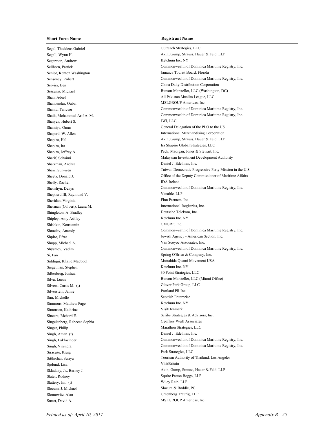Segal, Thaddeus Gabriel Outreach Strategies, LLC Segerman, Andrew Ketchum Inc. NY Senior, Kenton Washington Jamaica Tourist Board, Florida Shah, Adeel All Pakistan Muslim League, LLC Shahbandar, Oubai MSLGROUP Americas, Inc. Shaiyen, Hubert S. JWI, LLC Shapiro, Ira Ira Shapiro Global Strategies, LLC Shatzman, Andrea Daniel J. Edelman, Inc. Shelly, Rachel IDA Ireland Shepherd III, Raymond V. Venable, LLP Sheridan, Virginia Finn Partners, Inc. Sherman (Colbert), Laura M. International Registries, Inc. Shingleton, A. Bradley Deutsche Telekom, Inc. Shipley, Amy Ashley Ketchum Inc. NY Shishkin, Konstantin CMGRP, Inc. Shupp, Michael A. Van Scoyoc Associates, Inc. Si, Fan Spring O'Brien & Company, Inc. Siddiqui, Khalid Maqbool **Muttahida Quami Movement USA** Siegelman, Stephen Ketchum Inc. NY Silberberg, Joshua 30 Point Strategies, LLC Silvers, Curtis M. (t) Glover Park Group, LLC Silverstein, Jamie Portland PR Inc. Sim, Michelle Scottish Enterprise Simmons, Matthew Page Ketchum Inc. NY Simonsen, Kathrine VisitDenmark Sincere, Richard E. Scribe Strategies & Advisors, Inc. Singelenberg, Rebecca Sophia Geoffrey Weill Associates Singer, Philip Marathon Strategies, LLC Singh, Aman (t) Daniel J. Edelman, Inc. Siracuse, Kraig Park Strategies, LLC Sjolund, Lisa VisitBritain Slater, Rodney Squire Patton Boggs, LLP Slattery, Jim (t) Wiley Rein, LLP Slocum, J. Michael Slocum & Boddie, PC Slomowitz, Alan Greenberg Traurig, LLP Smart, David A. MSLGROUP Americas, Inc.

# **Short Form Name Registrant Name**

Segall, Wynn H. Akin, Gump, Strauss, Hauer & Feld, LLP Sellhorn, Patrick Commonwealth of Dominica Maritime Registry, Inc. Senseney, Robert Commonwealth of Dominica Maritime Registry, Inc. Serviss, Ben China Daily Distribution Corporation Sessums, Michael Burson-Marsteller, LLC (Washington, DC) Shahid, Tanveer Commonwealth of Dominica Maritime Registry, Inc. Shaik, Mohammed Arif A. M. Commonwealth of Dominica Maritime Registry, Inc. Shamiya, Omar General Delegation of the PLO to the US Shapard, W. Allen International Merchandising Corporation Shapiro, Hal Akin, Gump, Strauss, Hauer & Feld, LLP Shapiro, Jeffrey A. Peck, Madigan, Jones & Stewart, Inc. Sharif, Sohaimi Malaysian Investment Development Authority Shaw, Sun-wen Taiwan Democratic Progressive Party Mission in the U.S. Sheetz, Donald J. Office of the Deputy Commissioner of Maritime Affairs Shenshyn, Denys Commonwealth of Dominica Maritime Registry, Inc. Shmelev, Anatoly Commonwealth of Dominica Maritime Registry, Inc. Shpiro, Efrat Jewish Agency - American Section, Inc. Shyshlov, Vadim Commonwealth of Dominica Maritime Registry, Inc. Silva, Lucas Burson-Marsteller, LLC (Miami Office) Singh, Lakhwinder Commonwealth of Dominica Maritime Registry, Inc. Singh, Virendra Commonwealth of Dominica Maritime Registry, Inc. Sitthichai, Suriya Tourism Authority of Thailand, Los Angeles Skladany, Jr., Barney J. Akin, Gump, Strauss, Hauer & Feld, LLP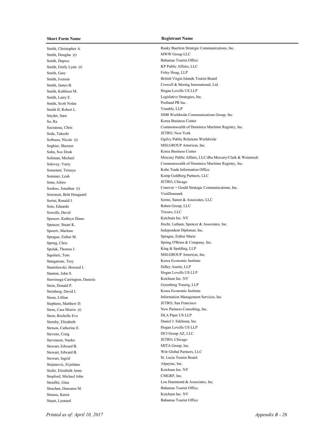Smith, Christopher A. Rasky Baerlein Strategic Communications, Inc. Smith, Douglas (t) MWW Group LLC Smith, Dupree Bahamas Tourist Office Smith, Emily Lynn (t) KP Public Affairs, LLC Smith, Gare Foley Hoag, LLP Smith, Kathleen M. Hogan Lovells US LLP Smith, Larry E. Legislative Strategies, Inc. Smith, Scott Nolan Portland PR Inc. Smith II, Robert L. Venable, LLP So, Ra Korea Business Center Soda, Takeshi JETRO, New York Soghier, Shereen MSLGROUP Americas, Inc. Sohn, Soo Deuk Korea Business Center Sometani, Tetsuya Kobe Trade Information Office Sommer, Leah Kemp Goldberg Partners, LLC Sone, Ichiro JETRO, Chicago Sorensen, Britt Hougaard VisitDenmark Soto, Eduardo Raben Group, LLC Sowells, David Tricuro, LLC Spencer, Kathryn Diane Ketchum Inc. NY Spoerri, Marlene Independent Diplomat, Inc. Sprague, Esther M. Sprague, Esther Marie Spulak, Thomas J. King & Spalding, LLP Squitieri, Tom MSLGROUP Americas, Inc. Stangarone, Troy Korea Economic Institute Stanislawski, Howard J. Sidley Austin, LLP Stanton, John S. Hogan Lovells US LLP Stawinoga-Carrington, Daniela Ketchum Inc. NY Stein, Donald P. Greenberg Traurig, LLP Steinberg, David I. Korea Economic Institute Stephens, Matthew D. JETRO, San Francisco Stern, Cara Morris (t) New Partners Consulting, Inc. Stern, Rochelle Eva DLA Piper US LLP Sternby, Elizabeth Daniel J. Edelman, Inc. Stetson, Catherine E. Hogan Lovells US LLP Stevens, Craig DCI Group AZ, LLC Stevenson, Naoko JETRO, Chicago Stewart, Edward B. MITA Group, Inc. Stewart, Edward B. Witt Global Partners, LLC Stewart, Ingrid St. Lucia Tourist Board Stojanovic, Svjetlana Alpaytac, Inc. Stoltz, Elizabeth Anne Ketchum Inc. NY Stopford, Michael John CMGRP, Inc. Strachan, Danzarra M. Bahamas Tourist Office Strauss, Karen Ketchum Inc. NY Stuart, Leonard Bahamas Tourist Office

## **Short Form Name Registrant Name**

Smith, Iverson British Virgin Islands Tourist Board Smith, James B. Crowell & Moring International, Ltd. Snyder, Sara DDB Worldwide Communications Group, Inc. Socratous, Chris Commonwealth of Dominica Maritime Registry, Inc. Softness, Nicole (t) Ogilvy Public Relations Worldwide Soliman, Michael Mercury Public Affairs, LLC/dba Mercury/Clark & Weinstock Solovey, Yuriy Commonwealth of Dominica Maritime Registry, Inc. Soohoo, Jonathan (t) Conover + Gould Strategic Communications, Inc. Sorini, Ronald J. Sorini, Samet & Associates, LLC Spencer, Stuart K. Hecht, Latham, Spencer & Associates, Inc. Spring, Chris Spring O'Brien & Company, Inc. Stenn, Lillian Information Management Services, Inc. Stouffer, Gina Lou Hammond & Associates, Inc.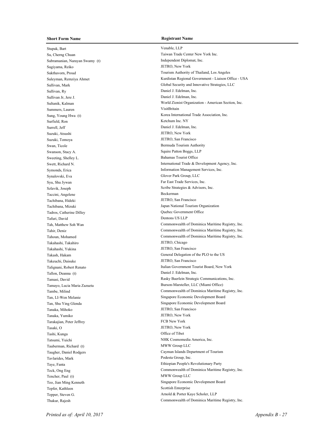Stupak, Bart Venable, LLP Su, Cherng Chuan Taiwan Trade Center New York Inc. Subramanian, Narayan Swamy (t) Independent Diplomat, Inc. Sugiyama, Reiko JETRO, New York Sullivan, Ry Daniel J. Edelman, Inc. Sullivan Jr, Jere J. Daniel J. Edelman, Inc. Summers, Lauren VisitBritain Surfield, Ron Ketchum Inc. NY Surrell, Jeff Daniel J. Edelman, Inc. Suzuki, Atsushi JETRO, New York Suzuki, Tomoya JETRO, San Francisco Swan, Ticole Bermuda Tourism Authority Swanson, Stacy A. Squire Patton Boggs, LLP Sweeting, Shelley L. Bahamas Tourist Office Symonds, Erica Information Management Services, Inc. Synalovski, Eva Glover Park Group, LLC Syu, Shu Jywan Far East Trade Services, Inc. Szlavik, Joseph Strategies & Advisors, Inc. Taccini, Angelene Beckerman Tachibana, Hideki JETRO, San Francisco Tachibana, Mizuki Japan National Tourism Organization Tadros, Catherine Dilley Quebec Government Office Tafuri, David Dentons US LLP Takahashi, Takahiro JETRO, Chicago Takahashi, Yukina JETRO, San Francisco Takeuchi, Daisuke JETRO, San Francisco Tallon, Deanna (t) Daniel J. Edelman, Inc. Tanaka, Mihoko JETRO, San Francisco Tanaka, Yumiko JETRO, New York Tarakajian, Peter Jeffrey FCB New York Tasaki, O JETRO, New York Tashi, Kunga Office of Tibet Tatsumi, Yuichi NHK Cosmomedia America, Inc. Tauberman, Richard (t) MWW Group LLC Tavlarides, Mark Podesta Group, Inc. Taye, Fanta Ethiopian People's Revolutionary Party Tencher, Paul (t) MWW Group LLC Teo, Jian Ming Kenneth Singapore Economic Development Board Tepfer, Kathleen Scottish Enterprise Thakur, Rajesh Commonwealth of Dominica Maritime Registry, Inc.

Sukthavorn, Proud Tourism Authority of Thailand, Los Angeles Suleyman, Remziya Ahmet Kurdistan Regional Government - Liaison Office - USA Sullivan, Mark Global Security and Innovative Strategies, LLC Sultanik, Kalman World Zionist Organization - American Section, Inc. Sung, Young Hwa (t) Korea International Trade Association, Inc. Swett, Richard N. International Trade & Development Agency, Inc. Tah, Matthew Soh Wan Commonwealth of Dominica Maritime Registry, Inc. Tahir, Deniz Commonwealth of Dominica Maritime Registry, Inc. Tahoun, Mohamed Commonwealth of Dominica Maritime Registry, Inc. Takash, Hakam General Delegation of the PLO to the US Talignani, Robert Renato **Italian Government Tourist Board**, New York Tamasi, David Rasky Baerlein Strategic Communications, Inc. Tamayo, Lucia Maria Zazueta **Burson-Marsteller, LLC (Miami Office)** Burson-Marsteller, LLC (Miami Office) Tambe, Milind Commonwealth of Dominica Maritime Registry, Inc. Tan, LI-Wen Melanie Singapore Economic Development Board Tan, Shu Ying Glenda Singapore Economic Development Board Taugher, Daniel Rodgers Cayman Islands Department of Tourism Teck, Ong Eng Commonwealth of Dominica Maritime Registry, Inc.

Tepper, Steven G. Arnold & Porter Kaye Scholer, LLP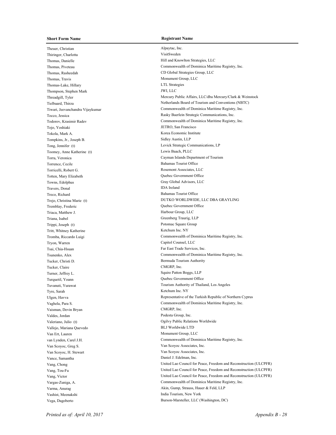Theuer, Christian Alpaytac, Inc. Thiringer, Charlotta VisitSweden Thomas, Danielle Hill and Knowlton Strategies, LLC Thomas, Rasheedah CD Global Strategies Group, LLC Thomas, Travis Monument Group, LLC Thomas-Lake, Hillary LTL Strategies Thompson, Stephen Mark JWI, LLC Tojo, Yoshiaki JETRO, San Francisco Tokola, Mark A. Korea Economic Institute Tompkins, Jr., Joseph B. Sidley Austin, LLP Toomey, Anne Katherine (t) Lewis Baach, PLLC Torrence, Cecile Bahamas Tourist Office Torricelli, Robert G. **Rosemont Associates**, LLC Totten, Mary Elizabeth Quebec Government Office Towns, Edolphus Gray Global Advisors, LLC Travers, Donal IDA Ireland Treco, Richard Bahamas Tourist Office Tremblay, Frederic Quebec Government Office Triaca, Matthew J. **Harbour Group**, LLC Triana, Isabel Greenberg Traurig, LLP Trippi, Joseph (t) Potomac Square Group Tritt, Whitney Katherine Ketchum Inc. NY Tryon, Warren Capitol Counsel, LLC Tsai, Chia-Hsuan Far East Trade Services, Inc. Tucker, Christi D. Bermuda Tourism Authority Tucker, Claire CMGRP, Inc. Turner, Jeffrey L. Squire Patton Boggs, LLP Turquetil, Yoann Quebec Government Office Tyre, Sarah Ketchum Inc. NY Vaisman, Devin Bryan CMGRP, Inc. Valdes, Jordan Podesta Group, Inc. Valeriano, Julio (t) Ogilvy Public Relations Worldwide Vallejo, Mariana Quevedo BLJ Worldwide LTD Van Ert, Lauren Monument Group, LLC Van Scoyoc, Greg S. Van Scoyoc Associates, Inc. Van Scoyoc, H. Stewart Van Scoyoc Associates, Inc. Vance, Samantha Daniel J. Edelman, Inc. Vashist, Meenakshi India Tourism, New York Vega, Dagoberto Burson-Marsteller, LLC (Washington, DC)

Thomas, Piveteau Commonwealth of Dominica Maritime Registry, Inc. Threadgill, Tyler Threadgill, Tyler Mercury Public Affairs, LLC/dba Mercury/Clark & Weinstock Tielbaard, Thirza **Netherlands Board of Tourism and Conventions (NBTC)** Netherlands Board of Tourism and Conventions (NBTC) Tiwari, Jeevanchandra Vijaykumar Commonwealth of Dominica Maritime Registry, Inc. Tocco, Jessica Rasky Baerlein Strategic Communications, Inc. Todorov, Krasimir Radev Commonwealth of Dominica Maritime Registry, Inc. Tong, Jennifer (t) Levick Strategic Communications, LP Torra, Veronica Cayman Islands Department of Tourism Trejo, Christina Marie (t) DUTKO WORLDWIDE, LLC DBA GRAYLING Tromba, Riccardo Luigi Commonwealth of Dominica Maritime Registry, Inc. Tsunenko, Alex Commonwealth of Dominica Maritime Registry, Inc. Tuvanuti, Yurawat Tourism Authority of Thailand, Los Angeles Ulgen, Havva Representative of the Turkish Republic of Northern Cyprus Vaghela, Para S. Commonwealth of Dominica Maritime Registry, Inc. van Lynden, Carel J.H. Commonwealth of Dominica Maritime Registry, Inc. Vang, Chong United Lao Council for Peace, Freedom and Reconstruction (ULCPFR) Vang, Tou-Fu United Lao Council for Peace, Freedom and Reconstruction (ULCPFR) Vang, Victor **Vang, Victor** United Lao Council for Peace, Freedom and Reconstruction (ULCPFR) Vargas-Zuniga, A. Commonwealth of Dominica Maritime Registry, Inc. Varma, Anurag **Akin, Gump, Strauss, Hauer & Feld, LLP**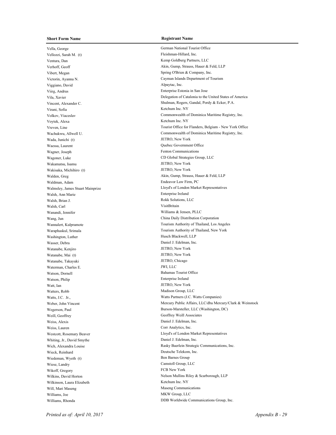### **Short Form Name Registrant Name**

Vella, George German National Tourist Office Vellozzi, Sarah M. (t) Fleishman-Hillard, Inc. Ventura, Dan Kemp Goldberg Partners, LLC Vibert, Megan Spring O'Brien & Company, Inc. Viggiano, David Alpaytac, Inc. Viirg, Andrus Enterprise Estonia in San Jose Virani, Sofia Ketchum Inc. NY Voytek, Alexa Ketchum Inc. NY Wada, Junichi (t) JETRO, New York Waessa, Laurent **Calculation** Cuebec Government Office Wagner, Joseph Fenton Communications Wakamatsu, Isamu JETRO, New York Wakisaka, Michihiro (t) JETRO, New York Waldman, Adam Endeavor Law Firm, PC Walsh, Ann Marie Enterprise Ireland Walsh, Brian J. Rokk Solutions, LLC Walsh, Carl VisitBritain Wanandi, Jennifer Williams & Jensen, PLLC Washington, Luther Husch Blackwell, LLP Wasser, Debra Daniel J. Edelman, Inc. Watanabe, Kenjiro JETRO, New York Watanabe, Mai (t) JETRO, New York Watanabe, Takayuki JETRO, Chicago Waterman, Charles E. JWI, LLC Watson, Dornell Bahamas Tourist Office Watson, Philip Enterprise Ireland Watt, Ian JETRO, New York Watters, Robb Madison Group, LLC Weill, Geoffrey Geoffrey Weill Associates Weiss, Alexis Daniel J. Edelman, Inc. Weiss, Lauren Corr Analytics, Inc. Whiting, Jr., David Smythe Daniel J. Edelman, Inc. Wieck, Reinhard Deutsche Telekom, Inc. Wiedeman, Wyeth (t) Ben Barnes Group Wiese, Landry Camstoll Group, LLC Wikoff, Gregory **FCB** New York Wilkinson, Laura Elizabeth Ketchum Inc. NY Will, Mari Maseng Communications Williams, Joe MKW Group, LLC

Verhoff, Geoff Akin, Gump, Strauss, Hauer & Feld, LLP Victorin, Ayanna N. Cayman Islands Department of Tourism Vila, Xavier Delegation of Catalonia to the United States of America Vincent, Alexander C. Shulman, Rogers, Gandal, Pordy & Ecker, P.A. Volkov, Viaceslav Commonwealth of Dominica Maritime Registry, Inc. Vreven, Line Tourist Office for Flanders, Belgium - New York Office Wachukwu, Allwell U. Commonwealth of Dominica Maritime Registry, Inc. Wagoner, Luke CD Global Strategies Group, LLC Walden, Greg **Akin, Gump, Strauss, Hauer & Feld, LLP** Walmsley, James Stuart Mainprize Lloyd's of London Market Representatives Wang, Jun China Daily Distribution Corporation Wannalert, Kulpramote **Thailand, Los Angeles** Tourism Authority of Thailand, Los Angeles Waraphaskul, Srimala Tourism Authority of Thailand, New York Watts, J.C. Jr., Watts Partners (J.C. Watts Companies) Weber, John Vincent Mercury Public Affairs, LLC/dba Mercury/Clark & Weinstock Wegerson, Paul Burson-Marsteller, LLC (Washington, DC) Westcott, Rosemary Beaver Lloyd's of London Market Representatives Wich, Alexandra Louise Rasky Baerlein Strategic Communications, Inc. Wilkins, David Horton Nelson Mullins Riley & Scarborough, LLP Williams, Rhonda DDB Worldwide Communications Group, Inc.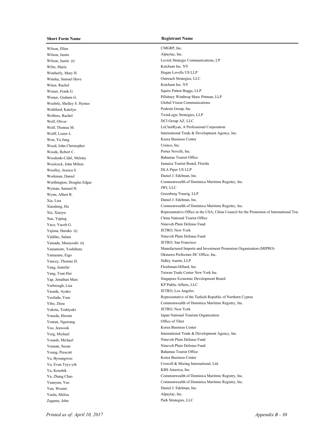## **Short Form Name Registrant Name**

Wilson, Ellen CMGRP, Inc. Wilson, Justin Alpaytac, Inc. **Alpaytac**, Inc. Wiltz, Marie Ketchum Inc. NY Wimberly, Mary H. Hogan Lovells US LLP Wineka, Samuel Have Outreach Strategies, LLC Winer, Rachel Ketchum Inc. NY Wisner, Frank G Squire Patton Boggs, LLP Woehrle, Shelley S. Hymes Global Vision Communications Wohlford, Katelyn Podesta Group, Inc. Wolbers, Rachel TwinLogic Strategies, LLP Wolf, Oliver DCI Group AZ, LLC Won, Yu Jung Korea Business Center Wood, John Christopher Urenco, Inc. Woods, Robert C. Porter Novelli, Inc. Woodside-Cidel, Melony Bahamas Tourist Office Woolcock, John Milton Jamaica Tourist Board, Florida Woolley, Jessica S. DLA Piper US LLP Workman, Daniel **Daniel J. Edelman**, Inc. Wyman, Samuel H. JWI, LLC Wynn, Albert R. Greenberg Traurig, LLP Xia, Lisa Daniel J. Edelman, Inc. Xue, Yaping China National Tourist Office Yaco, Yacob G. Nineveh Plain Defense Fund Yajima, Haruko (t) JETRO, New York Yaldiko, Salam Nineveh Plain Defense Fund Yamada, Masayoshi (t) JETRO, San Francisco Yancey, Thomas H. Sidley Austin, LLP Yang, Jennifer Fleishman-Hillard, Inc. Yarbrough, Lisa KP Public Affairs, LLC Yasuda, Ayako JETRO, Los Angeles Yokota, Toshiyuki JETRO, New York Yonten, Ngawang Office of Tibet Yoo, Jeawook Korea Business Center Youash, Michael Nineveh Plain Defense Fund Younan, Suzan Nineveh Plain Defense Fund Young, Prescott Bahamas Tourist Office Yu, Byoungwoo Korea Business Center Yu, Konshik KBS America, Inc. Yun, Woomi Daniel J. Edelman, Inc. Yunlu, Melisa Alpaytac, Inc. Zagame, John Park Strategies, LLC

Wilson, Justin (t) Levick Strategic Communications, LP Wisner, Graham G. Pillsbury Winthrop Shaw Pittman, LLP Wolf, Thomas M. LeClairRyan, A Professional Corporation Wolff, Lester L. **International Trade & Development Agency**, Inc. Worthington, Douglas Edgar Commonwealth of Dominica Maritime Registry, Inc. Xiaodong, Hu Commonwealth of Dominica Maritime Registry, Inc. Xie, Xiaoyu **Representative Office in the USA, China Council for the Promotion of International Trade (CCPIT)** Yamamoto, Yoshiharu Manufactured Imports and Investment Promotion Organization (MIPRO) Yamazato, Eigo Okinawa Prefecture DC Office, Inc. Yang, Tsun Hui Taiwan Trade Center New York Inc. Yap, Jonathan Marc Singapore Economic Development Board Yesilada, Yasa **Representative of the Turkish Republic of Northern Cyprus** Representative of the Turkish Republic of Northern Cyprus Yibo, Zhou Commonwealth of Dominica Maritime Registry, Inc. Yoneda, Hiromi Japan National Tourism Organization Yorg, Michael **International Trade & Development Agency**, Inc. Yu, Evan Tzyy-yih Crowell & Moring International, Ltd. Yu, Zhang Chao Commonwealth of Dominica Maritime Registry, Inc. Yuanyun, Yao Commonwealth of Dominica Maritime Registry, Inc.